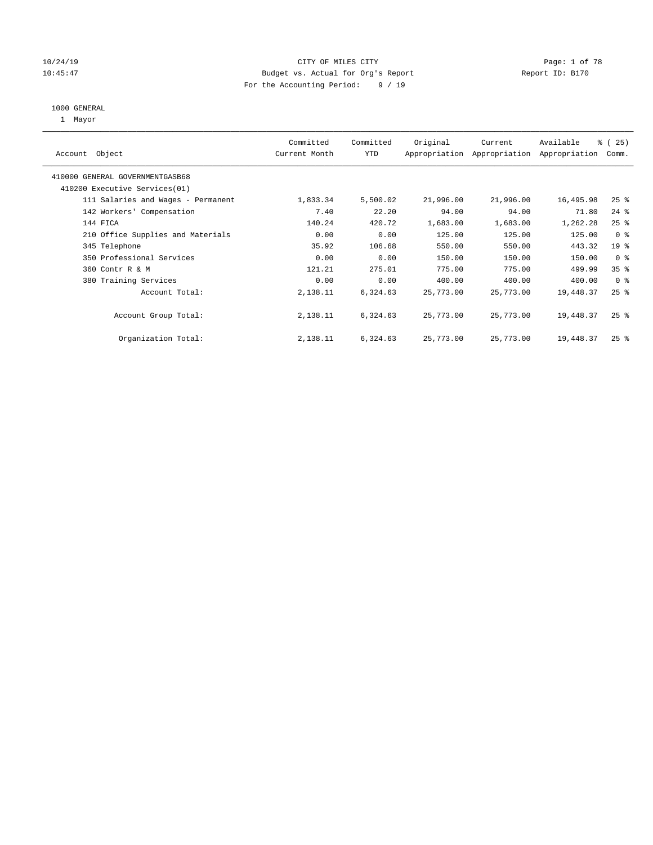# 10/24/19 CITY OF MILES CITY CHECK CITY CONTROL Page: 1 of 78 10:45:47 Budget vs. Actual for Org's Report Report ID: B170 For the Accounting Period: 9 / 19

#### 1000 GENERAL

1 Mayor

| Object<br>Account                  | Committed<br>Current Month | Committed<br><b>YTD</b> | Original  | Current<br>Appropriation Appropriation | Available<br>Appropriation | % (25)<br>Comm. |
|------------------------------------|----------------------------|-------------------------|-----------|----------------------------------------|----------------------------|-----------------|
| 410000 GENERAL GOVERNMENTGASB68    |                            |                         |           |                                        |                            |                 |
| 410200 Executive Services (01)     |                            |                         |           |                                        |                            |                 |
| 111 Salaries and Wages - Permanent | 1,833.34                   | 5,500.02                | 21,996.00 | 21,996.00                              | 16,495.98                  | $25$ %          |
| 142 Workers' Compensation          | 7.40                       | 22.20                   | 94.00     | 94.00                                  | 71.80                      | $24$ %          |
| 144 FICA                           | 140.24                     | 420.72                  | 1,683.00  | 1,683.00                               | 1,262.28                   | $25$ %          |
| 210 Office Supplies and Materials  | 0.00                       | 0.00                    | 125.00    | 125.00                                 | 125.00                     | 0 <sup>8</sup>  |
| 345 Telephone                      | 35.92                      | 106.68                  | 550.00    | 550.00                                 | 443.32                     | 19 <sup>°</sup> |
| 350 Professional Services          | 0.00                       | 0.00                    | 150.00    | 150.00                                 | 150.00                     | 0 <sup>8</sup>  |
| 360 Contr R & M                    | 121.21                     | 275.01                  | 775.00    | 775.00                                 | 499.99                     | 35 <sup>8</sup> |
| 380 Training Services              | 0.00                       | 0.00                    | 400.00    | 400.00                                 | 400.00                     | 0 <sup>8</sup>  |
| Account Total:                     | 2,138.11                   | 6,324.63                | 25,773.00 | 25,773.00                              | 19,448.37                  | $25$ $%$        |
| Account Group Total:               | 2,138.11                   | 6,324.63                | 25,773.00 | 25,773.00                              | 19,448.37                  | $25$ $%$        |
| Organization Total:                | 2,138.11                   | 6,324.63                | 25,773.00 | 25,773.00                              | 19,448.37                  | $25$ $%$        |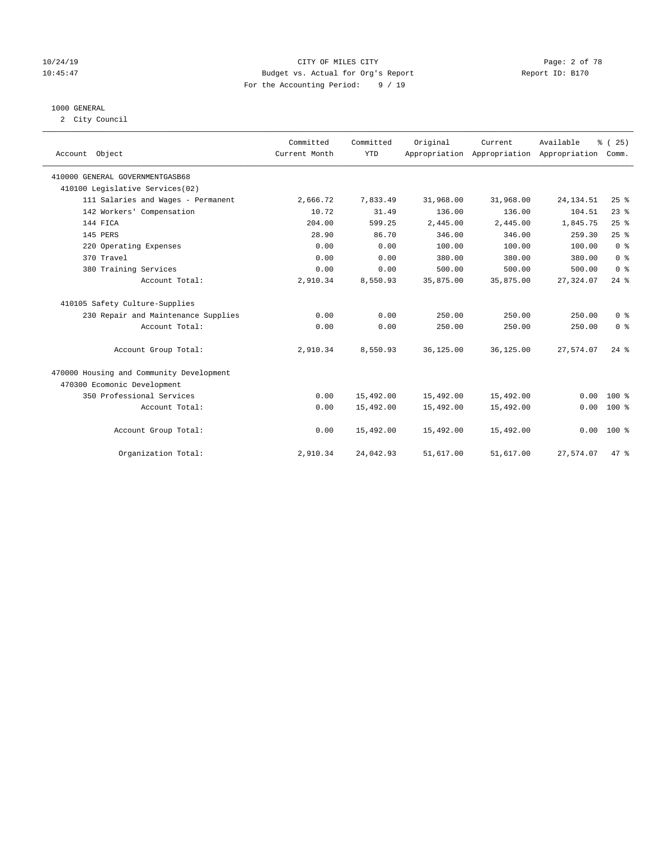### 10/24/19 CITY OF MILES CITY Page: 2 of 78 10:45:47 Budget vs. Actual for Org's Report Report ID: B170 For the Accounting Period: 9 / 19

# 1000 GENERAL

2 City Council

| Account Object                           | Committed<br>Current Month | Committed<br><b>YTD</b> | Original  | Current<br>Appropriation Appropriation Appropriation | Available  | % (25)<br>Comm.    |
|------------------------------------------|----------------------------|-------------------------|-----------|------------------------------------------------------|------------|--------------------|
| 410000 GENERAL GOVERNMENTGASB68          |                            |                         |           |                                                      |            |                    |
| 410100 Legislative Services(02)          |                            |                         |           |                                                      |            |                    |
| 111 Salaries and Wages - Permanent       | 2,666.72                   | 7,833.49                | 31,968.00 | 31,968.00                                            | 24, 134.51 | 25%                |
| 142 Workers' Compensation                | 10.72                      | 31.49                   | 136.00    | 136.00                                               | 104.51     | $23$ $%$           |
| 144 FICA                                 | 204.00                     | 599.25                  | 2,445.00  | 2,445.00                                             | 1,845.75   | 25%                |
| 145 PERS                                 | 28.90                      | 86.70                   | 346.00    | 346.00                                               | 259.30     | 25%                |
| 220 Operating Expenses                   | 0.00                       | 0.00                    | 100.00    | 100.00                                               | 100.00     | 0 <sup>8</sup>     |
| 370 Travel                               | 0.00                       | 0.00                    | 380.00    | 380.00                                               | 380.00     | 0 <sup>8</sup>     |
| 380 Training Services                    | 0.00                       | 0.00                    | 500.00    | 500.00                                               | 500.00     | 0 <sup>8</sup>     |
| Account Total:                           | 2,910.34                   | 8,550.93                | 35,875.00 | 35,875.00                                            | 27, 324.07 | $24$ %             |
| 410105 Safety Culture-Supplies           |                            |                         |           |                                                      |            |                    |
| 230 Repair and Maintenance Supplies      | 0.00                       | 0.00                    | 250.00    | 250.00                                               | 250.00     | 0 <sup>8</sup>     |
| Account Total:                           | 0.00                       | 0.00                    | 250.00    | 250.00                                               | 250.00     | 0 <sup>8</sup>     |
| Account Group Total:                     | 2,910.34                   | 8,550.93                | 36,125.00 | 36,125.00                                            | 27.574.07  | $24$ $\frac{6}{3}$ |
| 470000 Housing and Community Development |                            |                         |           |                                                      |            |                    |
| 470300 Ecomonic Development              |                            |                         |           |                                                      |            |                    |
| 350 Professional Services                | 0.00                       | 15,492.00               | 15,492.00 | 15,492.00                                            | 0.00       | $100*$             |
| Account Total:                           | 0.00                       | 15,492.00               | 15,492.00 | 15,492.00                                            | 0.00       | $100*$             |
| Account Group Total:                     | 0.00                       | 15,492.00               | 15,492.00 | 15,492.00                                            | 0.00       | $100*$             |
| Organization Total:                      | 2,910.34                   | 24,042.93               | 51,617.00 | 51,617.00                                            | 27,574.07  | 47.8               |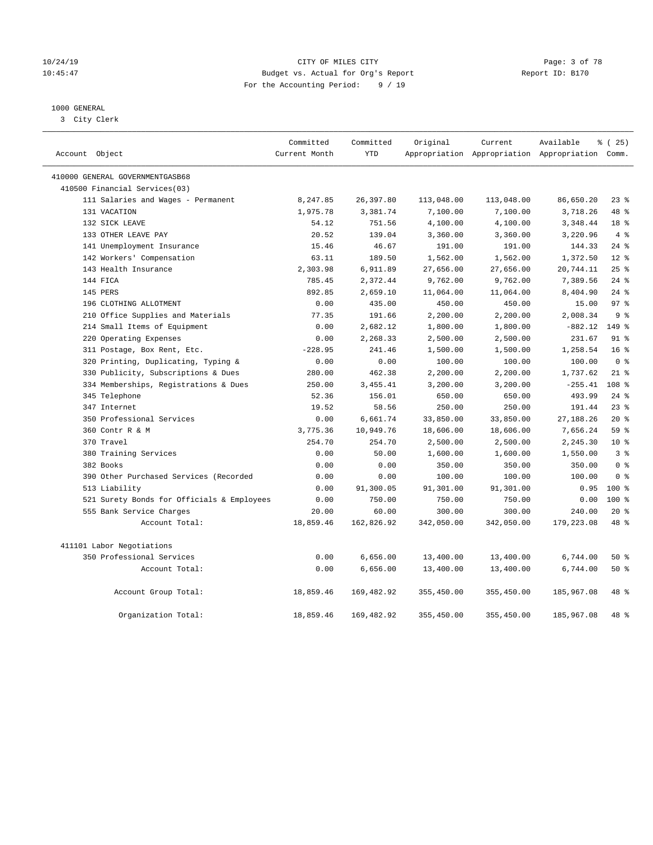### 10/24/19 CITY OF MILES CITY Page: 3 of 78 10:45:47 Budget vs. Actual for Org's Report Report ID: B170 For the Accounting Period: 9 / 19

# 1000 GENERAL

3 City Clerk

| Account Object                             | Committed<br>Current Month | Committed<br><b>YTD</b> | Original   | Current    | Available<br>Appropriation Appropriation Appropriation Comm. | % (25)           |
|--------------------------------------------|----------------------------|-------------------------|------------|------------|--------------------------------------------------------------|------------------|
| 410000 GENERAL GOVERNMENTGASB68            |                            |                         |            |            |                                                              |                  |
| 410500 Financial Services(03)              |                            |                         |            |            |                                                              |                  |
| 111 Salaries and Wages - Permanent         | 8,247.85                   | 26,397.80               | 113,048.00 | 113,048.00 | 86,650.20                                                    | $23$ %           |
| 131 VACATION                               | 1,975.78                   | 3,381.74                | 7,100.00   | 7,100.00   | 3,718.26                                                     | 48 %             |
| 132 SICK LEAVE                             | 54.12                      | 751.56                  | 4,100.00   | 4,100.00   | 3,348.44                                                     | 18 <sup>8</sup>  |
| 133 OTHER LEAVE PAY                        | 20.52                      | 139.04                  | 3,360.00   | 3,360.00   | 3,220.96                                                     | 4%               |
| 141 Unemployment Insurance                 | 15.46                      | 46.67                   | 191.00     | 191.00     | 144.33                                                       | $24$ %           |
| 142 Workers' Compensation                  | 63.11                      | 189.50                  | 1,562.00   | 1,562.00   | 1,372.50                                                     | $12*$            |
| 143 Health Insurance                       | 2,303.98                   | 6,911.89                | 27,656.00  | 27,656.00  | 20,744.11                                                    | 25%              |
| 144 FICA                                   | 785.45                     | 2,372.44                | 9,762.00   | 9,762.00   | 7,389.56                                                     | $24$ %           |
| 145 PERS                                   | 892.85                     | 2,659.10                | 11,064.00  | 11,064.00  | 8,404.90                                                     | $24$ %           |
| 196 CLOTHING ALLOTMENT                     | 0.00                       | 435.00                  | 450.00     | 450.00     | 15.00                                                        | 97 <sub>8</sub>  |
| 210 Office Supplies and Materials          | 77.35                      | 191.66                  | 2,200.00   | 2,200.00   | 2,008.34                                                     | 9 <sup>8</sup>   |
| 214 Small Items of Equipment               | 0.00                       | 2,682.12                | 1,800.00   | 1,800.00   | $-882.12$                                                    | 149 %            |
| 220 Operating Expenses                     | 0.00                       | 2,268.33                | 2,500.00   | 2,500.00   | 231.67                                                       | 91 %             |
| 311 Postage, Box Rent, Etc.                | $-228.95$                  | 241.46                  | 1,500.00   | 1,500.00   | 1,258.54                                                     | 16 <sup>8</sup>  |
| 320 Printing, Duplicating, Typing &        | 0.00                       | 0.00                    | 100.00     | 100.00     | 100.00                                                       | 0 <sup>8</sup>   |
| 330 Publicity, Subscriptions & Dues        | 280.00                     | 462.38                  | 2,200.00   | 2,200.00   | 1,737.62                                                     | $21$ %           |
| 334 Memberships, Registrations & Dues      | 250.00                     | 3,455.41                | 3,200.00   | 3,200.00   | $-255.41$                                                    | 108 <sup>8</sup> |
| 345 Telephone                              | 52.36                      | 156.01                  | 650.00     | 650.00     | 493.99                                                       | $24$ %           |
| 347 Internet                               | 19.52                      | 58.56                   | 250.00     | 250.00     | 191.44                                                       | 23%              |
| 350 Professional Services                  | 0.00                       | 6,661.74                | 33,850.00  | 33,850.00  | 27, 188. 26                                                  | $20*$            |
| 360 Contr R & M                            | 3,775.36                   | 10,949.76               | 18,606.00  | 18,606.00  | 7,656.24                                                     | 59 %             |
| 370 Travel                                 | 254.70                     | 254.70                  | 2,500.00   | 2,500.00   | 2,245.30                                                     | $10*$            |
| 380 Training Services                      | 0.00                       | 50.00                   | 1,600.00   | 1,600.00   | 1,550.00                                                     | 3 <sup>8</sup>   |
| 382 Books                                  | 0.00                       | 0.00                    | 350.00     | 350.00     | 350.00                                                       | 0 <sup>8</sup>   |
| 390 Other Purchased Services (Recorded     | 0.00                       | 0.00                    | 100.00     | 100.00     | 100.00                                                       | 0 <sup>8</sup>   |
| 513 Liability                              | 0.00                       | 91,300.05               | 91,301.00  | 91,301.00  | 0.95                                                         | $100*$           |
| 521 Surety Bonds for Officials & Employees | 0.00                       | 750.00                  | 750.00     | 750.00     | 0.00                                                         | $100*$           |
| 555 Bank Service Charges                   | 20.00                      | 60.00                   | 300.00     | 300.00     | 240.00                                                       | $20*$            |
| Account Total:                             | 18,859.46                  | 162,826.92              | 342,050.00 | 342,050.00 | 179,223.08                                                   | 48 %             |
| 411101 Labor Negotiations                  |                            |                         |            |            |                                                              |                  |
| 350 Professional Services                  | 0.00                       | 6,656.00                | 13,400.00  | 13,400.00  | 6,744.00                                                     | 50 %             |
| Account Total:                             | 0.00                       | 6,656.00                | 13,400.00  | 13,400.00  | 6,744.00                                                     | 50%              |
| Account Group Total:                       | 18,859.46                  | 169,482.92              | 355,450.00 | 355,450.00 | 185,967.08                                                   | 48 %             |
| Organization Total:                        | 18,859.46                  | 169, 482.92             | 355,450.00 | 355,450.00 | 185,967.08                                                   | 48 %             |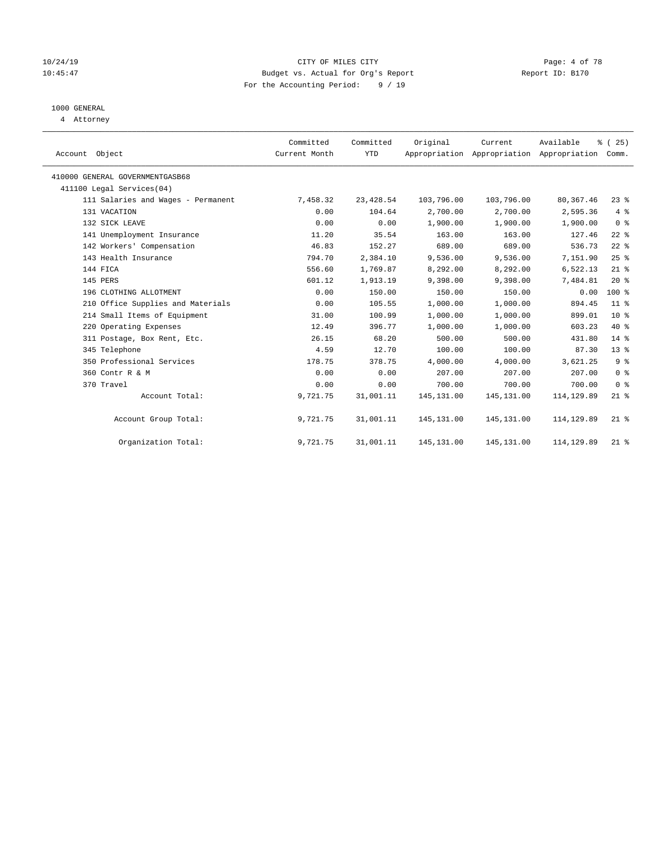### 10/24/19 CITY OF MILES CITY Page: 4 of 78 10:45:47 Budget vs. Actual for Org's Report Report ID: B170 For the Accounting Period: 9 / 19

# 1000 GENERAL

4 Attorney

| Account Object                     | Committed<br>Current Month | Committed<br><b>YTD</b> | Original    | Current<br>Appropriation Appropriation Appropriation | Available   | % (25)<br>Comm. |
|------------------------------------|----------------------------|-------------------------|-------------|------------------------------------------------------|-------------|-----------------|
| 410000 GENERAL GOVERNMENTGASB68    |                            |                         |             |                                                      |             |                 |
| 411100 Legal Services(04)          |                            |                         |             |                                                      |             |                 |
| 111 Salaries and Wages - Permanent | 7,458.32                   | 23,428.54               | 103,796.00  | 103,796.00                                           | 80, 367.46  | $23$ $%$        |
| 131 VACATION                       | 0.00                       | 104.64                  | 2,700.00    | 2,700.00                                             | 2,595.36    | 4%              |
| 132 SICK LEAVE                     | 0.00                       | 0.00                    | 1,900.00    | 1,900.00                                             | 1,900.00    | 0 <sup>8</sup>  |
| 141 Unemployment Insurance         | 11.20                      | 35.54                   | 163.00      | 163.00                                               | 127.46      | $22$ %          |
| 142 Workers' Compensation          | 46.83                      | 152.27                  | 689.00      | 689.00                                               | 536.73      | $22$ $%$        |
| 143 Health Insurance               | 794.70                     | 2,384.10                | 9,536.00    | 9,536.00                                             | 7,151.90    | $25$ %          |
| 144 FICA                           | 556.60                     | 1,769.87                | 8,292.00    | 8,292.00                                             | 6,522.13    | $21$ %          |
| 145 PERS                           | 601.12                     | 1,913.19                | 9,398.00    | 9,398.00                                             | 7,484.81    | 20%             |
| 196 CLOTHING ALLOTMENT             | 0.00                       | 150.00                  | 150.00      | 150.00                                               | 0.00        | 100 %           |
| 210 Office Supplies and Materials  | 0.00                       | 105.55                  | 1,000.00    | 1,000.00                                             | 894.45      | $11$ %          |
| 214 Small Items of Equipment       | 31.00                      | 100.99                  | 1,000.00    | 1,000.00                                             | 899.01      | $10*$           |
| 220 Operating Expenses             | 12.49                      | 396.77                  | 1,000.00    | 1,000.00                                             | 603.23      | $40*$           |
| 311 Postage, Box Rent, Etc.        | 26.15                      | 68.20                   | 500.00      | 500.00                                               | 431.80      | $14*$           |
| 345 Telephone                      | 4.59                       | 12.70                   | 100.00      | 100.00                                               | 87.30       | 13 <sup>°</sup> |
| 350 Professional Services          | 178.75                     | 378.75                  | 4,000.00    | 4,000.00                                             | 3,621.25    | 9 <sup>°</sup>  |
| 360 Contr R & M                    | 0.00                       | 0.00                    | 207.00      | 207.00                                               | 207.00      | 0 <sup>8</sup>  |
| 370 Travel                         | 0.00                       | 0.00                    | 700.00      | 700.00                                               | 700.00      | 0 <sup>8</sup>  |
| Account Total:                     | 9,721.75                   | 31,001.11               | 145, 131.00 | 145, 131.00                                          | 114, 129.89 | $21$ %          |
| Account Group Total:               | 9,721.75                   | 31,001.11               | 145, 131.00 | 145, 131.00                                          | 114, 129.89 | $21$ %          |
| Organization Total:                | 9,721.75                   | 31,001.11               | 145, 131.00 | 145, 131.00                                          | 114, 129.89 | $21$ %          |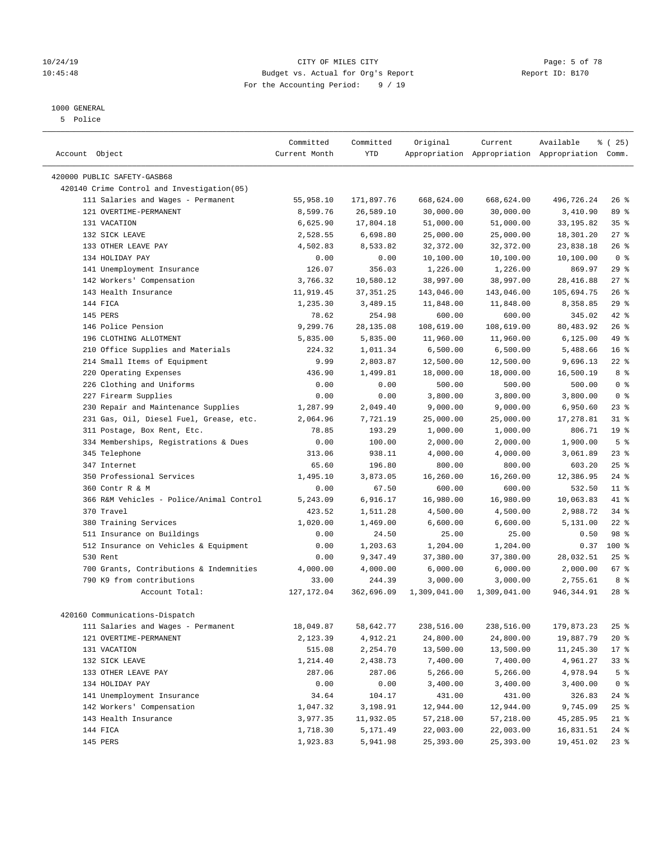### 10/24/19 CITY OF MILES CITY Page: 5 of 78 10:45:48 Budget vs. Actual for Org's Report Report ID: B170 For the Accounting Period: 9 / 19

————————————————————————————————————————————————————————————————————————————————————————————————————————————————————————————————————

# 1000 GENERAL

5 Police

|                                            | Committed     | Committed  | Original     | Current      | Available                                       | $*(25)$         |
|--------------------------------------------|---------------|------------|--------------|--------------|-------------------------------------------------|-----------------|
| Account Object                             | Current Month | <b>YTD</b> |              |              | Appropriation Appropriation Appropriation Comm. |                 |
| 420000 PUBLIC SAFETY-GASB68                |               |            |              |              |                                                 |                 |
| 420140 Crime Control and Investigation(05) |               |            |              |              |                                                 |                 |
| 111 Salaries and Wages - Permanent         | 55,958.10     | 171,897.76 | 668,624.00   | 668,624.00   | 496,726.24                                      | $26$ %          |
| 121 OVERTIME-PERMANENT                     | 8,599.76      | 26,589.10  | 30,000.00    | 30,000.00    | 3,410.90                                        | 89 %            |
| 131 VACATION                               | 6,625.90      | 17,804.18  | 51,000.00    | 51,000.00    | 33, 195.82                                      | 35%             |
| 132 SICK LEAVE                             | 2,528.55      | 6,698.80   | 25,000.00    | 25,000.00    | 18,301.20                                       | $27$ %          |
| 133 OTHER LEAVE PAY                        | 4,502.83      | 8,533.82   | 32,372.00    | 32,372.00    | 23,838.18                                       | $26$ %          |
| 134 HOLIDAY PAY                            | 0.00          | 0.00       | 10,100.00    | 10,100.00    | 10,100.00                                       | 0 <sup>8</sup>  |
| 141 Unemployment Insurance                 | 126.07        | 356.03     | 1,226.00     | 1,226.00     | 869.97                                          | 29%             |
| 142 Workers' Compensation                  | 3,766.32      | 10,580.12  | 38,997.00    | 38,997.00    | 28, 416.88                                      | 27%             |
| 143 Health Insurance                       | 11,919.45     | 37, 351.25 | 143,046.00   | 143,046.00   | 105,694.75                                      | 26%             |
| 144 FICA                                   | 1,235.30      | 3,489.15   | 11,848.00    | 11,848.00    | 8,358.85                                        | 29%             |
| 145 PERS                                   | 78.62         | 254.98     | 600.00       | 600.00       | 345.02                                          | 42 %            |
| 146 Police Pension                         | 9,299.76      | 28, 135.08 | 108,619.00   | 108,619.00   | 80,483.92                                       | 26%             |
| 196 CLOTHING ALLOTMENT                     | 5,835.00      | 5,835.00   | 11,960.00    | 11,960.00    | 6, 125.00                                       | 49 %            |
| 210 Office Supplies and Materials          | 224.32        | 1,011.34   | 6,500.00     | 6,500.00     | 5,488.66                                        | 16 <sup>°</sup> |
| 214 Small Items of Equipment               | 9.99          | 2,803.87   | 12,500.00    | 12,500.00    | 9,696.13                                        | $22$ %          |
| 220 Operating Expenses                     | 436.90        | 1,499.81   | 18,000.00    | 18,000.00    | 16,500.19                                       | 8%              |
| 226 Clothing and Uniforms                  | 0.00          | 0.00       | 500.00       | 500.00       | 500.00                                          | 0 <sup>8</sup>  |
| 227 Firearm Supplies                       | 0.00          | 0.00       | 3,800.00     | 3,800.00     | 3,800.00                                        | 0 <sup>8</sup>  |
| 230 Repair and Maintenance Supplies        | 1,287.99      | 2,049.40   | 9,000.00     | 9,000.00     | 6,950.60                                        | 23%             |
| 231 Gas, Oil, Diesel Fuel, Grease, etc.    | 2,064.96      | 7,721.19   | 25,000.00    | 25,000.00    | 17,278.81                                       | $31$ %          |
| 311 Postage, Box Rent, Etc.                | 78.85         | 193.29     | 1,000.00     | 1,000.00     | 806.71                                          | 19 <sup>°</sup> |
| 334 Memberships, Registrations & Dues      | 0.00          | 100.00     | 2,000.00     | 2,000.00     | 1,900.00                                        | 5 <sup>°</sup>  |
| 345 Telephone                              | 313.06        | 938.11     | 4,000.00     | 4,000.00     | 3,061.89                                        | $23$ %          |
| 347 Internet                               | 65.60         | 196.80     | 800.00       | 800.00       | 603.20                                          | 25%             |
| 350 Professional Services                  | 1,495.10      | 3,873.05   | 16,260.00    | 16,260.00    | 12,386.95                                       | $24$ %          |
| 360 Contr R & M                            | 0.00          | 67.50      | 600.00       | 600.00       | 532.50                                          | $11$ %          |
| 366 R&M Vehicles - Police/Animal Control   | 5,243.09      | 6,916.17   | 16,980.00    | 16,980.00    | 10,063.83                                       | 41 %            |
| 370 Travel                                 | 423.52        | 1,511.28   | 4,500.00     | 4,500.00     | 2,988.72                                        | 34%             |
| 380 Training Services                      | 1,020.00      | 1,469.00   | 6,600.00     | 6,600.00     | 5,131.00                                        | $22$ %          |
| 511 Insurance on Buildings                 | 0.00          | 24.50      | 25.00        | 25.00        | 0.50                                            | 98 %            |
| 512 Insurance on Vehicles & Equipment      | 0.00          | 1,203.63   | 1,204.00     | 1,204.00     | 0.37                                            | 100 %           |
| 530 Rent                                   | 0.00          | 9,347.49   | 37,380.00    | 37,380.00    | 28,032.51                                       | $25$ %          |
| 700 Grants, Contributions & Indemnities    | 4,000.00      | 4,000.00   | 6,000.00     | 6,000.00     | 2,000.00                                        | 67 %            |
| 790 K9 from contributions                  | 33.00         | 244.39     | 3,000.00     | 3,000.00     | 2,755.61                                        | 8 %             |
| Account Total:                             | 127, 172.04   | 362,696.09 | 1,309,041.00 | 1,309,041.00 | 946,344.91                                      | $28$ %          |
| 420160 Communications-Dispatch             |               |            |              |              |                                                 |                 |
| 111 Salaries and Wages - Permanent         | 18,049.87     | 58,642.77  | 238,516.00   | 238,516.00   | 179,873.23                                      | $25$ %          |
| 121 OVERTIME-PERMANENT                     | 2,123.39      | 4,912.21   | 24,800.00    | 24,800.00    | 19,887.79                                       | $20*$           |
| 131 VACATION                               | 515.08        | 2,254.70   | 13,500.00    | 13,500.00    | 11,245.30                                       | $17 - 8$        |
| 132 SICK LEAVE                             | 1,214.40      | 2,438.73   | 7,400.00     | 7,400.00     | 4,961.27                                        | 33%             |
| 133 OTHER LEAVE PAY                        | 287.06        | 287.06     | 5,266.00     | 5,266.00     | 4,978.94                                        | 5 <sup>°</sup>  |
| 134 HOLIDAY PAY                            | 0.00          | 0.00       | 3,400.00     | 3,400.00     | 3,400.00                                        | 0 <sup>8</sup>  |
| 141 Unemployment Insurance                 | 34.64         | 104.17     | 431.00       | 431.00       | 326.83                                          | $24$ %          |
| 142 Workers' Compensation                  | 1,047.32      | 3,198.91   | 12,944.00    | 12,944.00    | 9,745.09                                        | $25$ %          |
| 143 Health Insurance                       | 3,977.35      | 11,932.05  | 57,218.00    | 57,218.00    | 45,285.95                                       | $21$ %          |
| 144 FICA                                   | 1,718.30      | 5,171.49   | 22,003.00    | 22,003.00    | 16,831.51                                       | $24$ %          |
| 145 PERS                                   | 1,923.83      | 5,941.98   | 25,393.00    | 25,393.00    | 19,451.02                                       | $23$ %          |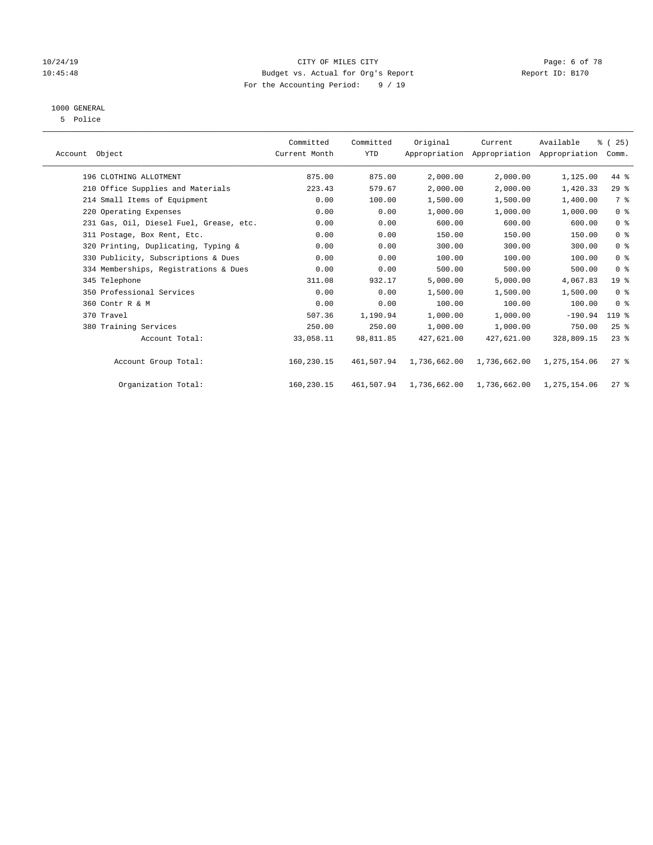# 10/24/19 CITY OF MILES CITY CHECK CITY CONTROL Page: 6 of 78 10:45:48 Budget vs. Actual for Org's Report Report ID: B170 For the Accounting Period: 9 / 19

# 1000 GENERAL

5 Police

| Account Object                          | Committed<br>Current Month | Committed<br><b>YTD</b> | Original     | Current<br>Appropriation Appropriation Appropriation | Available    | % (25)<br>Comm.    |  |
|-----------------------------------------|----------------------------|-------------------------|--------------|------------------------------------------------------|--------------|--------------------|--|
| 196 CLOTHING ALLOTMENT                  | 875.00                     | 875.00                  | 2,000.00     | 2,000.00                                             | 1,125.00     | 44 %               |  |
| 210 Office Supplies and Materials       | 223.43                     | 579.67                  | 2,000.00     | 2,000.00                                             | 1,420.33     | 29%                |  |
| 214 Small Items of Equipment            | 0.00                       | 100.00                  | 1,500.00     | 1,500.00                                             | 1,400.00     | 7 %                |  |
| 220 Operating Expenses                  | 0.00                       | 0.00                    | 1,000.00     | 1,000.00                                             | 1,000.00     | 0 <sup>8</sup>     |  |
| 231 Gas, Oil, Diesel Fuel, Grease, etc. | 0.00                       | 0.00                    | 600.00       | 600.00                                               | 600.00       | 0 <sup>8</sup>     |  |
| 311 Postage, Box Rent, Etc.             | 0.00                       | 0.00                    | 150.00       | 150.00                                               | 150.00       | 0 <sup>8</sup>     |  |
| 320 Printing, Duplicating, Typing &     | 0.00                       | 0.00                    | 300.00       | 300.00                                               | 300.00       | 0 <sup>8</sup>     |  |
| 330 Publicity, Subscriptions & Dues     | 0.00                       | 0.00                    | 100.00       | 100.00                                               | 100.00       | 0 <sup>8</sup>     |  |
| 334 Memberships, Registrations & Dues   | 0.00                       | 0.00                    | 500.00       | 500.00                                               | 500.00       | 0 <sup>8</sup>     |  |
| 345 Telephone                           | 311.08                     | 932.17                  | 5,000.00     | 5,000.00                                             | 4,067.83     | 19 <sup>°</sup>    |  |
| 350 Professional Services               | 0.00                       | 0.00                    | 1,500.00     | 1,500.00                                             | 1,500.00     | 0 <sup>8</sup>     |  |
| 360 Contr R & M                         | 0.00                       | 0.00                    | 100.00       | 100.00                                               | 100.00       | 0 <sup>8</sup>     |  |
| 370 Travel                              | 507.36                     | 1,190.94                | 1,000.00     | 1,000.00                                             | $-190.94$    | $119$ %            |  |
| 380 Training Services                   | 250.00                     | 250.00                  | 1,000.00     | 1,000.00                                             | 750.00       | $25$ $\frac{6}{5}$ |  |
| Account Total:                          | 33,058.11                  | 98,811.85               | 427,621.00   | 427,621.00                                           | 328,809.15   | $23$ $%$           |  |
| Account Group Total:                    | 160,230.15                 | 461,507.94              | 1,736,662.00 | 1,736,662.00                                         | 1,275,154.06 | $27$ %             |  |
| Organization Total:                     | 160,230.15                 | 461,507.94              | 1,736,662.00 | 1,736,662.00                                         | 1,275,154.06 | $27$ %             |  |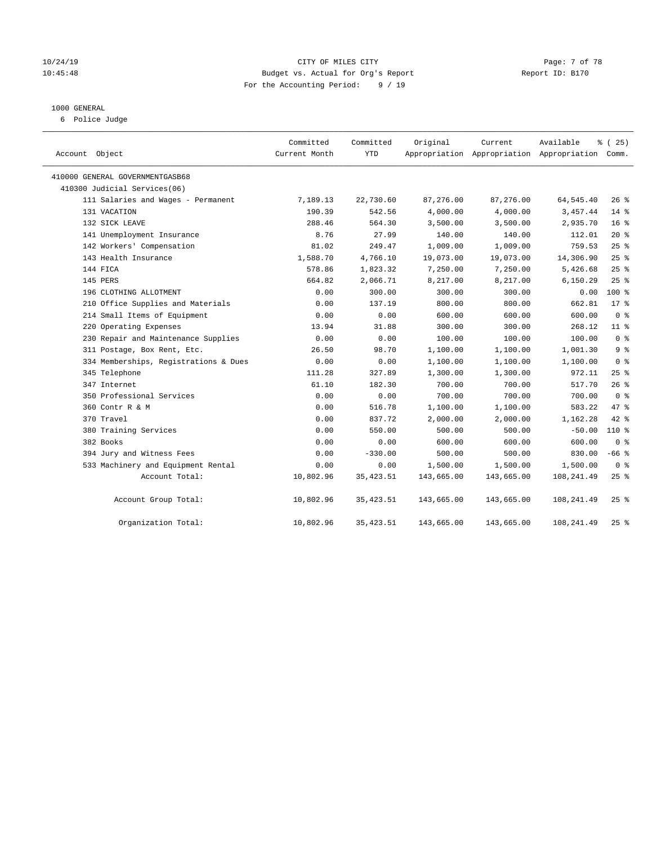### 10/24/19 CITY OF MILES CITY Page: 7 of 78 10:45:48 Budget vs. Actual for Org's Report Report ID: B170 For the Accounting Period: 9 / 19

#### 1000 GENERAL

6 Police Judge

| Account Object                        | Committed<br>Current Month | Committed<br>YTD | Original   | Current    | Available<br>Appropriation Appropriation Appropriation Comm. | % (25)          |
|---------------------------------------|----------------------------|------------------|------------|------------|--------------------------------------------------------------|-----------------|
| 410000 GENERAL GOVERNMENTGASB68       |                            |                  |            |            |                                                              |                 |
| 410300 Judicial Services(06)          |                            |                  |            |            |                                                              |                 |
| 111 Salaries and Wages - Permanent    | 7,189.13                   | 22,730.60        | 87,276.00  | 87,276.00  | 64, 545.40                                                   | $26$ %          |
| 131 VACATION                          | 190.39                     | 542.56           | 4,000.00   | 4,000.00   | 3,457.44                                                     | $14*$           |
| 132 SICK LEAVE                        | 288.46                     | 564.30           | 3,500.00   | 3,500.00   | 2,935.70                                                     | 16 <sup>8</sup> |
| 141 Unemployment Insurance            | 8.76                       | 27.99            | 140.00     | 140.00     | 112.01                                                       | $20*$           |
| 142 Workers' Compensation             | 81.02                      | 249.47           | 1,009.00   | 1,009.00   | 759.53                                                       | 25%             |
| 143 Health Insurance                  | 1,588.70                   | 4,766.10         | 19,073.00  | 19,073.00  | 14,306.90                                                    | 25%             |
| 144 FICA                              | 578.86                     | 1,823.32         | 7,250.00   | 7,250.00   | 5,426.68                                                     | $25$ %          |
| 145 PERS                              | 664.82                     | 2,066.71         | 8,217.00   | 8,217.00   | 6,150.29                                                     | 25%             |
| 196 CLOTHING ALLOTMENT                | 0.00                       | 300.00           | 300.00     | 300.00     | 0.00                                                         | $100*$          |
| 210 Office Supplies and Materials     | 0.00                       | 137.19           | 800.00     | 800.00     | 662.81                                                       | $17*$           |
| 214 Small Items of Equipment          | 0.00                       | 0.00             | 600.00     | 600.00     | 600.00                                                       | 0 <sup>8</sup>  |
| 220 Operating Expenses                | 13.94                      | 31.88            | 300.00     | 300.00     | 268.12                                                       | 11 <sup>8</sup> |
| 230 Repair and Maintenance Supplies   | 0.00                       | 0.00             | 100.00     | 100.00     | 100.00                                                       | 0 <sup>8</sup>  |
| 311 Postage, Box Rent, Etc.           | 26.50                      | 98.70            | 1,100.00   | 1,100.00   | 1,001.30                                                     | 9 <sup>°</sup>  |
| 334 Memberships, Registrations & Dues | 0.00                       | 0.00             | 1,100.00   | 1,100.00   | 1,100.00                                                     | 0 <sup>8</sup>  |
| 345 Telephone                         | 111.28                     | 327.89           | 1,300.00   | 1,300.00   | 972.11                                                       | 25%             |
| 347 Internet                          | 61.10                      | 182.30           | 700.00     | 700.00     | 517.70                                                       | 26%             |
| 350 Professional Services             | 0.00                       | 0.00             | 700.00     | 700.00     | 700.00                                                       | 0 <sup>8</sup>  |
| 360 Contr R & M                       | 0.00                       | 516.78           | 1,100.00   | 1,100.00   | 583.22                                                       | 47.8            |
| 370 Travel                            | 0.00                       | 837.72           | 2,000.00   | 2,000.00   | 1,162.28                                                     | 42 %            |
| 380 Training Services                 | 0.00                       | 550.00           | 500.00     | 500.00     | $-50.00$                                                     | 110 %           |
| 382 Books                             | 0.00                       | 0.00             | 600.00     | 600.00     | 600.00                                                       | 0 <sup>8</sup>  |
| 394 Jury and Witness Fees             | 0.00                       | $-330.00$        | 500.00     | 500.00     | 830.00                                                       | $-66$ %         |
| 533 Machinery and Equipment Rental    | 0.00                       | 0.00             | 1,500.00   | 1,500.00   | 1,500.00                                                     | 0 <sup>8</sup>  |
| Account Total:                        | 10,802.96                  | 35, 423.51       | 143,665.00 | 143,665.00 | 108,241.49                                                   | 25%             |
| Account Group Total:                  | 10,802.96                  | 35, 423.51       | 143,665.00 | 143,665.00 | 108,241.49                                                   | $25$ $%$        |
| Organization Total:                   | 10,802.96                  | 35, 423.51       | 143,665.00 | 143,665.00 | 108,241.49                                                   | $25$ %          |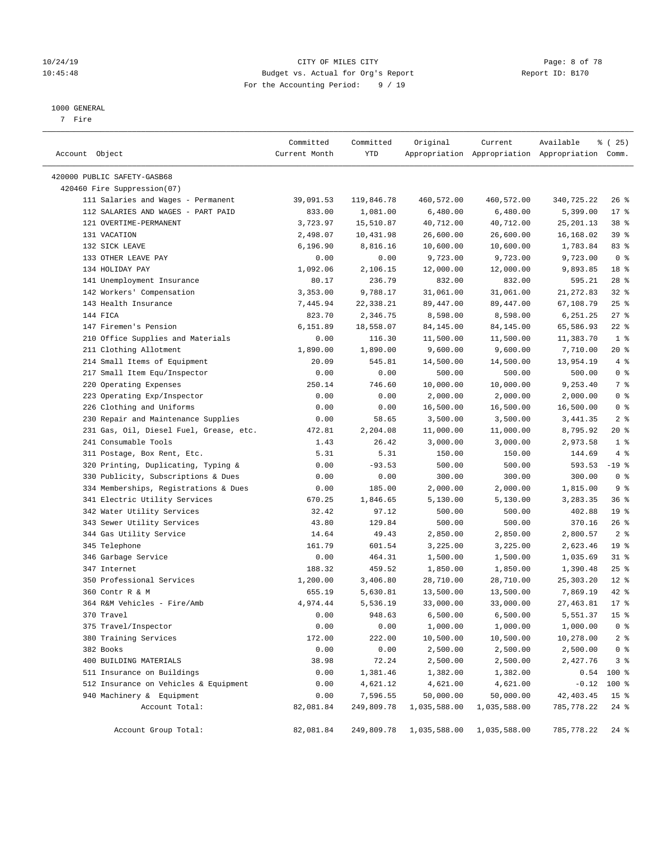### 10/24/19 CITY OF MILES CITY Page: 8 of 78 10:45:48 Budget vs. Actual for Org's Report Report ID: B170 For the Accounting Period: 9 / 19

————————————————————————————————————————————————————————————————————————————————————————————————————————————————————————————————————

#### 1000 GENERAL

7 Fire

|                                         | Committed     | Committed  | Original     | Current      | Available                                       | % (25)          |
|-----------------------------------------|---------------|------------|--------------|--------------|-------------------------------------------------|-----------------|
| Account Object                          | Current Month | YTD        |              |              | Appropriation Appropriation Appropriation Comm. |                 |
| 420000 PUBLIC SAFETY-GASB68             |               |            |              |              |                                                 |                 |
| 420460 Fire Suppression(07)             |               |            |              |              |                                                 |                 |
| 111 Salaries and Wages - Permanent      | 39,091.53     | 119,846.78 | 460,572.00   | 460,572.00   | 340,725.22                                      | $26$ %          |
| 112 SALARIES AND WAGES - PART PAID      | 833.00        | 1,081.00   | 6,480.00     | 6,480.00     | 5,399.00                                        | $17*$           |
| 121 OVERTIME-PERMANENT                  | 3,723.97      | 15,510.87  | 40,712.00    | 40,712.00    | 25, 201.13                                      | 38 %            |
| 131 VACATION                            | 2,498.07      | 10,431.98  | 26,600.00    | 26,600.00    | 16,168.02                                       | 39 %            |
| 132 SICK LEAVE                          | 6,196.90      | 8,816.16   | 10,600.00    | 10,600.00    | 1,783.84                                        | 83%             |
| 133 OTHER LEAVE PAY                     | 0.00          | 0.00       | 9,723.00     | 9,723.00     | 9,723.00                                        | 0 <sup>8</sup>  |
| 134 HOLIDAY PAY                         | 1,092.06      | 2,106.15   | 12,000.00    | 12,000.00    | 9,893.85                                        | 18 <sup>8</sup> |
| 141 Unemployment Insurance              | 80.17         | 236.79     | 832.00       | 832.00       | 595.21                                          | $28$ %          |
| 142 Workers' Compensation               | 3,353.00      | 9,788.17   | 31,061.00    | 31,061.00    | 21, 272.83                                      | $32$ $%$        |
| 143 Health Insurance                    | 7,445.94      | 22,338.21  | 89,447.00    | 89,447.00    | 67,108.79                                       | $25$ %          |
| 144 FICA                                | 823.70        | 2,346.75   | 8,598.00     | 8,598.00     | 6,251.25                                        | $27$ %          |
| 147 Firemen's Pension                   | 6,151.89      | 18,558.07  | 84,145.00    | 84,145.00    | 65,586.93                                       | $22$ %          |
| 210 Office Supplies and Materials       | 0.00          | 116.30     | 11,500.00    | 11,500.00    | 11,383.70                                       | 1 <sup>8</sup>  |
| 211 Clothing Allotment                  | 1,890.00      | 1,890.00   | 9,600.00     | 9,600.00     | 7,710.00                                        | 20 %            |
| 214 Small Items of Equipment            | 20.09         | 545.81     | 14,500.00    | 14,500.00    | 13,954.19                                       | 4%              |
| 217 Small Item Equ/Inspector            | 0.00          | 0.00       | 500.00       | 500.00       | 500.00                                          | 0 <sup>°</sup>  |
| 220 Operating Expenses                  | 250.14        | 746.60     | 10,000.00    | 10,000.00    | 9,253.40                                        | 7 %             |
| 223 Operating Exp/Inspector             | 0.00          | 0.00       | 2,000.00     | 2,000.00     | 2,000.00                                        | 0 <sup>8</sup>  |
| 226 Clothing and Uniforms               | 0.00          | 0.00       | 16,500.00    | 16,500.00    | 16,500.00                                       | 0 <sup>8</sup>  |
| 230 Repair and Maintenance Supplies     | 0.00          | 58.65      | 3,500.00     | 3,500.00     | 3,441.35                                        | 2 <sup>8</sup>  |
| 231 Gas, Oil, Diesel Fuel, Grease, etc. | 472.81        | 2,204.08   | 11,000.00    | 11,000.00    | 8,795.92                                        | $20*$           |
| 241 Consumable Tools                    | 1.43          | 26.42      | 3,000.00     | 3,000.00     | 2,973.58                                        | 1 <sup>8</sup>  |
| 311 Postage, Box Rent, Etc.             | 5.31          | 5.31       | 150.00       | 150.00       | 144.69                                          | 4%              |
| 320 Printing, Duplicating, Typing &     | 0.00          | $-93.53$   | 500.00       | 500.00       | $593.53 - 19$ %                                 |                 |
| 330 Publicity, Subscriptions & Dues     | 0.00          | 0.00       | 300.00       | 300.00       | 300.00                                          | 0 <sup>8</sup>  |
| 334 Memberships, Registrations & Dues   | 0.00          | 185.00     | 2,000.00     | 2,000.00     | 1,815.00                                        | 9%              |
| 341 Electric Utility Services           | 670.25        | 1,846.65   | 5,130.00     | 5,130.00     | 3,283.35                                        | 36%             |
| 342 Water Utility Services              | 32.42         | 97.12      | 500.00       | 500.00       | 402.88                                          | 19 <sup>°</sup> |
| 343 Sewer Utility Services              | 43.80         | 129.84     | 500.00       | 500.00       | 370.16                                          | $26$ %          |
| 344 Gas Utility Service                 | 14.64         | 49.43      | 2,850.00     | 2,850.00     | 2,800.57                                        | 2 <sup>8</sup>  |
| 345 Telephone                           | 161.79        | 601.54     | 3,225.00     | 3,225.00     | 2,623.46                                        | 19 <sup>°</sup> |
| 346 Garbage Service                     | 0.00          | 464.31     | 1,500.00     | 1,500.00     | 1,035.69                                        | $31$ %          |
| 347 Internet                            | 188.32        | 459.52     | 1,850.00     | 1,850.00     | 1,390.48                                        | $25$ $%$        |
| 350 Professional Services               | 1,200.00      | 3,406.80   | 28,710.00    | 28,710.00    | 25,303.20                                       | $12$ %          |
| 360 Contr R & M                         | 655.19        | 5,630.81   | 13,500.00    | 13,500.00    | 7,869.19                                        | 42 %            |
| 364 R&M Vehicles - Fire/Amb             | 4,974.44      | 5,536.19   | 33,000.00    | 33,000.00    | 27, 463.81                                      | $17*$           |
| 370 Travel                              | 0.00          | 948.63     | 6,500.00     | 6,500.00     | 5,551.37                                        | 15 <sup>°</sup> |
| 375 Travel/Inspector                    | 0.00          | 0.00       | 1,000.00     | 1,000.00     | 1,000.00                                        | 0 <sup>8</sup>  |
| 380 Training Services                   | 172.00        | 222.00     | 10,500.00    | 10,500.00    | 10,278.00                                       | 2 <sub>8</sub>  |
| 382 Books                               | 0.00          | 0.00       | 2,500.00     | 2,500.00     | 2,500.00                                        | $0$ %           |
| 400 BUILDING MATERIALS                  | 38.98         | 72.24      | 2,500.00     | 2,500.00     | 2,427.76                                        | 3%              |
| 511 Insurance on Buildings              | 0.00          | 1,381.46   | 1,382.00     | 1,382.00     | 0.54                                            | 100 %           |
| 512 Insurance on Vehicles & Equipment   | 0.00          | 4,621.12   | 4,621.00     | 4,621.00     | $-0.12$                                         | 100 %           |
| 940 Machinery & Equipment               | 0.00          | 7,596.55   | 50,000.00    | 50,000.00    | 42, 403.45                                      | 15 <sup>°</sup> |
| Account Total:                          | 82,081.84     | 249,809.78 | 1,035,588.00 | 1,035,588.00 | 785,778.22                                      | $24$ %          |
| Account Group Total:                    | 82,081.84     | 249,809.78 | 1,035,588.00 | 1,035,588.00 | 785,778.22                                      | $24$ %          |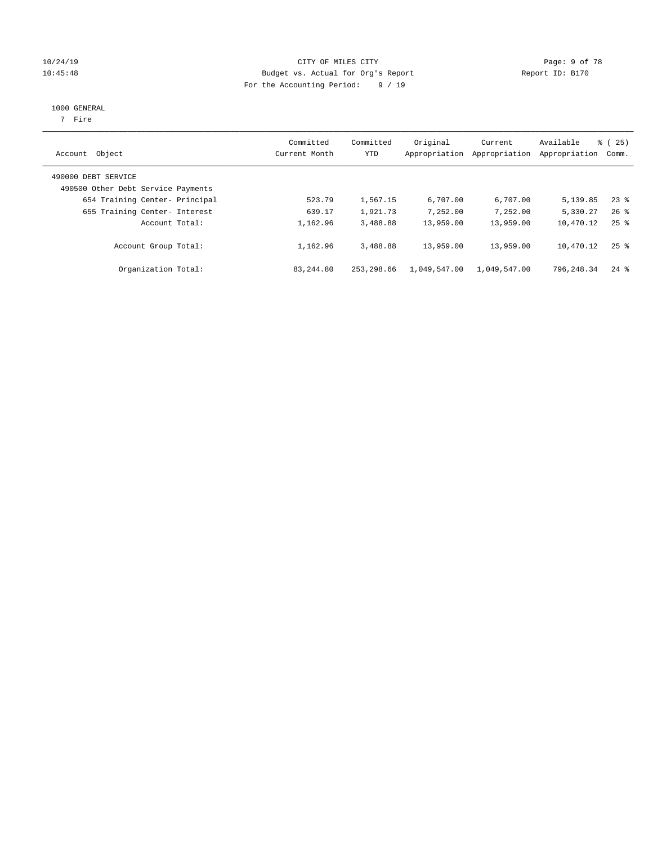### 10/24/19 CITY OF MILES CITY Page: 9 of 78 10:45:48 Budget vs. Actual for Org's Report Report ID: B170 For the Accounting Period: 9 / 19

#### 1000 GENERAL

7 Fire

| Account Object                                            | Committed<br>Current Month | Committed<br>YTD | Original<br>Appropriation | Current<br>Appropriation | Available<br>Appropriation | 8 (25)<br>Comm.    |
|-----------------------------------------------------------|----------------------------|------------------|---------------------------|--------------------------|----------------------------|--------------------|
| 490000 DEBT SERVICE<br>490500 Other Debt Service Payments |                            |                  |                           |                          |                            |                    |
| 654 Training Center- Principal                            | 523.79                     | 1,567.15         | 6,707.00                  | 6,707.00                 | 5,139.85                   | $23$ $%$           |
| 655 Training Center- Interest                             | 639.17                     | 1,921.73         | 7,252.00                  | 7,252.00                 | 5,330.27                   | $26$ $%$           |
| Account Total:                                            | 1,162.96                   | 3,488.88         | 13,959.00                 | 13,959.00                | 10,470.12                  | $25$ $\frac{6}{5}$ |
| Account Group Total:                                      | 1,162.96                   | 3,488.88         | 13,959.00                 | 13,959.00                | 10,470.12                  | $25$ $\frac{6}{5}$ |
| Organization Total:                                       | 83, 244, 80                | 253, 298.66      | 1,049,547.00              | 1,049,547.00             | 796,248.34                 | $24$ $\frac{6}{3}$ |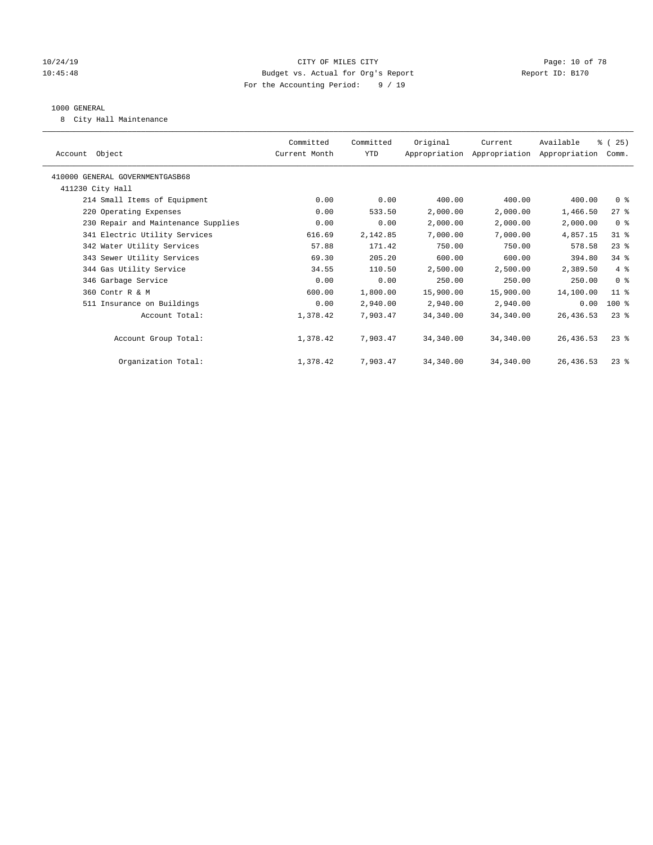### 10/24/19 **Page: 10 of 78** CITY OF MILES CITY **Page: 10 of 78** 10:45:48 Budget vs. Actual for Org's Report Report ID: B170 For the Accounting Period: 9 / 19

#### 1000 GENERAL

8 City Hall Maintenance

| Account Object                      | Committed<br>Current Month | Committed<br>YTD | Original  | Current<br>Appropriation Appropriation Appropriation | Available  | % (25)<br>Comm. |
|-------------------------------------|----------------------------|------------------|-----------|------------------------------------------------------|------------|-----------------|
| 410000 GENERAL GOVERNMENTGASB68     |                            |                  |           |                                                      |            |                 |
| 411230 City Hall                    |                            |                  |           |                                                      |            |                 |
| 214 Small Items of Equipment        | 0.00                       | 0.00             | 400.00    | 400.00                                               | 400.00     | 0 <sup>8</sup>  |
| 220 Operating Expenses              | 0.00                       | 533.50           | 2,000.00  | 2,000.00                                             | 1,466.50   | $27$ $\approx$  |
| 230 Repair and Maintenance Supplies | 0.00                       | 0.00             | 2,000.00  | 2,000.00                                             | 2,000.00   | 0 <sup>8</sup>  |
| 341 Electric Utility Services       | 616.69                     | 2,142.85         | 7,000.00  | 7,000.00                                             | 4,857.15   | $31$ %          |
| 342 Water Utility Services          | 57.88                      | 171.42           | 750.00    | 750.00                                               | 578.58     | $23$ %          |
| 343 Sewer Utility Services          | 69.30                      | 205.20           | 600.00    | 600.00                                               | 394.80     | $34$ $%$        |
| 344 Gas Utility Service             | 34.55                      | 110.50           | 2,500.00  | 2,500.00                                             | 2,389.50   | 4%              |
| 346 Garbage Service                 | 0.00                       | 0.00             | 250.00    | 250.00                                               | 250.00     | 0 <sup>8</sup>  |
| 360 Contr R & M                     | 600.00                     | 1,800.00         | 15,900.00 | 15,900.00                                            | 14,100.00  | $11$ %          |
| 511 Insurance on Buildings          | 0.00                       | 2,940.00         | 2,940.00  | 2,940.00                                             | 0.00       | 100 %           |
| Account Total:                      | 1,378.42                   | 7,903.47         | 34,340.00 | 34,340.00                                            | 26,436.53  | $23$ $%$        |
|                                     |                            |                  |           |                                                      |            |                 |
| Account Group Total:                | 1,378.42                   | 7,903.47         | 34,340.00 | 34,340.00                                            | 26,436.53  | $23$ $%$        |
|                                     |                            |                  |           |                                                      |            |                 |
| Organization Total:                 | 1,378.42                   | 7,903.47         | 34,340.00 | 34,340.00                                            | 26, 436.53 | $23$ $%$        |
|                                     |                            |                  |           |                                                      |            |                 |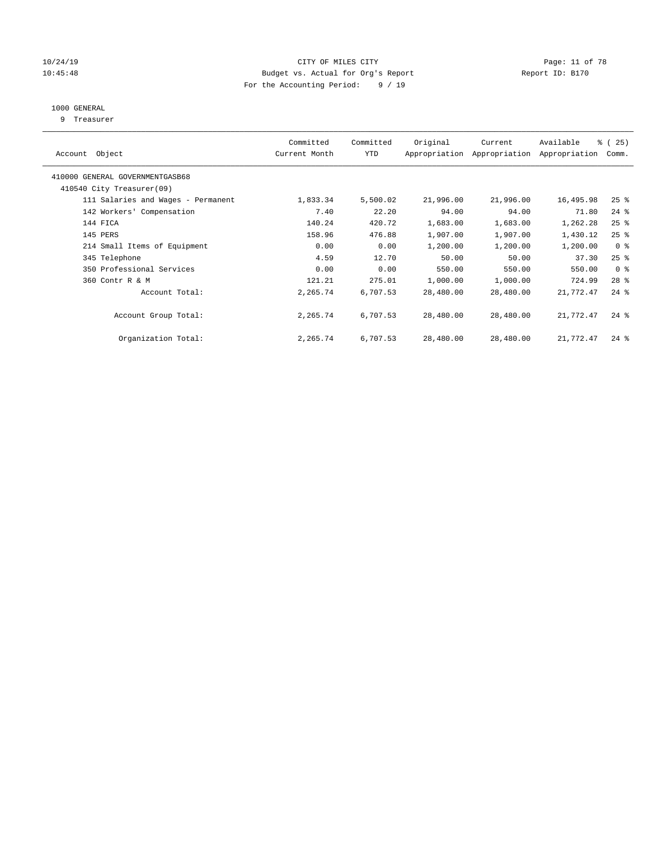### 10/24/19 **Page: 11 of 78** CITY OF MILES CITY **Page: 11 of 78** 10:45:48 Budget vs. Actual for Org's Report Report ID: B170 For the Accounting Period: 9 / 19

# 1000 GENERAL

9 Treasurer

| Object<br>Account                  | Committed<br>Current Month | Committed<br><b>YTD</b> | Original  | Current<br>Appropriation Appropriation | Available<br>Appropriation | % (25)<br>Comm. |
|------------------------------------|----------------------------|-------------------------|-----------|----------------------------------------|----------------------------|-----------------|
| 410000 GENERAL GOVERNMENTGASB68    |                            |                         |           |                                        |                            |                 |
| 410540 City Treasurer(09)          |                            |                         |           |                                        |                            |                 |
| 111 Salaries and Wages - Permanent | 1,833.34                   | 5,500.02                | 21,996.00 | 21,996.00                              | 16,495.98                  | $25$ %          |
| 142 Workers' Compensation          | 7.40                       | 22.20                   | 94.00     | 94.00                                  | 71.80                      | $24$ %          |
| 144 FICA                           | 140.24                     | 420.72                  | 1,683.00  | 1,683.00                               | 1,262.28                   | $25$ %          |
| 145 PERS                           | 158.96                     | 476.88                  | 1,907.00  | 1,907.00                               | 1,430.12                   | $25$ %          |
| 214 Small Items of Equipment       | 0.00                       | 0.00                    | 1,200.00  | 1,200.00                               | 1,200.00                   | 0 <sup>8</sup>  |
| 345 Telephone                      | 4.59                       | 12.70                   | 50.00     | 50.00                                  | 37.30                      | $25$ %          |
| 350 Professional Services          | 0.00                       | 0.00                    | 550.00    | 550.00                                 | 550.00                     | 0 <sup>8</sup>  |
| 360 Contr R & M                    | 121.21                     | 275.01                  | 1,000.00  | 1,000.00                               | 724.99                     | $28$ %          |
| Account Total:                     | 2,265.74                   | 6,707.53                | 28,480.00 | 28,480.00                              | 21,772.47                  | $24$ %          |
| Account Group Total:               | 2,265.74                   | 6,707.53                | 28,480.00 | 28,480.00                              | 21,772.47                  | $24$ $%$        |
| Organization Total:                | 2,265.74                   | 6,707.53                | 28,480.00 | 28,480.00                              | 21,772.47                  | $24$ $%$        |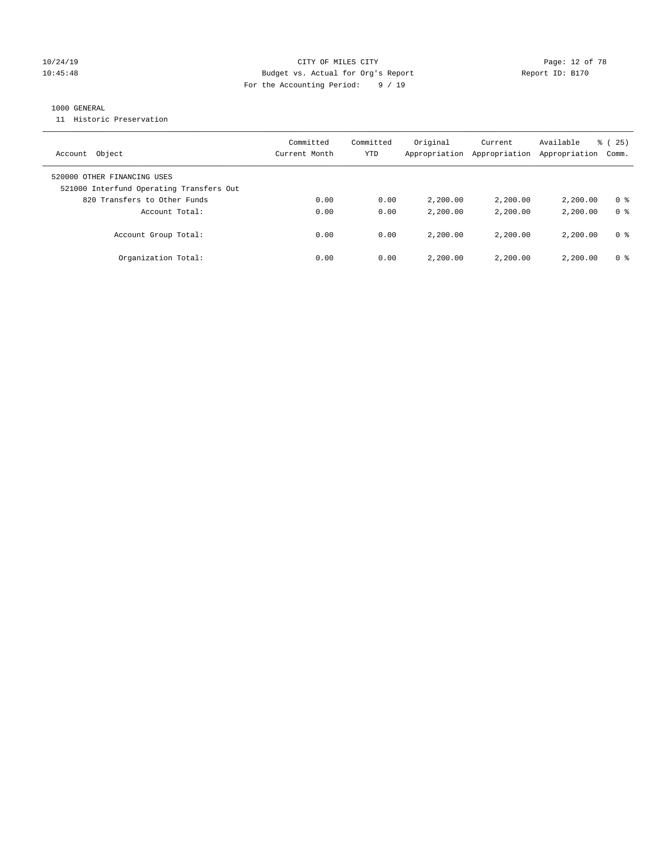### 10/24/19 **Page: 12 of 78** CITY OF MILES CITY **Page: 12 of 78** 10:45:48 Budget vs. Actual for Org's Report Report ID: B170 For the Accounting Period: 9 / 19

### 1000 GENERAL

11 Historic Preservation

| Object<br>Account                                                       | Committed<br>Current Month | Committed<br>YTD | Original<br>Appropriation | Current<br>Appropriation | Available<br>Appropriation | 25)<br>ී (<br>Comm. |
|-------------------------------------------------------------------------|----------------------------|------------------|---------------------------|--------------------------|----------------------------|---------------------|
| 520000 OTHER FINANCING USES<br>521000 Interfund Operating Transfers Out |                            |                  |                           |                          |                            |                     |
| 820 Transfers to Other Funds                                            | 0.00                       | 0.00             | 2,200.00                  | 2,200,00                 | 2,200.00                   | 0 %                 |
| Account Total:                                                          | 0.00                       | 0.00             | 2,200.00                  | 2,200,00                 | 2,200.00                   | 0 <sup>8</sup>      |
| Account Group Total:                                                    | 0.00                       | 0.00             | 2,200.00                  | 2,200,00                 | 2,200.00                   | 0 %                 |
| Organization Total:                                                     | 0.00                       | 0.00             | 2,200.00                  | 2,200.00                 | 2,200.00                   | 0 %                 |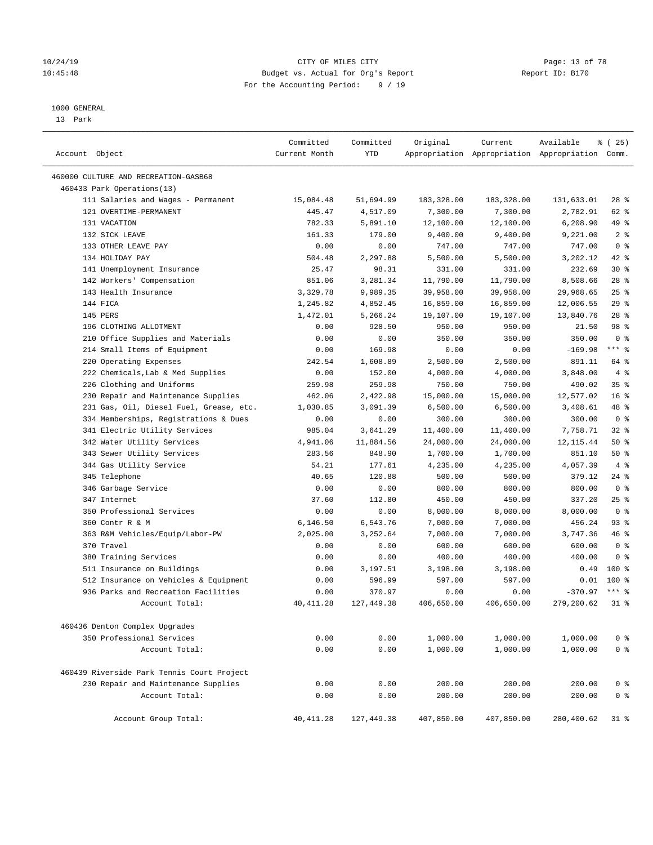### 10/24/19 **Page: 13 of 78** CITY OF MILES CITY **Page: 13 of 78** 10:45:48 Budget vs. Actual for Org's Report Report ID: B170 For the Accounting Period: 9 / 19

————————————————————————————————————————————————————————————————————————————————————————————————————————————————————————————————————

#### 1000 GENERAL

13 Park

| Account Object                             | Committed<br>Current Month | Committed<br><b>YTD</b> | Original   | Current    | Available<br>Appropriation Appropriation Appropriation Comm. | १ (25)          |
|--------------------------------------------|----------------------------|-------------------------|------------|------------|--------------------------------------------------------------|-----------------|
|                                            |                            |                         |            |            |                                                              |                 |
| 460000 CULTURE AND RECREATION-GASB68       |                            |                         |            |            |                                                              |                 |
| 460433 Park Operations(13)                 |                            |                         |            |            |                                                              |                 |
| 111 Salaries and Wages - Permanent         | 15,084.48                  | 51,694.99               | 183,328.00 | 183,328.00 | 131,633.01                                                   | 28 %            |
| 121 OVERTIME-PERMANENT                     | 445.47                     | 4,517.09                | 7,300.00   | 7,300.00   | 2,782.91                                                     | 62 %            |
| 131 VACATION                               | 782.33                     | 5,891.10                | 12,100.00  | 12,100.00  | 6,208.90                                                     | 49 %            |
| 132 SICK LEAVE                             | 161.33                     | 179.00                  | 9,400.00   | 9,400.00   | 9,221.00                                                     | 2 <sup>°</sup>  |
| 133 OTHER LEAVE PAY                        | 0.00                       | 0.00                    | 747.00     | 747.00     | 747.00                                                       | 0 <sup>8</sup>  |
| 134 HOLIDAY PAY                            | 504.48                     | 2,297.88                | 5,500.00   | 5,500.00   | 3,202.12                                                     | 42 %            |
| 141 Unemployment Insurance                 | 25.47                      | 98.31                   | 331.00     | 331.00     | 232.69                                                       | $30*$           |
| 142 Workers' Compensation                  | 851.06                     | 3,281.34                | 11,790.00  | 11,790.00  | 8,508.66                                                     | $28$ %          |
| 143 Health Insurance                       | 3,329.78                   | 9,989.35                | 39,958.00  | 39,958.00  | 29,968.65                                                    | 25%             |
| 144 FICA                                   | 1,245.82                   | 4,852.45                | 16,859.00  | 16,859.00  | 12,006.55                                                    | 29%             |
| 145 PERS                                   | 1,472.01                   | 5,266.24                | 19,107.00  | 19,107.00  | 13,840.76                                                    | $28$ %          |
| 196 CLOTHING ALLOTMENT                     | 0.00                       | 928.50                  | 950.00     | 950.00     | 21.50                                                        | 98 %            |
| 210 Office Supplies and Materials          | 0.00                       | 0.00                    | 350.00     | 350.00     | 350.00                                                       | 0 <sup>8</sup>  |
| 214 Small Items of Equipment               | 0.00                       | 169.98                  | 0.00       | 0.00       | $-169.98$                                                    | $***$ %         |
| 220 Operating Expenses                     | 242.54                     | 1,608.89                | 2,500.00   | 2,500.00   | 891.11                                                       | 64 %            |
| 222 Chemicals, Lab & Med Supplies          | 0.00                       | 152.00                  | 4,000.00   | 4,000.00   | 3,848.00                                                     | 4%              |
| 226 Clothing and Uniforms                  | 259.98                     | 259.98                  | 750.00     | 750.00     | 490.02                                                       | 35 <sup>8</sup> |
| 230 Repair and Maintenance Supplies        | 462.06                     | 2,422.98                | 15,000.00  | 15,000.00  | 12,577.02                                                    | 16 <sup>°</sup> |
| 231 Gas, Oil, Diesel Fuel, Grease, etc.    | 1,030.85                   | 3,091.39                | 6,500.00   | 6,500.00   | 3,408.61                                                     | 48 %            |
| 334 Memberships, Registrations & Dues      | 0.00                       | 0.00                    | 300.00     | 300.00     | 300.00                                                       | 0 <sup>8</sup>  |
| 341 Electric Utility Services              | 985.04                     | 3,641.29                | 11,400.00  | 11,400.00  | 7,758.71                                                     | $32$ $%$        |
| 342 Water Utility Services                 | 4,941.06                   | 11,884.56               | 24,000.00  | 24,000.00  | 12, 115.44                                                   | 50%             |
| 343 Sewer Utility Services                 | 283.56                     | 848.90                  | 1,700.00   | 1,700.00   | 851.10                                                       | 50%             |
| 344 Gas Utility Service                    | 54.21                      | 177.61                  | 4,235.00   | 4,235.00   | 4,057.39                                                     | 4%              |
| 345 Telephone                              | 40.65                      | 120.88                  | 500.00     | 500.00     | 379.12                                                       | $24$ %          |
| 346 Garbage Service                        | 0.00                       | 0.00                    | 800.00     | 800.00     | 800.00                                                       | 0 <sup>8</sup>  |
| 347 Internet                               | 37.60                      | 112.80                  | 450.00     | 450.00     | 337.20                                                       | $25$ %          |
| 350 Professional Services                  | 0.00                       | 0.00                    | 8,000.00   | 8,000.00   | 8,000.00                                                     | 0 <sup>8</sup>  |
| 360 Contr R & M                            | 6,146.50                   | 6,543.76                | 7,000.00   | 7,000.00   | 456.24                                                       | 93%             |
| 363 R&M Vehicles/Equip/Labor-PW            | 2,025.00                   | 3,252.64                | 7,000.00   | 7,000.00   | 3,747.36                                                     | 46 %            |
| 370 Travel                                 | 0.00                       | 0.00                    | 600.00     | 600.00     | 600.00                                                       | 0 <sup>8</sup>  |
| 380 Training Services                      | 0.00                       | 0.00                    | 400.00     | 400.00     | 400.00                                                       | 0 <sup>8</sup>  |
| 511 Insurance on Buildings                 | 0.00                       | 3,197.51                | 3,198.00   | 3,198.00   | 0.49                                                         | $100*$          |
| 512 Insurance on Vehicles & Equipment      | 0.00                       | 596.99                  | 597.00     | 597.00     | 0.01                                                         | $100*$          |
| 936 Parks and Recreation Facilities        | 0.00                       | 370.97                  | 0.00       | 0.00       | $-370.97$                                                    | $***$ 8         |
| Account Total:                             | 40, 411.28                 | 127,449.38              | 406,650.00 | 406,650.00 | 279,200.62                                                   | $31$ %          |
|                                            |                            |                         |            |            |                                                              |                 |
| 460436 Denton Complex Upgrades             |                            |                         |            |            |                                                              |                 |
| 350 Professional Services                  | 0.00                       | 0.00                    | 1,000.00   | 1,000.00   | 1,000.00                                                     | 0 <sup>8</sup>  |
| Account Total:                             | 0.00                       | 0.00                    | 1,000.00   | 1,000.00   | 1,000.00                                                     | 0 <sup>°</sup>  |
| 460439 Riverside Park Tennis Court Project |                            |                         |            |            |                                                              |                 |
| 230 Repair and Maintenance Supplies        | 0.00                       | 0.00                    | 200.00     | 200.00     | 200.00                                                       | 0 <sup>8</sup>  |
| Account Total:                             | 0.00                       | 0.00                    | 200.00     | 200.00     | 200.00                                                       | 0 <sup>8</sup>  |
|                                            |                            |                         |            |            |                                                              |                 |
| Account Group Total:                       | 40, 411.28                 | 127,449.38              | 407,850.00 | 407,850.00 | 280,400.62                                                   | $31$ %          |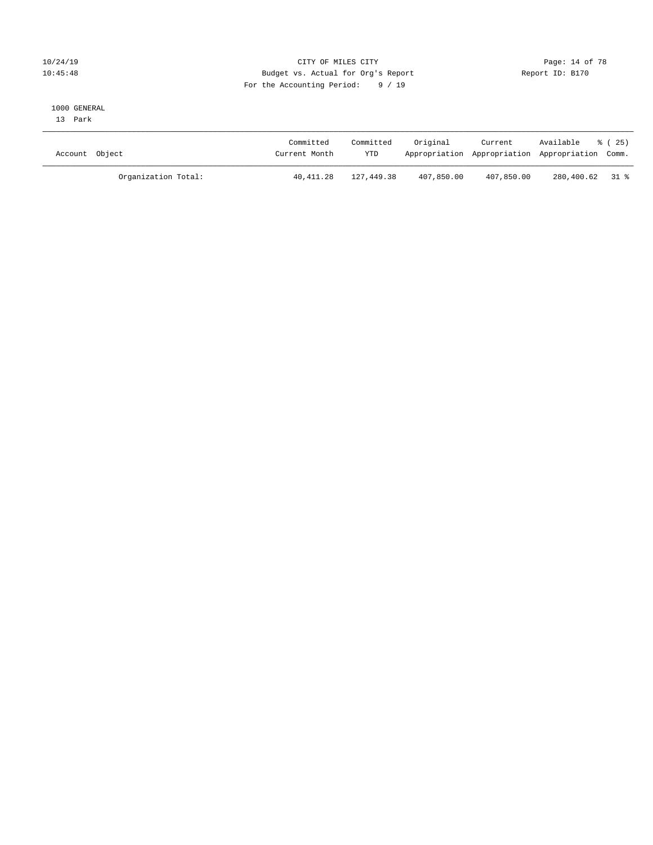### 10/24/19 **Page: 14 of 78** CITY OF MILES CITY **Page: 14 of 78** 10:45:48 Budget vs. Actual for Org's Report Report ID: B170 For the Accounting Period: 9 / 19

#### 1000 GENERAL

13 Park

| Account Object      | Committed<br>Current Month | Committed<br><b>YTD</b> | Original   | Current    | Available<br>Appropriation Appropriation Appropriation Comm. | ៖ (25) |
|---------------------|----------------------------|-------------------------|------------|------------|--------------------------------------------------------------|--------|
| Organization Total: | 40,411.28                  | 127,449.38              | 407,850.00 | 407,850.00 | 280,400.62 31 %                                              |        |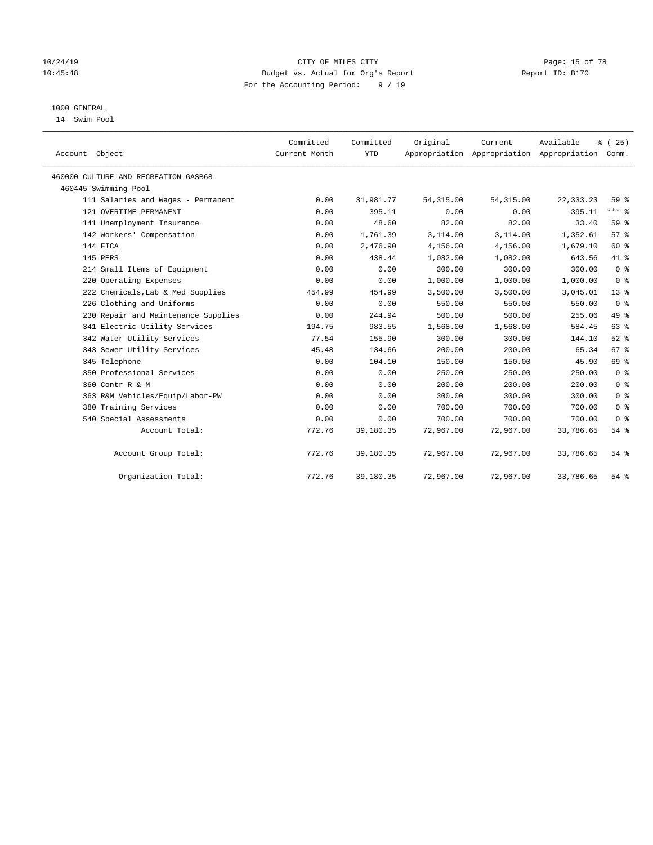### 10/24/19 **Page: 15 of 78** CITY OF MILES CITY **CITY Page: 15 of 78** 10:45:48 Budget vs. Actual for Org's Report Report ID: B170 For the Accounting Period: 9 / 19

# 1000 GENERAL

14 Swim Pool

| Account Object                       | Committed<br>Current Month | Committed<br><b>YTD</b> | Original   | Current<br>Appropriation Appropriation Appropriation | Available   | % (25)<br>Comm. |
|--------------------------------------|----------------------------|-------------------------|------------|------------------------------------------------------|-------------|-----------------|
| 460000 CULTURE AND RECREATION-GASB68 |                            |                         |            |                                                      |             |                 |
| 460445 Swimming Pool                 |                            |                         |            |                                                      |             |                 |
| 111 Salaries and Wages - Permanent   | 0.00                       | 31,981.77               | 54, 315.00 | 54, 315.00                                           | 22, 333. 23 | 59 %            |
| 121 OVERTIME-PERMANENT               | 0.00                       | 395.11                  | 0.00       | 0.00                                                 | $-395.11$   | $***$ $%$       |
| 141 Unemployment Insurance           | 0.00                       | 48.60                   | 82.00      | 82.00                                                | 33.40       | 59 <sub>8</sub> |
| 142 Workers' Compensation            | 0.00                       | 1,761.39                | 3,114.00   | 3,114.00                                             | 1,352.61    | 57%             |
| 144 FICA                             | 0.00                       | 2,476.90                | 4,156.00   | 4,156.00                                             | 1,679.10    | 60 %            |
| 145 PERS                             | 0.00                       | 438.44                  | 1,082.00   | 1,082.00                                             | 643.56      | 41 %            |
| 214 Small Items of Equipment         | 0.00                       | 0.00                    | 300.00     | 300.00                                               | 300.00      | 0 <sup>8</sup>  |
| 220 Operating Expenses               | 0.00                       | 0.00                    | 1,000.00   | 1,000.00                                             | 1,000.00    | 0 <sup>8</sup>  |
| 222 Chemicals, Lab & Med Supplies    | 454.99                     | 454.99                  | 3,500.00   | 3,500.00                                             | 3,045.01    | $13*$           |
| 226 Clothing and Uniforms            | 0.00                       | 0.00                    | 550.00     | 550.00                                               | 550.00      | 0 <sup>8</sup>  |
| 230 Repair and Maintenance Supplies  | 0.00                       | 244.94                  | 500.00     | 500.00                                               | 255.06      | 49 %            |
| 341 Electric Utility Services        | 194.75                     | 983.55                  | 1,568.00   | 1,568.00                                             | 584.45      | 63%             |
| 342 Water Utility Services           | 77.54                      | 155.90                  | 300.00     | 300.00                                               | 144.10      | $52$ $%$        |
| 343 Sewer Utility Services           | 45.48                      | 134.66                  | 200.00     | 200.00                                               | 65.34       | 67 <sup>°</sup> |
| 345 Telephone                        | 0.00                       | 104.10                  | 150.00     | 150.00                                               | 45.90       | 69 %            |
| 350 Professional Services            | 0.00                       | 0.00                    | 250.00     | 250.00                                               | 250.00      | 0 <sup>8</sup>  |
| 360 Contr R & M                      | 0.00                       | 0.00                    | 200.00     | 200.00                                               | 200.00      | 0 <sup>8</sup>  |
| 363 R&M Vehicles/Equip/Labor-PW      | 0.00                       | 0.00                    | 300.00     | 300.00                                               | 300.00      | 0 <sup>8</sup>  |
| 380 Training Services                | 0.00                       | 0.00                    | 700.00     | 700.00                                               | 700.00      | 0 <sup>8</sup>  |
| 540 Special Assessments              | 0.00                       | 0.00                    | 700.00     | 700.00                                               | 700.00      | 0 <sup>8</sup>  |
| Account Total:                       | 772.76                     | 39,180.35               | 72,967.00  | 72,967.00                                            | 33,786.65   | 54%             |
| Account Group Total:                 | 772.76                     | 39,180.35               | 72,967.00  | 72,967.00                                            | 33,786.65   | $54$ $%$        |
| Organization Total:                  | 772.76                     | 39,180.35               | 72,967.00  | 72,967.00                                            | 33,786.65   | 54%             |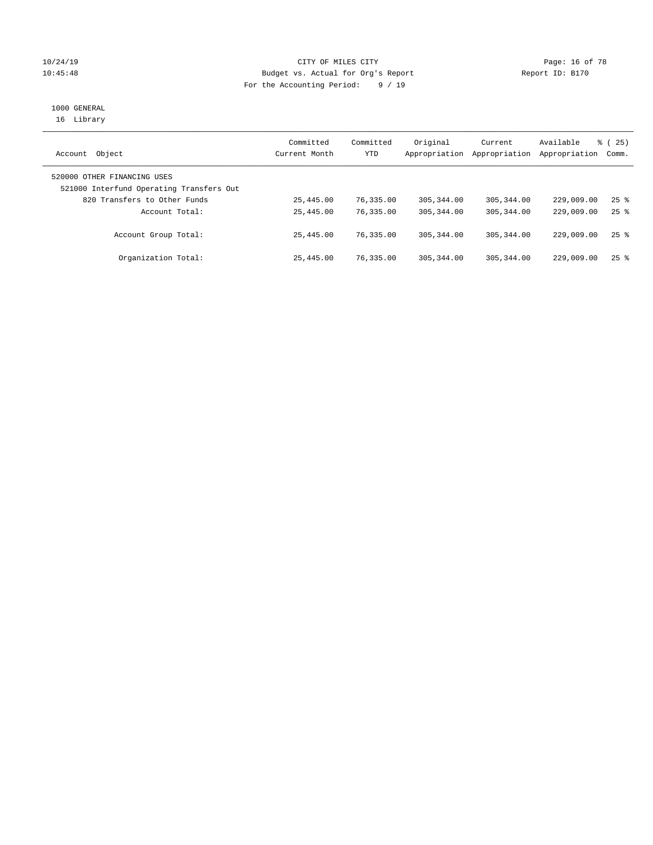### 10/24/19 **Page: 16 of 78** CITY OF MILES CITY **CITY** Page: 16 of 78 10:45:48 Budget vs. Actual for Org's Report Report ID: B170 For the Accounting Period: 9 / 19

# 1000 GENERAL

16 Library

| Object<br>Account                                                       | Committed<br>Current Month | Committed<br>YTD | Original<br>Appropriation | Current<br>Appropriation | Available<br>Appropriation | 8 (25)<br>Comm.    |
|-------------------------------------------------------------------------|----------------------------|------------------|---------------------------|--------------------------|----------------------------|--------------------|
| 520000 OTHER FINANCING USES<br>521000 Interfund Operating Transfers Out |                            |                  |                           |                          |                            |                    |
| 820 Transfers to Other Funds                                            | 25,445.00                  | 76,335.00        | 305, 344, 00              | 305, 344, 00             | 229,009.00                 | $25$ $\frac{6}{5}$ |
| Account Total:                                                          | 25,445.00                  | 76,335.00        | 305, 344, 00              | 305, 344, 00             | 229,009.00                 | $25$ $\frac{6}{5}$ |
| Account Group Total:                                                    | 25,445.00                  | 76,335.00        | 305, 344, 00              | 305, 344, 00             | 229,009.00                 | $25$ $\frac{6}{5}$ |
| Organization Total:                                                     | 25,445.00                  | 76,335.00        | 305, 344, 00              | 305, 344, 00             | 229,009.00                 | $25$ $%$           |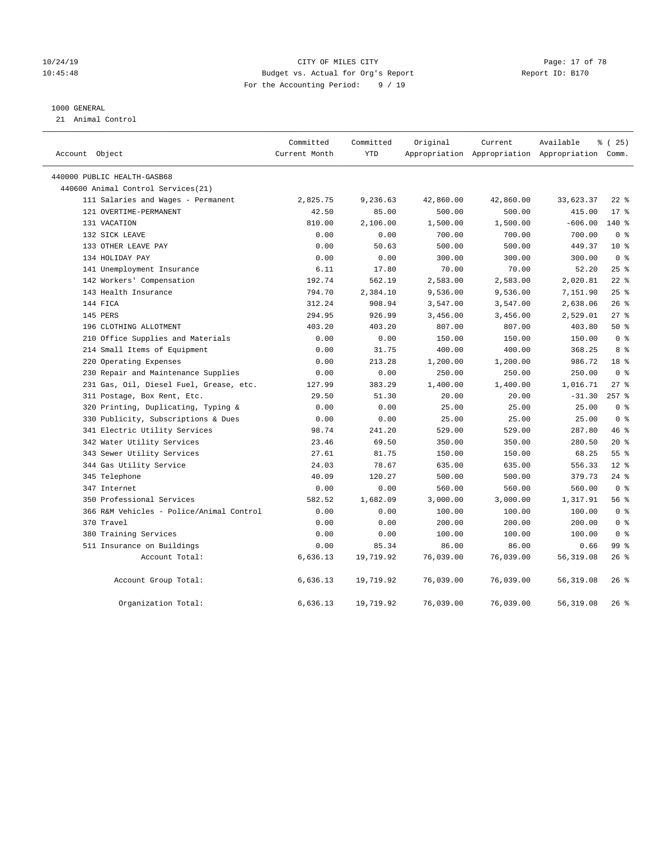#### 10/24/19 Page: 17 of 78 10:45:48 Budget vs. Actual for Org's Report Report ID: B170 For the Accounting Period: 9 / 19

#### 1000 GENERAL

21 Animal Control

| Account Object                           | Committed<br>Current Month | Committed<br><b>YTD</b> | Original  | Current   | Available<br>Appropriation Appropriation Appropriation Comm. | 8 (25)          |
|------------------------------------------|----------------------------|-------------------------|-----------|-----------|--------------------------------------------------------------|-----------------|
| 440000 PUBLIC HEALTH-GASB68              |                            |                         |           |           |                                                              |                 |
| 440600 Animal Control Services (21)      |                            |                         |           |           |                                                              |                 |
| 111 Salaries and Wages - Permanent       | 2,825.75                   | 9,236.63                | 42,860.00 | 42,860.00 | 33,623.37                                                    | $22$ %          |
| 121 OVERTIME-PERMANENT                   | 42.50                      | 85.00                   | 500.00    | 500.00    | 415.00                                                       | $17*$           |
| 131 VACATION                             | 810.00                     | 2,106.00                | 1,500.00  | 1,500.00  | $-606.00$                                                    | 140 %           |
| 132 SICK LEAVE                           | 0.00                       | 0.00                    | 700.00    | 700.00    | 700.00                                                       | 0 <sup>8</sup>  |
| 133 OTHER LEAVE PAY                      | 0.00                       | 50.63                   | 500.00    | 500.00    | 449.37                                                       | $10*$           |
| 134 HOLIDAY PAY                          | 0.00                       | 0.00                    | 300.00    | 300.00    | 300.00                                                       | 0 <sup>8</sup>  |
| 141 Unemployment Insurance               | 6.11                       | 17.80                   | 70.00     | 70.00     | 52.20                                                        | 25%             |
| 142 Workers' Compensation                | 192.74                     | 562.19                  | 2,583.00  | 2,583.00  | 2,020.81                                                     | $22$ %          |
| 143 Health Insurance                     | 794.70                     | 2,384.10                | 9,536.00  | 9,536.00  | 7,151.90                                                     | 25%             |
| 144 FICA                                 | 312.24                     | 908.94                  | 3,547.00  | 3,547.00  | 2,638.06                                                     | 26%             |
| 145 PERS                                 | 294.95                     | 926.99                  | 3,456.00  | 3,456.00  | 2,529.01                                                     | 27%             |
| 196 CLOTHING ALLOTMENT                   | 403.20                     | 403.20                  | 807.00    | 807.00    | 403.80                                                       | 50%             |
| 210 Office Supplies and Materials        | 0.00                       | 0.00                    | 150.00    | 150.00    | 150.00                                                       | 0 <sup>8</sup>  |
| 214 Small Items of Equipment             | 0.00                       | 31.75                   | 400.00    | 400.00    | 368.25                                                       | 8 %             |
| 220 Operating Expenses                   | 0.00                       | 213.28                  | 1,200.00  | 1,200.00  | 986.72                                                       | 18 <sup>8</sup> |
| 230 Repair and Maintenance Supplies      | 0.00                       | 0.00                    | 250.00    | 250.00    | 250.00                                                       | 0 <sup>8</sup>  |
| 231 Gas, Oil, Diesel Fuel, Grease, etc.  | 127.99                     | 383.29                  | 1,400.00  | 1,400.00  | 1,016.71                                                     | $27$ %          |
| 311 Postage, Box Rent, Etc.              | 29.50                      | 51.30                   | 20.00     | 20.00     | $-31.30$                                                     | $257$ $%$       |
| 320 Printing, Duplicating, Typing &      | 0.00                       | 0.00                    | 25.00     | 25.00     | 25.00                                                        | 0 <sup>8</sup>  |
| 330 Publicity, Subscriptions & Dues      | 0.00                       | 0.00                    | 25.00     | 25.00     | 25.00                                                        | 0 <sup>8</sup>  |
| 341 Electric Utility Services            | 98.74                      | 241.20                  | 529.00    | 529.00    | 287.80                                                       | 46 %            |
| 342 Water Utility Services               | 23.46                      | 69.50                   | 350.00    | 350.00    | 280.50                                                       | $20*$           |
| 343 Sewer Utility Services               | 27.61                      | 81.75                   | 150.00    | 150.00    | 68.25                                                        | 55 <sup>8</sup> |
| 344 Gas Utility Service                  | 24.03                      | 78.67                   | 635.00    | 635.00    | 556.33                                                       | $12*$           |
| 345 Telephone                            | 40.09                      | 120.27                  | 500.00    | 500.00    | 379.73                                                       | $24$ %          |
| 347 Internet                             | 0.00                       | 0.00                    | 560.00    | 560.00    | 560.00                                                       | 0 <sup>8</sup>  |
| 350 Professional Services                | 582.52                     | 1,682.09                | 3,000.00  | 3,000.00  | 1,317.91                                                     | 56%             |
| 366 R&M Vehicles - Police/Animal Control | 0.00                       | 0.00                    | 100.00    | 100.00    | 100.00                                                       | 0 <sup>8</sup>  |
| 370 Travel                               | 0.00                       | 0.00                    | 200.00    | 200.00    | 200.00                                                       | 0 <sup>8</sup>  |
| 380 Training Services                    | 0.00                       | 0.00                    | 100.00    | 100.00    | 100.00                                                       | 0 <sup>8</sup>  |
| 511 Insurance on Buildings               | 0.00                       | 85.34                   | 86.00     | 86.00     | 0.66                                                         | 99 %            |
| Account Total:                           | 6,636.13                   | 19,719.92               | 76,039.00 | 76,039.00 | 56, 319.08                                                   | $26$ %          |
| Account Group Total:                     | 6,636.13                   | 19,719.92               | 76,039.00 | 76,039.00 | 56, 319.08                                                   | $26$ %          |
| Organization Total:                      | 6,636.13                   | 19,719.92               | 76,039.00 | 76,039.00 | 56, 319.08                                                   | 26%             |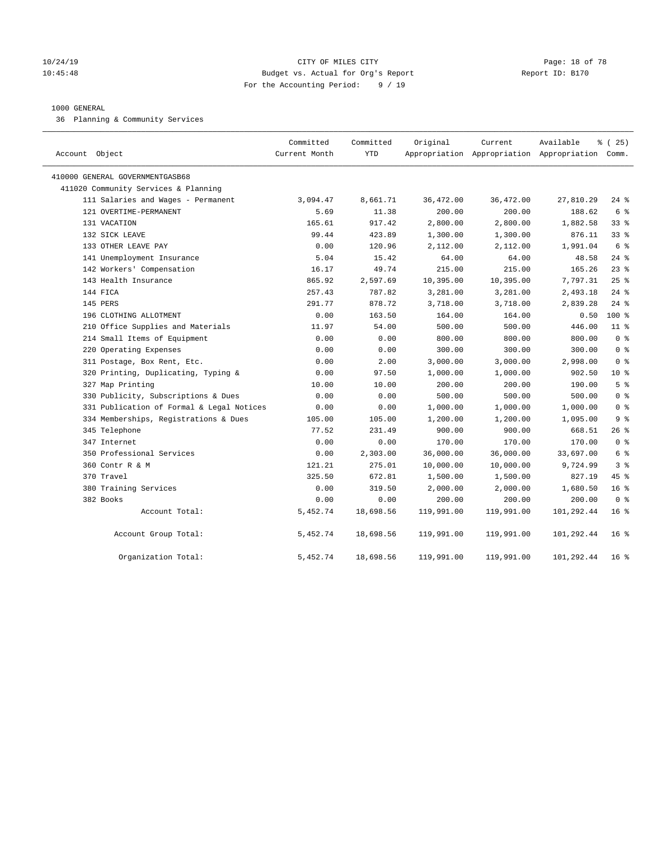### 10/24/19 **Page: 18 of 78** CITY OF MILES CITY **CITY Page: 18 of 78** 10:45:48 Budget vs. Actual for Org's Report Report ID: B170 For the Accounting Period: 9 / 19

#### 1000 GENERAL

36 Planning & Community Services

| Account Object                            | Committed<br>Current Month | Committed<br><b>YTD</b> | Original   | Current    | Available<br>Appropriation Appropriation Appropriation Comm. | % (25)          |
|-------------------------------------------|----------------------------|-------------------------|------------|------------|--------------------------------------------------------------|-----------------|
| 410000 GENERAL GOVERNMENTGASB68           |                            |                         |            |            |                                                              |                 |
| 411020 Community Services & Planning      |                            |                         |            |            |                                                              |                 |
| 111 Salaries and Wages - Permanent        | 3,094.47                   | 8,661.71                | 36,472.00  | 36,472.00  | 27,810.29                                                    | $24$ %          |
| 121 OVERTIME-PERMANENT                    | 5.69                       | 11.38                   | 200.00     | 200.00     | 188.62                                                       | 6 %             |
| 131 VACATION                              | 165.61                     | 917.42                  | 2,800.00   | 2,800.00   | 1,882.58                                                     | 33%             |
| 132 SICK LEAVE                            | 99.44                      | 423.89                  | 1,300.00   | 1,300.00   | 876.11                                                       | 33%             |
| 133 OTHER LEAVE PAY                       | 0.00                       | 120.96                  | 2,112.00   | 2,112.00   | 1,991.04                                                     | 6 %             |
| 141 Unemployment Insurance                | 5.04                       | 15.42                   | 64.00      | 64.00      | 48.58                                                        | $24$ %          |
| 142 Workers' Compensation                 | 16.17                      | 49.74                   | 215.00     | 215.00     | 165.26                                                       | 23%             |
| 143 Health Insurance                      | 865.92                     | 2,597.69                | 10,395.00  | 10,395.00  | 7,797.31                                                     | 25%             |
| 144 FICA                                  | 257.43                     | 787.82                  | 3,281.00   | 3,281.00   | 2,493.18                                                     | $24$ %          |
| 145 PERS                                  | 291.77                     | 878.72                  | 3,718.00   | 3,718.00   | 2,839.28                                                     | $24$ %          |
| 196 CLOTHING ALLOTMENT                    | 0.00                       | 163.50                  | 164.00     | 164.00     | 0.50                                                         | $100*$          |
| 210 Office Supplies and Materials         | 11.97                      | 54.00                   | 500.00     | 500.00     | 446.00                                                       | 11 <sup>°</sup> |
| 214 Small Items of Equipment              | 0.00                       | 0.00                    | 800.00     | 800.00     | 800.00                                                       | 0 <sup>8</sup>  |
| 220 Operating Expenses                    | 0.00                       | 0.00                    | 300.00     | 300.00     | 300.00                                                       | 0 <sup>8</sup>  |
| 311 Postage, Box Rent, Etc.               | 0.00                       | 2.00                    | 3,000.00   | 3,000.00   | 2,998.00                                                     | 0 <sup>8</sup>  |
| 320 Printing, Duplicating, Typing &       | 0.00                       | 97.50                   | 1,000.00   | 1,000.00   | 902.50                                                       | 10 <sup>8</sup> |
| 327 Map Printing                          | 10.00                      | 10.00                   | 200.00     | 200.00     | 190.00                                                       | 5 <sup>8</sup>  |
| 330 Publicity, Subscriptions & Dues       | 0.00                       | 0.00                    | 500.00     | 500.00     | 500.00                                                       | 0 <sup>8</sup>  |
| 331 Publication of Formal & Legal Notices | 0.00                       | 0.00                    | 1,000.00   | 1,000.00   | 1,000.00                                                     | 0 <sup>8</sup>  |
| 334 Memberships, Registrations & Dues     | 105.00                     | 105.00                  | 1,200.00   | 1,200.00   | 1,095.00                                                     | 9 <sup>8</sup>  |
| 345 Telephone                             | 77.52                      | 231.49                  | 900.00     | 900.00     | 668.51                                                       | 26 %            |
| 347 Internet                              | 0.00                       | 0.00                    | 170.00     | 170.00     | 170.00                                                       | 0 <sup>8</sup>  |
| 350 Professional Services                 | 0.00                       | 2,303.00                | 36,000.00  | 36,000.00  | 33,697.00                                                    | 6 %             |
| 360 Contr R & M                           | 121.21                     | 275.01                  | 10,000.00  | 10,000.00  | 9,724.99                                                     | 3 <sup>8</sup>  |
| 370 Travel                                | 325.50                     | 672.81                  | 1,500.00   | 1,500.00   | 827.19                                                       | 45 %            |
| 380 Training Services                     | 0.00                       | 319.50                  | 2,000.00   | 2,000.00   | 1,680.50                                                     | 16 <sup>°</sup> |
| 382 Books                                 | 0.00                       | 0.00                    | 200.00     | 200.00     | 200.00                                                       | 0 <sup>8</sup>  |
| Account Total:                            | 5,452.74                   | 18,698.56               | 119,991.00 | 119,991.00 | 101,292.44                                                   | 16 <sup>8</sup> |
| Account Group Total:                      | 5,452.74                   | 18,698.56               | 119,991.00 | 119,991.00 | 101,292.44                                                   | 16 <sup>°</sup> |
| Organization Total:                       | 5,452.74                   | 18,698.56               | 119,991.00 | 119,991.00 | 101,292.44                                                   | 16 <sup>8</sup> |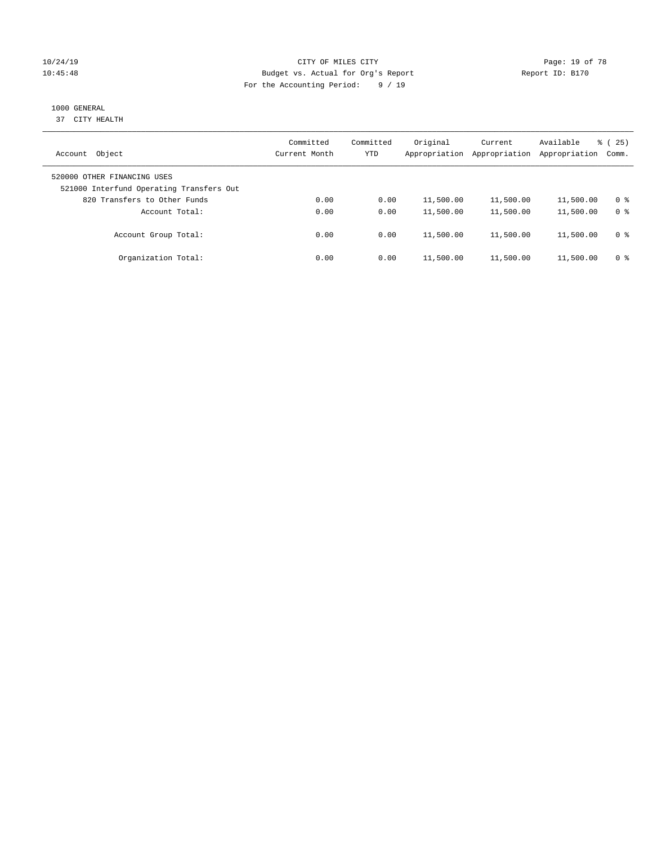### 10/24/19 **Page: 19 of 78** CITY OF MILES CITY **CITY** Page: 19 of 78 10:45:48 Budget vs. Actual for Org's Report Report ID: B170 For the Accounting Period: 9 / 19

# 1000 GENERAL

37 CITY HEALTH

| Object<br>Account                                                       | Committed<br>Current Month | Committed<br><b>YTD</b> | Original<br>Appropriation | Current<br>Appropriation | Available<br>Appropriation | 25)<br>ී (<br>Comm. |
|-------------------------------------------------------------------------|----------------------------|-------------------------|---------------------------|--------------------------|----------------------------|---------------------|
| 520000 OTHER FINANCING USES<br>521000 Interfund Operating Transfers Out |                            |                         |                           |                          |                            |                     |
| 820 Transfers to Other Funds                                            | 0.00                       | 0.00                    | 11,500.00                 | 11,500.00                | 11,500.00                  | 0 %                 |
| Account Total:                                                          | 0.00                       | 0.00                    | 11,500.00                 | 11,500.00                | 11,500.00                  | 0 <sup>8</sup>      |
| Account Group Total:                                                    | 0.00                       | 0.00                    | 11,500.00                 | 11,500.00                | 11,500.00                  | 0 <sup>8</sup>      |
| Organization Total:                                                     | 0.00                       | 0.00                    | 11,500.00                 | 11,500.00                | 11,500.00                  | 0 <sup>8</sup>      |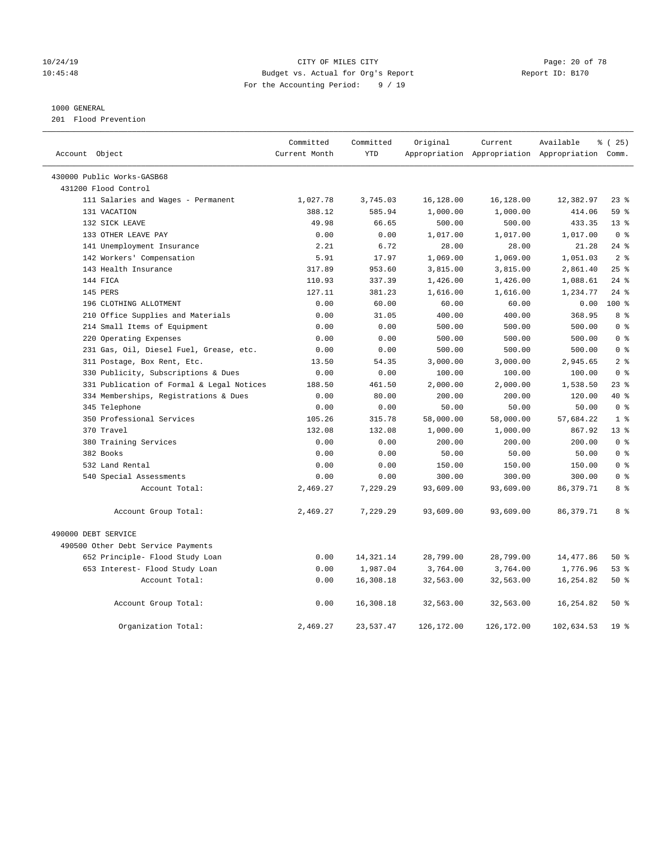### 10/24/19 Page: 20 of 78 10:45:48 Budget vs. Actual for Org's Report Report ID: B170 For the Accounting Period: 9 / 19

#### 1000 GENERAL

201 Flood Prevention

| Account Object |                                           | Committed<br>Current Month | Committed<br><b>YTD</b> | Original   | Current    | Available<br>Appropriation Appropriation Appropriation Comm. | % (25)          |
|----------------|-------------------------------------------|----------------------------|-------------------------|------------|------------|--------------------------------------------------------------|-----------------|
|                |                                           |                            |                         |            |            |                                                              |                 |
|                | 430000 Public Works-GASB68                |                            |                         |            |            |                                                              |                 |
|                | 431200 Flood Control                      |                            |                         |            |            |                                                              |                 |
|                | 111 Salaries and Wages - Permanent        | 1,027.78                   | 3,745.03                | 16,128.00  | 16,128.00  | 12,382.97                                                    | 23%             |
|                | 131 VACATION                              | 388.12                     | 585.94                  | 1,000.00   | 1,000.00   | 414.06                                                       | 59%             |
|                | 132 SICK LEAVE                            | 49.98                      | 66.65                   | 500.00     | 500.00     | 433.35                                                       | 13 <sup>8</sup> |
|                | 133 OTHER LEAVE PAY                       | 0.00                       | 0.00                    | 1,017.00   | 1,017.00   | 1,017.00                                                     | 0 <sup>8</sup>  |
|                | 141 Unemployment Insurance                | 2.21                       | 6.72                    | 28.00      | 28.00      | 21.28                                                        | $24$ %          |
|                | 142 Workers' Compensation                 | 5.91                       | 17.97                   | 1,069.00   | 1,069.00   | 1,051.03                                                     | 2 <sup>°</sup>  |
|                | 143 Health Insurance                      | 317.89                     | 953.60                  | 3,815.00   | 3,815.00   | 2,861.40                                                     | 25%             |
|                | 144 FICA                                  | 110.93                     | 337.39                  | 1,426.00   | 1,426.00   | 1,088.61                                                     | $24$ %          |
|                | 145 PERS                                  | 127.11                     | 381.23                  | 1,616.00   | 1,616.00   | 1,234.77                                                     | $24$ %          |
|                | 196 CLOTHING ALLOTMENT                    | 0.00                       | 60.00                   | 60.00      | 60.00      | 0.00                                                         | 100 %           |
|                | 210 Office Supplies and Materials         | 0.00                       | 31.05                   | 400.00     | 400.00     | 368.95                                                       | 8 %             |
|                | 214 Small Items of Equipment              | 0.00                       | 0.00                    | 500.00     | 500.00     | 500.00                                                       | 0 <sup>8</sup>  |
|                | 220 Operating Expenses                    | 0.00                       | 0.00                    | 500.00     | 500.00     | 500.00                                                       | 0 <sup>8</sup>  |
|                | 231 Gas, Oil, Diesel Fuel, Grease, etc.   | 0.00                       | 0.00                    | 500.00     | 500.00     | 500.00                                                       | 0 <sup>8</sup>  |
|                | 311 Postage, Box Rent, Etc.               | 13.50                      | 54.35                   | 3,000.00   | 3,000.00   | 2,945.65                                                     | 2 <sup>8</sup>  |
|                | 330 Publicity, Subscriptions & Dues       | 0.00                       | 0.00                    | 100.00     | 100.00     | 100.00                                                       | 0 <sup>8</sup>  |
|                | 331 Publication of Formal & Legal Notices | 188.50                     | 461.50                  | 2,000.00   | 2,000.00   | 1,538.50                                                     | $23$ $%$        |
|                | 334 Memberships, Registrations & Dues     | 0.00                       | 80.00                   | 200.00     | 200.00     | 120.00                                                       | 40 %            |
|                | 345 Telephone                             | 0.00                       | 0.00                    | 50.00      | 50.00      | 50.00                                                        | 0 <sup>8</sup>  |
|                | 350 Professional Services                 | 105.26                     | 315.78                  | 58,000.00  | 58,000.00  | 57,684.22                                                    | 1 <sup>8</sup>  |
|                | 370 Travel                                | 132.08                     | 132.08                  | 1,000.00   | 1,000.00   | 867.92                                                       | $13*$           |
|                | 380 Training Services                     | 0.00                       | 0.00                    | 200.00     | 200.00     | 200.00                                                       | 0 <sup>8</sup>  |
|                | 382 Books                                 | 0.00                       | 0.00                    | 50.00      | 50.00      | 50.00                                                        | 0 <sup>8</sup>  |
|                | 532 Land Rental                           | 0.00                       | 0.00                    | 150.00     | 150.00     | 150.00                                                       | 0 <sup>8</sup>  |
|                | 540 Special Assessments                   | 0.00                       | 0.00                    | 300.00     | 300.00     | 300.00                                                       | 0 <sup>8</sup>  |
|                | Account Total:                            | 2,469.27                   | 7,229.29                | 93,609.00  | 93,609.00  | 86, 379. 71                                                  | 8 %             |
|                | Account Group Total:                      | 2,469.27                   | 7,229.29                | 93,609.00  | 93,609.00  | 86, 379. 71                                                  | 8 %             |
|                | 490000 DEBT SERVICE                       |                            |                         |            |            |                                                              |                 |
|                | 490500 Other Debt Service Payments        |                            |                         |            |            |                                                              |                 |
|                | 652 Principle- Flood Study Loan           | 0.00                       | 14,321.14               | 28,799.00  | 28,799.00  | 14,477.86                                                    | 50%             |
|                | 653 Interest- Flood Study Loan            | 0.00                       | 1,987.04                | 3,764.00   | 3,764.00   | 1,776.96                                                     | 53%             |
|                | Account Total:                            | 0.00                       | 16,308.18               | 32,563.00  | 32,563.00  | 16,254.82                                                    | 50%             |
|                | Account Group Total:                      | 0.00                       | 16,308.18               | 32,563.00  | 32,563.00  | 16, 254.82                                                   | 50%             |
|                | Organization Total:                       | 2,469.27                   | 23,537.47               | 126,172.00 | 126,172.00 | 102,634.53                                                   | 19 <sup>°</sup> |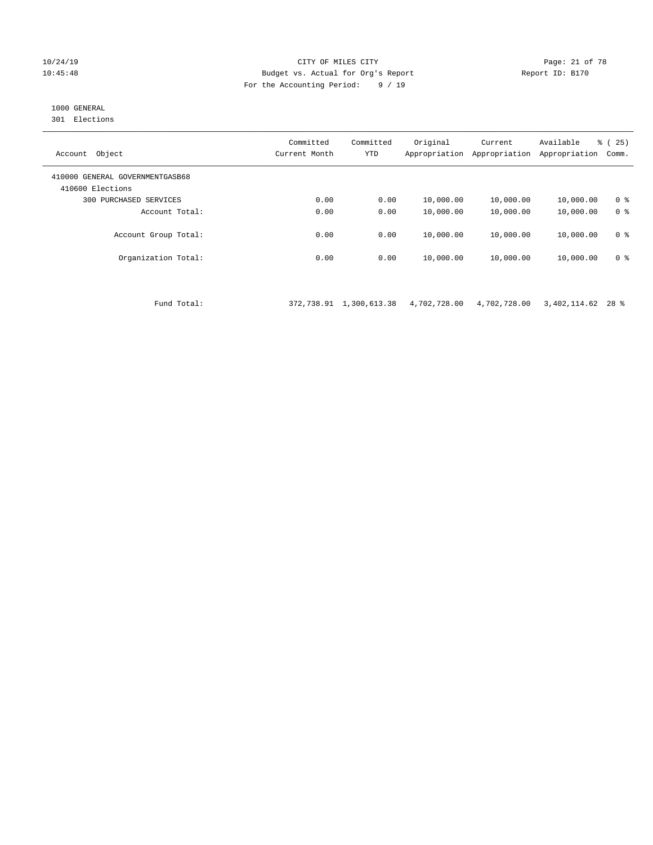#### 10/24/19 **Page: 21 of 78** CITY OF MILES CITY **Page: 21 of 78** 10:45:48 Budget vs. Actual for Org's Report Report ID: B170 For the Accounting Period: 9 / 19

# 1000 GENERAL

301 Elections

| Object<br>Account                                   | Committed<br>Current Month | Committed<br>YTD | Original<br>Appropriation | Current<br>Appropriation | Available<br>Appropriation | ී (<br>25)<br>Comm. |
|-----------------------------------------------------|----------------------------|------------------|---------------------------|--------------------------|----------------------------|---------------------|
| 410000 GENERAL GOVERNMENTGASB68<br>410600 Elections |                            |                  |                           |                          |                            |                     |
| PURCHASED SERVICES<br>300                           | 0.00                       | 0.00             | 10,000.00                 | 10,000.00                | 10,000.00                  | 0 <sup>8</sup>      |
| Account Total:                                      | 0.00                       | 0.00             | 10,000.00                 | 10,000.00                | 10,000.00                  | 0 <sup>8</sup>      |
| Account Group Total:                                | 0.00                       | 0.00             | 10,000.00                 | 10,000.00                | 10,000.00                  | 0 <sup>8</sup>      |
| Organization Total:                                 | 0.00                       | 0.00             | 10,000.00                 | 10,000.00                | 10,000.00                  | 0 <sup>8</sup>      |

Fund Total: 372,738.91 1,300,613.38 4,702,728.00 4,702,728.00 3,402,114.62 28 %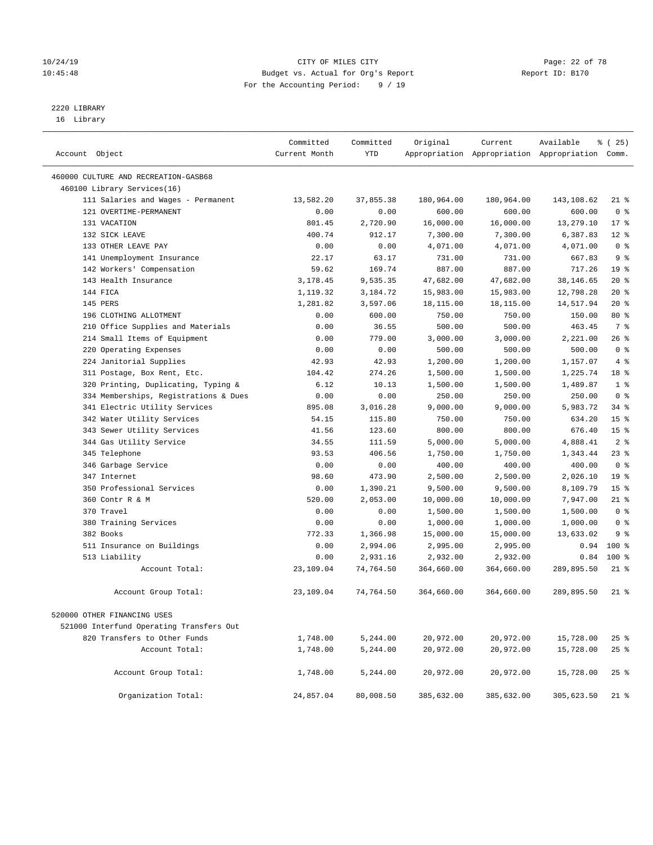### 10/24/19 **Page: 22 of 78** CITY OF MILES CITY **Page: 22 of 78** 10:45:48 Budget vs. Actual for Org's Report Report ID: B170 For the Accounting Period: 9 / 19

————————————————————————————————————————————————————————————————————————————————————————————————————————————————————————————————————

# 2220 LIBRARY

16 Library

|                                          | Committed     | Committed | Original   | Current    | Available                                       | 8 (25)          |
|------------------------------------------|---------------|-----------|------------|------------|-------------------------------------------------|-----------------|
| Account Object                           | Current Month | YTD       |            |            | Appropriation Appropriation Appropriation Comm. |                 |
| 460000 CULTURE AND RECREATION-GASB68     |               |           |            |            |                                                 |                 |
| 460100 Library Services(16)              |               |           |            |            |                                                 |                 |
| 111 Salaries and Wages - Permanent       | 13,582.20     | 37,855.38 | 180,964.00 | 180,964.00 | 143,108.62                                      | $21$ %          |
| 121 OVERTIME-PERMANENT                   | 0.00          | 0.00      | 600.00     | 600.00     | 600.00                                          | 0 <sup>8</sup>  |
| 131 VACATION                             | 801.45        | 2,720.90  | 16,000.00  | 16,000.00  | 13,279.10                                       | $17*$           |
| 132 SICK LEAVE                           | 400.74        | 912.17    | 7,300.00   | 7,300.00   | 6,387.83                                        | $12*$           |
| 133 OTHER LEAVE PAY                      | 0.00          | 0.00      | 4,071.00   | 4,071.00   | 4,071.00                                        | 0 <sup>8</sup>  |
| 141 Unemployment Insurance               | 22.17         | 63.17     | 731.00     | 731.00     | 667.83                                          | 9 <sup>°</sup>  |
| 142 Workers' Compensation                | 59.62         | 169.74    | 887.00     | 887.00     | 717.26                                          | 19 <sup>°</sup> |
| 143 Health Insurance                     | 3,178.45      | 9,535.35  | 47,682.00  | 47,682.00  | 38,146.65                                       | $20*$           |
| 144 FICA                                 | 1,119.32      | 3,184.72  | 15,983.00  | 15,983.00  | 12,798.28                                       | $20*$           |
| 145 PERS                                 | 1,281.82      | 3,597.06  | 18,115.00  | 18,115.00  | 14,517.94                                       | $20*$           |
| 196 CLOTHING ALLOTMENT                   | 0.00          | 600.00    | 750.00     | 750.00     | 150.00                                          | 80 %            |
| 210 Office Supplies and Materials        | 0.00          | 36.55     | 500.00     | 500.00     | 463.45                                          | 7 %             |
| 214 Small Items of Equipment             | 0.00          | 779.00    | 3,000.00   | 3,000.00   | 2,221.00                                        | 26%             |
| 220 Operating Expenses                   | 0.00          | 0.00      | 500.00     | 500.00     | 500.00                                          | 0 <sup>8</sup>  |
| 224 Janitorial Supplies                  | 42.93         | 42.93     | 1,200.00   | 1,200.00   | 1,157.07                                        | 4%              |
| 311 Postage, Box Rent, Etc.              | 104.42        | 274.26    | 1,500.00   | 1,500.00   | 1,225.74                                        | 18 %            |
| 320 Printing, Duplicating, Typing &      | 6.12          | 10.13     | 1,500.00   | 1,500.00   | 1,489.87                                        | 1 <sup>8</sup>  |
| 334 Memberships, Registrations & Dues    | 0.00          | 0.00      | 250.00     | 250.00     | 250.00                                          | 0 <sup>8</sup>  |
| 341 Electric Utility Services            | 895.08        | 3,016.28  | 9,000.00   | 9,000.00   | 5,983.72                                        | 34%             |
| 342 Water Utility Services               | 54.15         | 115.80    | 750.00     | 750.00     | 634.20                                          | 15 <sup>°</sup> |
| 343 Sewer Utility Services               | 41.56         | 123.60    | 800.00     | 800.00     | 676.40                                          | 15 <sup>°</sup> |
| 344 Gas Utility Service                  | 34.55         | 111.59    | 5,000.00   | 5,000.00   | 4,888.41                                        | 2 <sup>8</sup>  |
| 345 Telephone                            | 93.53         | 406.56    | 1,750.00   | 1,750.00   | 1,343.44                                        | $23$ $%$        |
| 346 Garbage Service                      | 0.00          | 0.00      | 400.00     | 400.00     | 400.00                                          | 0 <sup>8</sup>  |
| 347 Internet                             | 98.60         | 473.90    | 2,500.00   | 2,500.00   | 2,026.10                                        | 19 <sup>°</sup> |
| 350 Professional Services                | 0.00          | 1,390.21  | 9,500.00   | 9,500.00   | 8,109.79                                        | 15 <sup>°</sup> |
| 360 Contr R & M                          | 520.00        | 2,053.00  | 10,000.00  | 10,000.00  | 7,947.00                                        | $21$ %          |
| 370 Travel                               | 0.00          | 0.00      | 1,500.00   | 1,500.00   | 1,500.00                                        | 0 <sup>8</sup>  |
| 380 Training Services                    | 0.00          | 0.00      | 1,000.00   | 1,000.00   | 1,000.00                                        | 0 <sup>8</sup>  |
| 382 Books                                | 772.33        | 1,366.98  | 15,000.00  | 15,000.00  | 13,633.02                                       | 9%              |
| 511 Insurance on Buildings               | 0.00          | 2,994.06  | 2,995.00   | 2,995.00   | 0.94                                            | $100*$          |
| 513 Liability                            | 0.00          | 2,931.16  | 2,932.00   | 2,932.00   | 0.84                                            | $100*$          |
| Account Total:                           | 23,109.04     | 74,764.50 | 364,660.00 | 364,660.00 | 289,895.50                                      | $21$ %          |
| Account Group Total:                     | 23,109.04     | 74,764.50 | 364,660.00 | 364,660.00 | 289,895.50                                      | 21 %            |
| 520000 OTHER FINANCING USES              |               |           |            |            |                                                 |                 |
| 521000 Interfund Operating Transfers Out |               |           |            |            |                                                 |                 |
| 820 Transfers to Other Funds             | 1,748.00      | 5,244.00  | 20,972.00  | 20,972.00  | 15,728.00                                       | 25 %            |
| Account Total:                           | 1,748.00      | 5,244.00  | 20,972.00  | 20,972.00  | 15,728.00                                       | $25$ %          |
|                                          |               |           |            |            |                                                 |                 |
| Account Group Total:                     | 1,748.00      | 5,244.00  | 20,972.00  | 20,972.00  | 15,728.00                                       | $25$ %          |
| Organization Total:                      | 24,857.04     | 80,008.50 | 385,632.00 | 385,632.00 | 305,623.50                                      | 21 %            |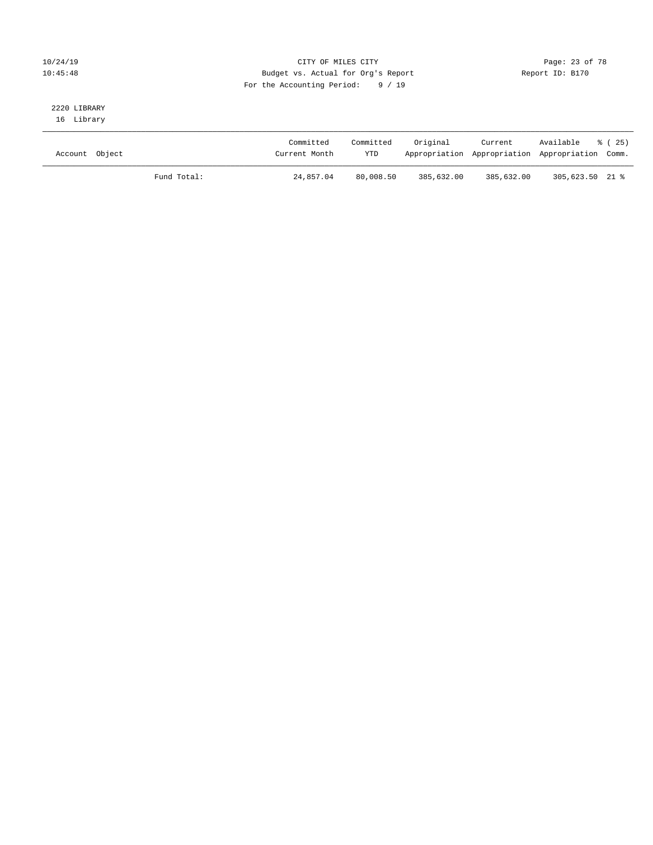### 10/24/19 Page: 23 of 78 10:45:48 Budget vs. Actual for Org's Report Report ID: B170 For the Accounting Period: 9 / 19

# 2220 LIBRARY

16 Library

| Account Object |             | Committed<br>Current Month | Committed<br><b>YTD</b> | Original   | Current    | Available<br>Appropriation Appropriation Appropriation Comm. | 8 ( 25 ) |
|----------------|-------------|----------------------------|-------------------------|------------|------------|--------------------------------------------------------------|----------|
|                | Fund Total: | 24,857.04                  | 80,008.50               | 385,632.00 | 385,632.00 | 305,623.50 21 %                                              |          |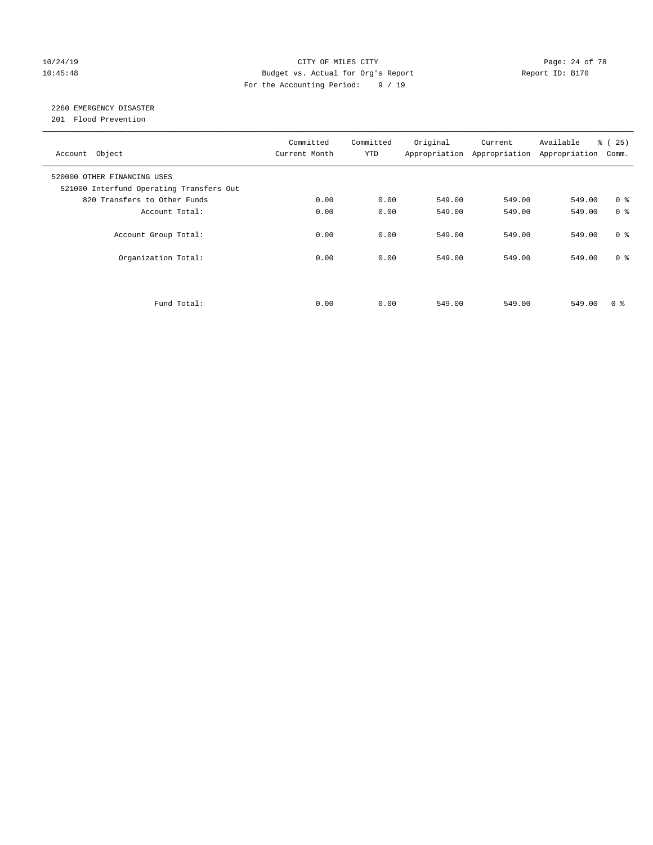### 10/24/19 **Page: 24 of 78** CITY OF MILES CITY **Page: 24 of 78** 10:45:48 Budget vs. Actual for Org's Report Report ID: B170 For the Accounting Period: 9 / 19

# 2260 EMERGENCY DISASTER

201 Flood Prevention

| Account Object                                                          | Committed<br>Current Month | Committed<br><b>YTD</b> | Original | Current<br>Appropriation Appropriation | Available<br>Appropriation | % (25)<br>Comm. |
|-------------------------------------------------------------------------|----------------------------|-------------------------|----------|----------------------------------------|----------------------------|-----------------|
| 520000 OTHER FINANCING USES<br>521000 Interfund Operating Transfers Out |                            |                         |          |                                        |                            |                 |
| 820 Transfers to Other Funds                                            | 0.00                       | 0.00                    | 549.00   | 549.00                                 | 549.00                     | 0 <sup>8</sup>  |
| Account Total:                                                          | 0.00                       | 0.00                    | 549.00   | 549.00                                 | 549.00                     | 0 <sup>8</sup>  |
| Account Group Total:                                                    | 0.00                       | 0.00                    | 549.00   | 549.00                                 | 549.00                     | 0 <sup>8</sup>  |
| Organization Total:                                                     | 0.00                       | 0.00                    | 549.00   | 549.00                                 | 549.00                     | 0 <sup>8</sup>  |
|                                                                         |                            |                         |          |                                        |                            |                 |
| Fund Total:                                                             | 0.00                       | 0.00                    | 549.00   | 549.00                                 | 549.00                     | 0 %             |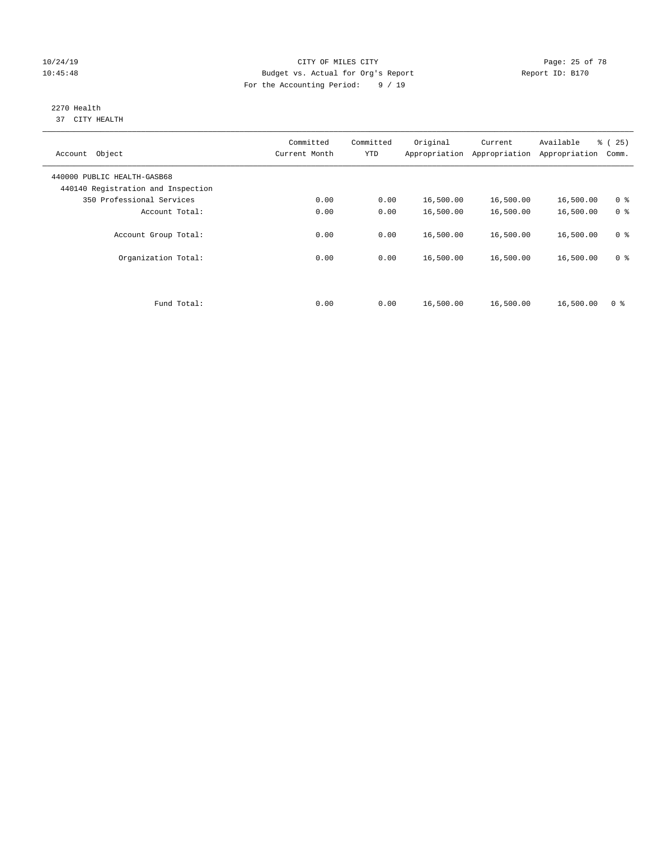### 10/24/19 **Page: 25 of 78** CITY OF MILES CITY **CITY Page: 25 of 78** 10:45:48 Budget vs. Actual for Org's Report Report ID: B170 For the Accounting Period: 9 / 19

#### 2270 Health 37 CITY HEALTH

| Object<br>Account                                                 | Committed<br>Current Month | Committed<br><b>YTD</b> | Original<br>Appropriation | Current<br>Appropriation | Available<br>Appropriation | % (25)<br>Comm. |
|-------------------------------------------------------------------|----------------------------|-------------------------|---------------------------|--------------------------|----------------------------|-----------------|
| 440000 PUBLIC HEALTH-GASB68<br>440140 Registration and Inspection |                            |                         |                           |                          |                            |                 |
| 350 Professional Services                                         | 0.00                       | 0.00                    | 16,500.00                 | 16,500.00                | 16,500.00                  | 0 <sup>8</sup>  |
| Account Total:                                                    | 0.00                       | 0.00                    | 16,500.00                 | 16,500.00                | 16,500.00                  | 0 <sup>8</sup>  |
| Account Group Total:                                              | 0.00                       | 0.00                    | 16,500.00                 | 16,500.00                | 16,500.00                  | 0 <sup>8</sup>  |
| Organization Total:                                               | 0.00                       | 0.00                    | 16,500.00                 | 16,500.00                | 16,500.00                  | 0 <sup>8</sup>  |
| Fund Total:                                                       | 0.00                       | 0.00                    | 16,500.00                 | 16,500.00                | 16,500.00                  | 0 <sup>8</sup>  |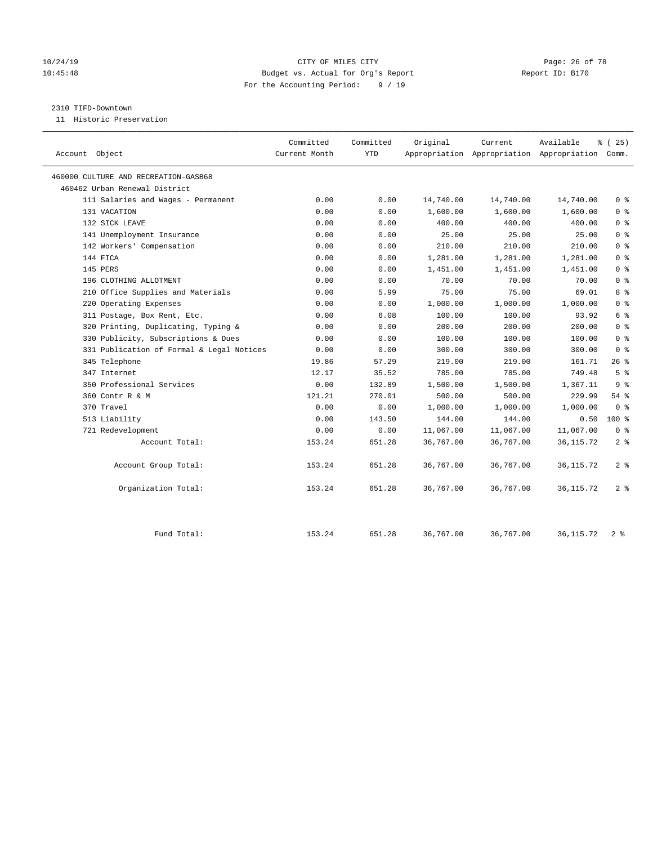### 10/24/19 **Page: 26 of 78** CITY OF MILES CITY **CITY Page: 26 of 78** 10:45:48 Budget vs. Actual for Org's Report Report ID: B170 For the Accounting Period: 9 / 19

#### 2310 TIFD-Downtown

11 Historic Preservation

|                                           | Committed     | Committed  | Original  | Current   | Available                                       | % (25)         |
|-------------------------------------------|---------------|------------|-----------|-----------|-------------------------------------------------|----------------|
| Account Object                            | Current Month | <b>YTD</b> |           |           | Appropriation Appropriation Appropriation Comm. |                |
|                                           |               |            |           |           |                                                 |                |
| 460000 CULTURE AND RECREATION-GASB68      |               |            |           |           |                                                 |                |
| 460462 Urban Renewal District             |               |            |           |           |                                                 |                |
| 111 Salaries and Wages - Permanent        | 0.00          | 0.00       | 14,740.00 | 14,740.00 | 14,740.00                                       | 0 <sup>8</sup> |
| 131 VACATION                              | 0.00          | 0.00       | 1,600.00  | 1,600.00  | 1,600.00                                        | 0 <sup>8</sup> |
| 132 SICK LEAVE                            | 0.00          | 0.00       | 400.00    | 400.00    | 400.00                                          | 0 <sup>8</sup> |
| 141 Unemployment Insurance                | 0.00          | 0.00       | 25.00     | 25.00     | 25.00                                           | 0 <sup>8</sup> |
| 142 Workers' Compensation                 | 0.00          | 0.00       | 210.00    | 210.00    | 210.00                                          | 0 <sup>8</sup> |
| 144 FICA                                  | 0.00          | 0.00       | 1,281.00  | 1,281.00  | 1,281.00                                        | 0 <sup>8</sup> |
| 145 PERS                                  | 0.00          | 0.00       | 1,451.00  | 1,451.00  | 1,451.00                                        | 0 <sup>8</sup> |
| 196 CLOTHING ALLOTMENT                    | 0.00          | 0.00       | 70.00     | 70.00     | 70.00                                           | 0 <sup>8</sup> |
| 210 Office Supplies and Materials         | 0.00          | 5.99       | 75.00     | 75.00     | 69.01                                           | 8 <sup>8</sup> |
| 220 Operating Expenses                    | 0.00          | 0.00       | 1,000.00  | 1,000.00  | 1,000.00                                        | 0 <sup>8</sup> |
| 311 Postage, Box Rent, Etc.               | 0.00          | 6.08       | 100.00    | 100.00    | 93.92                                           | 6 %            |
| 320 Printing, Duplicating, Typing &       | 0.00          | 0.00       | 200.00    | 200.00    | 200.00                                          | 0 <sup>8</sup> |
| 330 Publicity, Subscriptions & Dues       | 0.00          | 0.00       | 100.00    | 100.00    | 100.00                                          | 0 <sup>8</sup> |
| 331 Publication of Formal & Legal Notices | 0.00          | 0.00       | 300.00    | 300.00    | 300.00                                          | 0 <sup>8</sup> |
| 345 Telephone                             | 19.86         | 57.29      | 219.00    | 219.00    | 161.71                                          | 26%            |
| 347 Internet                              | 12.17         | 35.52      | 785.00    | 785.00    | 749.48                                          | 5 <sup>°</sup> |
| 350 Professional Services                 | 0.00          | 132.89     | 1,500.00  | 1,500.00  | 1,367.11                                        | 9 <sup>°</sup> |
| 360 Contr R & M                           | 121.21        | 270.01     | 500.00    | 500.00    | 229.99                                          | 54%            |
| 370 Travel                                | 0.00          | 0.00       | 1,000.00  | 1,000.00  | 1,000.00                                        | 0 <sup>8</sup> |
| 513 Liability                             | 0.00          | 143.50     | 144.00    | 144.00    | 0.50                                            | 100 %          |
| 721 Redevelopment                         | 0.00          | 0.00       | 11,067.00 | 11,067.00 | 11,067.00                                       | 0 <sup>8</sup> |
| Account Total:                            | 153.24        | 651.28     | 36,767.00 | 36,767.00 | 36, 115.72                                      | 2 <sub>8</sub> |
| Account Group Total:                      | 153.24        | 651.28     | 36,767.00 | 36,767.00 | 36, 115.72                                      | 2 <sup>8</sup> |
| Organization Total:                       | 153.24        | 651.28     | 36,767.00 | 36,767.00 | 36, 115.72                                      | 2 <sup>8</sup> |
| Fund Total:                               | 153.24        | 651.28     | 36,767.00 | 36,767.00 | 36, 115.72                                      | 2 <sup>8</sup> |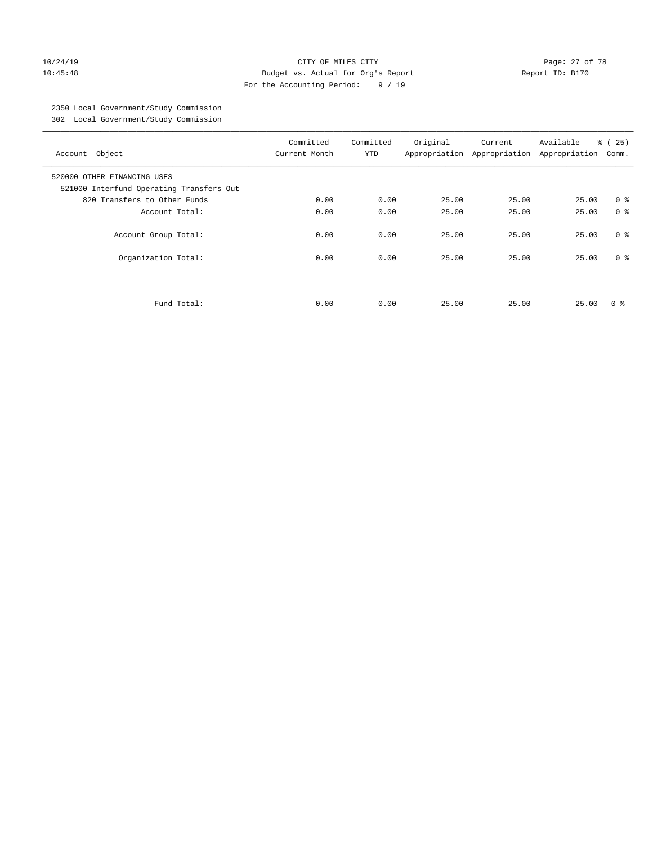### 10/24/19 Page: 27 of 78 10:45:48 Budget vs. Actual for Org's Report Report ID: B170 For the Accounting Period: 9 / 19

# 2350 Local Government/Study Commission

302 Local Government/Study Commission

| Account Object                                                          | Committed<br>Current Month | Committed<br><b>YTD</b> | Original | Current<br>Appropriation Appropriation | Available<br>Appropriation | % (25)<br>Comm. |
|-------------------------------------------------------------------------|----------------------------|-------------------------|----------|----------------------------------------|----------------------------|-----------------|
| 520000 OTHER FINANCING USES<br>521000 Interfund Operating Transfers Out |                            |                         |          |                                        |                            |                 |
| 820 Transfers to Other Funds                                            | 0.00                       | 0.00                    | 25.00    | 25.00                                  | 25.00                      | 0 <sup>8</sup>  |
| Account Total:                                                          | 0.00                       | 0.00                    | 25.00    | 25.00                                  | 25.00                      | 0 <sup>8</sup>  |
| Account Group Total:                                                    | 0.00                       | 0.00                    | 25.00    | 25.00                                  | 25.00                      | 0 <sup>8</sup>  |
| Organization Total:                                                     | 0.00                       | 0.00                    | 25.00    | 25.00                                  | 25.00                      | 0 <sup>8</sup>  |
|                                                                         |                            |                         |          |                                        |                            |                 |
| Fund Total:                                                             | 0.00                       | 0.00                    | 25.00    | 25.00                                  | 25.00                      | 0 ៖             |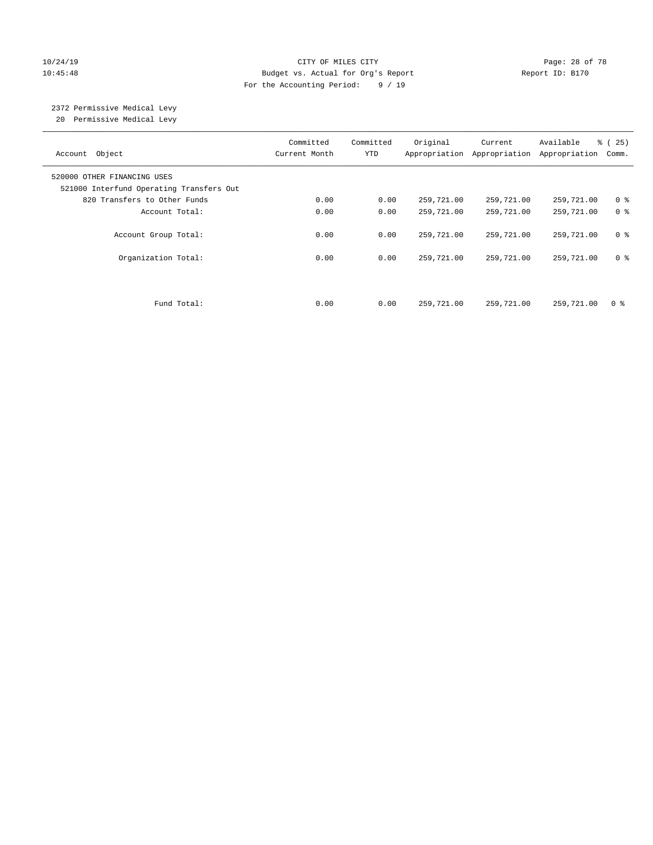### 10/24/19 **Page: 28 of 78** CITY OF MILES CITY **Page: 28 of 78** 10:45:48 Budget vs. Actual for Org's Report Report ID: B170 For the Accounting Period: 9 / 19

# 2372 Permissive Medical Levy

20 Permissive Medical Levy

| Account Object                                                          | Committed<br>Current Month | Committed<br><b>YTD</b> | Original   | Current<br>Appropriation Appropriation | Available<br>Appropriation | % (25)<br>Comm. |
|-------------------------------------------------------------------------|----------------------------|-------------------------|------------|----------------------------------------|----------------------------|-----------------|
| 520000 OTHER FINANCING USES<br>521000 Interfund Operating Transfers Out |                            |                         |            |                                        |                            |                 |
| 820 Transfers to Other Funds                                            | 0.00                       | 0.00                    | 259,721.00 | 259,721.00                             | 259,721.00                 | 0 <sup>8</sup>  |
| Account Total:                                                          | 0.00                       | 0.00                    | 259,721.00 | 259,721.00                             | 259,721.00                 | 0 <sup>8</sup>  |
| Account Group Total:                                                    | 0.00                       | 0.00                    | 259,721.00 | 259,721.00                             | 259,721.00                 | 0 <sup>8</sup>  |
| Organization Total:                                                     | 0.00                       | 0.00                    | 259,721.00 | 259,721.00                             | 259,721.00                 | 0 <sup>8</sup>  |
|                                                                         |                            |                         |            |                                        |                            |                 |
| Fund Total:                                                             | 0.00                       | 0.00                    | 259,721.00 | 259,721.00                             | 259,721.00                 | 0 <sup>8</sup>  |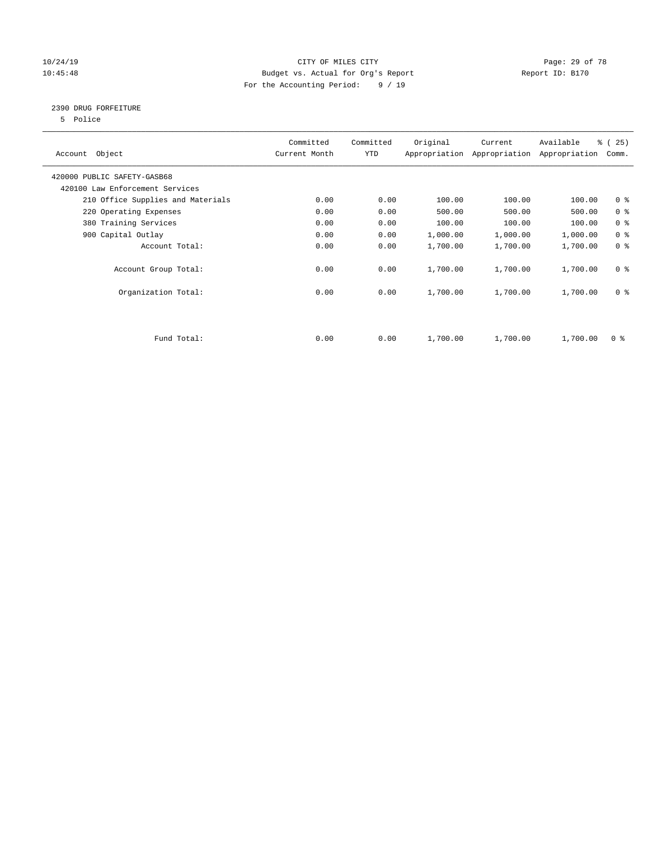### 10/24/19 **Page: 29 of 78** CITY OF MILES CITY **Page: 29 of 78** 10:45:48 Budget vs. Actual for Org's Report Report ID: B170 For the Accounting Period: 9 / 19

### 2390 DRUG FORFEITURE

5 Police

| Account Object                    | Committed<br>Current Month | Committed<br>YTD | Original | Current<br>Appropriation Appropriation | Available<br>Appropriation | % (25)<br>Comm. |
|-----------------------------------|----------------------------|------------------|----------|----------------------------------------|----------------------------|-----------------|
| 420000 PUBLIC SAFETY-GASB68       |                            |                  |          |                                        |                            |                 |
| 420100 Law Enforcement Services   |                            |                  |          |                                        |                            |                 |
| 210 Office Supplies and Materials | 0.00                       | 0.00             | 100.00   | 100.00                                 | 100.00                     | 0 <sub>8</sub>  |
| 220 Operating Expenses            | 0.00                       | 0.00             | 500.00   | 500.00                                 | 500.00                     | 0 <sup>8</sup>  |
| 380 Training Services             | 0.00                       | 0.00             | 100.00   | 100.00                                 | 100.00                     | 0 <sup>8</sup>  |
| 900 Capital Outlay                | 0.00                       | 0.00             | 1,000.00 | 1,000.00                               | 1,000.00                   | 0 <sup>8</sup>  |
| Account Total:                    | 0.00                       | 0.00             | 1,700.00 | 1,700.00                               | 1,700.00                   | 0 <sup>8</sup>  |
| Account Group Total:              | 0.00                       | 0.00             | 1,700.00 | 1,700.00                               | 1,700.00                   | 0 <sup>8</sup>  |
| Organization Total:               | 0.00                       | 0.00             | 1,700.00 | 1,700.00                               | 1,700.00                   | 0 <sup>8</sup>  |
|                                   |                            |                  |          |                                        |                            |                 |
| Fund Total:                       | 0.00                       | 0.00             | 1,700.00 | 1,700.00                               | 1,700.00                   | 0 %             |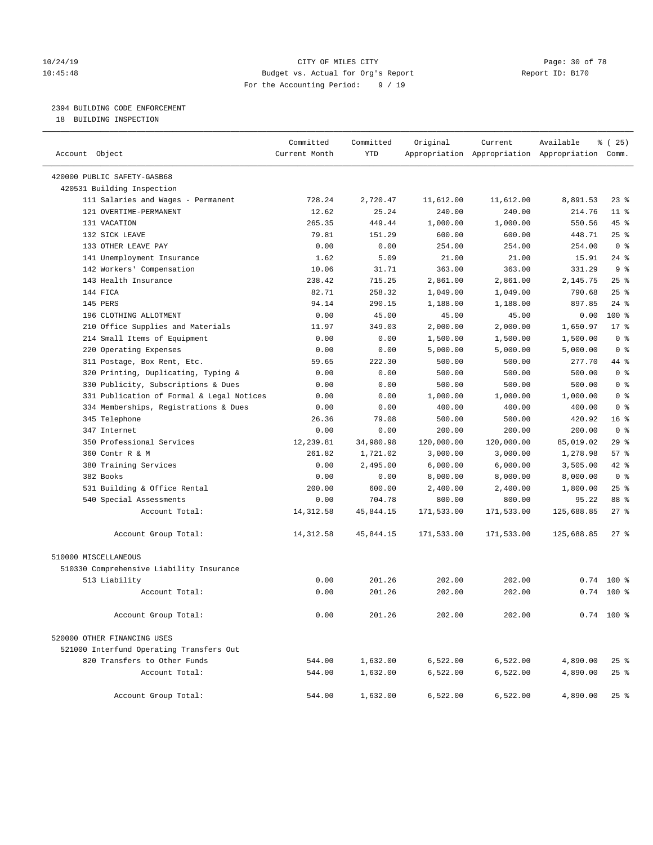### 10/24/19 **Page: 30 of 78** CITY OF MILES CITY **Page: 30 of 78** 10:45:48 Budget vs. Actual for Org's Report Report ID: B170 For the Accounting Period: 9 / 19

# 2394 BUILDING CODE ENFORCEMENT

18 BUILDING INSPECTION

| Account Object                            | Committed<br>Current Month | Committed<br><b>YTD</b> | Original   | Current    | Available<br>Appropriation Appropriation Appropriation Comm. | 8 (25)          |
|-------------------------------------------|----------------------------|-------------------------|------------|------------|--------------------------------------------------------------|-----------------|
|                                           |                            |                         |            |            |                                                              |                 |
| 420000 PUBLIC SAFETY-GASB68               |                            |                         |            |            |                                                              |                 |
| 420531 Building Inspection                |                            |                         |            |            |                                                              |                 |
| 111 Salaries and Wages - Permanent        | 728.24                     | 2,720.47                | 11,612.00  | 11,612.00  | 8,891.53                                                     | $23$ %          |
| 121 OVERTIME-PERMANENT                    | 12.62                      | 25.24                   | 240.00     | 240.00     | 214.76                                                       | $11$ %          |
| 131 VACATION                              | 265.35                     | 449.44                  | 1,000.00   | 1,000.00   | 550.56                                                       | 45 %            |
| 132 SICK LEAVE                            | 79.81                      | 151.29                  | 600.00     | 600.00     | 448.71                                                       | 25%             |
| 133 OTHER LEAVE PAY                       | 0.00                       | 0.00                    | 254.00     | 254.00     | 254.00                                                       | 0 <sup>8</sup>  |
| 141 Unemployment Insurance                | 1.62                       | 5.09                    | 21.00      | 21.00      | 15.91                                                        | $24$ %          |
| 142 Workers' Compensation                 | 10.06                      | 31.71                   | 363.00     | 363.00     | 331.29                                                       | 9 <sup>8</sup>  |
| 143 Health Insurance                      | 238.42                     | 715.25                  | 2,861.00   | 2,861.00   | 2,145.75                                                     | 25%             |
| 144 FICA                                  | 82.71                      | 258.32                  | 1,049.00   | 1,049.00   | 790.68                                                       | 25%             |
| 145 PERS                                  | 94.14                      | 290.15                  | 1,188.00   | 1,188.00   | 897.85                                                       | $24$ %          |
| 196 CLOTHING ALLOTMENT                    | 0.00                       | 45.00                   | 45.00      | 45.00      | 0.00                                                         | 100 %           |
| 210 Office Supplies and Materials         | 11.97                      | 349.03                  | 2,000.00   | 2,000.00   | 1,650.97                                                     | $17*$           |
| 214 Small Items of Equipment              | 0.00                       | 0.00                    | 1,500.00   | 1,500.00   | 1,500.00                                                     | 0 <sup>8</sup>  |
| 220 Operating Expenses                    | 0.00                       | 0.00                    | 5,000.00   | 5,000.00   | 5,000.00                                                     | 0 <sup>8</sup>  |
| 311 Postage, Box Rent, Etc.               | 59.65                      | 222.30                  | 500.00     | 500.00     | 277.70                                                       | 44 %            |
| 320 Printing, Duplicating, Typing &       | 0.00                       | 0.00                    | 500.00     | 500.00     | 500.00                                                       | 0 <sup>8</sup>  |
| 330 Publicity, Subscriptions & Dues       | 0.00                       | 0.00                    | 500.00     | 500.00     | 500.00                                                       | 0 <sup>8</sup>  |
| 331 Publication of Formal & Legal Notices | 0.00                       | 0.00                    | 1,000.00   | 1,000.00   | 1,000.00                                                     | 0 <sup>8</sup>  |
| 334 Memberships, Registrations & Dues     | 0.00                       | 0.00                    | 400.00     | 400.00     | 400.00                                                       | 0 <sup>8</sup>  |
| 345 Telephone                             | 26.36                      | 79.08                   | 500.00     | 500.00     | 420.92                                                       | 16 <sup>°</sup> |
| 347 Internet                              | 0.00                       | 0.00                    | 200.00     | 200.00     | 200.00                                                       | 0 <sup>8</sup>  |
| 350 Professional Services                 | 12,239.81                  | 34,980.98               | 120,000.00 | 120,000.00 | 85,019.02                                                    | 29%             |
| 360 Contr R & M                           | 261.82                     | 1,721.02                | 3,000.00   | 3,000.00   | 1,278.98                                                     | 57%             |
| 380 Training Services                     | 0.00                       | 2,495.00                | 6,000.00   | 6,000.00   | 3,505.00                                                     | $42$ %          |
| 382 Books                                 | 0.00                       | 0.00                    | 8,000.00   | 8,000.00   | 8,000.00                                                     | 0 <sup>8</sup>  |
| 531 Building & Office Rental              | 200.00                     | 600.00                  | 2,400.00   | 2,400.00   | 1,800.00                                                     | 25%             |
| 540 Special Assessments                   | 0.00                       | 704.78                  | 800.00     | 800.00     | 95.22                                                        | 88 %            |
| Account Total:                            | 14, 312.58                 | 45,844.15               | 171,533.00 | 171,533.00 | 125,688.85                                                   | 27%             |
| Account Group Total:                      | 14, 312.58                 | 45,844.15               | 171,533.00 | 171,533.00 | 125,688.85                                                   | $27$ %          |
| 510000 MISCELLANEOUS                      |                            |                         |            |            |                                                              |                 |
| 510330 Comprehensive Liability Insurance  |                            |                         |            |            |                                                              |                 |
| 513 Liability                             | 0.00                       | 201.26                  | 202.00     | 202.00     | 0.74                                                         | $100*$          |
| Account Total:                            | 0.00                       | 201.26                  | 202.00     | 202.00     |                                                              | $0.74$ 100 %    |
|                                           |                            |                         |            |            |                                                              |                 |
| Account Group Total:                      | 0.00                       | 201.26                  | 202.00     | 202.00     |                                                              | $0.74$ 100 %    |
| 520000 OTHER FINANCING USES               |                            |                         |            |            |                                                              |                 |
| 521000 Interfund Operating Transfers Out  |                            |                         |            |            |                                                              |                 |
| 820 Transfers to Other Funds              | 544.00                     | 1,632.00                | 6,522.00   | 6,522.00   | 4,890.00                                                     | $25$ %          |
| Account Total:                            | 544.00                     | 1,632.00                | 6,522.00   | 6,522.00   | 4,890.00                                                     | $25$ %          |
| Account Group Total:                      | 544.00                     | 1,632.00                | 6,522.00   | 6,522.00   | 4,890.00                                                     | $25$ %          |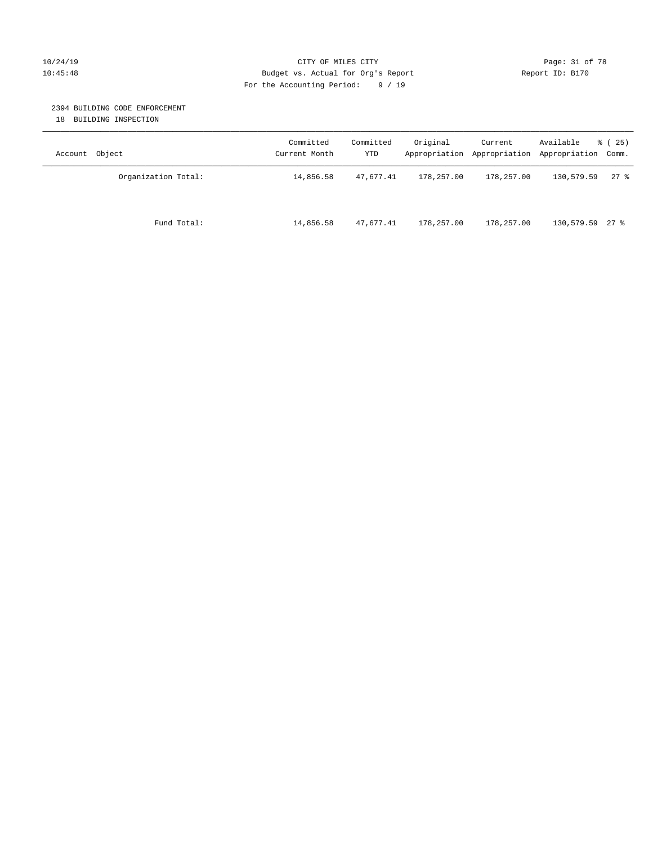#### 10/24/19 **Page: 31 of 78** CITY OF MILES CITY **Page: 31 of 78** 10:45:48 Budget vs. Actual for Org's Report Report ID: B170 For the Accounting Period: 9 / 19

#### 2394 BUILDING CODE ENFORCEMENT

18 BUILDING INSPECTION

| Account Object      | Committed<br>Current Month | Committed<br>YTD | Original   | Current    | Available<br>Appropriation Appropriation Appropriation Comm. | % (25) |
|---------------------|----------------------------|------------------|------------|------------|--------------------------------------------------------------|--------|
| Organization Total: | 14,856.58                  | 47,677.41        | 178,257.00 | 178,257.00 | 130,579.59                                                   | $27$ % |
| Fund Total:         | 14,856.58                  | 47,677.41        | 178,257.00 | 178,257.00 | 130,579.59 27 %                                              |        |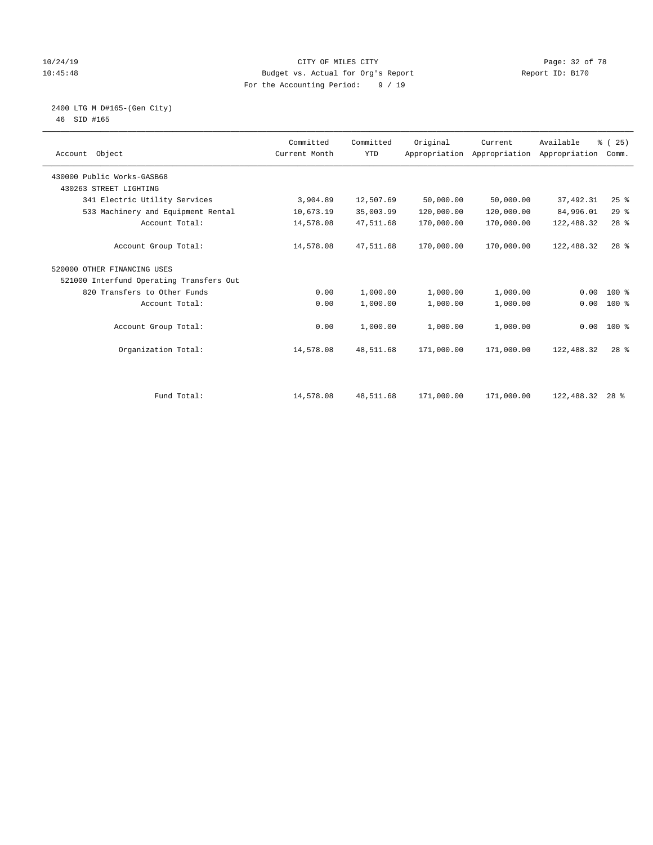### 10/24/19 **Page: 32 of 78** CITY OF MILES CITY **Page: 32 of 78** 10:45:48 Budget vs. Actual for Org's Report Report ID: B170 For the Accounting Period: 9 / 19

 2400 LTG M D#165-(Gen City) 46 SID #165

| Object<br>Account                        | Committed<br>Current Month | Committed<br><b>YTD</b> | Original   | Current<br>Appropriation Appropriation | Available<br>Appropriation | % (25)<br>Comm. |  |
|------------------------------------------|----------------------------|-------------------------|------------|----------------------------------------|----------------------------|-----------------|--|
| 430000 Public Works-GASB68               |                            |                         |            |                                        |                            |                 |  |
| 430263 STREET LIGHTING                   |                            |                         |            |                                        |                            |                 |  |
| 341 Electric Utility Services            | 3,904.89                   | 12,507.69               | 50,000.00  | 50,000.00                              | 37, 492.31                 | $25$ $%$        |  |
| 533 Machinery and Equipment Rental       | 10,673.19                  | 35,003.99               | 120,000.00 | 120,000.00                             | 84,996.01                  | 29%             |  |
| Account Total:                           | 14,578.08                  | 47,511.68               | 170,000.00 | 170,000.00                             | 122,488.32                 | $28$ %          |  |
| Account Group Total:                     | 14,578.08                  | 47,511.68               | 170,000.00 | 170,000.00                             | 122,488.32                 | $28$ $%$        |  |
| 520000 OTHER FINANCING USES              |                            |                         |            |                                        |                            |                 |  |
| 521000 Interfund Operating Transfers Out |                            |                         |            |                                        |                            |                 |  |
| 820 Transfers to Other Funds             | 0.00                       | 1,000.00                | 1,000.00   | 1,000.00                               | 0.00                       | 100 %           |  |
| Account Total:                           | 0.00                       | 1,000.00                | 1,000.00   | 1,000.00                               | 0.00                       | $100$ %         |  |
| Account Group Total:                     | 0.00                       | 1,000.00                | 1,000.00   | 1,000.00                               |                            | $0.00 100$ %    |  |
| Organization Total:                      | 14,578.08                  | 48,511.68               | 171,000.00 | 171,000.00                             | 122,488.32                 | $28$ $%$        |  |
|                                          |                            |                         |            |                                        |                            |                 |  |
| Fund Total:                              | 14,578.08                  | 48,511.68               | 171,000.00 | 171,000.00                             | 122,488.32                 | $28$ %          |  |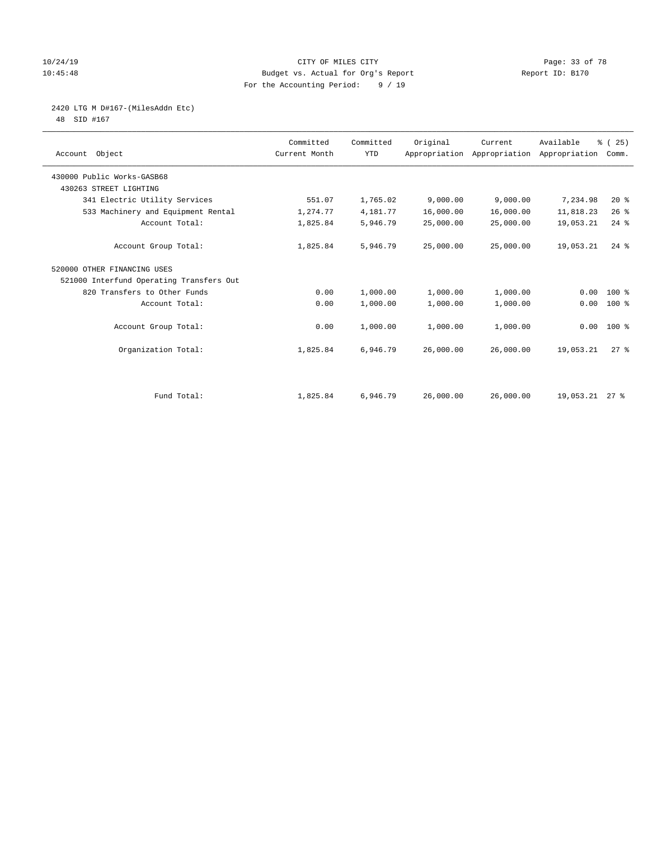### 10/24/19 **Page: 33 of 78** CITY OF MILES CITY **Page: 33 of 78** 10:45:48 Budget vs. Actual for Org's Report Report ID: B170 For the Accounting Period: 9 / 19

2420 LTG M D#167-(MilesAddn Etc)

48 SID #167

| Account Object                           | Committed<br>Current Month | Committed<br><b>YTD</b> | Original  | Current<br>Appropriation Appropriation Appropriation | Available      | % (25)<br>Comm. |  |
|------------------------------------------|----------------------------|-------------------------|-----------|------------------------------------------------------|----------------|-----------------|--|
| 430000 Public Works-GASB68               |                            |                         |           |                                                      |                |                 |  |
| 430263 STREET LIGHTING                   |                            |                         |           |                                                      |                |                 |  |
| 341 Electric Utility Services            | 551.07                     | 1,765.02                | 9,000.00  | 9,000.00                                             | 7,234.98       | $20*$           |  |
| 533 Machinery and Equipment Rental       | 1,274.77                   | 4,181.77                | 16,000.00 | 16,000.00                                            | 11,818.23      | 26%             |  |
| Account Total:                           | 1,825.84                   | 5,946.79                | 25,000.00 | 25,000.00                                            | 19,053.21      | $24$ %          |  |
| Account Group Total:                     | 1,825.84                   | 5,946.79                | 25,000.00 | 25,000.00                                            | 19,053.21      | $24$ $%$        |  |
| 520000 OTHER FINANCING USES              |                            |                         |           |                                                      |                |                 |  |
| 521000 Interfund Operating Transfers Out |                            |                         |           |                                                      |                |                 |  |
| 820 Transfers to Other Funds             | 0.00                       | 1,000.00                | 1,000.00  | 1,000.00                                             | 0.00           | 100 %           |  |
| Account Total:                           | 0.00                       | 1,000.00                | 1,000.00  | 1,000.00                                             | 0.00           | $100$ %         |  |
| Account Group Total:                     | 0.00                       | 1,000.00                | 1,000.00  | 1,000.00                                             |                | $0.00 100$ %    |  |
| Organization Total:                      | 1,825.84                   | 6,946.79                | 26,000.00 | 26,000.00                                            | 19,053.21      | $27$ $%$        |  |
|                                          |                            |                         |           |                                                      |                |                 |  |
| Fund Total:                              | 1,825.84                   | 6,946.79                | 26,000.00 | 26,000.00                                            | 19,053.21 27 % |                 |  |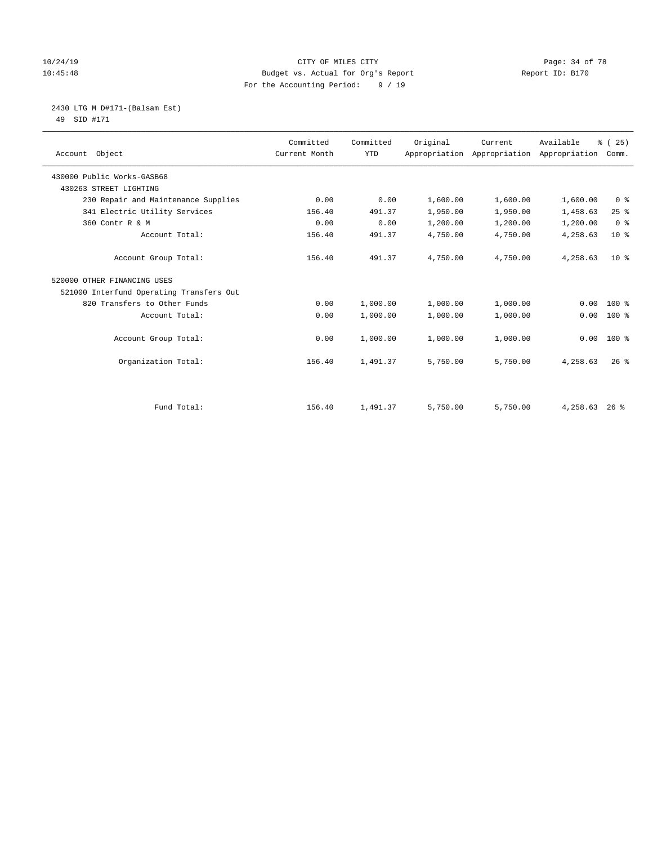### 10/24/19 **Page: 34 of 78** CITY OF MILES CITY **Page: 34 of 78** 10:45:48 Budget vs. Actual for Org's Report Report ID: B170 For the Accounting Period: 9 / 19

2430 LTG M D#171-(Balsam Est)

49 SID #171

| Account Object                           | Committed<br>Current Month | Committed<br><b>YTD</b> | Original | Current<br>Appropriation Appropriation | Available<br>Appropriation | % (25)<br>Comm. |
|------------------------------------------|----------------------------|-------------------------|----------|----------------------------------------|----------------------------|-----------------|
| 430000 Public Works-GASB68               |                            |                         |          |                                        |                            |                 |
| 430263 STREET LIGHTING                   |                            |                         |          |                                        |                            |                 |
| 230 Repair and Maintenance Supplies      | 0.00                       | 0.00                    | 1,600.00 | 1,600.00                               | 1,600.00                   | 0 <sup>8</sup>  |
| 341 Electric Utility Services            | 156.40                     | 491.37                  | 1,950.00 | 1,950.00                               | 1,458.63                   | 25%             |
| 360 Contr R & M                          | 0.00                       | 0.00                    | 1,200.00 | 1,200.00                               | 1,200.00                   | 0 <sup>8</sup>  |
| Account Total:                           | 156.40                     | 491.37                  | 4,750.00 | 4,750.00                               | 4,258.63                   | $10*$           |
| Account Group Total:                     | 156.40                     | 491.37                  | 4,750.00 | 4,750.00                               | 4,258.63                   | 10 <sup>8</sup> |
| 520000 OTHER FINANCING USES              |                            |                         |          |                                        |                            |                 |
| 521000 Interfund Operating Transfers Out |                            |                         |          |                                        |                            |                 |
| 820 Transfers to Other Funds             | 0.00                       | 1,000.00                | 1,000.00 | 1,000.00                               | 0.00                       | $100$ %         |
| Account Total:                           | 0.00                       | 1,000.00                | 1,000.00 | 1,000.00                               | 0.00                       | $100*$          |
| Account Group Total:                     | 0.00                       | 1,000.00                | 1,000.00 | 1,000.00                               | 0.00                       | $100*$          |
| Organization Total:                      | 156.40                     | 1,491.37                | 5,750.00 | 5,750.00                               | 4,258.63                   | $26$ %          |
|                                          |                            |                         |          |                                        |                            |                 |
| Fund Total:                              | 156.40                     | 1,491.37                | 5,750.00 | 5,750.00                               | 4,258.63                   | $26$ %          |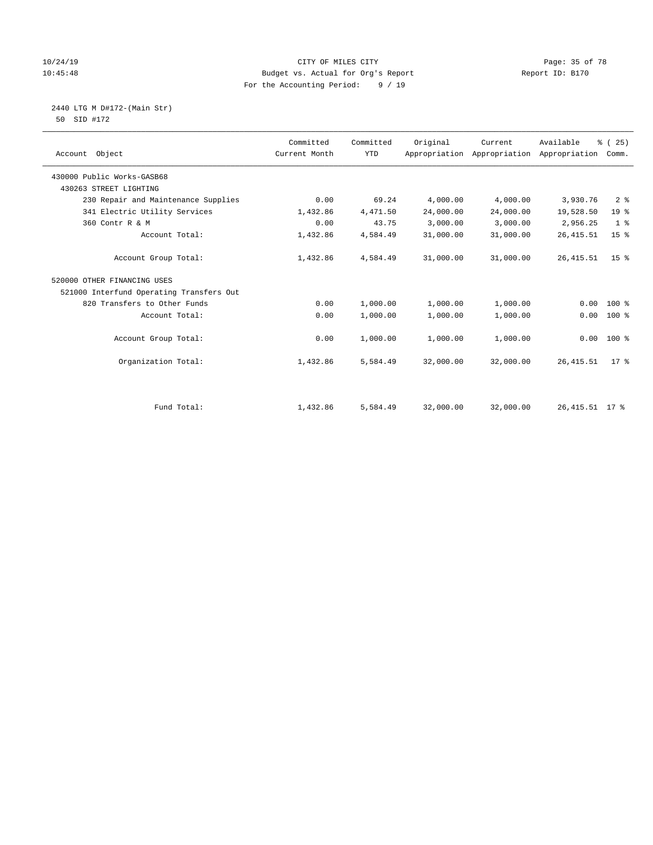### 10/24/19 **Page: 35 of 78** CITY OF MILES CITY **CITY** Page: 35 of 78 10:45:48 Budget vs. Actual for Org's Report Report ID: B170 For the Accounting Period: 9 / 19

 2440 LTG M D#172-(Main Str) 50 SID #172

| Account Object                           | Committed<br>Current Month | Committed<br><b>YTD</b> | Original  | Current<br>Appropriation Appropriation | Available<br>Appropriation | % (25)<br>Comm. |
|------------------------------------------|----------------------------|-------------------------|-----------|----------------------------------------|----------------------------|-----------------|
|                                          |                            |                         |           |                                        |                            |                 |
| 430000 Public Works-GASB68               |                            |                         |           |                                        |                            |                 |
| 430263 STREET LIGHTING                   |                            |                         |           |                                        |                            |                 |
| 230 Repair and Maintenance Supplies      | 0.00                       | 69.24                   | 4,000.00  | 4,000.00                               | 3,930.76                   | 2 <sup>°</sup>  |
| 341 Electric Utility Services            | 1,432.86                   | 4,471.50                | 24,000.00 | 24,000.00                              | 19,528.50                  | 19 <sup>°</sup> |
| 360 Contr R & M                          | 0.00                       | 43.75                   | 3,000.00  | 3,000.00                               | 2,956.25                   | 1 <sup>°</sup>  |
| Account Total:                           | 1,432.86                   | 4,584.49                | 31,000.00 | 31,000.00                              | 26, 415.51                 | 15 <sup>°</sup> |
| Account Group Total:                     | 1,432.86                   | 4,584.49                | 31,000.00 | 31,000.00                              | 26, 415.51                 | 15 <sup>8</sup> |
| 520000 OTHER FINANCING USES              |                            |                         |           |                                        |                            |                 |
| 521000 Interfund Operating Transfers Out |                            |                         |           |                                        |                            |                 |
| 820 Transfers to Other Funds             | 0.00                       | 1,000.00                | 1,000.00  | 1,000.00                               | 0.00                       | $100$ %         |
| Account Total:                           | 0.00                       | 1,000.00                | 1,000.00  | 1,000.00                               | 0.00                       | 100 %           |
| Account Group Total:                     | 0.00                       | 1,000.00                | 1,000.00  | 1,000.00                               | 0.00                       | 100 %           |
| Organization Total:                      | 1,432.86                   | 5,584.49                | 32,000.00 | 32,000.00                              | 26, 415.51                 | $17*$           |
|                                          |                            |                         |           |                                        |                            |                 |
| Fund Total:                              | 1,432.86                   | 5,584.49                | 32,000.00 | 32,000.00                              | 26, 415.51 17 %            |                 |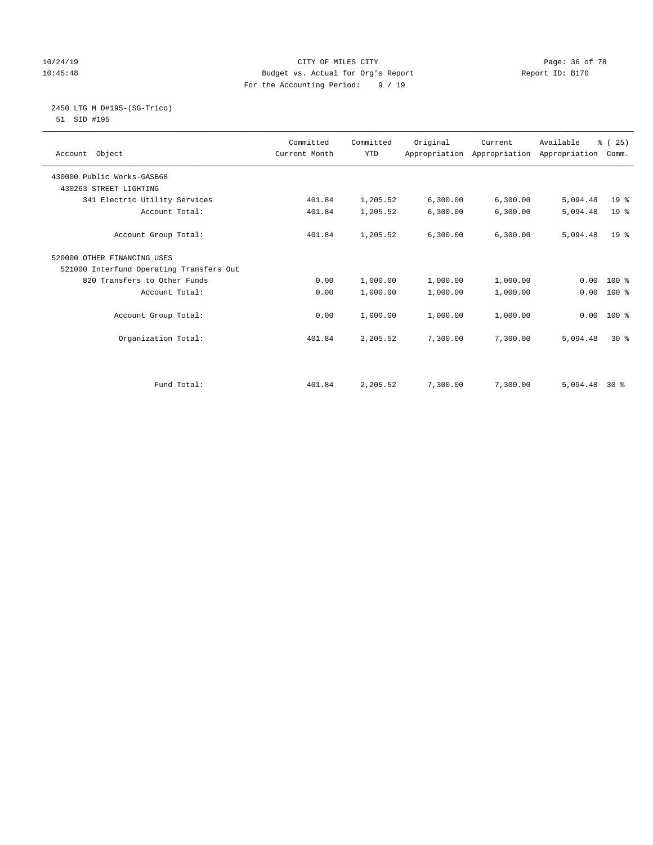### 10/24/19 **Page: 36 of 78** CITY OF MILES CITY **Page: 36 of 78** 10:45:48 Budget vs. Actual for Org's Report Report ID: B170 For the Accounting Period: 9 / 19

#### 2450 LTG M D#195-(SG-Trico) 51 SID #195

| Account Object                           | Committed<br>Current Month | Committed<br><b>YTD</b> | Original | Current   | Available<br>Appropriation Appropriation Appropriation | % (25)<br>Comm. |  |
|------------------------------------------|----------------------------|-------------------------|----------|-----------|--------------------------------------------------------|-----------------|--|
| 430000 Public Works-GASB68               |                            |                         |          |           |                                                        |                 |  |
| 430263 STREET LIGHTING                   |                            |                         |          |           |                                                        |                 |  |
| 341 Electric Utility Services            | 401.84                     | 1,205.52                | 6,300.00 | 6,300.00  | 5,094.48                                               | 19 <sup>8</sup> |  |
| Account Total:                           | 401.84                     | 1,205.52                | 6,300.00 | 6,300.00  | 5,094.48                                               | 19 <sup>°</sup> |  |
| Account Group Total:                     | 401.84                     | 1,205.52                | 6,300.00 | 6, 300.00 | 5,094.48                                               | 19 <sup>8</sup> |  |
| 520000 OTHER FINANCING USES              |                            |                         |          |           |                                                        |                 |  |
| 521000 Interfund Operating Transfers Out |                            |                         |          |           |                                                        |                 |  |
| 820 Transfers to Other Funds             | 0.00                       | 1,000.00                | 1,000.00 | 1,000.00  | 0.00                                                   | $100*$          |  |
| Account Total:                           | 0.00                       | 1,000.00                | 1,000.00 | 1,000.00  | 0.00                                                   | $100*$          |  |
| Account Group Total:                     | 0.00                       | 1,000.00                | 1,000.00 | 1,000.00  | 0.00                                                   | $100*$          |  |
| Organization Total:                      | 401.84                     | 2,205.52                | 7,300.00 | 7,300.00  | 5,094.48                                               | $30*$           |  |
|                                          |                            |                         |          |           |                                                        |                 |  |
| Fund Total:                              | 401.84                     | 2,205.52                | 7,300.00 | 7,300.00  | 5,094.48                                               | $30*$           |  |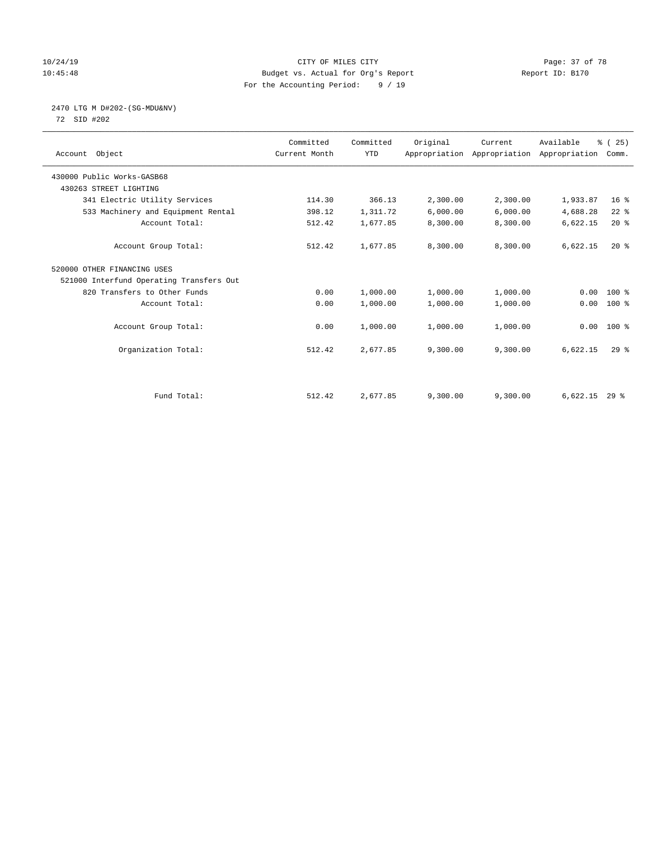# 10/24/19 **Page: 37 of 78** CITY OF MILES CITY **Page: 37 of 78** 10:45:48 Budget vs. Actual for Org's Report Report ID: B170 For the Accounting Period: 9 / 19

# 2470 LTG M D#202-(SG-MDU&NV)

72 SID #202

| Account Object                           | Committed<br>Current Month | Committed<br><b>YTD</b> | Original | Current<br>Appropriation Appropriation Appropriation | Available       | % (25)<br>Comm. |  |
|------------------------------------------|----------------------------|-------------------------|----------|------------------------------------------------------|-----------------|-----------------|--|
| 430000 Public Works-GASB68               |                            |                         |          |                                                      |                 |                 |  |
| 430263 STREET LIGHTING                   |                            |                         |          |                                                      |                 |                 |  |
| 341 Electric Utility Services            | 114.30                     | 366.13                  | 2,300.00 | 2,300.00                                             | 1,933.87        | 16 <sup>°</sup> |  |
| 533 Machinery and Equipment Rental       | 398.12                     | 1,311.72                | 6,000.00 | 6,000.00                                             | 4,688.28        | $22$ %          |  |
| Account Total:                           | 512.42                     | 1,677.85                | 8,300.00 | 8,300.00                                             | 6,622.15        | $20*$           |  |
| Account Group Total:                     | 512.42                     | 1,677.85                | 8,300.00 | 8,300.00                                             | 6,622.15        | $20*$           |  |
| 520000 OTHER FINANCING USES              |                            |                         |          |                                                      |                 |                 |  |
| 521000 Interfund Operating Transfers Out |                            |                         |          |                                                      |                 |                 |  |
| 820 Transfers to Other Funds             | 0.00                       | 1,000.00                | 1,000.00 | 1,000.00                                             | 0.00            | 100 %           |  |
| Account Total:                           | 0.00                       | 1,000.00                | 1,000.00 | 1,000.00                                             | 0.00            | $100$ %         |  |
| Account Group Total:                     | 0.00                       | 1,000.00                | 1,000.00 | 1,000.00                                             | 0.00            | $100*$          |  |
| Organization Total:                      | 512.42                     | 2,677.85                | 9,300.00 | 9,300.00                                             | 6,622.15        | $29$ $%$        |  |
|                                          |                            |                         |          |                                                      |                 |                 |  |
| Fund Total:                              | 512.42                     | 2,677.85                | 9,300.00 | 9,300.00                                             | $6,622.15$ 29 % |                 |  |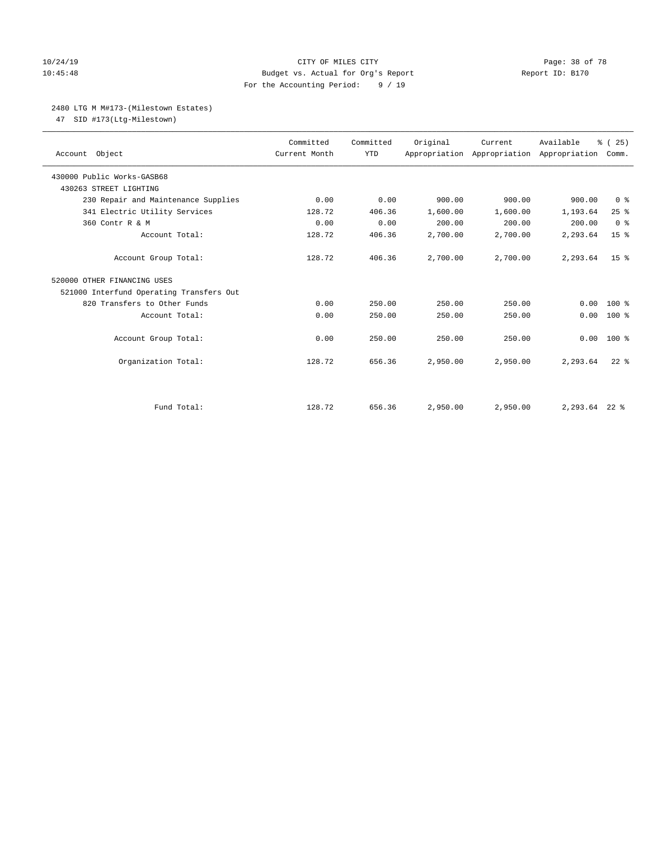# 10/24/19 **Page: 38 of 78** CITY OF MILES CITY **Page: 38 of 78** 10:45:48 Budget vs. Actual for Org's Report Report ID: B170 For the Accounting Period: 9 / 19

#### 2480 LTG M M#173-(Milestown Estates)

47 SID #173(Ltg-Milestown)

| Account Object                           | Committed<br>Current Month | Committed<br><b>YTD</b> | Original | Current<br>Appropriation Appropriation Appropriation | Available        | % (25)<br>Comm. |
|------------------------------------------|----------------------------|-------------------------|----------|------------------------------------------------------|------------------|-----------------|
| 430000 Public Works-GASB68               |                            |                         |          |                                                      |                  |                 |
| 430263 STREET LIGHTING                   |                            |                         |          |                                                      |                  |                 |
| 230 Repair and Maintenance Supplies      | 0.00                       | 0.00                    | 900.00   | 900.00                                               | 900.00           | 0 <sup>8</sup>  |
| 341 Electric Utility Services            | 128.72                     | 406.36                  | 1,600.00 | 1,600.00                                             | 1,193.64         | 25%             |
| 360 Contr R & M                          | 0.00                       | 0.00                    | 200.00   | 200.00                                               | 200.00           | 0 <sup>8</sup>  |
| Account Total:                           | 128.72                     | 406.36                  | 2,700.00 | 2,700.00                                             | 2,293.64         | 15 <sup>°</sup> |
| Account Group Total:                     | 128.72                     | 406.36                  | 2,700.00 | 2,700.00                                             | 2,293.64         | 15 <sup>8</sup> |
| 520000 OTHER FINANCING USES              |                            |                         |          |                                                      |                  |                 |
| 521000 Interfund Operating Transfers Out |                            |                         |          |                                                      |                  |                 |
| 820 Transfers to Other Funds             | 0.00                       | 250.00                  | 250.00   | 250.00                                               | 0.00             | $100*$          |
| Account Total:                           | 0.00                       | 250.00                  | 250.00   | 250.00                                               | 0.00             | $100$ %         |
| Account Group Total:                     | 0.00                       | 250.00                  | 250.00   | 250.00                                               | 0.00             | $100*$          |
| Organization Total:                      | 128.72                     | 656.36                  | 2,950.00 | 2,950.00                                             | 2,293.64         | $22$ $%$        |
|                                          |                            |                         |          |                                                      |                  |                 |
| Fund Total:                              | 128.72                     | 656.36                  | 2,950.00 | 2,950.00                                             | $2, 293.64$ 22 % |                 |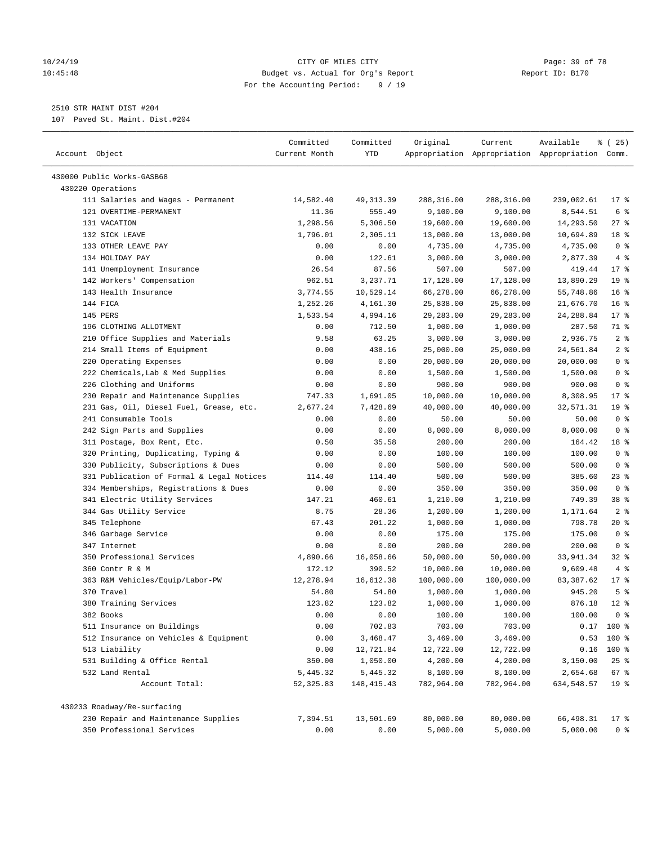#### 10/24/19 **Page: 39 of 78** CITY OF MILES CITY **CITY** Page: 39 of 78 10:45:48 Budget vs. Actual for Org's Report Report ID: B170 For the Accounting Period: 9 / 19

————————————————————————————————————————————————————————————————————————————————————————————————————————————————————————————————————

2510 STR MAINT DIST #204

107 Paved St. Maint. Dist.#204

| Account Object<br>Appropriation Appropriation Appropriation Comm.<br>Current Month<br>YTD<br>430000 Public Works-GASB68<br>430220 Operations<br>111 Salaries and Wages - Permanent<br>14,582.40<br>49, 313.39<br>288,316.00<br>288,316.00<br>239,002.61<br>$17*$<br>121 OVERTIME-PERMANENT<br>11.36<br>555.49<br>9,100.00<br>9,100.00<br>8,544.51<br>6 %<br>131 VACATION<br>1,298.56<br>5,306.50<br>$27$ %<br>19,600.00<br>19,600.00<br>14,293.50<br>18 %<br>132 SICK LEAVE<br>1,796.01<br>2,305.11<br>13,000.00<br>13,000.00<br>10,694.89<br>0 <sup>8</sup><br>133 OTHER LEAVE PAY<br>4,735.00<br>4,735.00<br>0.00<br>0.00<br>4,735.00<br>4%<br>134 HOLIDAY PAY<br>0.00<br>122.61<br>3,000.00<br>3,000.00<br>2,877.39<br>$17*$<br>141 Unemployment Insurance<br>26.54<br>87.56<br>507.00<br>507.00<br>419.44<br>142 Workers' Compensation<br>962.51<br>3,237.71<br>13,890.29<br>19 <sup>°</sup><br>17,128.00<br>17,128.00<br>10,529.14<br>16 <sup>°</sup><br>143 Health Insurance<br>3,774.55<br>66,278.00<br>66,278.00<br>55,748.86<br>16 <sup>°</sup><br>144 FICA<br>1,252.26<br>4,161.30<br>25,838.00<br>25,838.00<br>21,676.70<br>145 PERS<br>1,533.54<br>4,994.16<br>29,283.00<br>29,283.00<br>24,288.84<br>$17*$<br>196 CLOTHING ALLOTMENT<br>1,000.00<br>1,000.00<br>287.50<br>71 %<br>0.00<br>712.50<br>210 Office Supplies and Materials<br>63.25<br>2,936.75<br>2 <sup>8</sup><br>9.58<br>3,000.00<br>3,000.00<br>2 <sup>°</sup><br>214 Small Items of Equipment<br>438.16<br>0.00<br>25,000.00<br>25,000.00<br>24,561.84<br>0 <sup>8</sup><br>220 Operating Expenses<br>0.00<br>0.00<br>20,000.00<br>20,000.00<br>20,000.00<br>0 <sup>8</sup><br>222 Chemicals, Lab & Med Supplies<br>0.00<br>0.00<br>1,500.00<br>1,500.00<br>1,500.00<br>0 <sup>8</sup><br>226 Clothing and Uniforms<br>0.00<br>900.00<br>900.00<br>0.00<br>900.00<br>230 Repair and Maintenance Supplies<br>8,308.95<br>$17*$<br>747.33<br>1,691.05<br>10,000.00<br>10,000.00<br>231 Gas, Oil, Diesel Fuel, Grease, etc.<br>19 <sup>°</sup><br>2,677.24<br>7,428.69<br>40,000.00<br>40,000.00<br>32,571.31<br>0 <sup>8</sup><br>241 Consumable Tools<br>0.00<br>0.00<br>50.00<br>50.00<br>50.00<br>0 <sup>8</sup><br>242 Sign Parts and Supplies<br>0.00<br>8,000.00<br>8,000.00<br>8,000.00<br>0.00<br>311 Postage, Box Rent, Etc.<br>0.50<br>18 %<br>35.58<br>200.00<br>200.00<br>164.42<br>0 <sup>8</sup><br>320 Printing, Duplicating, Typing &<br>0.00<br>0.00<br>100.00<br>100.00<br>100.00<br>0 <sup>8</sup><br>330 Publicity, Subscriptions & Dues<br>0.00<br>500.00<br>500.00<br>0.00<br>500.00<br>23%<br>331 Publication of Formal & Legal Notices<br>500.00<br>500.00<br>385.60<br>114.40<br>114.40<br>0 <sup>8</sup><br>334 Memberships, Registrations & Dues<br>0.00<br>0.00<br>350.00<br>350.00<br>350.00<br>341 Electric Utility Services<br>1,210.00<br>1,210.00<br>749.39<br>38 <sup>8</sup><br>147.21<br>460.61<br>2 <sup>°</sup><br>344 Gas Utility Service<br>8.75<br>28.36<br>1,200.00<br>1,200.00<br>1,171.64<br>67.43<br>798.78<br>20 %<br>345 Telephone<br>201.22<br>1,000.00<br>1,000.00<br>0 <sup>8</sup><br>346 Garbage Service<br>0.00<br>0.00<br>175.00<br>175.00<br>175.00<br>200.00<br>200.00<br>200.00<br>0 <sup>8</sup><br>347 Internet<br>0.00<br>0.00<br>350 Professional Services<br>4,890.66<br>16,058.66<br>50,000.00<br>50,000.00<br>33,941.34<br>$32$ $%$<br>360 Contr R & M<br>172.12<br>9,609.48<br>4%<br>390.52<br>10,000.00<br>10,000.00<br>12,278.94<br>16,612.38<br>83, 387.62<br>$17*$<br>363 R&M Vehicles/Equip/Labor-PW<br>100,000.00<br>100,000.00<br>5 <sup>°</sup><br>370 Travel<br>945.20<br>54.80<br>54.80<br>1,000.00<br>1,000.00<br>380 Training Services<br>123.82<br>123.82<br>1,000.00<br>1,000.00<br>876.18<br>$12*$<br>0 <sup>8</sup><br>382 Books<br>0.00<br>100.00<br>0.00<br>100.00<br>100.00<br>703.00<br>703.00<br>511 Insurance on Buildings<br>0.00<br>702.83<br>$0.17$ 100 %<br>512 Insurance on Vehicles & Equipment<br>0.00<br>3,469.00<br>0.53<br>100 %<br>3,468.47<br>3,469.00<br>$100$ %<br>513 Liability<br>0.00<br>12,721.84<br>12,722.00<br>12,722.00<br>0.16<br>531 Building & Office Rental<br>350.00<br>1,050.00<br>4,200.00<br>4,200.00<br>3,150.00<br>$25$ $%$<br>532 Land Rental<br>5,445.32<br>5,445.32<br>8,100.00<br>8,100.00<br>2,654.68<br>67 %<br>Account Total:<br>52, 325.83<br>148, 415. 43<br>782,964.00<br>782,964.00<br>19 <sup>°</sup><br>634, 548.57<br>430233 Roadway/Re-surfacing<br>230 Repair and Maintenance Supplies<br>7,394.51<br>13,501.69<br>80,000.00<br>80,000.00<br>66,498.31<br>17 <sup>°</sup> | Committed | Committed | Original | Current | Available | % (25) |
|----------------------------------------------------------------------------------------------------------------------------------------------------------------------------------------------------------------------------------------------------------------------------------------------------------------------------------------------------------------------------------------------------------------------------------------------------------------------------------------------------------------------------------------------------------------------------------------------------------------------------------------------------------------------------------------------------------------------------------------------------------------------------------------------------------------------------------------------------------------------------------------------------------------------------------------------------------------------------------------------------------------------------------------------------------------------------------------------------------------------------------------------------------------------------------------------------------------------------------------------------------------------------------------------------------------------------------------------------------------------------------------------------------------------------------------------------------------------------------------------------------------------------------------------------------------------------------------------------------------------------------------------------------------------------------------------------------------------------------------------------------------------------------------------------------------------------------------------------------------------------------------------------------------------------------------------------------------------------------------------------------------------------------------------------------------------------------------------------------------------------------------------------------------------------------------------------------------------------------------------------------------------------------------------------------------------------------------------------------------------------------------------------------------------------------------------------------------------------------------------------------------------------------------------------------------------------------------------------------------------------------------------------------------------------------------------------------------------------------------------------------------------------------------------------------------------------------------------------------------------------------------------------------------------------------------------------------------------------------------------------------------------------------------------------------------------------------------------------------------------------------------------------------------------------------------------------------------------------------------------------------------------------------------------------------------------------------------------------------------------------------------------------------------------------------------------------------------------------------------------------------------------------------------------------------------------------------------------------------------------------------------------------------------------------------------------------------------------------------------------------------------------------------------------------------------------------------------------------------------------------------------------------------------------------------------------------------------------------------------------------------------------------------------------------------------------------------------------------------------------------------------------------------------------------------------------------------------------------------------------------------------------------------------------------------------------------------------------------------------------------------------------------------------------------------------------------------------------------------------------------------------------------------------------------------------------------------------------|-----------|-----------|----------|---------|-----------|--------|
|                                                                                                                                                                                                                                                                                                                                                                                                                                                                                                                                                                                                                                                                                                                                                                                                                                                                                                                                                                                                                                                                                                                                                                                                                                                                                                                                                                                                                                                                                                                                                                                                                                                                                                                                                                                                                                                                                                                                                                                                                                                                                                                                                                                                                                                                                                                                                                                                                                                                                                                                                                                                                                                                                                                                                                                                                                                                                                                                                                                                                                                                                                                                                                                                                                                                                                                                                                                                                                                                                                                                                                                                                                                                                                                                                                                                                                                                                                                                                                                                                                                                                                                                                                                                                                                                                                                                                                                                                                                                                                                                                                                              |           |           |          |         |           |        |
|                                                                                                                                                                                                                                                                                                                                                                                                                                                                                                                                                                                                                                                                                                                                                                                                                                                                                                                                                                                                                                                                                                                                                                                                                                                                                                                                                                                                                                                                                                                                                                                                                                                                                                                                                                                                                                                                                                                                                                                                                                                                                                                                                                                                                                                                                                                                                                                                                                                                                                                                                                                                                                                                                                                                                                                                                                                                                                                                                                                                                                                                                                                                                                                                                                                                                                                                                                                                                                                                                                                                                                                                                                                                                                                                                                                                                                                                                                                                                                                                                                                                                                                                                                                                                                                                                                                                                                                                                                                                                                                                                                                              |           |           |          |         |           |        |
|                                                                                                                                                                                                                                                                                                                                                                                                                                                                                                                                                                                                                                                                                                                                                                                                                                                                                                                                                                                                                                                                                                                                                                                                                                                                                                                                                                                                                                                                                                                                                                                                                                                                                                                                                                                                                                                                                                                                                                                                                                                                                                                                                                                                                                                                                                                                                                                                                                                                                                                                                                                                                                                                                                                                                                                                                                                                                                                                                                                                                                                                                                                                                                                                                                                                                                                                                                                                                                                                                                                                                                                                                                                                                                                                                                                                                                                                                                                                                                                                                                                                                                                                                                                                                                                                                                                                                                                                                                                                                                                                                                                              |           |           |          |         |           |        |
|                                                                                                                                                                                                                                                                                                                                                                                                                                                                                                                                                                                                                                                                                                                                                                                                                                                                                                                                                                                                                                                                                                                                                                                                                                                                                                                                                                                                                                                                                                                                                                                                                                                                                                                                                                                                                                                                                                                                                                                                                                                                                                                                                                                                                                                                                                                                                                                                                                                                                                                                                                                                                                                                                                                                                                                                                                                                                                                                                                                                                                                                                                                                                                                                                                                                                                                                                                                                                                                                                                                                                                                                                                                                                                                                                                                                                                                                                                                                                                                                                                                                                                                                                                                                                                                                                                                                                                                                                                                                                                                                                                                              |           |           |          |         |           |        |
|                                                                                                                                                                                                                                                                                                                                                                                                                                                                                                                                                                                                                                                                                                                                                                                                                                                                                                                                                                                                                                                                                                                                                                                                                                                                                                                                                                                                                                                                                                                                                                                                                                                                                                                                                                                                                                                                                                                                                                                                                                                                                                                                                                                                                                                                                                                                                                                                                                                                                                                                                                                                                                                                                                                                                                                                                                                                                                                                                                                                                                                                                                                                                                                                                                                                                                                                                                                                                                                                                                                                                                                                                                                                                                                                                                                                                                                                                                                                                                                                                                                                                                                                                                                                                                                                                                                                                                                                                                                                                                                                                                                              |           |           |          |         |           |        |
|                                                                                                                                                                                                                                                                                                                                                                                                                                                                                                                                                                                                                                                                                                                                                                                                                                                                                                                                                                                                                                                                                                                                                                                                                                                                                                                                                                                                                                                                                                                                                                                                                                                                                                                                                                                                                                                                                                                                                                                                                                                                                                                                                                                                                                                                                                                                                                                                                                                                                                                                                                                                                                                                                                                                                                                                                                                                                                                                                                                                                                                                                                                                                                                                                                                                                                                                                                                                                                                                                                                                                                                                                                                                                                                                                                                                                                                                                                                                                                                                                                                                                                                                                                                                                                                                                                                                                                                                                                                                                                                                                                                              |           |           |          |         |           |        |
|                                                                                                                                                                                                                                                                                                                                                                                                                                                                                                                                                                                                                                                                                                                                                                                                                                                                                                                                                                                                                                                                                                                                                                                                                                                                                                                                                                                                                                                                                                                                                                                                                                                                                                                                                                                                                                                                                                                                                                                                                                                                                                                                                                                                                                                                                                                                                                                                                                                                                                                                                                                                                                                                                                                                                                                                                                                                                                                                                                                                                                                                                                                                                                                                                                                                                                                                                                                                                                                                                                                                                                                                                                                                                                                                                                                                                                                                                                                                                                                                                                                                                                                                                                                                                                                                                                                                                                                                                                                                                                                                                                                              |           |           |          |         |           |        |
|                                                                                                                                                                                                                                                                                                                                                                                                                                                                                                                                                                                                                                                                                                                                                                                                                                                                                                                                                                                                                                                                                                                                                                                                                                                                                                                                                                                                                                                                                                                                                                                                                                                                                                                                                                                                                                                                                                                                                                                                                                                                                                                                                                                                                                                                                                                                                                                                                                                                                                                                                                                                                                                                                                                                                                                                                                                                                                                                                                                                                                                                                                                                                                                                                                                                                                                                                                                                                                                                                                                                                                                                                                                                                                                                                                                                                                                                                                                                                                                                                                                                                                                                                                                                                                                                                                                                                                                                                                                                                                                                                                                              |           |           |          |         |           |        |
|                                                                                                                                                                                                                                                                                                                                                                                                                                                                                                                                                                                                                                                                                                                                                                                                                                                                                                                                                                                                                                                                                                                                                                                                                                                                                                                                                                                                                                                                                                                                                                                                                                                                                                                                                                                                                                                                                                                                                                                                                                                                                                                                                                                                                                                                                                                                                                                                                                                                                                                                                                                                                                                                                                                                                                                                                                                                                                                                                                                                                                                                                                                                                                                                                                                                                                                                                                                                                                                                                                                                                                                                                                                                                                                                                                                                                                                                                                                                                                                                                                                                                                                                                                                                                                                                                                                                                                                                                                                                                                                                                                                              |           |           |          |         |           |        |
|                                                                                                                                                                                                                                                                                                                                                                                                                                                                                                                                                                                                                                                                                                                                                                                                                                                                                                                                                                                                                                                                                                                                                                                                                                                                                                                                                                                                                                                                                                                                                                                                                                                                                                                                                                                                                                                                                                                                                                                                                                                                                                                                                                                                                                                                                                                                                                                                                                                                                                                                                                                                                                                                                                                                                                                                                                                                                                                                                                                                                                                                                                                                                                                                                                                                                                                                                                                                                                                                                                                                                                                                                                                                                                                                                                                                                                                                                                                                                                                                                                                                                                                                                                                                                                                                                                                                                                                                                                                                                                                                                                                              |           |           |          |         |           |        |
|                                                                                                                                                                                                                                                                                                                                                                                                                                                                                                                                                                                                                                                                                                                                                                                                                                                                                                                                                                                                                                                                                                                                                                                                                                                                                                                                                                                                                                                                                                                                                                                                                                                                                                                                                                                                                                                                                                                                                                                                                                                                                                                                                                                                                                                                                                                                                                                                                                                                                                                                                                                                                                                                                                                                                                                                                                                                                                                                                                                                                                                                                                                                                                                                                                                                                                                                                                                                                                                                                                                                                                                                                                                                                                                                                                                                                                                                                                                                                                                                                                                                                                                                                                                                                                                                                                                                                                                                                                                                                                                                                                                              |           |           |          |         |           |        |
|                                                                                                                                                                                                                                                                                                                                                                                                                                                                                                                                                                                                                                                                                                                                                                                                                                                                                                                                                                                                                                                                                                                                                                                                                                                                                                                                                                                                                                                                                                                                                                                                                                                                                                                                                                                                                                                                                                                                                                                                                                                                                                                                                                                                                                                                                                                                                                                                                                                                                                                                                                                                                                                                                                                                                                                                                                                                                                                                                                                                                                                                                                                                                                                                                                                                                                                                                                                                                                                                                                                                                                                                                                                                                                                                                                                                                                                                                                                                                                                                                                                                                                                                                                                                                                                                                                                                                                                                                                                                                                                                                                                              |           |           |          |         |           |        |
|                                                                                                                                                                                                                                                                                                                                                                                                                                                                                                                                                                                                                                                                                                                                                                                                                                                                                                                                                                                                                                                                                                                                                                                                                                                                                                                                                                                                                                                                                                                                                                                                                                                                                                                                                                                                                                                                                                                                                                                                                                                                                                                                                                                                                                                                                                                                                                                                                                                                                                                                                                                                                                                                                                                                                                                                                                                                                                                                                                                                                                                                                                                                                                                                                                                                                                                                                                                                                                                                                                                                                                                                                                                                                                                                                                                                                                                                                                                                                                                                                                                                                                                                                                                                                                                                                                                                                                                                                                                                                                                                                                                              |           |           |          |         |           |        |
|                                                                                                                                                                                                                                                                                                                                                                                                                                                                                                                                                                                                                                                                                                                                                                                                                                                                                                                                                                                                                                                                                                                                                                                                                                                                                                                                                                                                                                                                                                                                                                                                                                                                                                                                                                                                                                                                                                                                                                                                                                                                                                                                                                                                                                                                                                                                                                                                                                                                                                                                                                                                                                                                                                                                                                                                                                                                                                                                                                                                                                                                                                                                                                                                                                                                                                                                                                                                                                                                                                                                                                                                                                                                                                                                                                                                                                                                                                                                                                                                                                                                                                                                                                                                                                                                                                                                                                                                                                                                                                                                                                                              |           |           |          |         |           |        |
|                                                                                                                                                                                                                                                                                                                                                                                                                                                                                                                                                                                                                                                                                                                                                                                                                                                                                                                                                                                                                                                                                                                                                                                                                                                                                                                                                                                                                                                                                                                                                                                                                                                                                                                                                                                                                                                                                                                                                                                                                                                                                                                                                                                                                                                                                                                                                                                                                                                                                                                                                                                                                                                                                                                                                                                                                                                                                                                                                                                                                                                                                                                                                                                                                                                                                                                                                                                                                                                                                                                                                                                                                                                                                                                                                                                                                                                                                                                                                                                                                                                                                                                                                                                                                                                                                                                                                                                                                                                                                                                                                                                              |           |           |          |         |           |        |
|                                                                                                                                                                                                                                                                                                                                                                                                                                                                                                                                                                                                                                                                                                                                                                                                                                                                                                                                                                                                                                                                                                                                                                                                                                                                                                                                                                                                                                                                                                                                                                                                                                                                                                                                                                                                                                                                                                                                                                                                                                                                                                                                                                                                                                                                                                                                                                                                                                                                                                                                                                                                                                                                                                                                                                                                                                                                                                                                                                                                                                                                                                                                                                                                                                                                                                                                                                                                                                                                                                                                                                                                                                                                                                                                                                                                                                                                                                                                                                                                                                                                                                                                                                                                                                                                                                                                                                                                                                                                                                                                                                                              |           |           |          |         |           |        |
|                                                                                                                                                                                                                                                                                                                                                                                                                                                                                                                                                                                                                                                                                                                                                                                                                                                                                                                                                                                                                                                                                                                                                                                                                                                                                                                                                                                                                                                                                                                                                                                                                                                                                                                                                                                                                                                                                                                                                                                                                                                                                                                                                                                                                                                                                                                                                                                                                                                                                                                                                                                                                                                                                                                                                                                                                                                                                                                                                                                                                                                                                                                                                                                                                                                                                                                                                                                                                                                                                                                                                                                                                                                                                                                                                                                                                                                                                                                                                                                                                                                                                                                                                                                                                                                                                                                                                                                                                                                                                                                                                                                              |           |           |          |         |           |        |
|                                                                                                                                                                                                                                                                                                                                                                                                                                                                                                                                                                                                                                                                                                                                                                                                                                                                                                                                                                                                                                                                                                                                                                                                                                                                                                                                                                                                                                                                                                                                                                                                                                                                                                                                                                                                                                                                                                                                                                                                                                                                                                                                                                                                                                                                                                                                                                                                                                                                                                                                                                                                                                                                                                                                                                                                                                                                                                                                                                                                                                                                                                                                                                                                                                                                                                                                                                                                                                                                                                                                                                                                                                                                                                                                                                                                                                                                                                                                                                                                                                                                                                                                                                                                                                                                                                                                                                                                                                                                                                                                                                                              |           |           |          |         |           |        |
|                                                                                                                                                                                                                                                                                                                                                                                                                                                                                                                                                                                                                                                                                                                                                                                                                                                                                                                                                                                                                                                                                                                                                                                                                                                                                                                                                                                                                                                                                                                                                                                                                                                                                                                                                                                                                                                                                                                                                                                                                                                                                                                                                                                                                                                                                                                                                                                                                                                                                                                                                                                                                                                                                                                                                                                                                                                                                                                                                                                                                                                                                                                                                                                                                                                                                                                                                                                                                                                                                                                                                                                                                                                                                                                                                                                                                                                                                                                                                                                                                                                                                                                                                                                                                                                                                                                                                                                                                                                                                                                                                                                              |           |           |          |         |           |        |
|                                                                                                                                                                                                                                                                                                                                                                                                                                                                                                                                                                                                                                                                                                                                                                                                                                                                                                                                                                                                                                                                                                                                                                                                                                                                                                                                                                                                                                                                                                                                                                                                                                                                                                                                                                                                                                                                                                                                                                                                                                                                                                                                                                                                                                                                                                                                                                                                                                                                                                                                                                                                                                                                                                                                                                                                                                                                                                                                                                                                                                                                                                                                                                                                                                                                                                                                                                                                                                                                                                                                                                                                                                                                                                                                                                                                                                                                                                                                                                                                                                                                                                                                                                                                                                                                                                                                                                                                                                                                                                                                                                                              |           |           |          |         |           |        |
|                                                                                                                                                                                                                                                                                                                                                                                                                                                                                                                                                                                                                                                                                                                                                                                                                                                                                                                                                                                                                                                                                                                                                                                                                                                                                                                                                                                                                                                                                                                                                                                                                                                                                                                                                                                                                                                                                                                                                                                                                                                                                                                                                                                                                                                                                                                                                                                                                                                                                                                                                                                                                                                                                                                                                                                                                                                                                                                                                                                                                                                                                                                                                                                                                                                                                                                                                                                                                                                                                                                                                                                                                                                                                                                                                                                                                                                                                                                                                                                                                                                                                                                                                                                                                                                                                                                                                                                                                                                                                                                                                                                              |           |           |          |         |           |        |
|                                                                                                                                                                                                                                                                                                                                                                                                                                                                                                                                                                                                                                                                                                                                                                                                                                                                                                                                                                                                                                                                                                                                                                                                                                                                                                                                                                                                                                                                                                                                                                                                                                                                                                                                                                                                                                                                                                                                                                                                                                                                                                                                                                                                                                                                                                                                                                                                                                                                                                                                                                                                                                                                                                                                                                                                                                                                                                                                                                                                                                                                                                                                                                                                                                                                                                                                                                                                                                                                                                                                                                                                                                                                                                                                                                                                                                                                                                                                                                                                                                                                                                                                                                                                                                                                                                                                                                                                                                                                                                                                                                                              |           |           |          |         |           |        |
|                                                                                                                                                                                                                                                                                                                                                                                                                                                                                                                                                                                                                                                                                                                                                                                                                                                                                                                                                                                                                                                                                                                                                                                                                                                                                                                                                                                                                                                                                                                                                                                                                                                                                                                                                                                                                                                                                                                                                                                                                                                                                                                                                                                                                                                                                                                                                                                                                                                                                                                                                                                                                                                                                                                                                                                                                                                                                                                                                                                                                                                                                                                                                                                                                                                                                                                                                                                                                                                                                                                                                                                                                                                                                                                                                                                                                                                                                                                                                                                                                                                                                                                                                                                                                                                                                                                                                                                                                                                                                                                                                                                              |           |           |          |         |           |        |
|                                                                                                                                                                                                                                                                                                                                                                                                                                                                                                                                                                                                                                                                                                                                                                                                                                                                                                                                                                                                                                                                                                                                                                                                                                                                                                                                                                                                                                                                                                                                                                                                                                                                                                                                                                                                                                                                                                                                                                                                                                                                                                                                                                                                                                                                                                                                                                                                                                                                                                                                                                                                                                                                                                                                                                                                                                                                                                                                                                                                                                                                                                                                                                                                                                                                                                                                                                                                                                                                                                                                                                                                                                                                                                                                                                                                                                                                                                                                                                                                                                                                                                                                                                                                                                                                                                                                                                                                                                                                                                                                                                                              |           |           |          |         |           |        |
|                                                                                                                                                                                                                                                                                                                                                                                                                                                                                                                                                                                                                                                                                                                                                                                                                                                                                                                                                                                                                                                                                                                                                                                                                                                                                                                                                                                                                                                                                                                                                                                                                                                                                                                                                                                                                                                                                                                                                                                                                                                                                                                                                                                                                                                                                                                                                                                                                                                                                                                                                                                                                                                                                                                                                                                                                                                                                                                                                                                                                                                                                                                                                                                                                                                                                                                                                                                                                                                                                                                                                                                                                                                                                                                                                                                                                                                                                                                                                                                                                                                                                                                                                                                                                                                                                                                                                                                                                                                                                                                                                                                              |           |           |          |         |           |        |
|                                                                                                                                                                                                                                                                                                                                                                                                                                                                                                                                                                                                                                                                                                                                                                                                                                                                                                                                                                                                                                                                                                                                                                                                                                                                                                                                                                                                                                                                                                                                                                                                                                                                                                                                                                                                                                                                                                                                                                                                                                                                                                                                                                                                                                                                                                                                                                                                                                                                                                                                                                                                                                                                                                                                                                                                                                                                                                                                                                                                                                                                                                                                                                                                                                                                                                                                                                                                                                                                                                                                                                                                                                                                                                                                                                                                                                                                                                                                                                                                                                                                                                                                                                                                                                                                                                                                                                                                                                                                                                                                                                                              |           |           |          |         |           |        |
|                                                                                                                                                                                                                                                                                                                                                                                                                                                                                                                                                                                                                                                                                                                                                                                                                                                                                                                                                                                                                                                                                                                                                                                                                                                                                                                                                                                                                                                                                                                                                                                                                                                                                                                                                                                                                                                                                                                                                                                                                                                                                                                                                                                                                                                                                                                                                                                                                                                                                                                                                                                                                                                                                                                                                                                                                                                                                                                                                                                                                                                                                                                                                                                                                                                                                                                                                                                                                                                                                                                                                                                                                                                                                                                                                                                                                                                                                                                                                                                                                                                                                                                                                                                                                                                                                                                                                                                                                                                                                                                                                                                              |           |           |          |         |           |        |
|                                                                                                                                                                                                                                                                                                                                                                                                                                                                                                                                                                                                                                                                                                                                                                                                                                                                                                                                                                                                                                                                                                                                                                                                                                                                                                                                                                                                                                                                                                                                                                                                                                                                                                                                                                                                                                                                                                                                                                                                                                                                                                                                                                                                                                                                                                                                                                                                                                                                                                                                                                                                                                                                                                                                                                                                                                                                                                                                                                                                                                                                                                                                                                                                                                                                                                                                                                                                                                                                                                                                                                                                                                                                                                                                                                                                                                                                                                                                                                                                                                                                                                                                                                                                                                                                                                                                                                                                                                                                                                                                                                                              |           |           |          |         |           |        |
|                                                                                                                                                                                                                                                                                                                                                                                                                                                                                                                                                                                                                                                                                                                                                                                                                                                                                                                                                                                                                                                                                                                                                                                                                                                                                                                                                                                                                                                                                                                                                                                                                                                                                                                                                                                                                                                                                                                                                                                                                                                                                                                                                                                                                                                                                                                                                                                                                                                                                                                                                                                                                                                                                                                                                                                                                                                                                                                                                                                                                                                                                                                                                                                                                                                                                                                                                                                                                                                                                                                                                                                                                                                                                                                                                                                                                                                                                                                                                                                                                                                                                                                                                                                                                                                                                                                                                                                                                                                                                                                                                                                              |           |           |          |         |           |        |
|                                                                                                                                                                                                                                                                                                                                                                                                                                                                                                                                                                                                                                                                                                                                                                                                                                                                                                                                                                                                                                                                                                                                                                                                                                                                                                                                                                                                                                                                                                                                                                                                                                                                                                                                                                                                                                                                                                                                                                                                                                                                                                                                                                                                                                                                                                                                                                                                                                                                                                                                                                                                                                                                                                                                                                                                                                                                                                                                                                                                                                                                                                                                                                                                                                                                                                                                                                                                                                                                                                                                                                                                                                                                                                                                                                                                                                                                                                                                                                                                                                                                                                                                                                                                                                                                                                                                                                                                                                                                                                                                                                                              |           |           |          |         |           |        |
|                                                                                                                                                                                                                                                                                                                                                                                                                                                                                                                                                                                                                                                                                                                                                                                                                                                                                                                                                                                                                                                                                                                                                                                                                                                                                                                                                                                                                                                                                                                                                                                                                                                                                                                                                                                                                                                                                                                                                                                                                                                                                                                                                                                                                                                                                                                                                                                                                                                                                                                                                                                                                                                                                                                                                                                                                                                                                                                                                                                                                                                                                                                                                                                                                                                                                                                                                                                                                                                                                                                                                                                                                                                                                                                                                                                                                                                                                                                                                                                                                                                                                                                                                                                                                                                                                                                                                                                                                                                                                                                                                                                              |           |           |          |         |           |        |
|                                                                                                                                                                                                                                                                                                                                                                                                                                                                                                                                                                                                                                                                                                                                                                                                                                                                                                                                                                                                                                                                                                                                                                                                                                                                                                                                                                                                                                                                                                                                                                                                                                                                                                                                                                                                                                                                                                                                                                                                                                                                                                                                                                                                                                                                                                                                                                                                                                                                                                                                                                                                                                                                                                                                                                                                                                                                                                                                                                                                                                                                                                                                                                                                                                                                                                                                                                                                                                                                                                                                                                                                                                                                                                                                                                                                                                                                                                                                                                                                                                                                                                                                                                                                                                                                                                                                                                                                                                                                                                                                                                                              |           |           |          |         |           |        |
|                                                                                                                                                                                                                                                                                                                                                                                                                                                                                                                                                                                                                                                                                                                                                                                                                                                                                                                                                                                                                                                                                                                                                                                                                                                                                                                                                                                                                                                                                                                                                                                                                                                                                                                                                                                                                                                                                                                                                                                                                                                                                                                                                                                                                                                                                                                                                                                                                                                                                                                                                                                                                                                                                                                                                                                                                                                                                                                                                                                                                                                                                                                                                                                                                                                                                                                                                                                                                                                                                                                                                                                                                                                                                                                                                                                                                                                                                                                                                                                                                                                                                                                                                                                                                                                                                                                                                                                                                                                                                                                                                                                              |           |           |          |         |           |        |
|                                                                                                                                                                                                                                                                                                                                                                                                                                                                                                                                                                                                                                                                                                                                                                                                                                                                                                                                                                                                                                                                                                                                                                                                                                                                                                                                                                                                                                                                                                                                                                                                                                                                                                                                                                                                                                                                                                                                                                                                                                                                                                                                                                                                                                                                                                                                                                                                                                                                                                                                                                                                                                                                                                                                                                                                                                                                                                                                                                                                                                                                                                                                                                                                                                                                                                                                                                                                                                                                                                                                                                                                                                                                                                                                                                                                                                                                                                                                                                                                                                                                                                                                                                                                                                                                                                                                                                                                                                                                                                                                                                                              |           |           |          |         |           |        |
|                                                                                                                                                                                                                                                                                                                                                                                                                                                                                                                                                                                                                                                                                                                                                                                                                                                                                                                                                                                                                                                                                                                                                                                                                                                                                                                                                                                                                                                                                                                                                                                                                                                                                                                                                                                                                                                                                                                                                                                                                                                                                                                                                                                                                                                                                                                                                                                                                                                                                                                                                                                                                                                                                                                                                                                                                                                                                                                                                                                                                                                                                                                                                                                                                                                                                                                                                                                                                                                                                                                                                                                                                                                                                                                                                                                                                                                                                                                                                                                                                                                                                                                                                                                                                                                                                                                                                                                                                                                                                                                                                                                              |           |           |          |         |           |        |
|                                                                                                                                                                                                                                                                                                                                                                                                                                                                                                                                                                                                                                                                                                                                                                                                                                                                                                                                                                                                                                                                                                                                                                                                                                                                                                                                                                                                                                                                                                                                                                                                                                                                                                                                                                                                                                                                                                                                                                                                                                                                                                                                                                                                                                                                                                                                                                                                                                                                                                                                                                                                                                                                                                                                                                                                                                                                                                                                                                                                                                                                                                                                                                                                                                                                                                                                                                                                                                                                                                                                                                                                                                                                                                                                                                                                                                                                                                                                                                                                                                                                                                                                                                                                                                                                                                                                                                                                                                                                                                                                                                                              |           |           |          |         |           |        |
|                                                                                                                                                                                                                                                                                                                                                                                                                                                                                                                                                                                                                                                                                                                                                                                                                                                                                                                                                                                                                                                                                                                                                                                                                                                                                                                                                                                                                                                                                                                                                                                                                                                                                                                                                                                                                                                                                                                                                                                                                                                                                                                                                                                                                                                                                                                                                                                                                                                                                                                                                                                                                                                                                                                                                                                                                                                                                                                                                                                                                                                                                                                                                                                                                                                                                                                                                                                                                                                                                                                                                                                                                                                                                                                                                                                                                                                                                                                                                                                                                                                                                                                                                                                                                                                                                                                                                                                                                                                                                                                                                                                              |           |           |          |         |           |        |
|                                                                                                                                                                                                                                                                                                                                                                                                                                                                                                                                                                                                                                                                                                                                                                                                                                                                                                                                                                                                                                                                                                                                                                                                                                                                                                                                                                                                                                                                                                                                                                                                                                                                                                                                                                                                                                                                                                                                                                                                                                                                                                                                                                                                                                                                                                                                                                                                                                                                                                                                                                                                                                                                                                                                                                                                                                                                                                                                                                                                                                                                                                                                                                                                                                                                                                                                                                                                                                                                                                                                                                                                                                                                                                                                                                                                                                                                                                                                                                                                                                                                                                                                                                                                                                                                                                                                                                                                                                                                                                                                                                                              |           |           |          |         |           |        |
|                                                                                                                                                                                                                                                                                                                                                                                                                                                                                                                                                                                                                                                                                                                                                                                                                                                                                                                                                                                                                                                                                                                                                                                                                                                                                                                                                                                                                                                                                                                                                                                                                                                                                                                                                                                                                                                                                                                                                                                                                                                                                                                                                                                                                                                                                                                                                                                                                                                                                                                                                                                                                                                                                                                                                                                                                                                                                                                                                                                                                                                                                                                                                                                                                                                                                                                                                                                                                                                                                                                                                                                                                                                                                                                                                                                                                                                                                                                                                                                                                                                                                                                                                                                                                                                                                                                                                                                                                                                                                                                                                                                              |           |           |          |         |           |        |
|                                                                                                                                                                                                                                                                                                                                                                                                                                                                                                                                                                                                                                                                                                                                                                                                                                                                                                                                                                                                                                                                                                                                                                                                                                                                                                                                                                                                                                                                                                                                                                                                                                                                                                                                                                                                                                                                                                                                                                                                                                                                                                                                                                                                                                                                                                                                                                                                                                                                                                                                                                                                                                                                                                                                                                                                                                                                                                                                                                                                                                                                                                                                                                                                                                                                                                                                                                                                                                                                                                                                                                                                                                                                                                                                                                                                                                                                                                                                                                                                                                                                                                                                                                                                                                                                                                                                                                                                                                                                                                                                                                                              |           |           |          |         |           |        |
|                                                                                                                                                                                                                                                                                                                                                                                                                                                                                                                                                                                                                                                                                                                                                                                                                                                                                                                                                                                                                                                                                                                                                                                                                                                                                                                                                                                                                                                                                                                                                                                                                                                                                                                                                                                                                                                                                                                                                                                                                                                                                                                                                                                                                                                                                                                                                                                                                                                                                                                                                                                                                                                                                                                                                                                                                                                                                                                                                                                                                                                                                                                                                                                                                                                                                                                                                                                                                                                                                                                                                                                                                                                                                                                                                                                                                                                                                                                                                                                                                                                                                                                                                                                                                                                                                                                                                                                                                                                                                                                                                                                              |           |           |          |         |           |        |
|                                                                                                                                                                                                                                                                                                                                                                                                                                                                                                                                                                                                                                                                                                                                                                                                                                                                                                                                                                                                                                                                                                                                                                                                                                                                                                                                                                                                                                                                                                                                                                                                                                                                                                                                                                                                                                                                                                                                                                                                                                                                                                                                                                                                                                                                                                                                                                                                                                                                                                                                                                                                                                                                                                                                                                                                                                                                                                                                                                                                                                                                                                                                                                                                                                                                                                                                                                                                                                                                                                                                                                                                                                                                                                                                                                                                                                                                                                                                                                                                                                                                                                                                                                                                                                                                                                                                                                                                                                                                                                                                                                                              |           |           |          |         |           |        |
|                                                                                                                                                                                                                                                                                                                                                                                                                                                                                                                                                                                                                                                                                                                                                                                                                                                                                                                                                                                                                                                                                                                                                                                                                                                                                                                                                                                                                                                                                                                                                                                                                                                                                                                                                                                                                                                                                                                                                                                                                                                                                                                                                                                                                                                                                                                                                                                                                                                                                                                                                                                                                                                                                                                                                                                                                                                                                                                                                                                                                                                                                                                                                                                                                                                                                                                                                                                                                                                                                                                                                                                                                                                                                                                                                                                                                                                                                                                                                                                                                                                                                                                                                                                                                                                                                                                                                                                                                                                                                                                                                                                              |           |           |          |         |           |        |
|                                                                                                                                                                                                                                                                                                                                                                                                                                                                                                                                                                                                                                                                                                                                                                                                                                                                                                                                                                                                                                                                                                                                                                                                                                                                                                                                                                                                                                                                                                                                                                                                                                                                                                                                                                                                                                                                                                                                                                                                                                                                                                                                                                                                                                                                                                                                                                                                                                                                                                                                                                                                                                                                                                                                                                                                                                                                                                                                                                                                                                                                                                                                                                                                                                                                                                                                                                                                                                                                                                                                                                                                                                                                                                                                                                                                                                                                                                                                                                                                                                                                                                                                                                                                                                                                                                                                                                                                                                                                                                                                                                                              |           |           |          |         |           |        |
|                                                                                                                                                                                                                                                                                                                                                                                                                                                                                                                                                                                                                                                                                                                                                                                                                                                                                                                                                                                                                                                                                                                                                                                                                                                                                                                                                                                                                                                                                                                                                                                                                                                                                                                                                                                                                                                                                                                                                                                                                                                                                                                                                                                                                                                                                                                                                                                                                                                                                                                                                                                                                                                                                                                                                                                                                                                                                                                                                                                                                                                                                                                                                                                                                                                                                                                                                                                                                                                                                                                                                                                                                                                                                                                                                                                                                                                                                                                                                                                                                                                                                                                                                                                                                                                                                                                                                                                                                                                                                                                                                                                              |           |           |          |         |           |        |
|                                                                                                                                                                                                                                                                                                                                                                                                                                                                                                                                                                                                                                                                                                                                                                                                                                                                                                                                                                                                                                                                                                                                                                                                                                                                                                                                                                                                                                                                                                                                                                                                                                                                                                                                                                                                                                                                                                                                                                                                                                                                                                                                                                                                                                                                                                                                                                                                                                                                                                                                                                                                                                                                                                                                                                                                                                                                                                                                                                                                                                                                                                                                                                                                                                                                                                                                                                                                                                                                                                                                                                                                                                                                                                                                                                                                                                                                                                                                                                                                                                                                                                                                                                                                                                                                                                                                                                                                                                                                                                                                                                                              |           |           |          |         |           |        |
|                                                                                                                                                                                                                                                                                                                                                                                                                                                                                                                                                                                                                                                                                                                                                                                                                                                                                                                                                                                                                                                                                                                                                                                                                                                                                                                                                                                                                                                                                                                                                                                                                                                                                                                                                                                                                                                                                                                                                                                                                                                                                                                                                                                                                                                                                                                                                                                                                                                                                                                                                                                                                                                                                                                                                                                                                                                                                                                                                                                                                                                                                                                                                                                                                                                                                                                                                                                                                                                                                                                                                                                                                                                                                                                                                                                                                                                                                                                                                                                                                                                                                                                                                                                                                                                                                                                                                                                                                                                                                                                                                                                              |           |           |          |         |           |        |
|                                                                                                                                                                                                                                                                                                                                                                                                                                                                                                                                                                                                                                                                                                                                                                                                                                                                                                                                                                                                                                                                                                                                                                                                                                                                                                                                                                                                                                                                                                                                                                                                                                                                                                                                                                                                                                                                                                                                                                                                                                                                                                                                                                                                                                                                                                                                                                                                                                                                                                                                                                                                                                                                                                                                                                                                                                                                                                                                                                                                                                                                                                                                                                                                                                                                                                                                                                                                                                                                                                                                                                                                                                                                                                                                                                                                                                                                                                                                                                                                                                                                                                                                                                                                                                                                                                                                                                                                                                                                                                                                                                                              |           |           |          |         |           |        |
| 350 Professional Services<br>0 <sup>8</sup><br>0.00<br>0.00<br>5,000.00<br>5,000.00<br>5,000.00                                                                                                                                                                                                                                                                                                                                                                                                                                                                                                                                                                                                                                                                                                                                                                                                                                                                                                                                                                                                                                                                                                                                                                                                                                                                                                                                                                                                                                                                                                                                                                                                                                                                                                                                                                                                                                                                                                                                                                                                                                                                                                                                                                                                                                                                                                                                                                                                                                                                                                                                                                                                                                                                                                                                                                                                                                                                                                                                                                                                                                                                                                                                                                                                                                                                                                                                                                                                                                                                                                                                                                                                                                                                                                                                                                                                                                                                                                                                                                                                                                                                                                                                                                                                                                                                                                                                                                                                                                                                                              |           |           |          |         |           |        |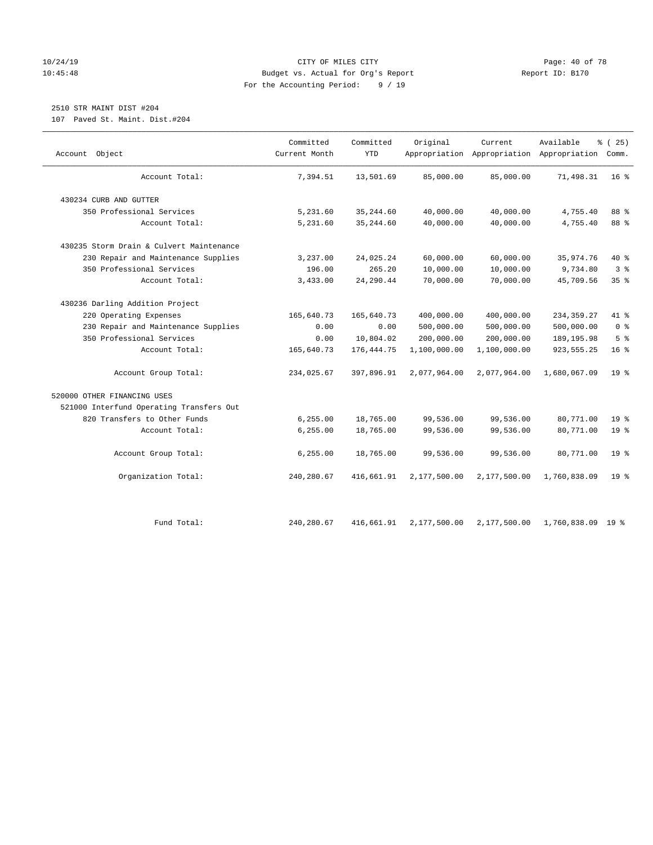# 10/24/19 **Page: 40 of 78** CITY OF MILES CITY **Page: 40 of 78** 10:45:48 Budget vs. Actual for Org's Report Report ID: B170 For the Accounting Period: 9 / 19

# 2510 STR MAINT DIST #204

107 Paved St. Maint. Dist.#204

| Object<br>Account                        | Committed<br>Current Month | Committed<br><b>YTD</b> | Original     | Current<br>Appropriation Appropriation Appropriation Comm. | Available    | % (25)          |
|------------------------------------------|----------------------------|-------------------------|--------------|------------------------------------------------------------|--------------|-----------------|
| Account Total:                           | 7,394.51                   | 13,501.69               | 85,000.00    | 85,000.00                                                  | 71,498.31    | 16 <sup>8</sup> |
| 430234 CURB AND GUTTER                   |                            |                         |              |                                                            |              |                 |
| 350 Professional Services                | 5,231.60                   | 35, 244.60              | 40,000.00    | 40,000.00                                                  | 4,755.40     | 88 %            |
| Account Total:                           | 5,231.60                   | 35, 244.60              | 40,000.00    | 40,000.00                                                  | 4,755.40     | 88 %            |
| 430235 Storm Drain & Culvert Maintenance |                            |                         |              |                                                            |              |                 |
| 230 Repair and Maintenance Supplies      | 3,237.00                   | 24,025.24               | 60,000.00    | 60,000.00                                                  | 35,974.76    | 40 %            |
| 350 Professional Services                | 196.00                     | 265.20                  | 10,000.00    | 10,000.00                                                  | 9,734.80     | 3 <sup>°</sup>  |
| Account Total:                           | 3,433.00                   | 24,290.44               | 70,000.00    | 70,000.00                                                  | 45,709.56    | 35%             |
| 430236 Darling Addition Project          |                            |                         |              |                                                            |              |                 |
| 220 Operating Expenses                   | 165,640.73                 | 165,640.73              | 400,000.00   | 400,000.00                                                 | 234, 359.27  | 41 %            |
| 230 Repair and Maintenance Supplies      | 0.00                       | 0.00                    | 500,000.00   | 500,000.00                                                 | 500,000.00   | 0 <sup>8</sup>  |
| 350 Professional Services                | 0.00                       | 10,804.02               | 200,000.00   | 200,000.00                                                 | 189, 195.98  | 5 <sup>°</sup>  |
| Account Total:                           | 165,640.73                 | 176, 444.75             | 1,100,000.00 | 1,100,000.00                                               | 923, 555.25  | 16 <sup>°</sup> |
| Account Group Total:                     | 234,025.67                 | 397,896.91              | 2,077,964.00 | 2,077,964.00                                               | 1,680,067.09 | 19 <sup>8</sup> |
| 520000 OTHER FINANCING USES              |                            |                         |              |                                                            |              |                 |
| 521000 Interfund Operating Transfers Out |                            |                         |              |                                                            |              |                 |
| 820 Transfers to Other Funds             | 6,255.00                   | 18,765.00               | 99,536.00    | 99,536.00                                                  | 80,771.00    | 19 <sup>°</sup> |
| Account Total:                           | 6,255.00                   | 18,765.00               | 99,536.00    | 99,536.00                                                  | 80,771.00    | 19 <sup>°</sup> |
| Account Group Total:                     | 6,255.00                   | 18,765.00               | 99,536.00    | 99,536.00                                                  | 80,771.00    | 19 <sup>8</sup> |
| Organization Total:                      | 240,280.67                 | 416,661.91              | 2,177,500.00 | 2,177,500.00                                               | 1,760,838.09 | 19 <sup>°</sup> |
| Fund Total:                              | 240, 280.67                | 416,661.91              | 2,177,500.00 | 2,177,500.00                                               | 1,760,838.09 | 19 %            |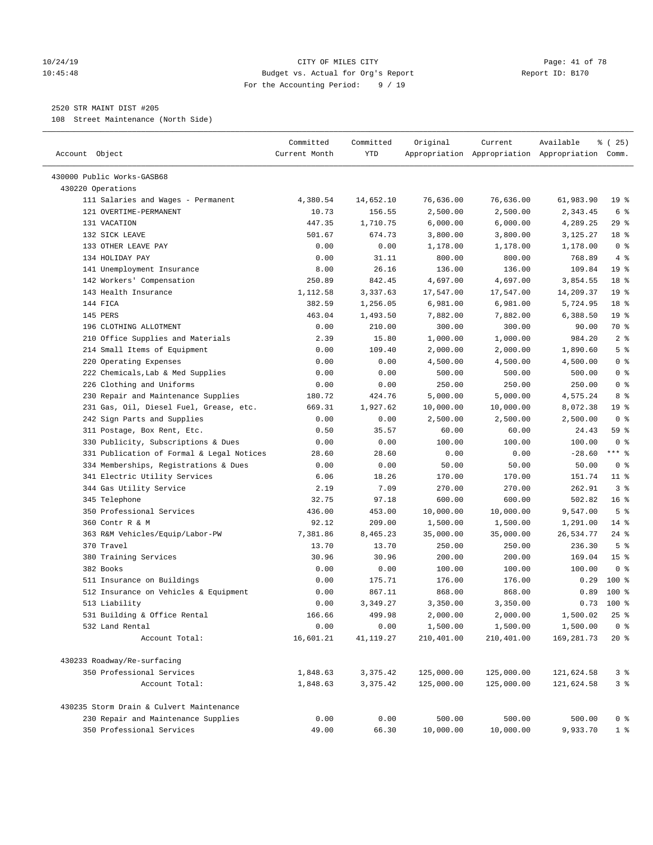#### 10/24/19 **Page: 41 of 78** CITY OF MILES CITY **Page: 41 of 78** 10:45:48 Budget vs. Actual for Org's Report Report ID: B170 For the Accounting Period: 9 / 19

————————————————————————————————————————————————————————————————————————————————————————————————————————————————————————————————————

# 2520 STR MAINT DIST #205

108 Street Maintenance (North Side)

|                                           | Committed     | Committed | Original   | Current    | Available                                       | % (25)          |
|-------------------------------------------|---------------|-----------|------------|------------|-------------------------------------------------|-----------------|
| Account Object                            | Current Month | YTD       |            |            | Appropriation Appropriation Appropriation Comm. |                 |
| 430000 Public Works-GASB68                |               |           |            |            |                                                 |                 |
| 430220 Operations                         |               |           |            |            |                                                 |                 |
| 111 Salaries and Wages - Permanent        | 4,380.54      | 14,652.10 | 76,636.00  | 76,636.00  | 61,983.90                                       | $19*$           |
| 121 OVERTIME-PERMANENT                    | 10.73         | 156.55    | 2,500.00   | 2,500.00   | 2,343.45                                        | 6 %             |
| 131 VACATION                              | 447.35        | 1,710.75  | 6,000.00   | 6,000.00   | 4,289.25                                        | $29$ %          |
| 132 SICK LEAVE                            | 501.67        | 674.73    | 3,800.00   | 3,800.00   | 3,125.27                                        | 18 %            |
| 133 OTHER LEAVE PAY                       | 0.00          | 0.00      | 1,178.00   | 1,178.00   | 1,178.00                                        | 0 <sup>8</sup>  |
| 134 HOLIDAY PAY                           | 0.00          | 31.11     | 800.00     | 800.00     | 768.89                                          | 4%              |
| 141 Unemployment Insurance                | 8.00          | 26.16     | 136.00     | 136.00     | 109.84                                          | 19 <sup>°</sup> |
| 142 Workers' Compensation                 | 250.89        | 842.45    | 4,697.00   | 4,697.00   | 3,854.55                                        | 18 %            |
| 143 Health Insurance                      | 1,112.58      | 3,337.63  | 17,547.00  | 17,547.00  | 14,209.37                                       | 19 <sup>°</sup> |
| 144 FICA                                  | 382.59        | 1,256.05  | 6,981.00   | 6,981.00   | 5,724.95                                        | 18 %            |
| 145 PERS                                  | 463.04        | 1,493.50  | 7,882.00   | 7,882.00   | 6,388.50                                        | 19 <sup>°</sup> |
| 196 CLOTHING ALLOTMENT                    | 0.00          | 210.00    | 300.00     | 300.00     | 90.00                                           | 70 %            |
| 210 Office Supplies and Materials         | 2.39          | 15.80     | 1,000.00   | 1,000.00   | 984.20                                          | 2 <sup>8</sup>  |
| 214 Small Items of Equipment              | 0.00          | 109.40    | 2,000.00   | 2,000.00   | 1,890.60                                        | 5 <sup>°</sup>  |
| 220 Operating Expenses                    | 0.00          | 0.00      | 4,500.00   | 4,500.00   | 4,500.00                                        | 0 <sup>8</sup>  |
| 222 Chemicals, Lab & Med Supplies         | 0.00          | 0.00      | 500.00     | 500.00     | 500.00                                          | 0 <sup>8</sup>  |
| 226 Clothing and Uniforms                 | 0.00          | 0.00      | 250.00     | 250.00     | 250.00                                          | 0 <sup>8</sup>  |
| 230 Repair and Maintenance Supplies       | 180.72        | 424.76    | 5,000.00   | 5,000.00   | 4,575.24                                        | 8 %             |
| 231 Gas, Oil, Diesel Fuel, Grease, etc.   | 669.31        | 1,927.62  | 10,000.00  | 10,000.00  | 8,072.38                                        | 19 <sup>°</sup> |
| 242 Sign Parts and Supplies               | 0.00          | 0.00      | 2,500.00   | 2,500.00   | 2,500.00                                        | 0 <sup>8</sup>  |
| 311 Postage, Box Rent, Etc.               | 0.50          | 35.57     | 60.00      | 60.00      | 24.43                                           | 59 %            |
| 330 Publicity, Subscriptions & Dues       | 0.00          | 0.00      | 100.00     | 100.00     | 100.00                                          | 0 <sup>8</sup>  |
| 331 Publication of Formal & Legal Notices | 28.60         | 28.60     | 0.00       | 0.00       | $-28.60$                                        | $***$ $%$       |
| 334 Memberships, Registrations & Dues     | 0.00          | 0.00      | 50.00      | 50.00      | 50.00                                           | 0 <sup>8</sup>  |
| 341 Electric Utility Services             | 6.06          | 18.26     | 170.00     | 170.00     | 151.74                                          | $11$ %          |
| 344 Gas Utility Service                   | 2.19          | 7.09      | 270.00     | 270.00     | 262.91                                          | 3%              |
| 345 Telephone                             | 32.75         | 97.18     | 600.00     | 600.00     | 502.82                                          | 16 <sup>°</sup> |
| 350 Professional Services                 | 436.00        | 453.00    | 10,000.00  | 10,000.00  | 9,547.00                                        | 5 <sup>°</sup>  |
| 360 Contr R & M                           | 92.12         | 209.00    | 1,500.00   | 1,500.00   | 1,291.00                                        | $14*$           |
| 363 R&M Vehicles/Equip/Labor-PW           | 7,381.86      | 8,465.23  | 35,000.00  | 35,000.00  | 26,534.77                                       | $24$ %          |
| 370 Travel                                | 13.70         | 13.70     | 250.00     | 250.00     | 236.30                                          | 5 <sup>8</sup>  |
| 380 Training Services                     | 30.96         | 30.96     | 200.00     | 200.00     | 169.04                                          | 15 <sup>°</sup> |
| 382 Books                                 | 0.00          | 0.00      | 100.00     | 100.00     | 100.00                                          | 0 <sup>8</sup>  |
| 511 Insurance on Buildings                | 0.00          | 175.71    | 176.00     | 176.00     | 0.29                                            | $100$ %         |
| 512 Insurance on Vehicles & Equipment     | 0.00          | 867.11    | 868.00     | 868.00     | 0.89                                            | $100*$          |
| 513 Liability                             | 0.00          | 3,349.27  | 3,350.00   | 3,350.00   | 0.73                                            | 100 %           |
| 531 Building & Office Rental              | 166.66        | 499.98    | 2,000.00   | 2,000.00   | 1,500.02                                        | $25$ %          |
| 532 Land Rental                           | 0.00          | 0.00      | 1,500.00   | 1,500.00   | 1,500.00                                        | 0 <sup>8</sup>  |
| Account Total:                            | 16,601.21     | 41,119.27 | 210,401.00 | 210,401.00 | 169,281.73                                      | $20*$           |
| 430233 Roadway/Re-surfacing               |               |           |            |            |                                                 |                 |
| 350 Professional Services                 | 1,848.63      | 3,375.42  | 125,000.00 | 125,000.00 | 121,624.58                                      | 3%              |
| Account Total:                            | 1,848.63      | 3,375.42  | 125,000.00 | 125,000.00 | 121,624.58                                      | 3 <sup>°</sup>  |
| 430235 Storm Drain & Culvert Maintenance  |               |           |            |            |                                                 |                 |
| 230 Repair and Maintenance Supplies       | 0.00          | 0.00      | 500.00     | 500.00     | 500.00                                          | 0 <sup>8</sup>  |
| 350 Professional Services                 | 49.00         | 66.30     | 10,000.00  | 10,000.00  | 9,933.70                                        | 1 <sup>°</sup>  |
|                                           |               |           |            |            |                                                 |                 |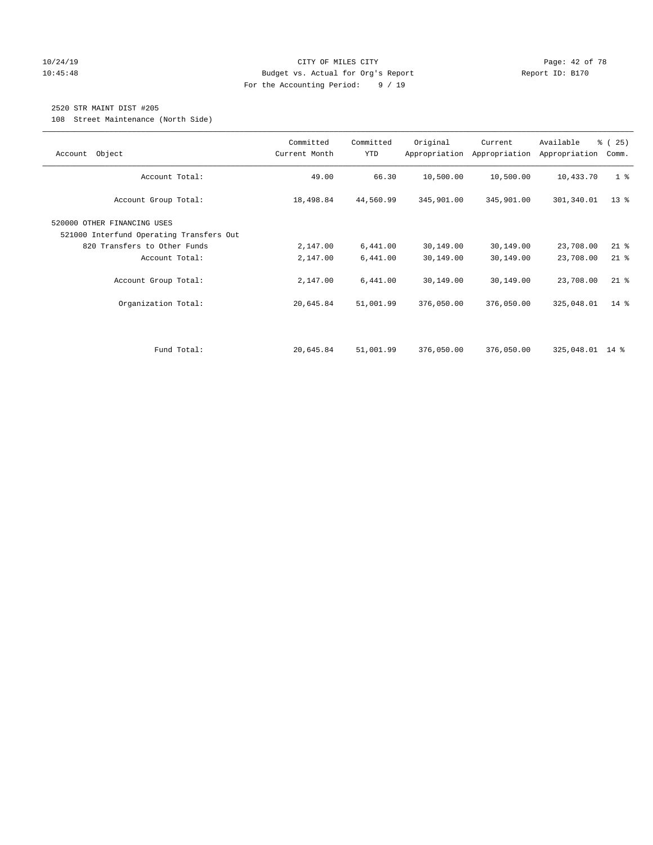# 10/24/19 **Page: 42 of 78** CITY OF MILES CITY **Page: 42 of 78** 10:45:48 Budget vs. Actual for Org's Report Report ID: B170 For the Accounting Period: 9 / 19

# 2520 STR MAINT DIST #205

108 Street Maintenance (North Side)

| Object<br>Account                                                                                       | Committed<br>Current Month | Committed<br>YTD | Original   | Current<br>Appropriation Appropriation | Available<br>Appropriation | % (25)<br>Comm. |
|---------------------------------------------------------------------------------------------------------|----------------------------|------------------|------------|----------------------------------------|----------------------------|-----------------|
| Account Total:                                                                                          | 49.00                      | 66.30            | 10,500.00  | 10,500.00                              | 10,433.70                  | 1 <sup>°</sup>  |
| Account Group Total:                                                                                    | 18,498.84                  | 44,560.99        | 345,901.00 | 345,901.00                             | 301,340.01                 | $13*$           |
| 520000 OTHER FINANCING USES<br>521000 Interfund Operating Transfers Out<br>820 Transfers to Other Funds | 2,147.00                   | 6,441.00         | 30,149.00  | 30,149.00                              | 23,708.00                  | $21$ %          |
| Account Total:                                                                                          | 2,147.00                   | 6,441.00         | 30,149.00  | 30,149.00                              | 23,708.00                  | $21$ %          |
| Account Group Total:                                                                                    | 2,147.00                   | 6,441.00         | 30,149.00  | 30,149.00                              | 23,708.00                  | $21$ %          |
| Organization Total:                                                                                     | 20,645.84                  | 51,001.99        | 376,050.00 | 376,050.00                             | 325,048.01                 | $14*$           |
|                                                                                                         |                            |                  |            |                                        |                            |                 |
| Fund Total:                                                                                             | 20,645.84                  | 51,001.99        | 376,050.00 | 376,050.00                             | 325,048.01 14 %            |                 |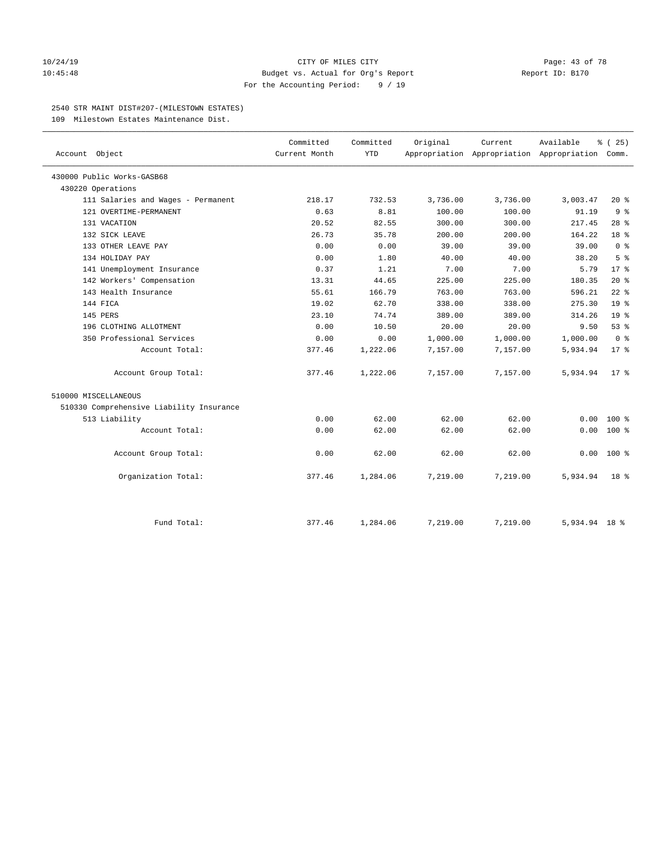#### 10/24/19 **Page: 43 of 78** CITY OF MILES CITY **Page: 43 of 78** 10:45:48 Budget vs. Actual for Org's Report Report ID: B170 For the Accounting Period: 9 / 19

#### 2540 STR MAINT DIST#207-(MILESTOWN ESTATES)

109 Milestown Estates Maintenance Dist.

|                                          | Committed     | Committed  | Original | Current                                         | Available     | % (25)          |
|------------------------------------------|---------------|------------|----------|-------------------------------------------------|---------------|-----------------|
| Account Object                           | Current Month | <b>YTD</b> |          | Appropriation Appropriation Appropriation Comm. |               |                 |
| 430000 Public Works-GASB68               |               |            |          |                                                 |               |                 |
| 430220 Operations                        |               |            |          |                                                 |               |                 |
| 111 Salaries and Wages - Permanent       | 218.17        | 732.53     | 3,736.00 | 3,736.00                                        | 3,003.47      | $20*$           |
| 121 OVERTIME-PERMANENT                   | 0.63          | 8.81       | 100.00   | 100.00                                          | 91.19         | 9 <sup>°</sup>  |
| 131 VACATION                             | 20.52         | 82.55      | 300.00   | 300.00                                          | 217.45        | $28$ %          |
| 132 SICK LEAVE                           | 26.73         | 35.78      | 200.00   | 200.00                                          | 164.22        | 18 %            |
| 133 OTHER LEAVE PAY                      | 0.00          | 0.00       | 39.00    | 39.00                                           | 39.00         | 0 <sup>8</sup>  |
| 134 HOLIDAY PAY                          | 0.00          | 1.80       | 40.00    | 40.00                                           | 38.20         | 5 <sup>8</sup>  |
| 141 Unemployment Insurance               | 0.37          | 1.21       | 7.00     | 7.00                                            | 5.79          | $17*$           |
| 142 Workers' Compensation                | 13.31         | 44.65      | 225.00   | 225.00                                          | 180.35        | $20*$           |
| 143 Health Insurance                     | 55.61         | 166.79     | 763.00   | 763.00                                          | 596.21        | $22$ %          |
| 144 FICA                                 | 19.02         | 62.70      | 338.00   | 338.00                                          | 275.30        | 19 <sup>°</sup> |
| 145 PERS                                 | 23.10         | 74.74      | 389.00   | 389.00                                          | 314.26        | 19 <sup>°</sup> |
| 196 CLOTHING ALLOTMENT                   | 0.00          | 10.50      | 20.00    | 20.00                                           | 9.50          | 53%             |
| 350 Professional Services                | 0.00          | 0.00       | 1,000.00 | 1,000.00                                        | 1,000.00      | 0 <sup>8</sup>  |
| Account Total:                           | 377.46        | 1,222.06   | 7,157.00 | 7,157.00                                        | 5,934.94      | $17*$           |
| Account Group Total:                     | 377.46        | 1,222.06   | 7,157.00 | 7,157.00                                        | 5,934.94      | $17*$           |
| 510000 MISCELLANEOUS                     |               |            |          |                                                 |               |                 |
| 510330 Comprehensive Liability Insurance |               |            |          |                                                 |               |                 |
| 513 Liability                            | 0.00          | 62.00      | 62.00    | 62.00                                           | 0.00          | $100*$          |
| Account Total:                           | 0.00          | 62.00      | 62.00    | 62.00                                           | 0.00          | $100*$          |
| Account Group Total:                     | 0.00          | 62.00      | 62.00    | 62.00                                           | 0.00          | $100*$          |
| Organization Total:                      | 377.46        | 1,284.06   | 7,219.00 | 7,219.00                                        | 5,934.94      | 18 <sup>8</sup> |
|                                          |               |            |          |                                                 |               |                 |
| Fund Total:                              | 377.46        | 1,284.06   | 7,219.00 | 7,219.00                                        | 5,934.94 18 % |                 |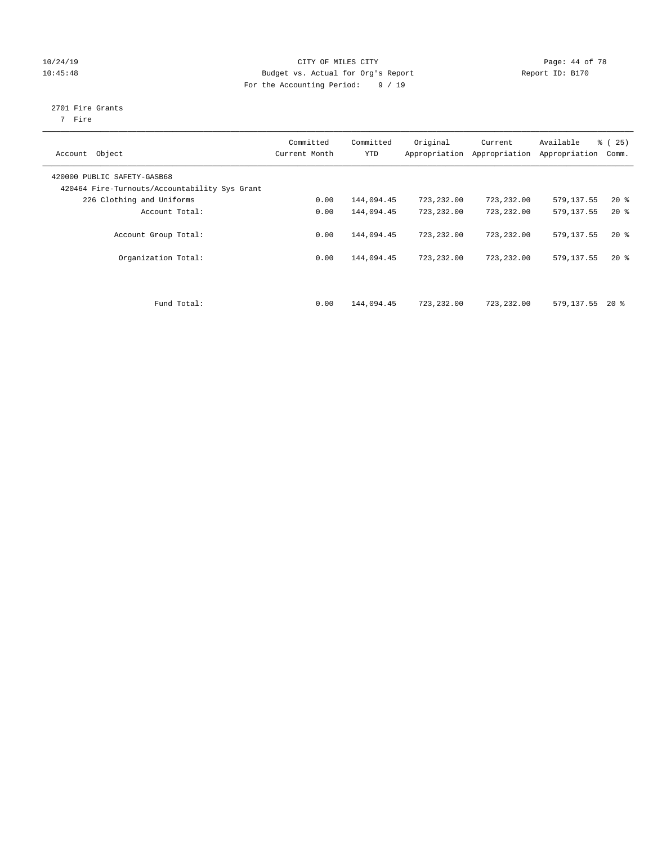# 10/24/19 **Page: 44 of 78** CITY OF MILES CITY 10:45:48 Budget vs. Actual for Org's Report Report ID: B170 For the Accounting Period: 9 / 19

# 2701 Fire Grants

7 Fire

| Object<br>Account                                                            | Committed<br>Current Month | Committed<br><b>YTD</b> | Original   | Current<br>Appropriation Appropriation | Available<br>Appropriation | % (25)<br>Comm. |
|------------------------------------------------------------------------------|----------------------------|-------------------------|------------|----------------------------------------|----------------------------|-----------------|
| 420000 PUBLIC SAFETY-GASB68<br>420464 Fire-Turnouts/Accountability Sys Grant |                            |                         |            |                                        |                            |                 |
| 226 Clothing and Uniforms                                                    | 0.00                       | 144,094.45              | 723,232.00 | 723,232.00                             | 579, 137.55                | $20*$           |
| Account Total:                                                               | 0.00                       | 144,094.45              | 723,232.00 | 723,232.00                             | 579,137.55                 | $20*$           |
| Account Group Total:                                                         | 0.00                       | 144,094.45              | 723,232.00 | 723,232.00                             | 579,137.55                 | $20*$           |
| Organization Total:                                                          | 0.00                       | 144,094.45              | 723,232.00 | 723,232.00                             | 579,137.55                 | $20*$           |
| Fund Total:                                                                  | 0.00                       | 144,094.45              | 723,232.00 | 723,232.00                             | 579,137.55                 | $20*$           |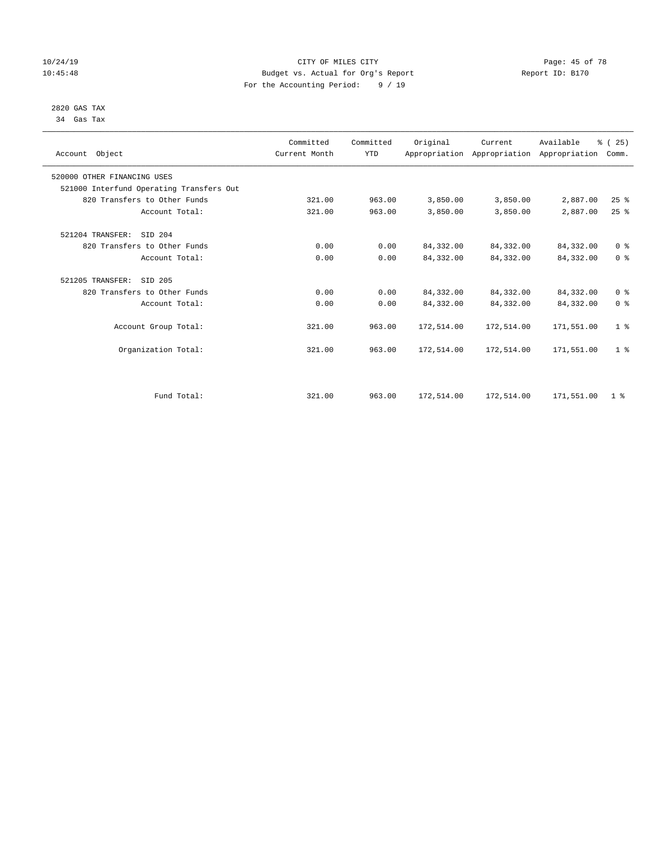# 10/24/19 **Page: 45 of 78** CITY OF MILES CITY **CITY** Page: 45 of 78 10:45:48 Budget vs. Actual for Org's Report Report ID: B170 For the Accounting Period: 9 / 19

#### 2820 GAS TAX 34 Gas Tax

| Account Object                           | Committed<br>Current Month | Committed<br><b>YTD</b> | Original   | Current<br>Appropriation Appropriation Appropriation | Available  | % (25)<br>Comm. |
|------------------------------------------|----------------------------|-------------------------|------------|------------------------------------------------------|------------|-----------------|
| 520000 OTHER FINANCING USES              |                            |                         |            |                                                      |            |                 |
| 521000 Interfund Operating Transfers Out |                            |                         |            |                                                      |            |                 |
| 820 Transfers to Other Funds             | 321.00                     | 963.00                  | 3,850.00   | 3,850.00                                             | 2,887.00   | 25%             |
| Account Total:                           | 321.00                     | 963.00                  | 3,850.00   | 3,850.00                                             | 2,887.00   | 25%             |
| 521204 TRANSFER:<br>SID 204              |                            |                         |            |                                                      |            |                 |
| 820 Transfers to Other Funds             | 0.00                       | 0.00                    | 84, 332.00 | 84, 332.00                                           | 84,332.00  | 0 <sup>8</sup>  |
| Account Total:                           | 0.00                       | 0.00                    | 84, 332.00 | 84,332.00                                            | 84, 332.00 | 0 <sup>8</sup>  |
| 521205 TRANSFER:<br>SID 205              |                            |                         |            |                                                      |            |                 |
| 820 Transfers to Other Funds             | 0.00                       | 0.00                    | 84, 332.00 | 84,332.00                                            | 84,332.00  | 0 <sup>8</sup>  |
| Account Total:                           | 0.00                       | 0.00                    | 84, 332.00 | 84,332.00                                            | 84,332.00  | 0 <sup>8</sup>  |
| Account Group Total:                     | 321.00                     | 963.00                  | 172,514.00 | 172,514.00                                           | 171,551.00 | 1 <sup>8</sup>  |
| Organization Total:                      | 321.00                     | 963.00                  | 172,514.00 | 172,514.00                                           | 171,551.00 | 1 <sup>8</sup>  |
|                                          |                            |                         |            |                                                      |            |                 |
| Fund Total:                              | 321.00                     | 963.00                  | 172,514.00 | 172,514.00                                           | 171,551.00 | 1 <sup>8</sup>  |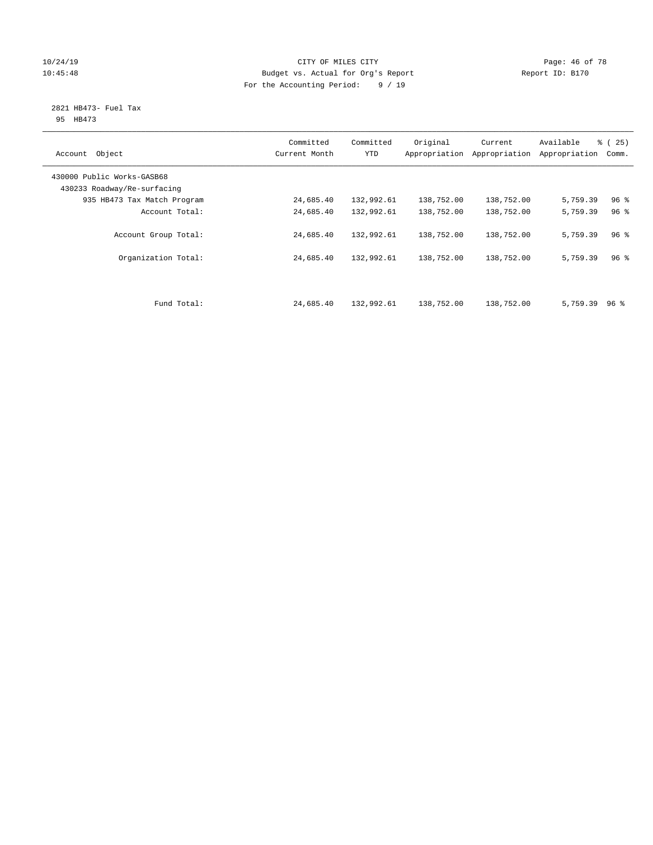# 10/24/19 **Page: 46 of 78** CITY OF MILES CITY **Page: 46 of 78** 10:45:48 Budget vs. Actual for Org's Report Report ID: B170 For the Accounting Period: 9 / 19

#### 2821 HB473- Fuel Tax 95 HB473

| Object<br>Account                                         | Committed<br>Current Month | Committed<br><b>YTD</b> | Original   | Current<br>Appropriation Appropriation | Available<br>Appropriation | % (25)<br>Comm. |
|-----------------------------------------------------------|----------------------------|-------------------------|------------|----------------------------------------|----------------------------|-----------------|
| 430000 Public Works-GASB68<br>430233 Roadway/Re-surfacing |                            |                         |            |                                        |                            |                 |
| 935 HB473 Tax Match Program                               | 24,685.40                  | 132,992.61              | 138,752.00 | 138,752.00                             | 5,759.39                   | 96 <sup>8</sup> |
| Account Total:                                            | 24,685.40                  | 132,992.61              | 138,752.00 | 138,752.00                             | 5,759.39                   | 96 <sup>°</sup> |
| Account Group Total:                                      | 24,685.40                  | 132,992.61              | 138,752.00 | 138,752.00                             | 5,759.39                   | 96 <sup>8</sup> |
| Organization Total:                                       | 24,685.40                  | 132,992.61              | 138,752.00 | 138,752.00                             | 5,759.39                   | 96 <sup>8</sup> |
| Fund Total:                                               | 24,685.40                  | 132,992.61              | 138,752.00 | 138,752.00                             | 5,759.39                   | 96 %            |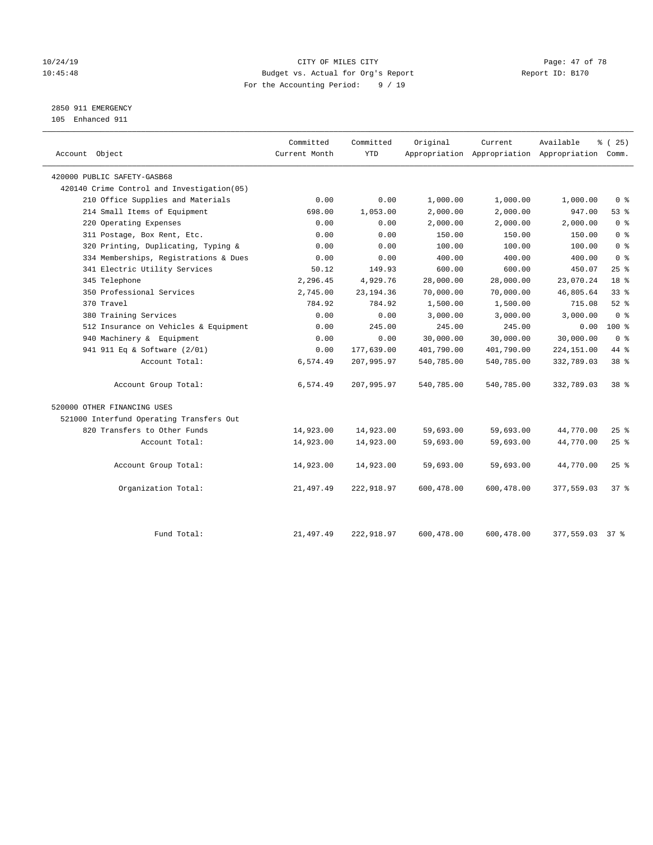# 10/24/19 **Page: 47 of 78** CITY OF MILES CITY **Page: 47 of 78** 10:45:48 Budget vs. Actual for Org's Report Report ID: B170 For the Accounting Period: 9 / 19

2850 911 EMERGENCY

105 Enhanced 911

| Account Object                              | Committed<br>Current Month | Committed<br><b>YTD</b> | Original   | Current    | Available<br>Appropriation Appropriation Appropriation Comm. | 8 (25)          |
|---------------------------------------------|----------------------------|-------------------------|------------|------------|--------------------------------------------------------------|-----------------|
| 420000 PUBLIC SAFETY-GASB68                 |                            |                         |            |            |                                                              |                 |
| 420140 Crime Control and Investigation (05) |                            |                         |            |            |                                                              |                 |
| 210 Office Supplies and Materials           | 0.00                       | 0.00                    | 1,000.00   | 1,000.00   | 1,000.00                                                     | 0 <sup>8</sup>  |
| 214 Small Items of Equipment                | 698.00                     | 1,053.00                | 2,000.00   | 2,000.00   | 947.00                                                       | 53%             |
| 220 Operating Expenses                      | 0.00                       | 0.00                    | 2,000.00   | 2,000.00   | 2,000.00                                                     | 0 <sup>8</sup>  |
| 311 Postage, Box Rent, Etc.                 | 0.00                       | 0.00                    | 150.00     | 150.00     | 150.00                                                       | 0 <sup>8</sup>  |
| 320 Printing, Duplicating, Typing &         | 0.00                       | 0.00                    | 100.00     | 100.00     | 100.00                                                       | 0 <sup>8</sup>  |
| 334 Memberships, Registrations & Dues       | 0.00                       | 0.00                    | 400.00     | 400.00     | 400.00                                                       | 0 <sup>8</sup>  |
| 341 Electric Utility Services               | 50.12                      | 149.93                  | 600.00     | 600.00     | 450.07                                                       | 25%             |
| 345 Telephone                               | 2,296.45                   | 4,929.76                | 28,000.00  | 28,000.00  | 23,070.24                                                    | 18 %            |
| 350 Professional Services                   | 2,745.00                   | 23, 194. 36             | 70,000.00  | 70,000.00  | 46,805.64                                                    | $33$ $%$        |
| 370 Travel                                  | 784.92                     | 784.92                  | 1,500.00   | 1,500.00   | 715.08                                                       | $52$ $%$        |
| 380 Training Services                       | 0.00                       | 0.00                    | 3,000.00   | 3,000.00   | 3,000.00                                                     | 0 <sup>8</sup>  |
| 512 Insurance on Vehicles & Equipment       | 0.00                       | 245.00                  | 245.00     | 245.00     | 0.00                                                         | $100*$          |
| 940 Machinery & Equipment                   | 0.00                       | 0.00                    | 30,000.00  | 30,000.00  | 30,000.00                                                    | 0 <sup>8</sup>  |
| 941 911 Eq & Software (2/01)                | 0.00                       | 177,639.00              | 401,790.00 | 401,790.00 | 224,151.00                                                   | 44 %            |
| Account Total:                              | 6,574.49                   | 207,995.97              | 540,785.00 | 540,785.00 | 332,789.03                                                   | 38 <sup>8</sup> |
| Account Group Total:                        | 6,574.49                   | 207,995.97              | 540,785.00 | 540,785.00 | 332,789.03                                                   | 38 <sup>8</sup> |
| 520000 OTHER FINANCING USES                 |                            |                         |            |            |                                                              |                 |
| 521000 Interfund Operating Transfers Out    |                            |                         |            |            |                                                              |                 |
| 820 Transfers to Other Funds                | 14,923.00                  | 14,923.00               | 59,693.00  | 59,693.00  | 44,770.00                                                    | $25$ %          |
| Account Total:                              | 14,923.00                  | 14,923.00               | 59,693.00  | 59,693.00  | 44,770.00                                                    | $25$ $%$        |
| Account Group Total:                        | 14,923.00                  | 14,923.00               | 59,693.00  | 59,693.00  | 44,770.00                                                    | $25$ %          |
| Organization Total:                         | 21,497.49                  | 222,918.97              | 600,478.00 | 600,478.00 | 377,559.03                                                   | 378             |
| Fund Total:                                 | 21,497.49                  | 222,918.97              | 600,478.00 | 600,478.00 | 377,559.03 37 %                                              |                 |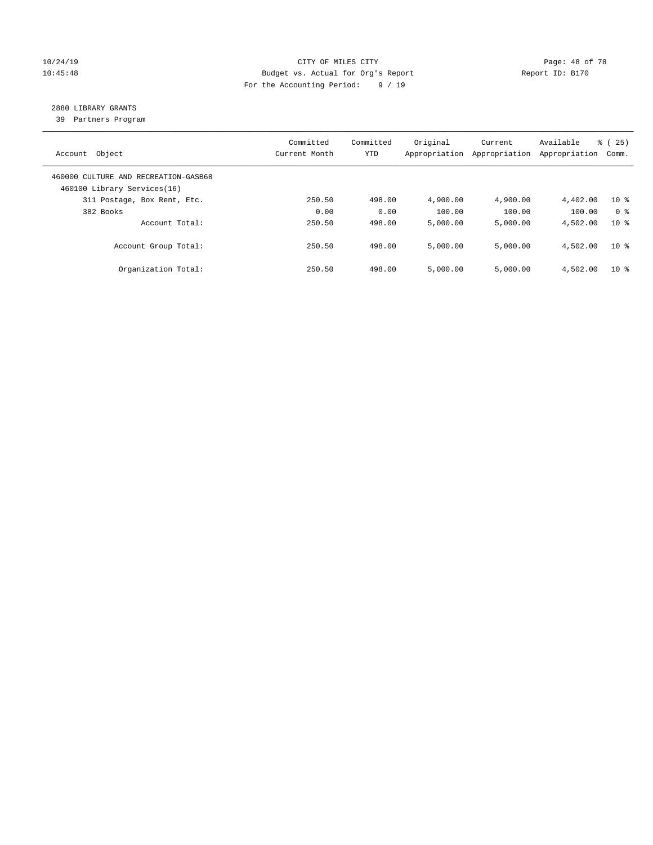# 10/24/19 **Page: 48 of 78** CITY OF MILES CITY **Page: 48 of 78** 10:45:48 Budget vs. Actual for Org's Report Report ID: B170 For the Accounting Period: 9 / 19

# 2880 LIBRARY GRANTS

39 Partners Program

| Object<br>Account                                                   | Committed<br>Current Month | Committed<br><b>YTD</b> | Original<br>Appropriation | Current<br>Appropriation | Available<br>Appropriation | % (25)<br>Comm. |
|---------------------------------------------------------------------|----------------------------|-------------------------|---------------------------|--------------------------|----------------------------|-----------------|
| 460000 CULTURE AND RECREATION-GASB68<br>460100 Library Services(16) |                            |                         |                           |                          |                            |                 |
| 311 Postage, Box Rent, Etc.                                         | 250.50                     | 498.00                  | 4,900.00                  | 4,900.00                 | 4,402.00                   | $10*$           |
| 382 Books                                                           | 0.00                       | 0.00                    | 100.00                    | 100.00                   | 100.00                     | 0 <sup>8</sup>  |
| Account Total:                                                      | 250.50                     | 498.00                  | 5,000.00                  | 5,000.00                 | 4,502.00                   | $10*$           |
| Account Group Total:                                                | 250.50                     | 498.00                  | 5.000.00                  | 5.000.00                 | 4,502.00                   | 10 <sup>8</sup> |
| Organization Total:                                                 | 250.50                     | 498.00                  | 5.000.00                  | 5,000.00                 | 4,502.00                   | $10*$           |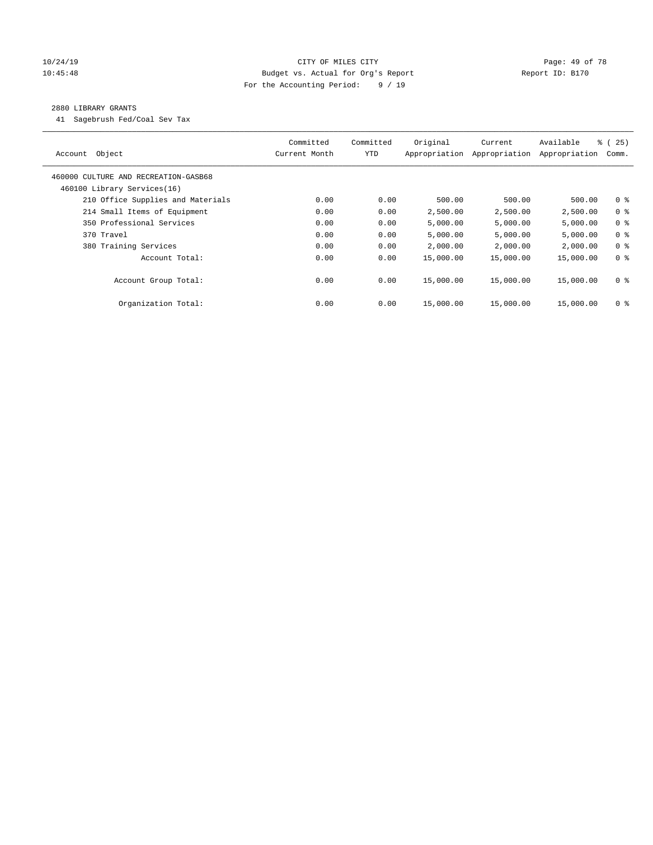# 10/24/19 **Page: 49 of 78** CITY OF MILES CITY **Page: 49 of 78** 10:45:48 Budget vs. Actual for Org's Report Report ID: B170 For the Accounting Period: 9 / 19

#### 2880 LIBRARY GRANTS

41 Sagebrush Fed/Coal Sev Tax

| Object<br>Account                    | Committed<br>Current Month | Committed<br><b>YTD</b> | Original<br>Appropriation | Current<br>Appropriation | Available<br>Appropriation | % (25)<br>Comm. |
|--------------------------------------|----------------------------|-------------------------|---------------------------|--------------------------|----------------------------|-----------------|
| 460000 CULTURE AND RECREATION-GASB68 |                            |                         |                           |                          |                            |                 |
| 460100 Library Services(16)          |                            |                         |                           |                          |                            |                 |
| 210 Office Supplies and Materials    | 0.00                       | 0.00                    | 500.00                    | 500.00                   | 500.00                     | 0 <sub>8</sub>  |
| 214 Small Items of Equipment         | 0.00                       | 0.00                    | 2,500.00                  | 2,500.00                 | 2,500.00                   | 0 <sup>8</sup>  |
| 350 Professional Services            | 0.00                       | 0.00                    | 5,000.00                  | 5,000.00                 | 5,000.00                   | 0 <sup>8</sup>  |
| 370 Travel                           | 0.00                       | 0.00                    | 5,000.00                  | 5,000.00                 | 5,000.00                   | 0 <sup>8</sup>  |
| 380 Training Services                | 0.00                       | 0.00                    | 2,000.00                  | 2,000.00                 | 2,000.00                   | 0 <sup>8</sup>  |
| Account Total:                       | 0.00                       | 0.00                    | 15,000.00                 | 15,000.00                | 15,000.00                  | 0 <sup>8</sup>  |
| Account Group Total:                 | 0.00                       | 0.00                    | 15,000.00                 | 15,000.00                | 15,000.00                  | 0 <sup>8</sup>  |
| Organization Total:                  | 0.00                       | 0.00                    | 15,000.00                 | 15,000.00                | 15,000.00                  | 0 %             |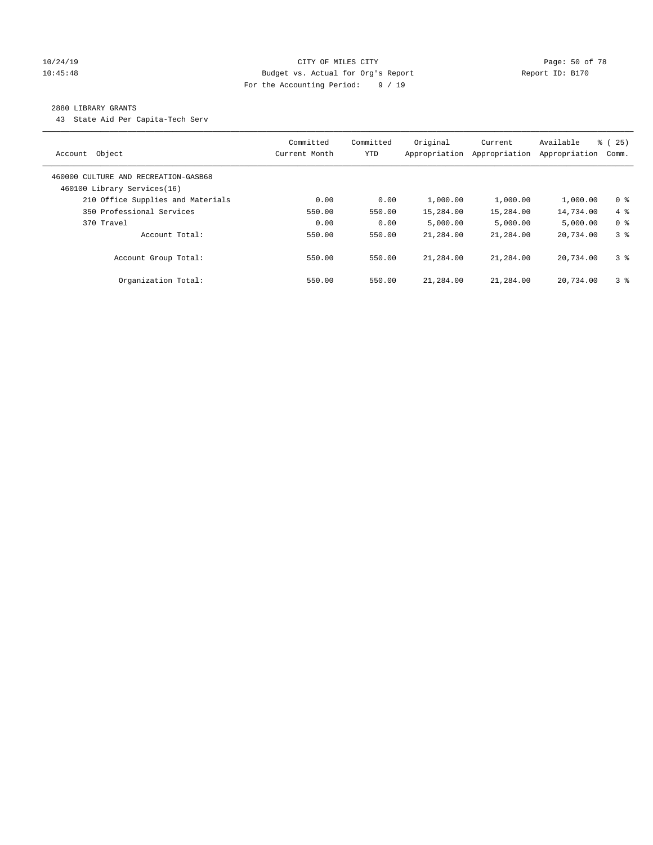# 10/24/19 **Page: 50 of 78** CITY OF MILES CITY **CITY Page: 50 of 78** 10:45:48 Budget vs. Actual for Org's Report Report ID: B170 For the Accounting Period: 9 / 19

#### 2880 LIBRARY GRANTS

43 State Aid Per Capita-Tech Serv

| Object<br>Account                                                   | Committed<br>Current Month | Committed<br>YTD | Original<br>Appropriation | Current<br>Appropriation | Available<br>Appropriation | 8 (25)<br>Comm. |
|---------------------------------------------------------------------|----------------------------|------------------|---------------------------|--------------------------|----------------------------|-----------------|
| 460000 CULTURE AND RECREATION-GASB68<br>460100 Library Services(16) |                            |                  |                           |                          |                            |                 |
| 210 Office Supplies and Materials                                   | 0.00                       | 0.00             | 1,000.00                  | 1,000.00                 | 1,000.00                   | 0 <sup>8</sup>  |
| 350 Professional Services                                           | 550.00                     | 550.00           | 15,284.00                 | 15,284.00                | 14,734.00                  | $4\degree$      |
| 370 Travel                                                          | 0.00                       | 0.00             | 5.000.00                  | 5,000.00                 | 5,000.00                   | 0 <sup>8</sup>  |
| Account Total:                                                      | 550.00                     | 550.00           | 21,284.00                 | 21,284.00                | 20,734.00                  | 3 <sup>8</sup>  |
| Account Group Total:                                                | 550.00                     | 550.00           | 21,284.00                 | 21,284.00                | 20,734.00                  | 3 <sup>8</sup>  |
| Organization Total:                                                 | 550.00                     | 550.00           | 21,284.00                 | 21,284.00                | 20,734.00                  | 3 <sup>8</sup>  |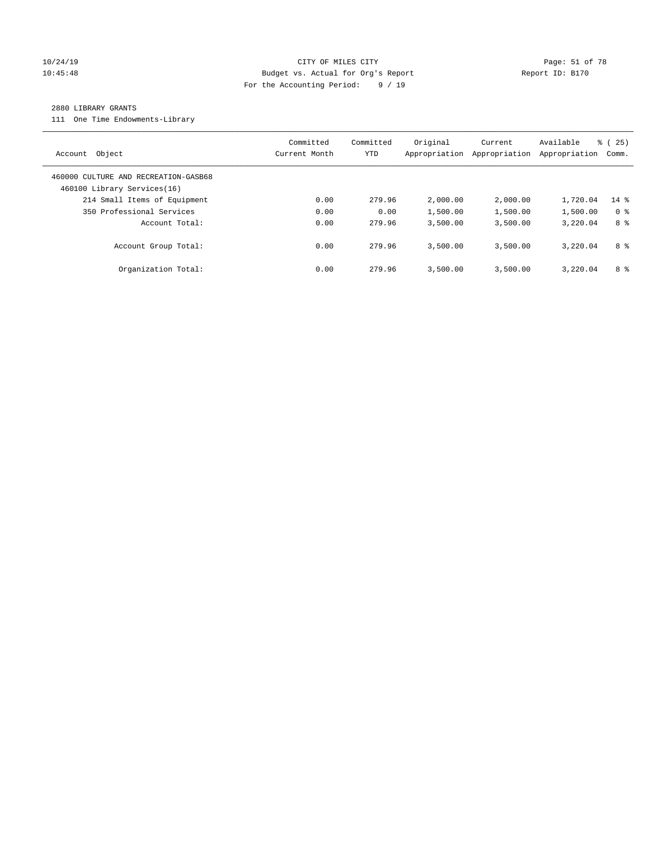# 10/24/19 **Page: 51 of 78** CITY OF MILES CITY **Page: 51 of 78** 10:45:48 Budget vs. Actual for Org's Report Report ID: B170 For the Accounting Period: 9 / 19

#### 2880 LIBRARY GRANTS

111 One Time Endowments-Library

| Object<br>Account                                                   | Committed<br>Current Month | Committed<br><b>YTD</b> | Original<br>Appropriation | Current<br>Appropriation | Available<br>Appropriation | % (25)<br>Comm. |
|---------------------------------------------------------------------|----------------------------|-------------------------|---------------------------|--------------------------|----------------------------|-----------------|
| 460000 CULTURE AND RECREATION-GASB68<br>460100 Library Services(16) |                            |                         |                           |                          |                            |                 |
| 214 Small Items of Equipment                                        | 0.00                       | 279.96                  | 2,000.00                  | 2,000.00                 | 1,720.04                   | $14$ %          |
| 350 Professional Services                                           | 0.00                       | 0.00                    | 1,500.00                  | 1,500.00                 | 1,500.00                   | 0 <sup>8</sup>  |
| Account Total:                                                      | 0.00                       | 279.96                  | 3,500.00                  | 3,500.00                 | 3,220.04                   | 8 %             |
| Account Group Total:                                                | 0.00                       | 279.96                  | 3,500.00                  | 3,500.00                 | 3,220.04                   | 8 %             |
| Organization Total:                                                 | 0.00                       | 279.96                  | 3,500.00                  | 3,500.00                 | 3,220.04                   | 8 %             |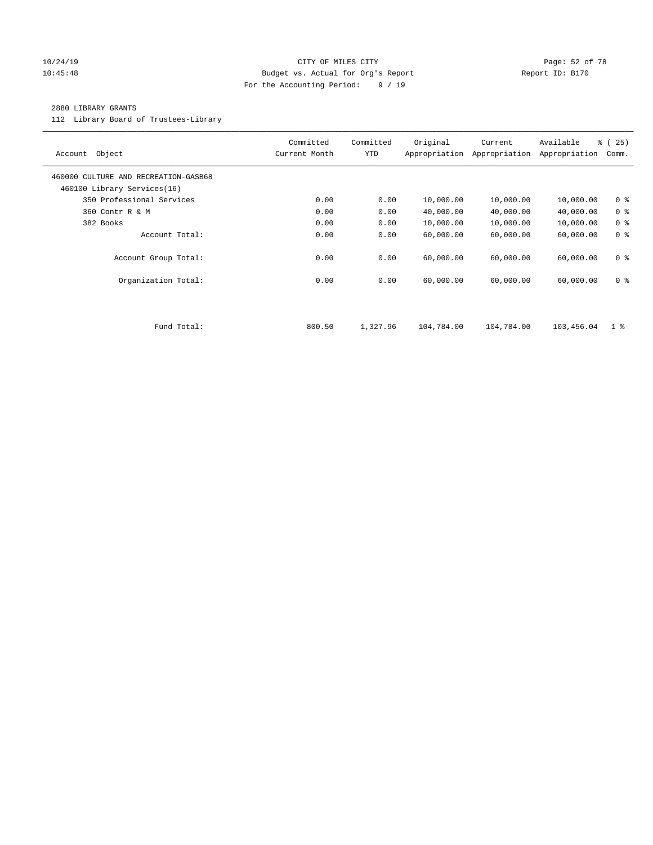#### 10/24/19 **Page: 52 of 78** CITY OF MILES CITY **Page: 52 of 78** 10:45:48 Budget vs. Actual for Org's Report Report ID: B170 For the Accounting Period: 9 / 19

#### 2880 LIBRARY GRANTS

112 Library Board of Trustees-Library

| Object<br>Account                                                   | Committed<br>Current Month | Committed<br><b>YTD</b> | Original<br>Appropriation | Current<br>Appropriation | Available<br>Appropriation | % (25)<br>Comm. |
|---------------------------------------------------------------------|----------------------------|-------------------------|---------------------------|--------------------------|----------------------------|-----------------|
| 460000 CULTURE AND RECREATION-GASB68<br>460100 Library Services(16) |                            |                         |                           |                          |                            |                 |
| 350 Professional Services                                           | 0.00                       | 0.00                    | 10,000.00                 | 10,000.00                | 10,000.00                  | 0 <sup>8</sup>  |
| 360 Contr R & M                                                     | 0.00                       | 0.00                    | 40,000.00                 | 40,000.00                | 40,000.00                  | 0 <sup>8</sup>  |
| 382 Books                                                           | 0.00                       | 0.00                    | 10,000.00                 | 10,000.00                | 10,000.00                  | 0 <sup>8</sup>  |
| Account Total:                                                      | 0.00                       | 0.00                    | 60,000.00                 | 60,000.00                | 60,000.00                  | 0 <sup>8</sup>  |
| Account Group Total:                                                | 0.00                       | 0.00                    | 60,000.00                 | 60,000.00                | 60,000.00                  | 0 <sub>8</sub>  |
| Organization Total:                                                 | 0.00                       | 0.00                    | 60,000.00                 | 60,000.00                | 60,000.00                  | 0 <sup>8</sup>  |
|                                                                     |                            |                         |                           |                          |                            |                 |
| Fund Total:                                                         | 800.50                     | 1,327.96                | 104,784.00                | 104,784.00               | 103,456.04                 | $1 \circ$       |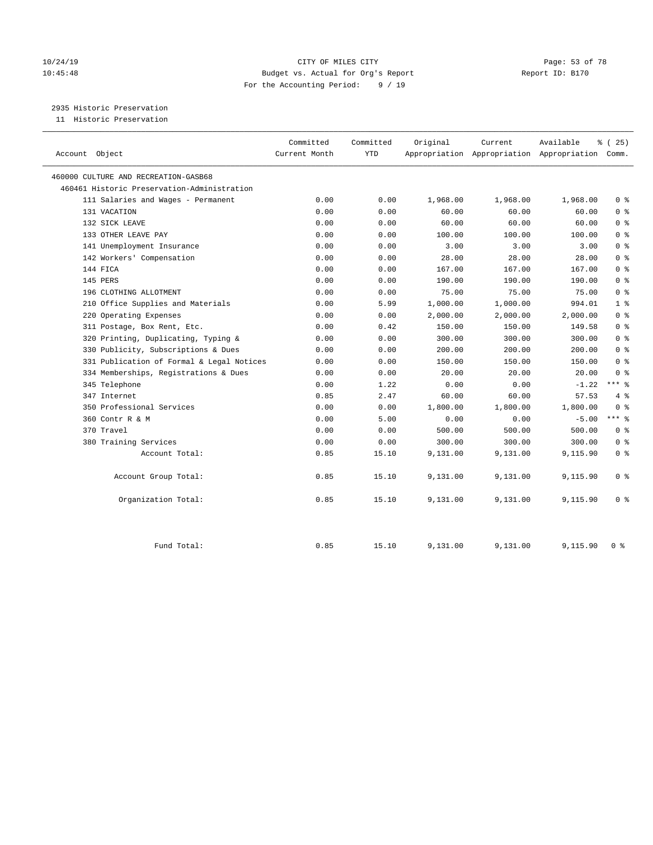# 10/24/19 **Page: 53 of 78** CITY OF MILES CITY **Page: 53 of 78** 10:45:48 Budget vs. Actual for Org's Report Report ID: B170 For the Accounting Period: 9 / 19

2935 Historic Preservation

11 Historic Preservation

| Account Object                              | Committed<br>Current Month | Committed<br><b>YTD</b> | Original | Current<br>Appropriation Appropriation Appropriation | Available | 8 (25)<br>Comm. |
|---------------------------------------------|----------------------------|-------------------------|----------|------------------------------------------------------|-----------|-----------------|
| 460000 CULTURE AND RECREATION-GASB68        |                            |                         |          |                                                      |           |                 |
| 460461 Historic Preservation-Administration |                            |                         |          |                                                      |           |                 |
| 111 Salaries and Wages - Permanent          | 0.00                       | 0.00                    | 1,968.00 | 1,968.00                                             | 1,968.00  | 0 <sup>8</sup>  |
| 131 VACATION                                | 0.00                       | 0.00                    | 60.00    | 60.00                                                | 60.00     | 0 <sup>8</sup>  |
| 132 SICK LEAVE                              | 0.00                       | 0.00                    | 60.00    | 60.00                                                | 60.00     | 0 <sup>8</sup>  |
| 133 OTHER LEAVE PAY                         | 0.00                       | 0.00                    | 100.00   | 100.00                                               | 100.00    | 0 <sup>8</sup>  |
| 141 Unemployment Insurance                  | 0.00                       | 0.00                    | 3.00     | 3.00                                                 | 3.00      | 0 <sup>8</sup>  |
| 142 Workers' Compensation                   | 0.00                       | 0.00                    | 28.00    | 28.00                                                | 28.00     | 0 <sup>8</sup>  |
| 144 FICA                                    | 0.00                       | 0.00                    | 167.00   | 167.00                                               | 167.00    | 0 <sup>8</sup>  |
| 145 PERS                                    | 0.00                       | 0.00                    | 190.00   | 190.00                                               | 190.00    | 0 <sup>8</sup>  |
| 196 CLOTHING ALLOTMENT                      | 0.00                       | 0.00                    | 75.00    | 75.00                                                | 75.00     | 0 <sup>8</sup>  |
| 210 Office Supplies and Materials           | 0.00                       | 5.99                    | 1,000.00 | 1,000.00                                             | 994.01    | 1 <sup>°</sup>  |
| 220 Operating Expenses                      | 0.00                       | 0.00                    | 2,000.00 | 2,000.00                                             | 2,000.00  | 0 <sup>8</sup>  |
| 311 Postage, Box Rent, Etc.                 | 0.00                       | 0.42                    | 150.00   | 150.00                                               | 149.58    | 0 <sup>8</sup>  |
| 320 Printing, Duplicating, Typing &         | 0.00                       | 0.00                    | 300.00   | 300.00                                               | 300.00    | 0 <sup>8</sup>  |
| 330 Publicity, Subscriptions & Dues         | 0.00                       | 0.00                    | 200.00   | 200.00                                               | 200.00    | 0 <sup>8</sup>  |
| 331 Publication of Formal & Legal Notices   | 0.00                       | 0.00                    | 150.00   | 150.00                                               | 150.00    | 0 <sup>8</sup>  |
| 334 Memberships, Registrations & Dues       | 0.00                       | 0.00                    | 20.00    | 20.00                                                | 20.00     | 0 <sup>8</sup>  |
| 345 Telephone                               | 0.00                       | 1.22                    | 0.00     | 0.00                                                 | $-1.22$   | $***$ %         |
| 347 Internet                                | 0.85                       | 2.47                    | 60.00    | 60.00                                                | 57.53     | 4%              |
| 350 Professional Services                   | 0.00                       | 0.00                    | 1,800.00 | 1,800.00                                             | 1,800.00  | 0 <sup>8</sup>  |
| 360 Contr R & M                             | 0.00                       | 5.00                    | 0.00     | 0.00                                                 | $-5.00$   | $***$ %         |
| 370 Travel                                  | 0.00                       | 0.00                    | 500.00   | 500.00                                               | 500.00    | 0 <sup>8</sup>  |
| 380 Training Services                       | 0.00                       | 0.00                    | 300.00   | 300.00                                               | 300.00    | 0 <sup>8</sup>  |
| Account Total:                              | 0.85                       | 15.10                   | 9,131.00 | 9,131.00                                             | 9,115.90  | 0 <sup>8</sup>  |
| Account Group Total:                        | 0.85                       | 15.10                   | 9,131.00 | 9,131.00                                             | 9,115.90  | 0 <sup>8</sup>  |
| Organization Total:                         | 0.85                       | 15.10                   | 9,131.00 | 9,131.00                                             | 9,115.90  | 0 <sup>8</sup>  |
| Fund Total:                                 | 0.85                       | 15.10                   | 9,131.00 | 9,131.00                                             | 9,115.90  | 0 <sup>8</sup>  |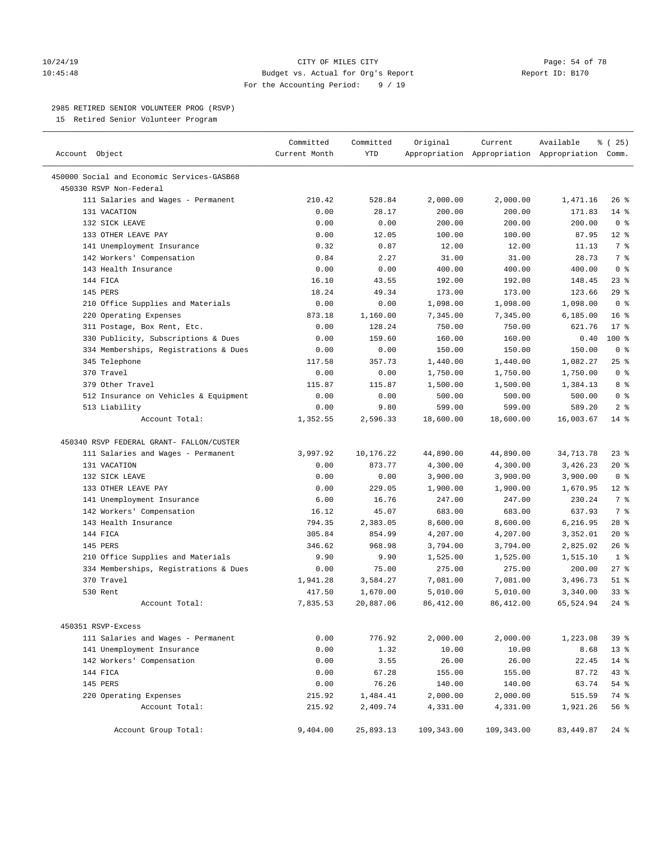#### 10/24/19 **Page: 54 of 78** CITY OF MILES CITY **Page: 54 of 78** 10:45:48 Budget vs. Actual for Org's Report Report ID: B170 For the Accounting Period: 9 / 19

————————————————————————————————————————————————————————————————————————————————————————————————————————————————————————————————————

#### 2985 RETIRED SENIOR VOLUNTEER PROG (RSVP)

15 Retired Senior Volunteer Program

|                                            | Committed     | Committed  | Original   | Current    | Available                                       | $*(25)$         |
|--------------------------------------------|---------------|------------|------------|------------|-------------------------------------------------|-----------------|
| Account Object                             | Current Month | <b>YTD</b> |            |            | Appropriation Appropriation Appropriation Comm. |                 |
| 450000 Social and Economic Services-GASB68 |               |            |            |            |                                                 |                 |
| 450330 RSVP Non-Federal                    |               |            |            |            |                                                 |                 |
| 111 Salaries and Wages - Permanent         | 210.42        | 528.84     | 2,000.00   | 2,000.00   | 1,471.16                                        | $26$ %          |
| 131 VACATION                               | 0.00          | 28.17      | 200.00     | 200.00     | 171.83                                          | $14$ %          |
| 132 SICK LEAVE                             | 0.00          | 0.00       | 200.00     | 200.00     | 200.00                                          | 0 <sup>8</sup>  |
| 133 OTHER LEAVE PAY                        | 0.00          | 12.05      | 100.00     | 100.00     | 87.95                                           | $12*$           |
| 141 Unemployment Insurance                 | 0.32          | 0.87       | 12.00      | 12.00      | 11.13                                           | 7 <sup>°</sup>  |
| 142 Workers' Compensation                  | 0.84          | 2.27       | 31.00      | 31.00      | 28.73                                           | 7 <sup>°</sup>  |
| 143 Health Insurance                       | 0.00          | 0.00       | 400.00     | 400.00     | 400.00                                          | 0 <sup>8</sup>  |
| 144 FICA                                   | 16.10         | 43.55      | 192.00     | 192.00     | 148.45                                          | 23%             |
| 145 PERS                                   | 18.24         | 49.34      | 173.00     | 173.00     | 123.66                                          | 29%             |
| 210 Office Supplies and Materials          | 0.00          | 0.00       | 1,098.00   | 1,098.00   | 1,098.00                                        | 0 <sup>8</sup>  |
| 220 Operating Expenses                     | 873.18        | 1,160.00   | 7,345.00   | 7,345.00   | 6, 185.00                                       | 16 <sup>°</sup> |
| 311 Postage, Box Rent, Etc.                | 0.00          | 128.24     | 750.00     | 750.00     | 621.76                                          | $17*$           |
| 330 Publicity, Subscriptions & Dues        | 0.00          | 159.60     | 160.00     | 160.00     | 0.40                                            | 100 %           |
| 334 Memberships, Registrations & Dues      | 0.00          | 0.00       | 150.00     | 150.00     | 150.00                                          | 0 <sup>8</sup>  |
| 345 Telephone                              | 117.58        | 357.73     | 1,440.00   | 1,440.00   | 1,082.27                                        | 25%             |
| 370 Travel                                 | 0.00          | 0.00       | 1,750.00   | 1,750.00   | 1,750.00                                        | 0 <sup>8</sup>  |
| 379 Other Travel                           | 115.87        | 115.87     | 1,500.00   | 1,500.00   | 1,384.13                                        | 8 %             |
| 512 Insurance on Vehicles & Equipment      | 0.00          | 0.00       | 500.00     | 500.00     | 500.00                                          | 0 <sup>8</sup>  |
| 513 Liability                              | 0.00          | 9.80       | 599.00     | 599.00     | 589.20                                          | 2 <sup>°</sup>  |
| Account Total:                             | 1,352.55      | 2,596.33   | 18,600.00  | 18,600.00  | 16,003.67                                       | 14.8            |
| 450340 RSVP FEDERAL GRANT- FALLON/CUSTER   |               |            |            |            |                                                 |                 |
| 111 Salaries and Wages - Permanent         | 3,997.92      | 10,176.22  | 44,890.00  | 44,890.00  | 34,713.78                                       | $23$ $%$        |
| 131 VACATION                               | 0.00          | 873.77     | 4,300.00   | 4,300.00   | 3,426.23                                        | 20 %            |
| 132 SICK LEAVE                             | 0.00          | 0.00       | 3,900.00   | 3,900.00   | 3,900.00                                        | 0 <sup>8</sup>  |
| 133 OTHER LEAVE PAY                        | 0.00          | 229.05     | 1,900.00   | 1,900.00   | 1,670.95                                        | $12*$           |
| 141 Unemployment Insurance                 | 6.00          | 16.76      | 247.00     | 247.00     | 230.24                                          | 7 %             |
| 142 Workers' Compensation                  | 16.12         | 45.07      | 683.00     | 683.00     | 637.93                                          | 7 %             |
| 143 Health Insurance                       | 794.35        | 2,383.05   | 8,600.00   | 8,600.00   | 6,216.95                                        | 28 %            |
| 144 FICA                                   | 305.84        | 854.99     | 4,207.00   | 4,207.00   | 3,352.01                                        | $20*$           |
| 145 PERS                                   | 346.62        | 968.98     | 3,794.00   | 3,794.00   | 2,825.02                                        | 26%             |
| 210 Office Supplies and Materials          | 9.90          | 9.90       | 1,525.00   | 1,525.00   | 1,515.10                                        | 1 <sup>8</sup>  |
| 334 Memberships, Registrations & Dues      | 0.00          | 75.00      | 275.00     | 275.00     | 200.00                                          | $27$ %          |
| 370 Travel                                 | 1,941.28      | 3,584.27   | 7,081.00   | 7,081.00   | 3,496.73                                        | $51$ %          |
| 530 Rent                                   | 417.50        | 1,670.00   | 5,010.00   | 5,010.00   | 3,340.00                                        | $33$ $%$        |
| Account Total:                             | 7,835.53      | 20,887.06  | 86,412.00  | 86, 412.00 | 65,524.94                                       | $24$ %          |
| 450351 RSVP-Excess                         |               |            |            |            |                                                 |                 |
| 111 Salaries and Wages - Permanent         | 0.00          | 776.92     | 2,000.00   | 2,000.00   | 1,223.08                                        | 39%             |
| 141 Unemployment Insurance                 | 0.00          | 1.32       | 10.00      | 10.00      | 8.68                                            | $13*$           |
| 142 Workers' Compensation                  | 0.00          | 3.55       | 26.00      | 26.00      | 22.45                                           | $14$ %          |
| 144 FICA                                   | 0.00          | 67.28      | 155.00     | 155.00     | 87.72                                           | 43 %            |
| 145 PERS                                   | 0.00          | 76.26      | 140.00     | 140.00     | 63.74                                           | $54$ %          |
| 220 Operating Expenses                     | 215.92        | 1,484.41   | 2,000.00   | 2,000.00   | 515.59                                          | 74 %            |
| Account Total:                             | 215.92        | 2,409.74   | 4,331.00   | 4,331.00   | 1,921.26                                        | 56 %            |
|                                            |               |            |            |            |                                                 |                 |
| Account Group Total:                       | 9,404.00      | 25,893.13  | 109,343.00 | 109,343.00 | 83, 449.87                                      | $24$ %          |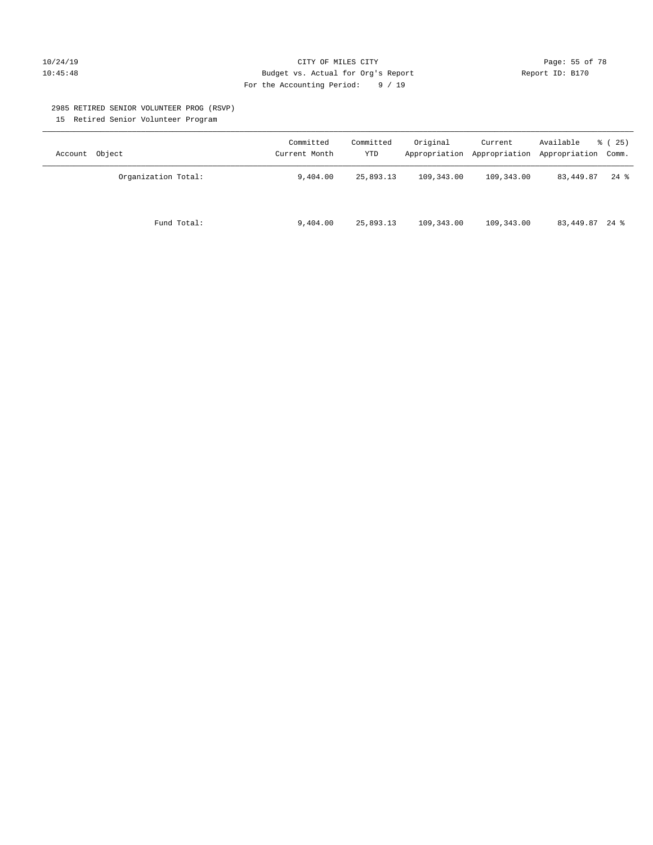#### 10/24/19 **Page: 55 of 78** CITY OF MILES CITY **Page: 55 of 78** 10:45:48 Budget vs. Actual for Org's Report Report ID: B170 For the Accounting Period: 9 / 19

#### 2985 RETIRED SENIOR VOLUNTEER PROG (RSVP)

15 Retired Senior Volunteer Program

| Account Object      | Committed<br>Current Month | Committed<br>YTD | Original   | Current    | Available<br>Appropriation Appropriation Appropriation Comm. | % (25) |
|---------------------|----------------------------|------------------|------------|------------|--------------------------------------------------------------|--------|
| Organization Total: | 9,404.00                   | 25,893.13        | 109,343.00 | 109,343.00 | 83,449.87                                                    | $24$ % |
| Fund Total:         | 9,404.00                   | 25,893.13        | 109,343.00 | 109,343.00 | 83,449.87 24 %                                               |        |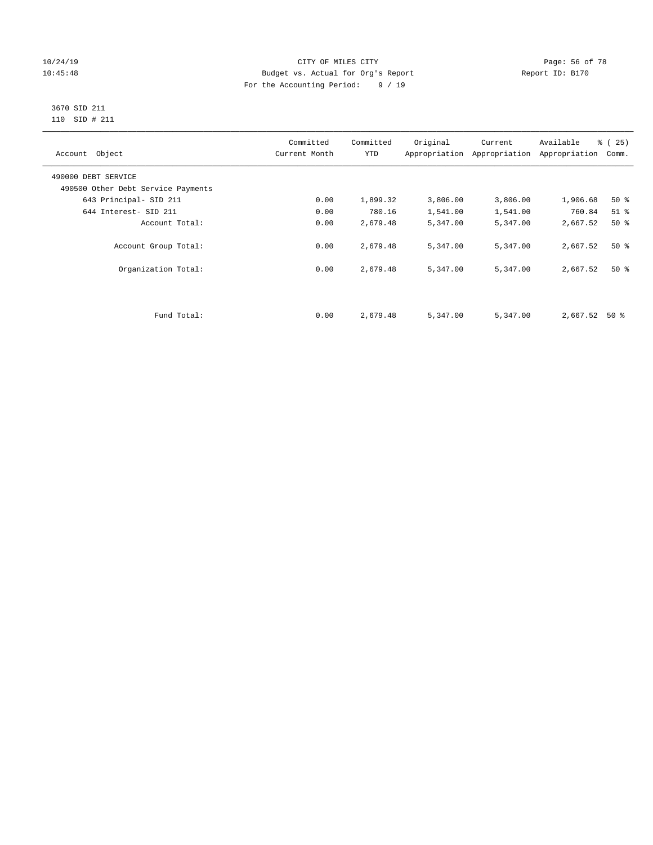# 10/24/19 **Page: 56 of 78** CITY OF MILES CITY **CITY** Page: 56 of 78 10:45:48 Budget vs. Actual for Org's Report Report ID: B170 For the Accounting Period: 9 / 19

#### 3670 SID 211 110 SID # 211

| Account Object                     | Committed<br>Current Month | Committed<br><b>YTD</b> | Original | Current<br>Appropriation Appropriation | Available<br>Appropriation | % (25)<br>Comm. |
|------------------------------------|----------------------------|-------------------------|----------|----------------------------------------|----------------------------|-----------------|
| 490000 DEBT SERVICE                |                            |                         |          |                                        |                            |                 |
| 490500 Other Debt Service Payments |                            |                         |          |                                        |                            |                 |
| 643 Principal- SID 211             | 0.00                       | 1,899.32                | 3,806.00 | 3,806.00                               | 1,906.68                   | $50*$           |
| 644 Interest- SID 211              | 0.00                       | 780.16                  | 1,541.00 | 1,541.00                               | 760.84                     | $51$ %          |
| Account Total:                     | 0.00                       | 2,679.48                | 5,347.00 | 5,347.00                               | 2,667.52                   | 50%             |
| Account Group Total:               | 0.00                       | 2,679.48                | 5,347.00 | 5,347.00                               | 2,667.52                   | $50*$           |
| Organization Total:                | 0.00                       | 2,679.48                | 5,347.00 | 5,347.00                               | 2,667.52                   | $50*$           |
|                                    |                            |                         |          |                                        |                            |                 |
| Fund Total:                        | 0.00                       | 2,679.48                | 5,347.00 | 5,347.00                               | 2,667.52                   | 50 %            |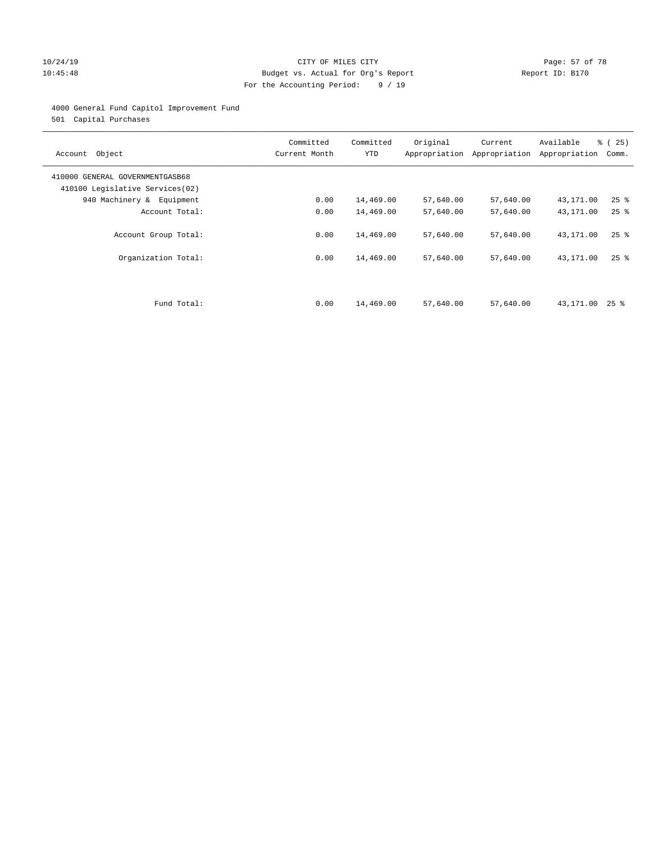# 10/24/19 **Page: 57 of 78** CITY OF MILES CITY **Page: 57 of 78** 10:45:48 Budget vs. Actual for Org's Report Report ID: B170 For the Accounting Period: 9 / 19

# 4000 General Fund Capitol Improvement Fund

501 Capital Purchases

| Account Object                                                     | Committed<br>Current Month | Committed<br><b>YTD</b> | Original<br>Appropriation | Current<br>Appropriation | Available<br>Appropriation | % (25)<br>Comm.    |
|--------------------------------------------------------------------|----------------------------|-------------------------|---------------------------|--------------------------|----------------------------|--------------------|
| 410000 GENERAL GOVERNMENTGASB68<br>410100 Legislative Services(02) |                            |                         |                           |                          |                            |                    |
| 940 Machinery & Equipment                                          | 0.00                       | 14,469.00               | 57,640.00                 | 57,640.00                | 43,171.00                  | $25$ $\frac{6}{5}$ |
| Account Total:                                                     | 0.00                       | 14,469.00               | 57,640.00                 | 57,640.00                | 43,171.00                  | $25$ $%$           |
| Account Group Total:                                               | 0.00                       | 14,469.00               | 57,640.00                 | 57,640.00                | 43,171.00                  | $25$ %             |
| Organization Total:                                                | 0.00                       | 14,469.00               | 57,640.00                 | 57,640.00                | 43,171.00                  | $25$ %             |
|                                                                    |                            |                         |                           |                          |                            |                    |
| Fund Total:                                                        | 0.00                       | 14,469.00               | 57,640.00                 | 57,640.00                | 43,171.00                  | $25$ %             |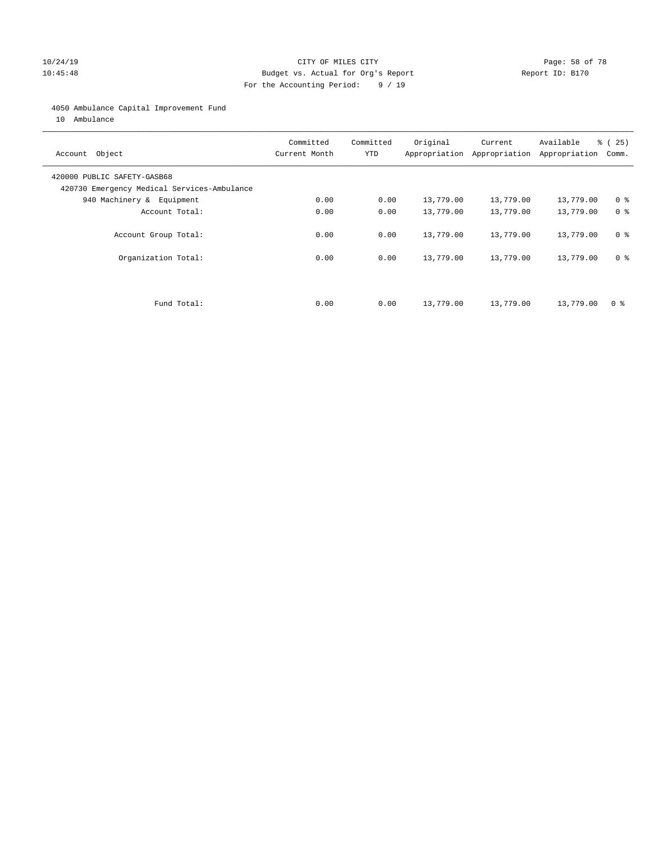# 10/24/19 **Page: 58 of 78** CITY OF MILES CITY **Page: 58 of 78** 10:45:48 Budget vs. Actual for Org's Report Report ID: B170 For the Accounting Period: 9 / 19

#### 4050 Ambulance Capital Improvement Fund

10 Ambulance

| Account Object                                                             | Committed<br>Current Month | Committed<br><b>YTD</b> | Original  | Current<br>Appropriation Appropriation | Available<br>Appropriation | % (25)<br>Comm. |
|----------------------------------------------------------------------------|----------------------------|-------------------------|-----------|----------------------------------------|----------------------------|-----------------|
| 420000 PUBLIC SAFETY-GASB68<br>420730 Emergency Medical Services-Ambulance |                            |                         |           |                                        |                            |                 |
| 940 Machinery & Equipment                                                  | 0.00                       | 0.00                    | 13,779.00 | 13,779.00                              | 13,779.00                  | 0 <sup>8</sup>  |
| Account Total:                                                             | 0.00                       | 0.00                    | 13,779.00 | 13,779.00                              | 13,779.00                  | 0 <sup>8</sup>  |
| Account Group Total:                                                       | 0.00                       | 0.00                    | 13,779.00 | 13,779.00                              | 13,779.00                  | 0 <sup>8</sup>  |
| Organization Total:                                                        | 0.00                       | 0.00                    | 13,779.00 | 13,779.00                              | 13,779.00                  | 0 <sup>8</sup>  |
|                                                                            |                            |                         |           |                                        |                            |                 |
| Fund Total:                                                                | 0.00                       | 0.00                    | 13,779.00 | 13,779.00                              | 13,779.00                  | 0 %             |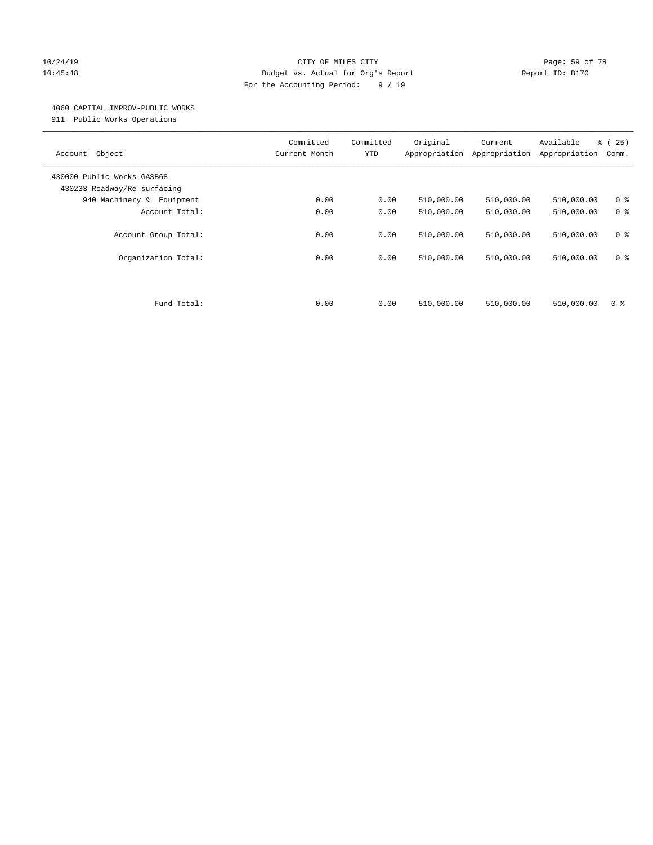# 10/24/19 **Page: 59 of 78** CITY OF MILES CITY **Page: 59 of 78** 10:45:48 Budget vs. Actual for Org's Report Report ID: B170 For the Accounting Period: 9 / 19

#### 4060 CAPITAL IMPROV-PUBLIC WORKS

911 Public Works Operations

| Object<br>Account                                         | Committed<br>Current Month | Committed<br><b>YTD</b> | Original<br>Appropriation | Current<br>Appropriation | Available<br>Appropriation | % (25)<br>Comm.                  |
|-----------------------------------------------------------|----------------------------|-------------------------|---------------------------|--------------------------|----------------------------|----------------------------------|
| 430000 Public Works-GASB68<br>430233 Roadway/Re-surfacing |                            |                         |                           |                          |                            |                                  |
| 940 Machinery & Equipment                                 | 0.00                       | 0.00                    | 510,000.00                | 510,000.00               | 510,000.00                 | 0 <sup>8</sup>                   |
| Account Total:                                            | 0.00                       | 0.00                    | 510,000.00                | 510,000.00               | 510,000.00                 | 0 <sup>8</sup>                   |
| Account Group Total:<br>Organization Total:               | 0.00<br>0.00               | 0.00<br>0.00            | 510,000.00<br>510,000.00  | 510,000.00<br>510,000.00 | 510,000.00<br>510,000.00   | 0 <sup>8</sup><br>0 <sup>8</sup> |
| Fund Total:                                               | 0.00                       | 0.00                    | 510,000.00                | 510,000.00               | 510,000.00                 | 0 %                              |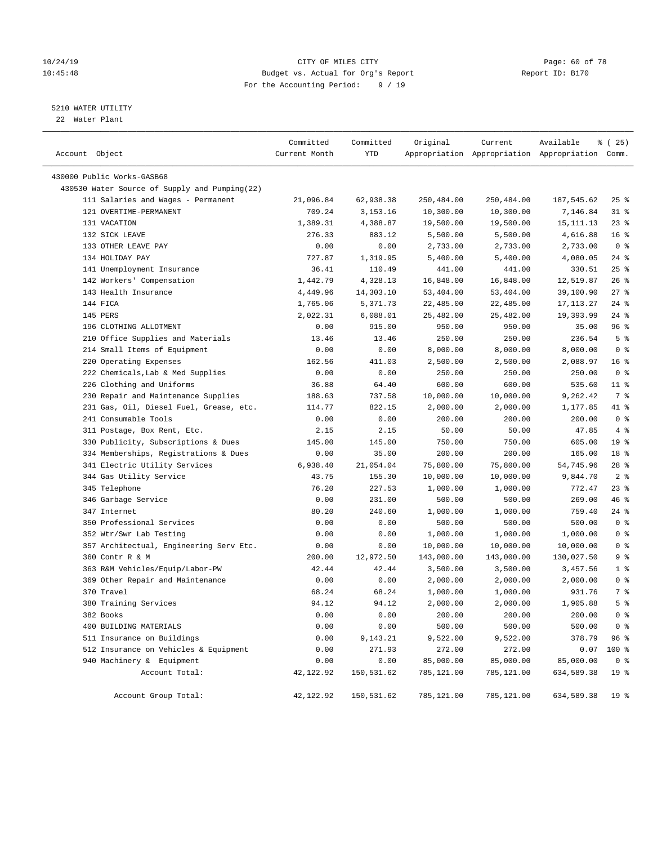# 10/24/19 **Page: 60 of 78** CITY OF MILES CITY **Page: 60 of 78** 10:45:48 Budget vs. Actual for Org's Report Report ID: B170 For the Accounting Period: 9 / 19

# 5210 WATER UTILITY

22 Water Plant

| Account Object                                | Committed<br>Current Month | Committed<br>YTD | Original   | Current    | Available<br>Appropriation Appropriation Appropriation Comm. | ៖ (25)          |
|-----------------------------------------------|----------------------------|------------------|------------|------------|--------------------------------------------------------------|-----------------|
| 430000 Public Works-GASB68                    |                            |                  |            |            |                                                              |                 |
| 430530 Water Source of Supply and Pumping(22) |                            |                  |            |            |                                                              |                 |
| 111 Salaries and Wages - Permanent            | 21,096.84                  | 62,938.38        | 250,484.00 | 250,484.00 | 187,545.62                                                   | $25$ %          |
| 121 OVERTIME-PERMANENT                        | 709.24                     | 3,153.16         | 10,300.00  | 10,300.00  | 7,146.84                                                     | $31$ %          |
| 131 VACATION                                  | 1,389.31                   | 4,388.87         | 19,500.00  | 19,500.00  | 15, 111. 13                                                  | $23$ %          |
| 132 SICK LEAVE                                | 276.33                     | 883.12           | 5,500.00   | 5,500.00   | 4,616.88                                                     | 16 <sup>°</sup> |
| 133 OTHER LEAVE PAY                           | 0.00                       | 0.00             | 2,733.00   | 2,733.00   | 2,733.00                                                     | 0 <sup>8</sup>  |
| 134 HOLIDAY PAY                               | 727.87                     | 1,319.95         | 5,400.00   | 5,400.00   | 4,080.05                                                     | $24$ %          |
| 141 Unemployment Insurance                    | 36.41                      | 110.49           | 441.00     | 441.00     | 330.51                                                       | 25%             |
| 142 Workers' Compensation                     | 1,442.79                   | 4,328.13         | 16,848.00  | 16,848.00  | 12,519.87                                                    | 26%             |
| 143 Health Insurance                          | 4,449.96                   | 14,303.10        | 53,404.00  | 53,404.00  | 39,100.90                                                    | $27$ %          |
| 144 FICA                                      | 1,765.06                   | 5,371.73         | 22,485.00  | 22,485.00  | 17, 113. 27                                                  | $24$ %          |
| 145 PERS                                      | 2,022.31                   | 6,088.01         | 25,482.00  | 25,482.00  | 19,393.99                                                    | $24$ %          |
| 196 CLOTHING ALLOTMENT                        | 0.00                       | 915.00           | 950.00     | 950.00     | 35.00                                                        | 96%             |
| 210 Office Supplies and Materials             | 13.46                      | 13.46            | 250.00     | 250.00     | 236.54                                                       | 5 <sup>°</sup>  |
| 214 Small Items of Equipment                  | 0.00                       | 0.00             | 8,000.00   | 8,000.00   | 8,000.00                                                     | 0 <sup>8</sup>  |
| 220 Operating Expenses                        | 162.56                     | 411.03           | 2,500.00   | 2,500.00   | 2,088.97                                                     | 16 <sup>°</sup> |
| 222 Chemicals, Lab & Med Supplies             | 0.00                       | 0.00             | 250.00     | 250.00     | 250.00                                                       | 0 <sup>8</sup>  |
| 226 Clothing and Uniforms                     | 36.88                      | 64.40            | 600.00     | 600.00     | 535.60                                                       | $11$ %          |
| 230 Repair and Maintenance Supplies           | 188.63                     | 737.58           | 10,000.00  | 10,000.00  | 9,262.42                                                     | 7 %             |
| 231 Gas, Oil, Diesel Fuel, Grease, etc.       | 114.77                     | 822.15           | 2,000.00   | 2,000.00   | 1,177.85                                                     | 41 %            |
| 241 Consumable Tools                          | 0.00                       | 0.00             | 200.00     | 200.00     | 200.00                                                       | 0 <sup>8</sup>  |
| 311 Postage, Box Rent, Etc.                   | 2.15                       | 2.15             | 50.00      | 50.00      | 47.85                                                        | 4%              |
| 330 Publicity, Subscriptions & Dues           | 145.00                     | 145.00           | 750.00     | 750.00     | 605.00                                                       | 19 <sup>°</sup> |
| 334 Memberships, Registrations & Dues         | 0.00                       | 35.00            | 200.00     | 200.00     | 165.00                                                       | 18 %            |
| 341 Electric Utility Services                 | 6,938.40                   | 21,054.04        | 75,800.00  | 75,800.00  | 54,745.96                                                    | $28$ %          |
| 344 Gas Utility Service                       | 43.75                      | 155.30           | 10,000.00  | 10,000.00  | 9,844.70                                                     | 2 <sup>8</sup>  |
| 345 Telephone                                 | 76.20                      | 227.53           | 1,000.00   | 1,000.00   | 772.47                                                       | 23%             |
| 346 Garbage Service                           | 0.00                       | 231.00           | 500.00     | 500.00     | 269.00                                                       | 46 %            |
| 347 Internet                                  | 80.20                      | 240.60           | 1,000.00   | 1,000.00   | 759.40                                                       | $24$ %          |
| 350 Professional Services                     | 0.00                       | 0.00             | 500.00     | 500.00     | 500.00                                                       | 0 <sup>8</sup>  |
| 352 Wtr/Swr Lab Testing                       | 0.00                       | 0.00             | 1,000.00   | 1,000.00   | 1,000.00                                                     | 0 <sup>8</sup>  |
| 357 Architectual, Engineering Serv Etc.       | 0.00                       | 0.00             | 10,000.00  | 10,000.00  | 10,000.00                                                    | 0 <sup>8</sup>  |
| 360 Contr R & M                               | 200.00                     | 12,972.50        | 143,000.00 | 143,000.00 | 130,027.50                                                   | 9 <sup>°</sup>  |
| 363 R&M Vehicles/Equip/Labor-PW               | 42.44                      | 42.44            | 3,500.00   | 3,500.00   | 3,457.56                                                     | 1 <sup>8</sup>  |
| 369 Other Repair and Maintenance              | 0.00                       | 0.00             | 2,000.00   | 2,000.00   | 2,000.00                                                     | 0 <sup>8</sup>  |
| 370 Travel                                    | 68.24                      | 68.24            | 1,000.00   | 1,000.00   | 931.76                                                       | 7 %             |
| 380 Training Services                         | 94.12                      | 94.12            | 2,000.00   | 2,000.00   | 1,905.88                                                     | 5 <sup>8</sup>  |
| 382 Books                                     | 0.00                       | 0.00             | 200.00     | 200.00     | 200.00                                                       | 0 <sup>8</sup>  |
| 400 BUILDING MATERIALS                        | 0.00                       | 0.00             | 500.00     | 500.00     | 500.00                                                       | 0 <sup>8</sup>  |
| 511 Insurance on Buildings                    | 0.00                       | 9,143.21         | 9,522.00   | 9,522.00   | 378.79                                                       | 96 %            |
| 512 Insurance on Vehicles & Equipment         | 0.00                       | 271.93           | 272.00     | 272.00     | 0.07                                                         | 100 %           |
| 940 Machinery & Equipment                     | 0.00                       | 0.00             | 85,000.00  | 85,000.00  | 85,000.00                                                    | 0 <sup>8</sup>  |
| Account Total:                                | 42, 122.92                 | 150,531.62       | 785,121.00 | 785,121.00 | 634,589.38                                                   | 19 <sup>°</sup> |
| Account Group Total:                          | 42,122.92                  | 150,531.62       | 785,121.00 | 785,121.00 | 634,589.38                                                   | 19 <sup>°</sup> |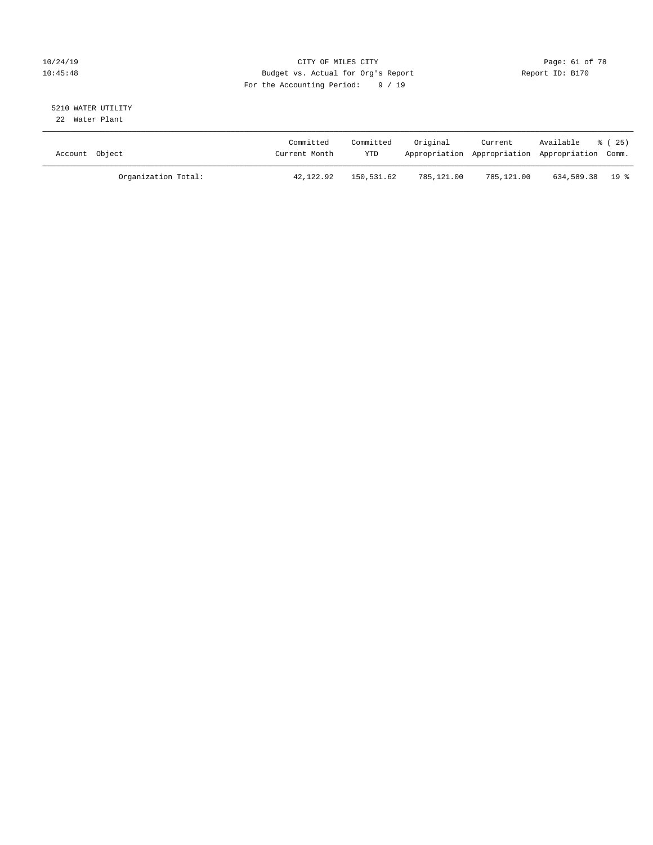# 10/24/19 **Page: 61 of 78** CITY OF MILES CITY **Page: 61 of 78** 10:45:48 Budget vs. Actual for Org's Report Report ID: B170 For the Accounting Period: 9 / 19

#### 5210 WATER UTILITY 22 Water Plant

| Account Object |                     | Committed<br>Current Month | Committed<br><b>YTD</b> | Original   | Current    | Available<br>Appropriation Appropriation Appropriation Comm. | ៖ (25) |
|----------------|---------------------|----------------------------|-------------------------|------------|------------|--------------------------------------------------------------|--------|
|                | Organization Total: | 42,122.92                  | 150,531.62              | 785,121.00 | 785,121.00 | 634,589.38 19 %                                              |        |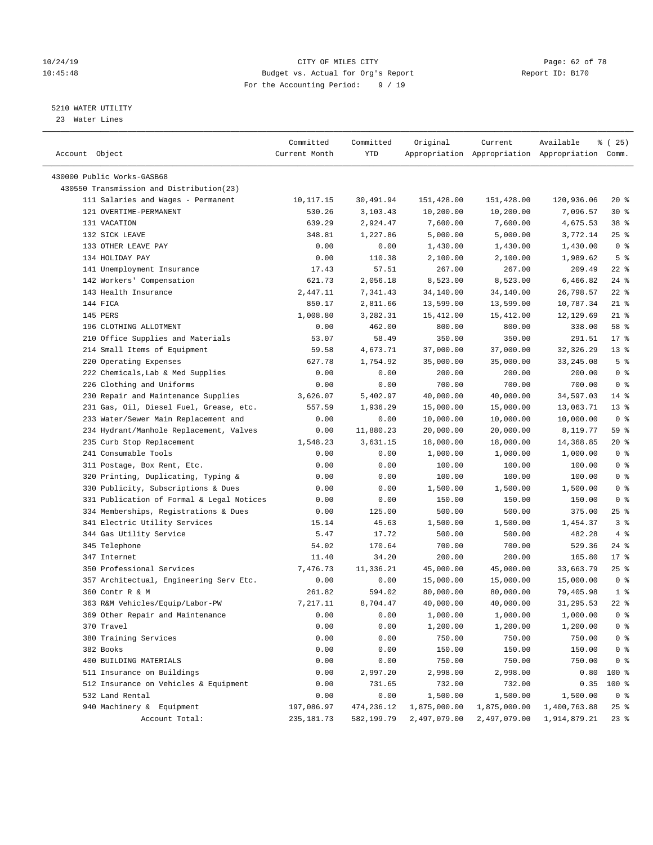#### 10/24/19 **Page: 62 of 78** CITY OF MILES CITY **CITY Page: 62 of 78** 10:45:48 Budget vs. Actual for Org's Report Report ID: B170 For the Accounting Period: 9 / 19

————————————————————————————————————————————————————————————————————————————————————————————————————————————————————————————————————

#### 5210 WATER UTILITY

23 Water Lines

|                                           | Committed     | Committed  | Original     | Current      | Available                                       | 8 (25)          |
|-------------------------------------------|---------------|------------|--------------|--------------|-------------------------------------------------|-----------------|
| Account Object                            | Current Month | YTD        |              |              | Appropriation Appropriation Appropriation Comm. |                 |
|                                           |               |            |              |              |                                                 |                 |
| 430000 Public Works-GASB68                |               |            |              |              |                                                 |                 |
| 430550 Transmission and Distribution(23)  |               |            |              |              |                                                 |                 |
| 111 Salaries and Wages - Permanent        | 10,117.15     | 30,491.94  | 151,428.00   | 151,428.00   | 120,936.06                                      | $20*$           |
| 121 OVERTIME-PERMANENT                    | 530.26        | 3,103.43   | 10,200.00    | 10,200.00    | 7,096.57                                        | $30*$           |
| 131 VACATION                              | 639.29        | 2,924.47   | 7,600.00     | 7,600.00     | 4,675.53                                        | 38 <sup>8</sup> |
| 132 SICK LEAVE                            | 348.81        | 1,227.86   | 5,000.00     | 5,000.00     | 3,772.14                                        | $25$ %          |
| 133 OTHER LEAVE PAY                       | 0.00          | 0.00       | 1,430.00     | 1,430.00     | 1,430.00                                        | 0 <sup>8</sup>  |
| 134 HOLIDAY PAY                           | 0.00          | 110.38     | 2,100.00     | 2,100.00     | 1,989.62                                        | 5 <sup>°</sup>  |
| 141 Unemployment Insurance                | 17.43         | 57.51      | 267.00       | 267.00       | 209.49                                          | $22$ %          |
| 142 Workers' Compensation                 | 621.73        | 2,056.18   | 8,523.00     | 8,523.00     | 6,466.82                                        | $24$ %          |
| 143 Health Insurance                      | 2,447.11      | 7,341.43   | 34,140.00    | 34,140.00    | 26,798.57                                       | $22$ %          |
| 144 FICA                                  | 850.17        | 2,811.66   | 13,599.00    | 13,599.00    | 10,787.34                                       | $21$ %          |
| 145 PERS                                  | 1,008.80      | 3,282.31   | 15,412.00    | 15,412.00    | 12,129.69                                       | $21$ %          |
| 196 CLOTHING ALLOTMENT                    | 0.00          | 462.00     | 800.00       | 800.00       | 338.00                                          | 58 %            |
| 210 Office Supplies and Materials         | 53.07         | 58.49      | 350.00       | 350.00       | 291.51                                          | $17*$           |
| 214 Small Items of Equipment              | 59.58         | 4,673.71   | 37,000.00    | 37,000.00    | 32,326.29                                       | $13*$           |
| 220 Operating Expenses                    | 627.78        | 1,754.92   | 35,000.00    | 35,000.00    | 33, 245.08                                      | 5 <sup>°</sup>  |
| 222 Chemicals, Lab & Med Supplies         | 0.00          | 0.00       | 200.00       | 200.00       | 200.00                                          | 0 <sup>8</sup>  |
| 226 Clothing and Uniforms                 | 0.00          | 0.00       | 700.00       | 700.00       | 700.00                                          | 0 <sup>8</sup>  |
| 230 Repair and Maintenance Supplies       | 3,626.07      | 5,402.97   | 40,000.00    | 40,000.00    | 34,597.03                                       | $14*$           |
| 231 Gas, Oil, Diesel Fuel, Grease, etc.   | 557.59        | 1,936.29   | 15,000.00    | 15,000.00    | 13,063.71                                       | $13*$           |
| 233 Water/Sewer Main Replacement and      | 0.00          | 0.00       | 10,000.00    | 10,000.00    | 10,000.00                                       | 0 <sup>8</sup>  |
| 234 Hydrant/Manhole Replacement, Valves   | 0.00          | 11,880.23  | 20,000.00    | 20,000.00    | 8,119.77                                        | 59 %            |
| 235 Curb Stop Replacement                 | 1,548.23      | 3,631.15   | 18,000.00    | 18,000.00    | 14,368.85                                       | $20*$           |
| 241 Consumable Tools                      | 0.00          | 0.00       | 1,000.00     | 1,000.00     | 1,000.00                                        | 0 <sup>8</sup>  |
| 311 Postage, Box Rent, Etc.               | 0.00          | 0.00       | 100.00       | 100.00       | 100.00                                          | 0 <sup>8</sup>  |
| 320 Printing, Duplicating, Typing &       | 0.00          | 0.00       | 100.00       | 100.00       | 100.00                                          | 0 <sup>8</sup>  |
| 330 Publicity, Subscriptions & Dues       | 0.00          | 0.00       | 1,500.00     | 1,500.00     | 1,500.00                                        | 0 <sup>8</sup>  |
| 331 Publication of Formal & Legal Notices | 0.00          | 0.00       | 150.00       | 150.00       | 150.00                                          | 0 <sup>8</sup>  |
| 334 Memberships, Registrations & Dues     | 0.00          | 125.00     | 500.00       | 500.00       | 375.00                                          | $25$ %          |
| 341 Electric Utility Services             | 15.14         | 45.63      | 1,500.00     | 1,500.00     | 1,454.37                                        | 3 <sup>°</sup>  |
| 344 Gas Utility Service                   | 5.47          | 17.72      | 500.00       | 500.00       | 482.28                                          | 4%              |
| 345 Telephone                             | 54.02         | 170.64     | 700.00       | 700.00       | 529.36                                          | $24$ %          |
| 347 Internet                              | 11.40         | 34.20      | 200.00       | 200.00       | 165.80                                          | $17*$           |
| 350 Professional Services                 | 7,476.73      | 11,336.21  | 45,000.00    | 45,000.00    | 33,663.79                                       | $25$ %          |
| 357 Architectual, Engineering Serv Etc.   | 0.00          | 0.00       | 15,000.00    | 15,000.00    | 15,000.00                                       | 0 <sup>8</sup>  |
| 360 Contr R & M                           | 261.82        | 594.02     | 80,000.00    | 80,000.00    | 79,405.98                                       | 1 <sup>8</sup>  |
| 363 R&M Vehicles/Equip/Labor-PW           | 7,217.11      | 8,704.47   | 40,000.00    | 40,000.00    | 31,295.53                                       | $22$ %          |
| 369 Other Repair and Maintenance          | 0.00          | 0.00       | 1,000.00     | 1,000.00     | 1,000.00                                        | 0 <sup>8</sup>  |
| 370 Travel                                | 0.00          | 0.00       | 1,200.00     | 1,200.00     | 1,200.00                                        | $0$ %           |
| 380 Training Services                     | 0.00          | 0.00       | 750.00       | 750.00       | 750.00                                          | 0 <sup>8</sup>  |
| 382 Books                                 | 0.00          | 0.00       | 150.00       | 150.00       | 150.00                                          | 0 <sup>8</sup>  |
| 400 BUILDING MATERIALS                    | 0.00          | 0.00       | 750.00       | 750.00       | 750.00                                          | 0 <sup>8</sup>  |
| 511 Insurance on Buildings                | 0.00          | 2,997.20   | 2,998.00     | 2,998.00     | 0.80                                            | 100 %           |
| 512 Insurance on Vehicles & Equipment     | 0.00          | 731.65     | 732.00       | 732.00       | 0.35                                            | 100 %           |
| 532 Land Rental                           | 0.00          | 0.00       | 1,500.00     | 1,500.00     | 1,500.00                                        | 0 <sup>8</sup>  |
| 940 Machinery & Equipment                 | 197,086.97    | 474,236.12 | 1,875,000.00 | 1,875,000.00 | 1,400,763.88                                    | $25$ $%$        |
| Account Total:                            | 235, 181.73   | 582,199.79 | 2,497,079.00 | 2,497,079.00 | 1,914,879.21                                    | $23$ $%$        |
|                                           |               |            |              |              |                                                 |                 |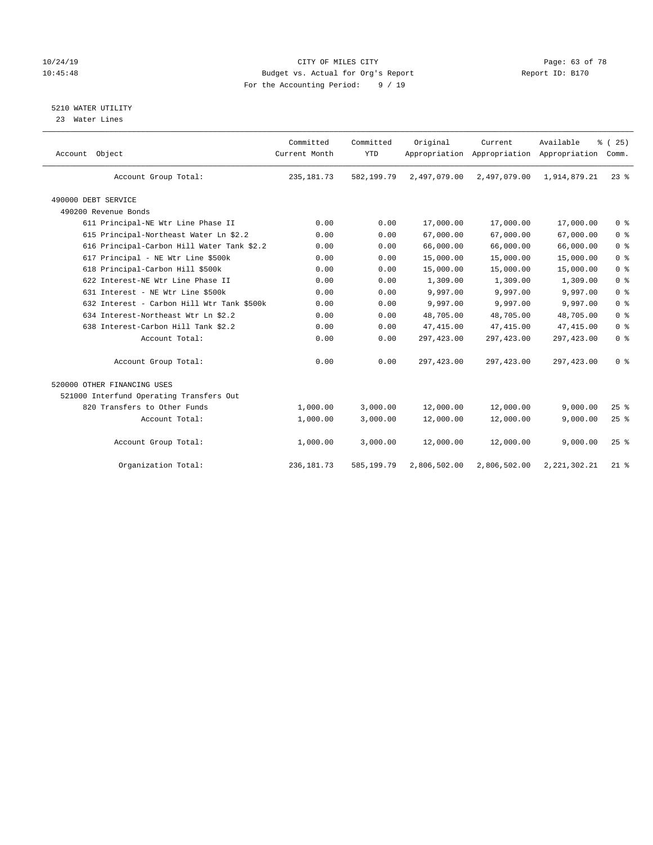# 10/24/19 **Page: 63 of 78** CITY OF MILES CITY **CITY Page: 63 of 78** 10:45:48 Budget vs. Actual for Org's Report Report ID: B170 For the Accounting Period: 9 / 19

5210 WATER UTILITY

23 Water Lines

| Account Object                             | Committed<br>Current Month | Committed<br><b>YTD</b> | Original     | Current<br>Appropriation Appropriation Appropriation | Available       | % (25)<br>Comm. |
|--------------------------------------------|----------------------------|-------------------------|--------------|------------------------------------------------------|-----------------|-----------------|
| Account Group Total:                       | 235, 181.73                | 582,199.79              | 2,497,079.00 | 2,497,079.00                                         | 1,914,879.21    | $23$ $%$        |
| 490000 DEBT SERVICE                        |                            |                         |              |                                                      |                 |                 |
| 490200 Revenue Bonds                       |                            |                         |              |                                                      |                 |                 |
| 611 Principal-NE Wtr Line Phase II         | 0.00                       | 0.00                    | 17,000.00    | 17,000.00                                            | 17,000.00       | 0 <sup>8</sup>  |
| 615 Principal-Northeast Water Ln \$2.2     | 0.00                       | 0.00                    | 67,000.00    | 67,000.00                                            | 67,000.00       | 0 <sup>8</sup>  |
| 616 Principal-Carbon Hill Water Tank \$2.2 | 0.00                       | 0.00                    | 66,000.00    | 66,000.00                                            | 66,000.00       | 0 <sup>8</sup>  |
| 617 Principal - NE Wtr Line \$500k         | 0.00                       | 0.00                    | 15,000.00    | 15,000.00                                            | 15,000.00       | 0 <sup>8</sup>  |
| 618 Principal-Carbon Hill \$500k           | 0.00                       | 0.00                    | 15,000.00    | 15,000.00                                            | 15,000.00       | 0 <sup>8</sup>  |
| 622 Interest-NE Wtr Line Phase II          | 0.00                       | 0.00                    | 1,309.00     | 1,309.00                                             | 1,309.00        | 0 <sup>8</sup>  |
| 631 Interest - NE Wtr Line \$500k          | 0.00                       | 0.00                    | 9,997.00     | 9,997.00                                             | 9,997.00        | 0 <sup>8</sup>  |
| 632 Interest - Carbon Hill Wtr Tank \$500k | 0.00                       | 0.00                    | 9,997.00     | 9,997.00                                             | 9,997.00        | 0 <sup>8</sup>  |
| 634 Interest-Northeast Wtr Ln \$2.2        | 0.00                       | 0.00                    | 48,705.00    | 48,705.00                                            | 48,705.00       | 0 <sup>8</sup>  |
| 638 Interest-Carbon Hill Tank \$2.2        | 0.00                       | 0.00                    | 47, 415.00   | 47,415.00                                            | 47, 415.00      | 0 <sup>8</sup>  |
| Account Total:                             | 0.00                       | 0.00                    | 297,423.00   | 297, 423.00                                          | 297, 423.00     | 0 <sup>8</sup>  |
| Account Group Total:                       | 0.00                       | 0.00                    | 297,423.00   | 297, 423.00                                          | 297,423.00      | 0 <sup>8</sup>  |
| 520000 OTHER FINANCING USES                |                            |                         |              |                                                      |                 |                 |
| 521000 Interfund Operating Transfers Out   |                            |                         |              |                                                      |                 |                 |
| 820 Transfers to Other Funds               | 1,000.00                   | 3,000.00                | 12,000.00    | 12,000.00                                            | 9,000.00        | $25$ $%$        |
| Account Total:                             | 1,000.00                   | 3,000.00                | 12,000.00    | 12,000.00                                            | 9,000.00        | 25%             |
| Account Group Total:                       | 1,000.00                   | 3,000.00                | 12,000.00    | 12,000.00                                            | 9,000.00        | 25%             |
| Organization Total:                        | 236, 181.73                | 585,199.79              | 2,806,502.00 | 2,806,502.00                                         | 2, 221, 302. 21 | $21$ %          |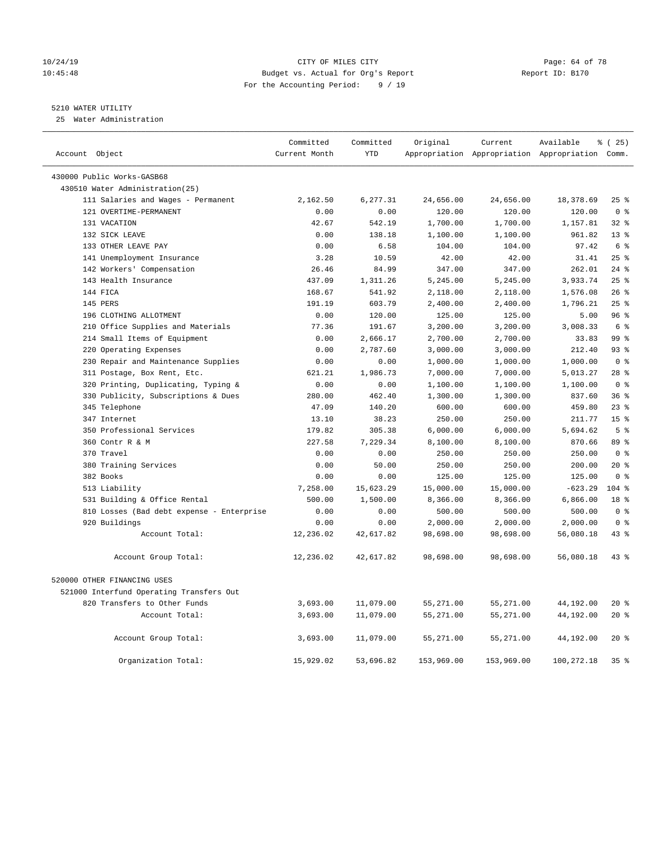#### 10/24/19 **Page: 64 of 78** CITY OF MILES CITY **CITY** Page: 64 of 78 10:45:48 Budget vs. Actual for Org's Report Report ID: B170 For the Accounting Period: 9 / 19

# 5210 WATER UTILITY

25 Water Administration

| Account Object                            | Committed<br>Current Month | Committed<br><b>YTD</b> | Original   | Current    | Available<br>Appropriation Appropriation Appropriation Comm. | % (25)          |
|-------------------------------------------|----------------------------|-------------------------|------------|------------|--------------------------------------------------------------|-----------------|
| 430000 Public Works-GASB68                |                            |                         |            |            |                                                              |                 |
| 430510 Water Administration(25)           |                            |                         |            |            |                                                              |                 |
| 111 Salaries and Wages - Permanent        | 2,162.50                   | 6,277.31                | 24,656.00  | 24,656.00  | 18,378.69                                                    | 25%             |
| 121 OVERTIME-PERMANENT                    | 0.00                       | 0.00                    | 120.00     | 120.00     | 120.00                                                       | 0 <sup>8</sup>  |
| 131 VACATION                              | 42.67                      | 542.19                  | 1,700.00   | 1,700.00   | 1,157.81                                                     | $32$ $%$        |
| 132 SICK LEAVE                            | 0.00                       | 138.18                  | 1,100.00   | 1,100.00   | 961.82                                                       | $13*$           |
| 133 OTHER LEAVE PAY                       | 0.00                       | 6.58                    | 104.00     | 104.00     | 97.42                                                        | 6 %             |
| 141 Unemployment Insurance                | 3.28                       | 10.59                   | 42.00      | 42.00      | 31.41                                                        | 25%             |
| 142 Workers' Compensation                 | 26.46                      | 84.99                   | 347.00     | 347.00     | 262.01                                                       | $24$ %          |
| 143 Health Insurance                      | 437.09                     | 1,311.26                | 5,245.00   | 5,245.00   | 3,933.74                                                     | 25%             |
| 144 FICA                                  | 168.67                     | 541.92                  | 2,118.00   | 2,118.00   | 1,576.08                                                     | 26%             |
| 145 PERS                                  | 191.19                     | 603.79                  | 2,400.00   | 2,400.00   | 1,796.21                                                     | 25%             |
| 196 CLOTHING ALLOTMENT                    | 0.00                       | 120.00                  | 125.00     | 125.00     | 5.00                                                         | 96%             |
| 210 Office Supplies and Materials         | 77.36                      | 191.67                  | 3,200.00   | 3,200.00   | 3,008.33                                                     | 6 <sup>°</sup>  |
| 214 Small Items of Equipment              | 0.00                       | 2,666.17                | 2,700.00   | 2,700.00   | 33.83                                                        | 99 %            |
| 220 Operating Expenses                    | 0.00                       | 2,787.60                | 3,000.00   | 3,000.00   | 212.40                                                       | 93%             |
| 230 Repair and Maintenance Supplies       | 0.00                       | 0.00                    | 1,000.00   | 1,000.00   | 1,000.00                                                     | 0 <sup>8</sup>  |
| 311 Postage, Box Rent, Etc.               | 621.21                     | 1,986.73                | 7,000.00   | 7,000.00   | 5,013.27                                                     | 28 <sup>8</sup> |
| 320 Printing, Duplicating, Typing &       | 0.00                       | 0.00                    | 1,100.00   | 1,100.00   | 1,100.00                                                     | 0 <sup>8</sup>  |
| 330 Publicity, Subscriptions & Dues       | 280.00                     | 462.40                  | 1,300.00   | 1,300.00   | 837.60                                                       | 36%             |
| 345 Telephone                             | 47.09                      | 140.20                  | 600.00     | 600.00     | 459.80                                                       | $23$ $%$        |
| 347 Internet                              | 13.10                      | 38.23                   | 250.00     | 250.00     | 211.77                                                       | 15 <sup>°</sup> |
| 350 Professional Services                 | 179.82                     | 305.38                  | 6,000.00   | 6,000.00   | 5,694.62                                                     | 5 <sup>8</sup>  |
| 360 Contr R & M                           | 227.58                     | 7,229.34                | 8,100.00   | 8,100.00   | 870.66                                                       | 89 %            |
| 370 Travel                                | 0.00                       | 0.00                    | 250.00     | 250.00     | 250.00                                                       | 0 <sup>8</sup>  |
| 380 Training Services                     | 0.00                       | 50.00                   | 250.00     | 250.00     | 200.00                                                       | $20*$           |
| 382 Books                                 | 0.00                       | 0.00                    | 125.00     | 125.00     | 125.00                                                       | 0 <sup>8</sup>  |
| 513 Liability                             | 7,258.00                   | 15,623.29               | 15,000.00  | 15,000.00  | $-623.29$                                                    | $104$ %         |
| 531 Building & Office Rental              | 500.00                     | 1,500.00                | 8,366.00   | 8,366.00   | 6,866.00                                                     | 18 %            |
| 810 Losses (Bad debt expense - Enterprise | 0.00                       | 0.00                    | 500.00     | 500.00     | 500.00                                                       | 0 <sup>8</sup>  |
| 920 Buildings                             | 0.00                       | 0.00                    | 2,000.00   | 2,000.00   | 2,000.00                                                     | 0 <sup>8</sup>  |
| Account Total:                            | 12,236.02                  | 42,617.82               | 98,698.00  | 98,698.00  | 56,080.18                                                    | 43%             |
| Account Group Total:                      | 12,236.02                  | 42,617.82               | 98,698.00  | 98,698.00  | 56,080.18                                                    | $43$ $%$        |
| 520000 OTHER FINANCING USES               |                            |                         |            |            |                                                              |                 |
| 521000 Interfund Operating Transfers Out  |                            |                         |            |            |                                                              |                 |
| 820 Transfers to Other Funds              | 3,693.00                   | 11,079.00               | 55,271.00  | 55,271.00  | 44,192.00                                                    | $20*$           |
| Account Total:                            | 3,693.00                   | 11,079.00               | 55,271.00  | 55,271.00  | 44,192.00                                                    | $20*$           |
| Account Group Total:                      | 3,693.00                   | 11,079.00               | 55,271.00  | 55,271.00  | 44,192.00                                                    | $20*$           |
| Organization Total:                       | 15,929.02                  | 53,696.82               | 153,969.00 | 153,969.00 | 100,272.18                                                   | 35 <sup>8</sup> |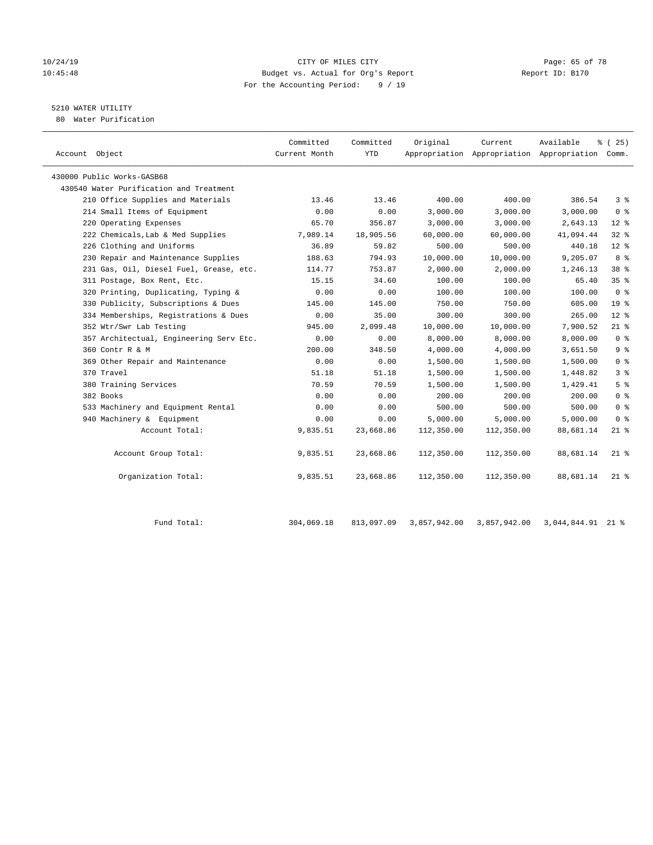# 10/24/19 **Page: 65 of 78** CITY OF MILES CITY **CITY** Page: 65 of 78 10:45:48 Budget vs. Actual for Org's Report Report ID: B170 For the Accounting Period: 9 / 19

# 5210 WATER UTILITY

80 Water Purification

| % (25)<br>Appropriation Appropriation Appropriation Comm.<br>386.54<br>3 <sup>8</sup><br>0 <sup>8</sup><br>3,000.00<br>2,643.13<br>$12*$<br>32%<br>41,094.44 |
|--------------------------------------------------------------------------------------------------------------------------------------------------------------|
|                                                                                                                                                              |
|                                                                                                                                                              |
|                                                                                                                                                              |
|                                                                                                                                                              |
|                                                                                                                                                              |
|                                                                                                                                                              |
|                                                                                                                                                              |
| $12*$<br>440.18                                                                                                                                              |
| 9,205.07<br>8 %                                                                                                                                              |
| 38 <sup>8</sup><br>1,246.13                                                                                                                                  |
| 35 <sup>8</sup><br>65.40                                                                                                                                     |
| 0 <sup>8</sup><br>100.00                                                                                                                                     |
| 19 <sup>°</sup><br>605.00                                                                                                                                    |
| 265.00<br>$12*$                                                                                                                                              |
| 7,900.52<br>$21$ %                                                                                                                                           |
| 0 <sup>8</sup><br>8,000.00                                                                                                                                   |
| 9 <sup>°</sup><br>3,651.50                                                                                                                                   |
| 0 <sup>8</sup><br>1,500.00                                                                                                                                   |
| 3 <sup>8</sup><br>1,448.82                                                                                                                                   |
| 5 <sup>°</sup><br>1,429.41                                                                                                                                   |
| 0 <sup>8</sup><br>200.00                                                                                                                                     |
| 500.00<br>0 <sup>8</sup>                                                                                                                                     |
| 0 <sup>8</sup><br>5,000.00                                                                                                                                   |
| 88,681.14<br>$21$ %                                                                                                                                          |
| 88,681.14<br>$21$ %                                                                                                                                          |
| 88,681.14<br>$21$ %                                                                                                                                          |
|                                                                                                                                                              |

| Total<br>Fund | 304,069.18 | 813,097.09 | 3,857,942.00 | 3,857,942.00 | 3,044,844.91 | 0.1<br>-44 |
|---------------|------------|------------|--------------|--------------|--------------|------------|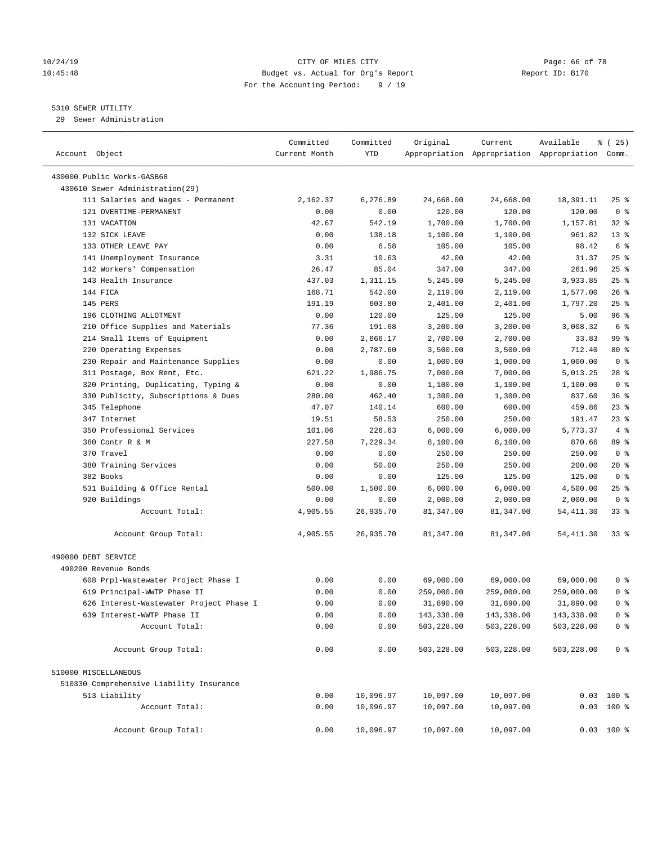# 10/24/19 **Page: 66 of 78** CITY OF MILES CITY **Page: 66 of 78** 10:45:48 Budget vs. Actual for Org's Report Report ID: B170 For the Accounting Period: 9 / 19

————————————————————————————————————————————————————————————————————————————————————————————————————————————————————————————————————

# 5310 SEWER UTILITY

29 Sewer Administration

|                                                               | Committed     | Committed | Original   | Current    | Available                                       | % (25)          |                |
|---------------------------------------------------------------|---------------|-----------|------------|------------|-------------------------------------------------|-----------------|----------------|
| Account Object                                                | Current Month | YTD       |            |            | Appropriation Appropriation Appropriation Comm. |                 |                |
| 430000 Public Works-GASB68                                    |               |           |            |            |                                                 |                 |                |
| 430610 Sewer Administration(29)                               |               |           |            |            |                                                 |                 |                |
| 111 Salaries and Wages - Permanent                            | 2,162.37      | 6,276.89  | 24,668.00  | 24,668.00  | 18,391.11                                       | $25$ %          |                |
| 121 OVERTIME-PERMANENT                                        | 0.00          | 0.00      | 120.00     | 120.00     | 120.00                                          | 0 <sup>8</sup>  |                |
| 131 VACATION                                                  | 42.67         | 542.19    | 1,700.00   | 1,700.00   | 1,157.81                                        | $32$ $%$        |                |
| 132 SICK LEAVE                                                | 0.00          | 138.18    | 1,100.00   | 1,100.00   | 961.82                                          | 13 <sup>°</sup> |                |
| 133 OTHER LEAVE PAY                                           | 0.00          | 6.58      | 105.00     | 105.00     | 98.42                                           | 6 %             |                |
| 141 Unemployment Insurance                                    | 3.31          | 10.63     | 42.00      | 42.00      | 31.37                                           | $25$ %          |                |
| 142 Workers' Compensation                                     | 26.47         | 85.04     | 347.00     | 347.00     | 261.96                                          | $25$ %          |                |
| 143 Health Insurance                                          | 437.03        | 1,311.15  | 5,245.00   | 5,245.00   | 3,933.85                                        | $25$ %          |                |
| 144 FICA                                                      | 168.71        | 542.00    | 2,119.00   | 2,119.00   | 1,577.00                                        | $26$ %          |                |
| 145 PERS                                                      | 191.19        | 603.80    | 2,401.00   | 2,401.00   | 1,797.20                                        | $25$ %          |                |
| 196 CLOTHING ALLOTMENT                                        | 0.00          | 120.00    | 125.00     | 125.00     | 5.00                                            | 96%             |                |
| 210 Office Supplies and Materials                             | 77.36         | 191.68    | 3,200.00   | 3,200.00   | 3,008.32                                        | 6 %             |                |
| 214 Small Items of Equipment                                  | 0.00          |           |            |            | 33.83                                           | 99 %            |                |
|                                                               |               | 2,666.17  | 2,700.00   | 2,700.00   |                                                 | $80*$           |                |
| 220 Operating Expenses<br>230 Repair and Maintenance Supplies | 0.00          | 2,787.60  | 3,500.00   | 3,500.00   | 712.40                                          | 0 <sup>8</sup>  |                |
|                                                               | 0.00          | 0.00      | 1,000.00   | 1,000.00   | 1,000.00                                        |                 |                |
| 311 Postage, Box Rent, Etc.                                   | 621.22        | 1,986.75  | 7,000.00   | 7,000.00   | 5,013.25                                        | 28 %            |                |
| 320 Printing, Duplicating, Typing &                           | 0.00          | 0.00      | 1,100.00   | 1,100.00   | 1,100.00                                        | 0 <sup>8</sup>  |                |
| 330 Publicity, Subscriptions & Dues                           | 280.00        | 462.40    | 1,300.00   | 1,300.00   | 837.60                                          | 36%             |                |
| 345 Telephone                                                 | 47.07         | 140.14    | 600.00     | 600.00     | 459.86                                          | $23$ $%$        |                |
| 347 Internet                                                  | 19.51         | 58.53     | 250.00     | 250.00     | 191.47                                          | $23$ $%$        |                |
| 350 Professional Services                                     | 101.06        | 226.63    | 6,000.00   | 6,000.00   | 5,773.37                                        |                 | 4%             |
| 360 Contr R & M                                               | 227.58        | 7,229.34  | 8,100.00   | 8,100.00   | 870.66                                          | 89 %            |                |
| 370 Travel                                                    | 0.00          | 0.00      | 250.00     | 250.00     | 250.00                                          | 0 <sup>8</sup>  |                |
| 380 Training Services                                         | 0.00          | 50.00     | 250.00     | 250.00     | 200.00                                          | $20*$           |                |
| 382 Books                                                     | 0.00          | 0.00      | 125.00     | 125.00     | 125.00                                          | 0 <sup>8</sup>  |                |
| 531 Building & Office Rental                                  | 500.00        | 1,500.00  | 6,000.00   | 6,000.00   | 4,500.00                                        | $25$ %          |                |
| 920 Buildings                                                 | 0.00          | 0.00      | 2,000.00   | 2,000.00   | 2,000.00                                        | 0 <sup>8</sup>  |                |
| Account Total:                                                | 4,905.55      | 26,935.70 | 81,347.00  | 81,347.00  | 54,411.30                                       | 33%             |                |
| Account Group Total:                                          | 4,905.55      | 26,935.70 | 81,347.00  | 81,347.00  | 54, 411.30                                      | 33 %            |                |
| 490000 DEBT SERVICE                                           |               |           |            |            |                                                 |                 |                |
| 490200 Revenue Bonds                                          |               |           |            |            |                                                 |                 |                |
| 608 Prpl-Wastewater Project Phase I                           | 0.00          | 0.00      | 69,000.00  | 69,000.00  | 69,000.00                                       |                 | 0 <sup>8</sup> |
| 619 Principal-WWTP Phase II                                   | 0.00          | 0.00      | 259,000.00 | 259,000.00 | 259,000.00                                      |                 | 0 <sup>8</sup> |
| 626 Interest-Wastewater Project Phase I                       | 0.00          | 0.00      | 31,890.00  | 31,890.00  | 31,890.00                                       |                 | 0 <sup>8</sup> |
| 639 Interest-WWTP Phase II                                    | 0.00          | 0.00      | 143,338.00 | 143,338.00 | 143,338.00                                      |                 | 0 %            |
| Account Total:                                                | 0.00          | 0.00      | 503,228.00 | 503,228.00 | 503,228.00                                      |                 | 0 <sup>8</sup> |
| Account Group Total:                                          | 0.00          | 0.00      | 503,228.00 | 503,228.00 | 503,228.00                                      |                 | 0 <sup>8</sup> |
| 510000 MISCELLANEOUS                                          |               |           |            |            |                                                 |                 |                |
| 510330 Comprehensive Liability Insurance                      |               |           |            |            |                                                 |                 |                |
| 513 Liability                                                 | 0.00          | 10,096.97 | 10,097.00  | 10,097.00  |                                                 | $0.03$ 100 %    |                |
| Account Total:                                                | 0.00          | 10,096.97 | 10,097.00  | 10,097.00  |                                                 | $0.03$ 100 %    |                |
| Account Group Total:                                          | 0.00          | 10,096.97 | 10,097.00  | 10,097.00  |                                                 | $0.03$ 100 %    |                |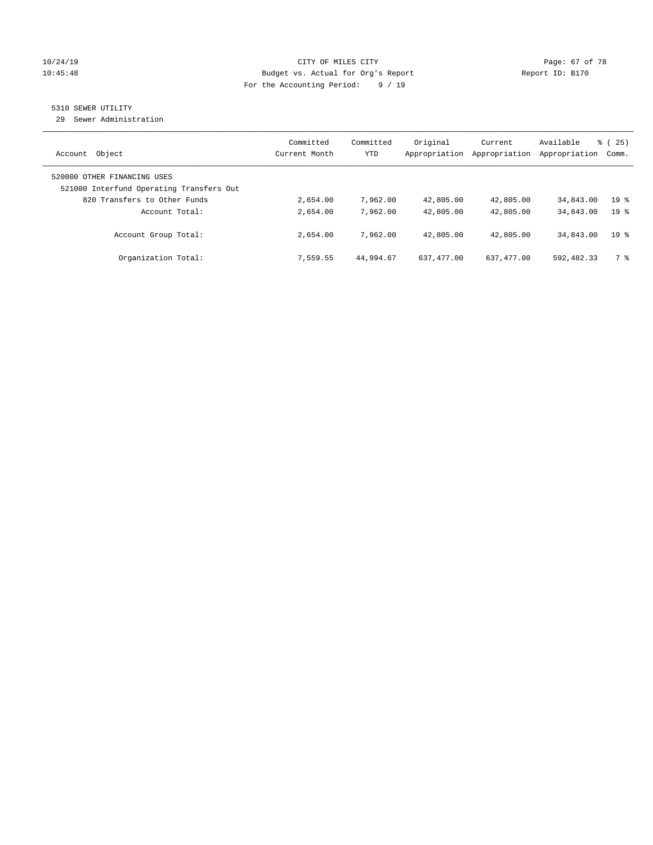# 10/24/19 Page: 67 of 78 10:45:48 Budget vs. Actual for Org's Report Report ID: B170 For the Accounting Period: 9 / 19

# 5310 SEWER UTILITY

29 Sewer Administration

| Object<br>Account                                                       | Committed<br>Current Month | Committed<br>YTD | Original<br>Appropriation | Current<br>Appropriation | Available<br>Appropriation | 8 (25)<br>Comm. |
|-------------------------------------------------------------------------|----------------------------|------------------|---------------------------|--------------------------|----------------------------|-----------------|
| 520000 OTHER FINANCING USES<br>521000 Interfund Operating Transfers Out |                            |                  |                           |                          |                            |                 |
| 820 Transfers to Other Funds                                            | 2,654.00                   | 7,962.00         | 42,805.00                 | 42,805.00                | 34,843.00                  | 19 <sub>8</sub> |
| Account Total:                                                          | 2,654.00                   | 7,962.00         | 42,805.00                 | 42,805.00                | 34,843.00                  | 19 <sup>8</sup> |
| Account Group Total:                                                    | 2,654.00                   | 7,962.00         | 42,805.00                 | 42,805.00                | 34,843.00                  | 19 <sup>8</sup> |
| Organization Total:                                                     | 7,559.55                   | 44,994.67        | 637, 477, 00              | 637, 477, 00             | 592,482.33                 | 7 %             |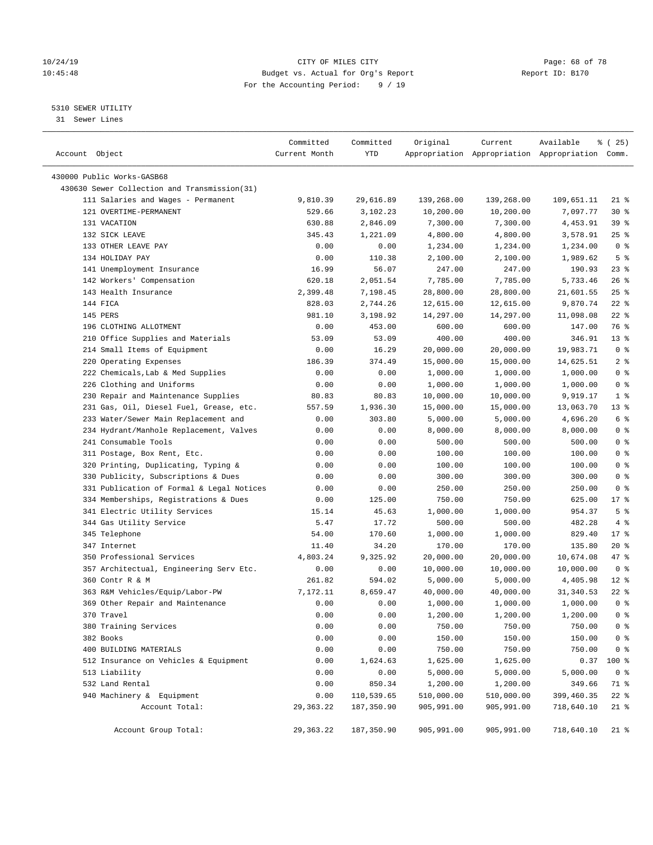# 10/24/19 **Page: 68 of 78** CITY OF MILES CITY **Page: 68 of 78** 10:45:48 Budget vs. Actual for Org's Report Report ID: B170 For the Accounting Period: 9 / 19

————————————————————————————————————————————————————————————————————————————————————————————————————————————————————————————————————

# 5310 SEWER UTILITY

31 Sewer Lines

|                                              | Committed     | Committed  | Original   | Current    | Available                                       | ៖ (25)          |
|----------------------------------------------|---------------|------------|------------|------------|-------------------------------------------------|-----------------|
| Account Object                               | Current Month | YTD        |            |            | Appropriation Appropriation Appropriation Comm. |                 |
| 430000 Public Works-GASB68                   |               |            |            |            |                                                 |                 |
| 430630 Sewer Collection and Transmission(31) |               |            |            |            |                                                 |                 |
| 111 Salaries and Wages - Permanent           | 9,810.39      | 29,616.89  | 139,268.00 | 139,268.00 | 109,651.11                                      | 21 %            |
| 121 OVERTIME-PERMANENT                       | 529.66        | 3,102.23   | 10,200.00  | 10,200.00  | 7,097.77                                        | $30*$           |
| 131 VACATION                                 | 630.88        | 2,846.09   | 7,300.00   | 7,300.00   | 4,453.91                                        | 39%             |
| 132 SICK LEAVE                               | 345.43        | 1,221.09   | 4,800.00   | 4,800.00   | 3,578.91                                        | $25$ %          |
| 133 OTHER LEAVE PAY                          | 0.00          | 0.00       | 1,234.00   | 1,234.00   | 1,234.00                                        | 0 <sup>8</sup>  |
| 134 HOLIDAY PAY                              | 0.00          | 110.38     | 2,100.00   | 2,100.00   | 1,989.62                                        | 5 <sup>8</sup>  |
| 141 Unemployment Insurance                   | 16.99         | 56.07      | 247.00     | 247.00     | 190.93                                          | $23$ $%$        |
| 142 Workers' Compensation                    | 620.18        | 2,051.54   | 7,785.00   | 7,785.00   | 5,733.46                                        | $26$ %          |
| 143 Health Insurance                         | 2,399.48      | 7,198.45   | 28,800.00  | 28,800.00  | 21,601.55                                       | $25$ %          |
| 144 FICA                                     | 828.03        | 2,744.26   | 12,615.00  | 12,615.00  | 9,870.74                                        | $22$ %          |
| 145 PERS                                     | 981.10        | 3,198.92   | 14,297.00  | 14,297.00  | 11,098.08                                       | $22$ %          |
| 196 CLOTHING ALLOTMENT                       | 0.00          | 453.00     | 600.00     | 600.00     | 147.00                                          | 76 %            |
| 210 Office Supplies and Materials            | 53.09         | 53.09      | 400.00     | 400.00     | 346.91                                          | $13*$           |
| 214 Small Items of Equipment                 | 0.00          | 16.29      | 20,000.00  | 20,000.00  | 19,983.71                                       | 0 <sup>8</sup>  |
| 220 Operating Expenses                       | 186.39        | 374.49     | 15,000.00  | 15,000.00  | 14,625.51                                       | 2 <sup>°</sup>  |
| 222 Chemicals, Lab & Med Supplies            | 0.00          | 0.00       | 1,000.00   | 1,000.00   | 1,000.00                                        | 0 <sup>8</sup>  |
| 226 Clothing and Uniforms                    | 0.00          | 0.00       | 1,000.00   | 1,000.00   | 1,000.00                                        | 0 <sup>8</sup>  |
| 230 Repair and Maintenance Supplies          | 80.83         | 80.83      | 10,000.00  | 10,000.00  | 9,919.17                                        | 1 <sup>8</sup>  |
| 231 Gas, Oil, Diesel Fuel, Grease, etc.      | 557.59        | 1,936.30   | 15,000.00  | 15,000.00  | 13,063.70                                       | 13 <sup>°</sup> |
| 233 Water/Sewer Main Replacement and         | 0.00          | 303.80     | 5,000.00   | 5,000.00   | 4,696.20                                        | $6\degree$      |
| 234 Hydrant/Manhole Replacement, Valves      | 0.00          | 0.00       | 8,000.00   | 8,000.00   | 8,000.00                                        | 0 <sup>8</sup>  |
| 241 Consumable Tools                         | 0.00          | 0.00       | 500.00     | 500.00     | 500.00                                          | 0 <sup>8</sup>  |
| 311 Postage, Box Rent, Etc.                  | 0.00          | 0.00       | 100.00     | 100.00     | 100.00                                          | 0 <sup>8</sup>  |
| 320 Printing, Duplicating, Typing &          | 0.00          | 0.00       | 100.00     | 100.00     | 100.00                                          | 0 <sup>8</sup>  |
| 330 Publicity, Subscriptions & Dues          | 0.00          | 0.00       | 300.00     | 300.00     | 300.00                                          | 0 <sup>8</sup>  |
| 331 Publication of Formal & Legal Notices    | 0.00          | 0.00       | 250.00     | 250.00     | 250.00                                          | 0 <sup>8</sup>  |
| 334 Memberships, Registrations & Dues        | 0.00          | 125.00     | 750.00     | 750.00     | 625.00                                          | $17*$           |
| 341 Electric Utility Services                | 15.14         | 45.63      | 1,000.00   | 1,000.00   | 954.37                                          | 5 <sup>°</sup>  |
| 344 Gas Utility Service                      | 5.47          | 17.72      | 500.00     | 500.00     | 482.28                                          | 4%              |
| 345 Telephone                                | 54.00         | 170.60     | 1,000.00   | 1,000.00   | 829.40                                          | $17*$           |
| 347 Internet                                 | 11.40         | 34.20      | 170.00     | 170.00     | 135.80                                          | $20*$           |
| 350 Professional Services                    | 4,803.24      | 9,325.92   | 20,000.00  | 20,000.00  | 10,674.08                                       | 47 %            |
| 357 Architectual, Engineering Serv Etc.      | 0.00          | 0.00       | 10,000.00  | 10,000.00  | 10,000.00                                       | 0 <sup>8</sup>  |
| 360 Contr R & M                              | 261.82        | 594.02     | 5,000.00   | 5,000.00   | 4,405.98                                        | $12*$           |
| 363 R&M Vehicles/Equip/Labor-PW              | 7,172.11      | 8,659.47   | 40,000.00  | 40,000.00  | 31, 340.53                                      | $22$ %          |
| 369 Other Repair and Maintenance             | 0.00          | 0.00       | 1,000.00   | 1,000.00   | 1,000.00                                        | 0 <sup>8</sup>  |
| 370 Travel                                   | 0.00          | 0.00       | 1,200.00   | 1,200.00   | 1,200.00                                        | 0 <sup>8</sup>  |
| 380 Training Services                        | 0.00          | 0.00       | 750.00     | 750.00     | 750.00                                          | 0 <sup>8</sup>  |
| 382 Books                                    | 0.00          | 0.00       | 150.00     | 150.00     | 150.00                                          | 0 <sup>8</sup>  |
| 400 BUILDING MATERIALS                       | 0.00          | 0.00       | 750.00     | 750.00     | 750.00                                          | 0 <sup>8</sup>  |
| 512 Insurance on Vehicles & Equipment        | 0.00          | 1,624.63   | 1,625.00   | 1,625.00   | 0.37                                            | 100 %           |
| 513 Liability                                | 0.00          | 0.00       | 5,000.00   | 5,000.00   | 5,000.00                                        | 0 <sup>8</sup>  |
| 532 Land Rental                              | 0.00          | 850.34     | 1,200.00   | 1,200.00   | 349.66                                          | 71 %            |
| 940 Machinery & Equipment                    | 0.00          | 110,539.65 | 510,000.00 | 510,000.00 | 399,460.35                                      | $22$ %          |
| Account Total:                               | 29, 363. 22   | 187,350.90 | 905,991.00 | 905,991.00 | 718,640.10                                      | $21$ %          |
| Account Group Total:                         | 29, 363. 22   | 187,350.90 | 905,991.00 | 905,991.00 | 718,640.10                                      | $21$ %          |
|                                              |               |            |            |            |                                                 |                 |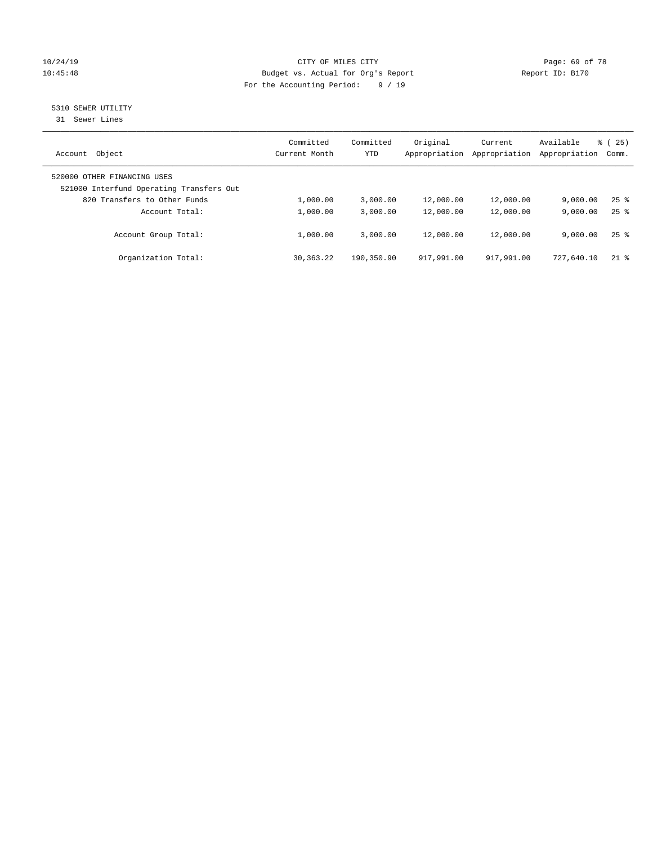# 10/24/19 **Page: 69 of 78** CITY OF MILES CITY **CITY** CITY **Page: 69 of 78** 10:45:48 Budget vs. Actual for Org's Report Report ID: B170 For the Accounting Period: 9 / 19

# 5310 SEWER UTILITY

31 Sewer Lines

| Object<br>Account                                                       | Committed<br>Current Month | Committed<br>YTD | Original<br>Appropriation | Current<br>Appropriation | Available<br>Appropriation | 8 (25)<br>Comm.    |
|-------------------------------------------------------------------------|----------------------------|------------------|---------------------------|--------------------------|----------------------------|--------------------|
| 520000 OTHER FINANCING USES<br>521000 Interfund Operating Transfers Out |                            |                  |                           |                          |                            |                    |
| 820 Transfers to Other Funds                                            | 1,000.00                   | 3.000.00         | 12,000.00                 | 12,000.00                | 9.000.00                   | $25$ $\frac{6}{5}$ |
| Account Total:                                                          | 1,000.00                   | 3,000.00         | 12,000.00                 | 12,000.00                | 9.000.00                   | $25$ $\frac{6}{5}$ |
| Account Group Total:                                                    | 1,000.00                   | 3,000.00         | 12,000.00                 | 12,000.00                | 9.000.00                   | $25$ $\frac{6}{5}$ |
| Organization Total:                                                     | 30, 363. 22                | 190,350.90       | 917,991.00                | 917,991.00               | 727,640.10                 | $21$ %             |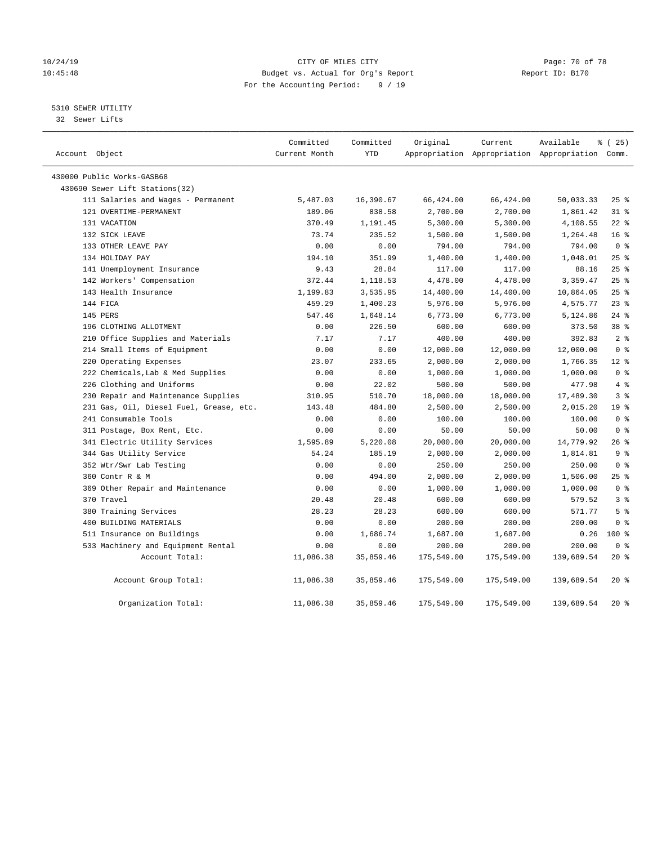# 10/24/19 **Page: 70 of 78** CITY OF MILES CITY **CITY Page: 70 of 78** 10:45:48 Budget vs. Actual for Org's Report Report ID: B170 For the Accounting Period: 9 / 19

# 5310 SEWER UTILITY

32 Sewer Lifts

| Account Object                          | Committed<br>Current Month | Committed<br>YTD | Original   | Current    | Available<br>Appropriation Appropriation Appropriation Comm. | १ (25)          |
|-----------------------------------------|----------------------------|------------------|------------|------------|--------------------------------------------------------------|-----------------|
| 430000 Public Works-GASB68              |                            |                  |            |            |                                                              |                 |
| 430690 Sewer Lift Stations(32)          |                            |                  |            |            |                                                              |                 |
| 111 Salaries and Wages - Permanent      | 5,487.03                   | 16,390.67        | 66,424.00  | 66,424.00  | 50,033.33                                                    | $25$ %          |
| 121 OVERTIME-PERMANENT                  | 189.06                     | 838.58           | 2,700.00   | 2,700.00   | 1,861.42                                                     | $31$ %          |
| 131 VACATION                            | 370.49                     | 1,191.45         | 5,300.00   | 5,300.00   | 4,108.55                                                     | $22$ %          |
| 132 SICK LEAVE                          | 73.74                      | 235.52           | 1,500.00   | 1,500.00   | 1,264.48                                                     | 16 <sup>°</sup> |
| 133 OTHER LEAVE PAY                     | 0.00                       | 0.00             | 794.00     | 794.00     | 794.00                                                       | 0 <sup>8</sup>  |
| 134 HOLIDAY PAY                         | 194.10                     | 351.99           | 1,400.00   | 1,400.00   | 1,048.01                                                     | 25%             |
| 141 Unemployment Insurance              | 9.43                       | 28.84            | 117.00     | 117.00     | 88.16                                                        | 25%             |
| 142 Workers' Compensation               | 372.44                     | 1,118.53         | 4,478.00   | 4,478.00   | 3,359.47                                                     | 25%             |
| 143 Health Insurance                    | 1,199.83                   | 3,535.95         | 14,400.00  | 14,400.00  | 10,864.05                                                    | 25%             |
| 144 FICA                                | 459.29                     | 1,400.23         | 5,976.00   | 5,976.00   | 4,575.77                                                     | $23$ %          |
| 145 PERS                                | 547.46                     | 1,648.14         | 6,773.00   | 6,773.00   | 5,124.86                                                     | $24$ %          |
| 196 CLOTHING ALLOTMENT                  | 0.00                       | 226.50           | 600.00     | 600.00     | 373.50                                                       | 38 %            |
| 210 Office Supplies and Materials       | 7.17                       | 7.17             | 400.00     | 400.00     | 392.83                                                       | 2 <sup>°</sup>  |
| 214 Small Items of Equipment            | 0.00                       | 0.00             | 12,000.00  | 12,000.00  | 12,000.00                                                    | 0 <sup>8</sup>  |
| 220 Operating Expenses                  | 23.07                      | 233.65           | 2,000.00   | 2,000.00   | 1,766.35                                                     | $12*$           |
| 222 Chemicals, Lab & Med Supplies       | 0.00                       | 0.00             | 1,000.00   | 1,000.00   | 1,000.00                                                     | 0 <sup>8</sup>  |
| 226 Clothing and Uniforms               | 0.00                       | 22.02            | 500.00     | 500.00     | 477.98                                                       | 4%              |
| 230 Repair and Maintenance Supplies     | 310.95                     | 510.70           | 18,000.00  | 18,000.00  | 17,489.30                                                    | 3 <sup>°</sup>  |
| 231 Gas, Oil, Diesel Fuel, Grease, etc. | 143.48                     | 484.80           | 2,500.00   | 2,500.00   | 2,015.20                                                     | 19 <sup>°</sup> |
| 241 Consumable Tools                    | 0.00                       | 0.00             | 100.00     | 100.00     | 100.00                                                       | 0 <sup>8</sup>  |
| 311 Postage, Box Rent, Etc.             | 0.00                       | 0.00             | 50.00      | 50.00      | 50.00                                                        | 0 <sup>8</sup>  |
| 341 Electric Utility Services           | 1,595.89                   | 5,220.08         | 20,000.00  | 20,000.00  | 14,779.92                                                    | $26$ %          |
| 344 Gas Utility Service                 | 54.24                      | 185.19           | 2,000.00   | 2,000.00   | 1,814.81                                                     | 9 <sup>°</sup>  |
| 352 Wtr/Swr Lab Testing                 | 0.00                       | 0.00             | 250.00     | 250.00     | 250.00                                                       | 0 <sup>8</sup>  |
| 360 Contr R & M                         | 0.00                       | 494.00           | 2,000.00   | 2,000.00   | 1,506.00                                                     | 25%             |
| 369 Other Repair and Maintenance        | 0.00                       | 0.00             | 1,000.00   | 1,000.00   | 1,000.00                                                     | 0 <sup>8</sup>  |
| 370 Travel                              | 20.48                      | 20.48            | 600.00     | 600.00     | 579.52                                                       | 3 <sup>8</sup>  |
| 380 Training Services                   | 28.23                      | 28.23            | 600.00     | 600.00     | 571.77                                                       | 5 <sup>°</sup>  |
| 400 BUILDING MATERIALS                  | 0.00                       | 0.00             | 200.00     | 200.00     | 200.00                                                       | 0 <sup>8</sup>  |
| 511 Insurance on Buildings              | 0.00                       | 1,686.74         | 1,687.00   | 1,687.00   | 0.26                                                         | $100*$          |
| 533 Machinery and Equipment Rental      | 0.00                       | 0.00             | 200.00     | 200.00     | 200.00                                                       | 0 <sup>8</sup>  |
| Account Total:                          | 11,086.38                  | 35,859.46        | 175,549.00 | 175,549.00 | 139,689.54                                                   | $20*$           |
| Account Group Total:                    | 11,086.38                  | 35,859.46        | 175,549.00 | 175,549.00 | 139,689.54                                                   | $20*$           |
| Organization Total:                     | 11,086.38                  | 35,859.46        | 175,549.00 | 175,549.00 | 139,689.54                                                   | $20*$           |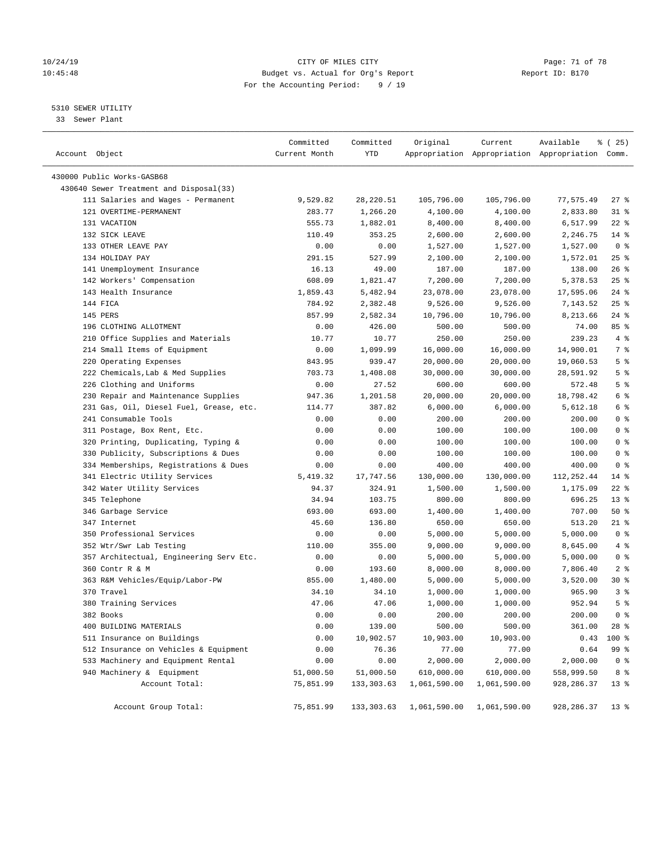# 10/24/19 **Page: 71 of 78** CITY OF MILES CITY **Page: 71 of 78** 10:45:48 Budget vs. Actual for Org's Report Report ID: B170 For the Accounting Period: 9 / 19

————————————————————————————————————————————————————————————————————————————————————————————————————————————————————————————————————

#### 5310 SEWER UTILITY

33 Sewer Plant

|                                         | Committed     | Committed   | Original                   | Current      | Available                                       | % (25)          |  |
|-----------------------------------------|---------------|-------------|----------------------------|--------------|-------------------------------------------------|-----------------|--|
| Account Object                          | Current Month | YTD         |                            |              | Appropriation Appropriation Appropriation Comm. |                 |  |
| 430000 Public Works-GASB68              |               |             |                            |              |                                                 |                 |  |
| 430640 Sewer Treatment and Disposal(33) |               |             |                            |              |                                                 |                 |  |
| 111 Salaries and Wages - Permanent      | 9,529.82      | 28,220.51   | 105,796.00                 | 105,796.00   | 77,575.49                                       | 27 %            |  |
| 121 OVERTIME-PERMANENT                  | 283.77        | 1,266.20    | 4,100.00                   | 4,100.00     | 2,833.80                                        | 31 %            |  |
| 131 VACATION                            | 555.73        | 1,882.01    | 8,400.00                   | 8,400.00     | 6,517.99                                        | $22$ %          |  |
| 132 SICK LEAVE                          | 110.49        | 353.25      | 2,600.00                   | 2,600.00     | 2,246.75                                        | $14*$           |  |
| 133 OTHER LEAVE PAY                     | 0.00          | 0.00        | 1,527.00                   | 1,527.00     | 1,527.00                                        | 0 <sup>8</sup>  |  |
| 134 HOLIDAY PAY                         | 291.15        | 527.99      | 2,100.00                   | 2,100.00     | 1,572.01                                        | $25$ %          |  |
| 141 Unemployment Insurance              | 16.13         | 49.00       | 187.00                     | 187.00       | 138.00                                          | $26$ %          |  |
| 142 Workers' Compensation               | 608.09        | 1,821.47    | 7,200.00                   | 7,200.00     | 5,378.53                                        | $25$ %          |  |
| 143 Health Insurance                    | 1,859.43      | 5,482.94    | 23,078.00                  | 23,078.00    | 17,595.06                                       | $24$ %          |  |
| 144 FICA                                | 784.92        | 2,382.48    | 9,526.00                   | 9,526.00     | 7,143.52                                        | 25%             |  |
| 145 PERS                                | 857.99        | 2,582.34    | 10,796.00                  | 10,796.00    | 8,213.66                                        | $24$ %          |  |
| 196 CLOTHING ALLOTMENT                  | 0.00          | 426.00      | 500.00                     | 500.00       | 74.00                                           | 85 %            |  |
| 210 Office Supplies and Materials       | 10.77         | 10.77       | 250.00                     | 250.00       | 239.23                                          | 4%              |  |
| 214 Small Items of Equipment            | 0.00          | 1,099.99    | 16,000.00                  | 16,000.00    | 14,900.01                                       | 7 %             |  |
| 220 Operating Expenses                  | 843.95        | 939.47      | 20,000.00                  | 20,000.00    | 19,060.53                                       | 5 <sup>°</sup>  |  |
| 222 Chemicals, Lab & Med Supplies       | 703.73        | 1,408.08    | 30,000.00                  | 30,000.00    | 28,591.92                                       | 5 <sup>°</sup>  |  |
| 226 Clothing and Uniforms               | 0.00          | 27.52       | 600.00                     | 600.00       | 572.48                                          | 5 <sup>8</sup>  |  |
| 230 Repair and Maintenance Supplies     | 947.36        | 1,201.58    | 20,000.00                  | 20,000.00    | 18,798.42                                       | 6 %             |  |
| 231 Gas, Oil, Diesel Fuel, Grease, etc. | 114.77        | 387.82      | 6,000.00                   | 6,000.00     | 5,612.18                                        | 6 %             |  |
| 241 Consumable Tools                    | 0.00          | 0.00        | 200.00                     | 200.00       | 200.00                                          | 0 <sup>8</sup>  |  |
| 311 Postage, Box Rent, Etc.             | 0.00          | 0.00        | 100.00                     | 100.00       | 100.00                                          | 0 <sup>8</sup>  |  |
| 320 Printing, Duplicating, Typing &     | 0.00          | 0.00        | 100.00                     | 100.00       | 100.00                                          | 0 <sup>8</sup>  |  |
| 330 Publicity, Subscriptions & Dues     | 0.00          | 0.00        | 100.00                     | 100.00       | 100.00                                          | 0 <sup>8</sup>  |  |
| 334 Memberships, Registrations & Dues   | 0.00          | 0.00        | 400.00                     | 400.00       | 400.00                                          | 0 <sup>8</sup>  |  |
| 341 Electric Utility Services           | 5,419.32      | 17,747.56   | 130,000.00                 | 130,000.00   | 112, 252.44                                     | 14 %            |  |
| 342 Water Utility Services              | 94.37         | 324.91      | 1,500.00                   | 1,500.00     | 1,175.09                                        | $22$ %          |  |
| 345 Telephone                           | 34.94         | 103.75      | 800.00                     | 800.00       | 696.25                                          | 13 <sup>°</sup> |  |
| 346 Garbage Service                     | 693.00        | 693.00      | 1,400.00                   | 1,400.00     | 707.00                                          | 50%             |  |
| 347 Internet                            | 45.60         | 136.80      | 650.00                     | 650.00       | 513.20                                          | $21$ %          |  |
| 350 Professional Services               | 0.00          | 0.00        | 5,000.00                   | 5,000.00     | 5,000.00                                        | 0 <sup>8</sup>  |  |
| 352 Wtr/Swr Lab Testing                 | 110.00        | 355.00      | 9,000.00                   | 9,000.00     | 8,645.00                                        | 4%              |  |
| 357 Architectual, Engineering Serv Etc. | 0.00          | 0.00        | 5,000.00                   | 5,000.00     | 5,000.00                                        | 0 <sup>8</sup>  |  |
| 360 Contr R & M                         | 0.00          | 193.60      | 8,000.00                   | 8,000.00     | 7,806.40                                        | 2 <sup>8</sup>  |  |
| 363 R&M Vehicles/Equip/Labor-PW         | 855.00        | 1,480.00    | 5,000.00                   | 5,000.00     | 3,520.00                                        | $30*$           |  |
| 370 Travel                              | 34.10         | 34.10       | 1,000.00                   | 1,000.00     | 965.90                                          | 3%              |  |
| 380 Training Services                   | 47.06         | 47.06       | 1,000.00                   | 1,000.00     | 952.94                                          | 5 <sup>°</sup>  |  |
| 382 Books                               | 0.00          | 0.00        | 200.00                     | 200.00       | 200.00                                          | 0 <sup>8</sup>  |  |
| 400 BUILDING MATERIALS                  | 0.00          | 139.00      | 500.00                     | 500.00       | 361.00                                          | 28 %            |  |
| 511 Insurance on Buildings              | 0.00          | 10,902.57   | 10,903.00                  | 10,903.00    | 0.43                                            | 100 %           |  |
| 512 Insurance on Vehicles & Equipment   | 0.00          | 76.36       | 77.00                      | 77.00        | 0.64                                            | 99 %            |  |
| 533 Machinery and Equipment Rental      | 0.00          | 0.00        | 2,000.00                   | 2,000.00     | 2,000.00                                        | 0 <sup>8</sup>  |  |
| 940 Machinery & Equipment               | 51,000.50     | 51,000.50   | 610,000.00                 | 610,000.00   | 558,999.50                                      | 8 %             |  |
| Account Total:                          | 75,851.99     | 133, 303.63 | 1,061,590.00               | 1,061,590.00 | 928, 286.37                                     | $13*$           |  |
|                                         |               |             |                            |              |                                                 |                 |  |
| Account Group Total:                    | 75,851.99     |             | 133, 303.63 1, 061, 590.00 | 1,061,590.00 | 928, 286.37                                     | 13 <sup>8</sup> |  |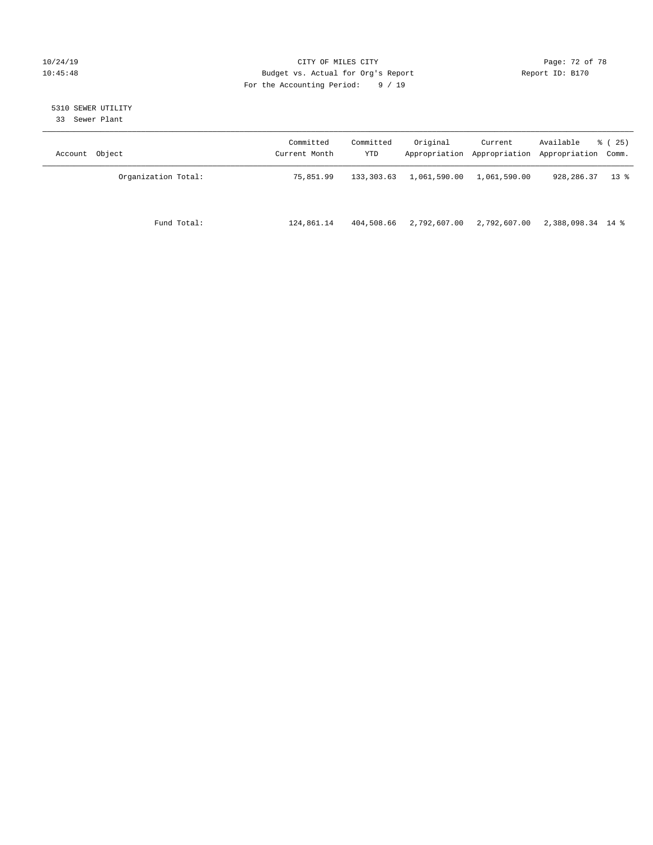# 10/24/19 **Page: 72 of 78** CITY OF MILES CITY **Page: 72 of 78** 10:45:48 Budget vs. Actual for Org's Report Report ID: B170 For the Accounting Period: 9 / 19

# 5310 SEWER UTILITY

33 Sewer Plant

| Account Object      | Committed<br>Current Month | Committed<br>YTD | Original     | Current<br>Appropriation Appropriation Appropriation Comm. | Available         | 8 (25) |
|---------------------|----------------------------|------------------|--------------|------------------------------------------------------------|-------------------|--------|
| Organization Total: | 75,851.99                  | 133,303.63       | 1,061,590.00 | 1,061,590.00                                               | 928,286.37        | $13*$  |
| Fund Total:         | 124,861.14                 | 404,508.66       | 2,792,607.00 | 2,792,607.00                                               | 2,388,098.34 14 % |        |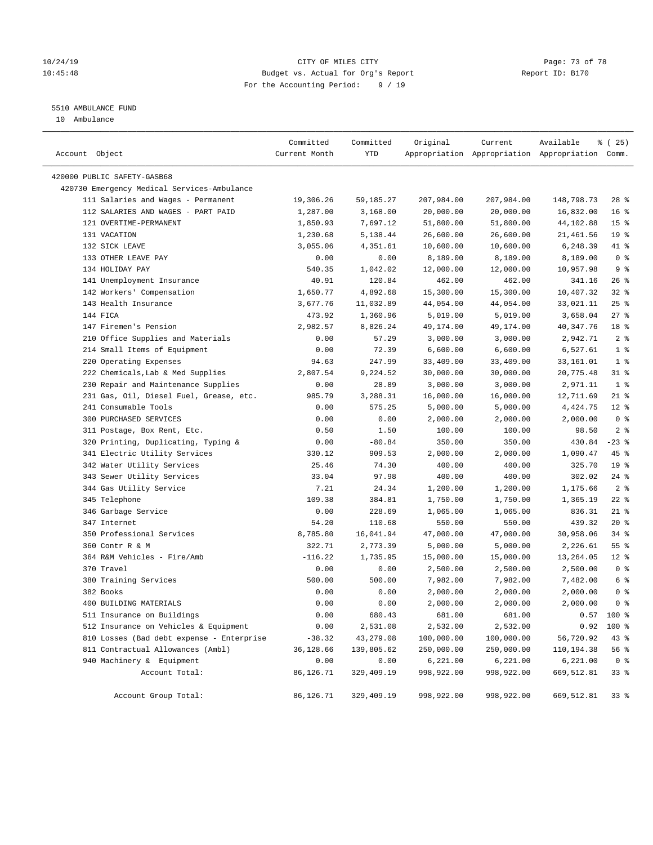## 10/24/19 **Page: 73 of 78** CITY OF MILES CITY **Page: 73 of 78** 10:45:48 Budget vs. Actual for Org's Report Report ID: B170 For the Accounting Period: 9 / 19

# 5510 AMBULANCE FUND

10 Ambulance

| Account Object                              | Committed<br>Current Month | Committed<br>YTD | Original   | Current    | Available<br>Appropriation Appropriation Appropriation Comm. | $*(25)$         |
|---------------------------------------------|----------------------------|------------------|------------|------------|--------------------------------------------------------------|-----------------|
| 420000 PUBLIC SAFETY-GASB68                 |                            |                  |            |            |                                                              |                 |
| 420730 Emergency Medical Services-Ambulance |                            |                  |            |            |                                                              |                 |
| 111 Salaries and Wages - Permanent          | 19,306.26                  | 59,185.27        | 207,984.00 | 207,984.00 | 148,798.73                                                   | $28$ %          |
| 112 SALARIES AND WAGES - PART PAID          | 1,287.00                   | 3,168.00         | 20,000.00  | 20,000.00  | 16,832.00                                                    | 16 <sup>8</sup> |
| 121 OVERTIME-PERMANENT                      | 1,850.93                   | 7,697.12         | 51,800.00  | 51,800.00  | 44,102.88                                                    | 15 <sup>°</sup> |
| 131 VACATION                                | 1,230.68                   | 5,138.44         | 26,600.00  | 26,600.00  | 21,461.56                                                    | 19 <sup>°</sup> |
| 132 SICK LEAVE                              | 3,055.06                   | 4,351.61         | 10,600.00  | 10,600.00  | 6,248.39                                                     | 41 %            |
| 133 OTHER LEAVE PAY                         | 0.00                       | 0.00             | 8,189.00   | 8,189.00   | 8,189.00                                                     | 0 <sup>8</sup>  |
| 134 HOLIDAY PAY                             | 540.35                     | 1,042.02         | 12,000.00  | 12,000.00  | 10,957.98                                                    | 9 <sup>°</sup>  |
| 141 Unemployment Insurance                  | 40.91                      | 120.84           | 462.00     | 462.00     | 341.16                                                       | $26$ %          |
| 142 Workers' Compensation                   | 1,650.77                   | 4,892.68         | 15,300.00  | 15,300.00  | 10,407.32                                                    | $32$ $%$        |
| 143 Health Insurance                        | 3,677.76                   | 11,032.89        | 44,054.00  | 44,054.00  | 33,021.11                                                    | 25%             |
| 144 FICA                                    | 473.92                     | 1,360.96         | 5,019.00   | 5,019.00   | 3,658.04                                                     | $27$ %          |
| 147 Firemen's Pension                       | 2,982.57                   | 8,826.24         | 49,174.00  | 49,174.00  | 40,347.76                                                    | 18 %            |
| 210 Office Supplies and Materials           | 0.00                       | 57.29            | 3,000.00   | 3,000.00   | 2,942.71                                                     | 2 <sup>8</sup>  |
| 214 Small Items of Equipment                | 0.00                       | 72.39            | 6,600.00   | 6,600.00   | 6,527.61                                                     | 1 <sup>°</sup>  |
| 220 Operating Expenses                      | 94.63                      | 247.99           | 33,409.00  | 33,409.00  | 33,161.01                                                    | 1 <sup>°</sup>  |
| 222 Chemicals, Lab & Med Supplies           | 2,807.54                   | 9,224.52         | 30,000.00  | 30,000.00  | 20,775.48                                                    | $31$ %          |
| 230 Repair and Maintenance Supplies         | 0.00                       | 28.89            | 3,000.00   | 3,000.00   | 2,971.11                                                     | 1 <sup>°</sup>  |
| 231 Gas, Oil, Diesel Fuel, Grease, etc.     | 985.79                     | 3,288.31         | 16,000.00  | 16,000.00  | 12,711.69                                                    | $21$ %          |
| 241 Consumable Tools                        | 0.00                       | 575.25           | 5,000.00   | 5,000.00   | 4,424.75                                                     | $12*$           |
| 300 PURCHASED SERVICES                      | 0.00                       | 0.00             | 2,000.00   | 2,000.00   | 2,000.00                                                     | 0 <sup>8</sup>  |
| 311 Postage, Box Rent, Etc.                 | 0.50                       | 1.50             | 100.00     | 100.00     | 98.50                                                        | 2 <sup>8</sup>  |
| 320 Printing, Duplicating, Typing &         | 0.00                       | $-80.84$         | 350.00     | 350.00     | 430.84                                                       | $-23$ %         |
| 341 Electric Utility Services               | 330.12                     | 909.53           | 2,000.00   | 2,000.00   | 1,090.47                                                     | 45 %            |
| 342 Water Utility Services                  | 25.46                      | 74.30            | 400.00     | 400.00     | 325.70                                                       | 19 <sup>°</sup> |
| 343 Sewer Utility Services                  | 33.04                      | 97.98            | 400.00     | 400.00     | 302.02                                                       | $24$ %          |
| 344 Gas Utility Service                     | 7.21                       | 24.34            | 1,200.00   | 1,200.00   | 1,175.66                                                     | 2 <sup>8</sup>  |
| 345 Telephone                               | 109.38                     | 384.81           | 1,750.00   | 1,750.00   | 1,365.19                                                     | $22$ %          |
| 346 Garbage Service                         | 0.00                       | 228.69           | 1,065.00   | 1,065.00   | 836.31                                                       | $21$ %          |
| 347 Internet                                | 54.20                      | 110.68           | 550.00     | 550.00     | 439.32                                                       | $20*$           |
| 350 Professional Services                   | 8,785.80                   | 16,041.94        | 47,000.00  | 47,000.00  | 30,958.06                                                    | 34%             |
| 360 Contr R & M                             | 322.71                     | 2,773.39         | 5,000.00   | 5,000.00   | 2,226.61                                                     | 55 <sup>8</sup> |
| 364 R&M Vehicles - Fire/Amb                 | $-116.22$                  | 1,735.95         | 15,000.00  | 15,000.00  | 13,264.05                                                    | $12*$           |
| 370 Travel                                  | 0.00                       | 0.00             | 2,500.00   | 2,500.00   | 2,500.00                                                     | 0 <sup>8</sup>  |
| 380 Training Services                       | 500.00                     | 500.00           | 7,982.00   | 7,982.00   | 7,482.00                                                     | 6 %             |
| 382 Books                                   | 0.00                       | 0.00             | 2,000.00   | 2,000.00   | 2,000.00                                                     | 0 <sup>8</sup>  |
| 400 BUILDING MATERIALS                      | 0.00                       | 0.00             | 2,000.00   | 2,000.00   | 2,000.00                                                     | 0 <sup>8</sup>  |
| 511 Insurance on Buildings                  | 0.00                       | 680.43           | 681.00     | 681.00     | 0.57                                                         | 100 %           |
| 512 Insurance on Vehicles & Equipment       | 0.00                       | 2,531.08         | 2,532.00   | 2,532.00   | 0.92                                                         | 100 %           |
| 810 Losses (Bad debt expense - Enterprise   | $-38.32$                   | 43,279.08        | 100,000.00 | 100,000.00 | 56,720.92                                                    | 43 %            |
| 811 Contractual Allowances (Ambl)           | 36,128.66                  | 139,805.62       | 250,000.00 | 250,000.00 | 110,194.38                                                   | 56 %            |
| 940 Machinery & Equipment                   | 0.00                       | 0.00             | 6,221.00   | 6,221.00   | 6,221.00                                                     | 0 <sup>8</sup>  |
| Account Total:                              | 86,126.71                  | 329,409.19       | 998,922.00 | 998,922.00 | 669,512.81                                                   | 33%             |
| Account Group Total:                        | 86,126.71                  | 329,409.19       | 998,922.00 | 998,922.00 | 669,512.81                                                   | 33%             |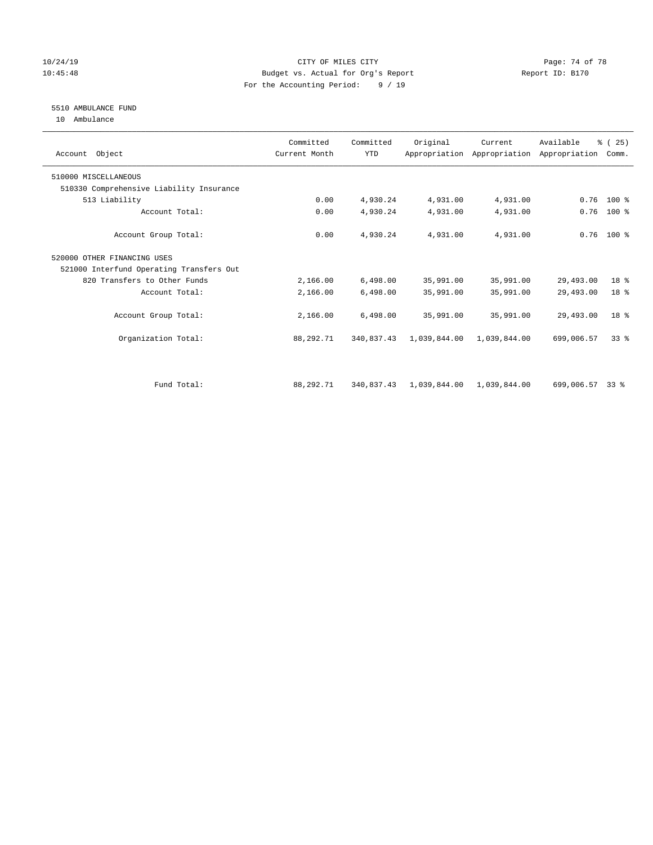## 10/24/19 **Page: 74 of 78** CITY OF MILES CITY **Page: 74 of 78** 10:45:48 Budget vs. Actual for Org's Report Report ID: B170 For the Accounting Period: 9 / 19

# 5510 AMBULANCE FUND

10 Ambulance

| Account Object                           | Committed<br>Current Month | Committed<br><b>YTD</b> | Original                  | Current      | Available<br>Appropriation Appropriation Appropriation | % (25)<br>Comm. |  |
|------------------------------------------|----------------------------|-------------------------|---------------------------|--------------|--------------------------------------------------------|-----------------|--|
| 510000 MISCELLANEOUS                     |                            |                         |                           |              |                                                        |                 |  |
| 510330 Comprehensive Liability Insurance |                            |                         |                           |              |                                                        |                 |  |
| 513 Liability                            | 0.00                       | 4,930.24                | 4,931.00                  | 4,931.00     | 0.76                                                   | $100*$          |  |
| Account Total:                           | 0.00                       | 4,930.24                | 4,931.00                  | 4,931.00     | 0.76                                                   | 100 %           |  |
| Account Group Total:                     | 0.00                       | 4,930.24                | 4,931.00                  | 4,931.00     |                                                        | $0.76$ 100 %    |  |
| 520000 OTHER FINANCING USES              |                            |                         |                           |              |                                                        |                 |  |
| 521000 Interfund Operating Transfers Out |                            |                         |                           |              |                                                        |                 |  |
| 820 Transfers to Other Funds             | 2,166.00                   | 6,498.00                | 35,991.00                 | 35,991.00    | 29,493.00                                              | 18 <sup>8</sup> |  |
| Account Total:                           | 2,166.00                   | 6,498.00                | 35,991.00                 | 35,991.00    | 29,493.00                                              | 18 <sup>8</sup> |  |
| Account Group Total:                     | 2,166.00                   | 6,498.00                | 35,991.00                 | 35,991.00    | 29,493.00                                              | 18 %            |  |
| Organization Total:                      | 88,292.71                  | 340,837.43              | 1,039,844.00              | 1,039,844.00 | 699,006.57                                             | 338             |  |
|                                          |                            |                         |                           |              |                                                        |                 |  |
| Fund Total:                              | 88,292.71                  | 340,837.43              | 1,039,844.00 1,039,844.00 |              | 699,006.57 33 %                                        |                 |  |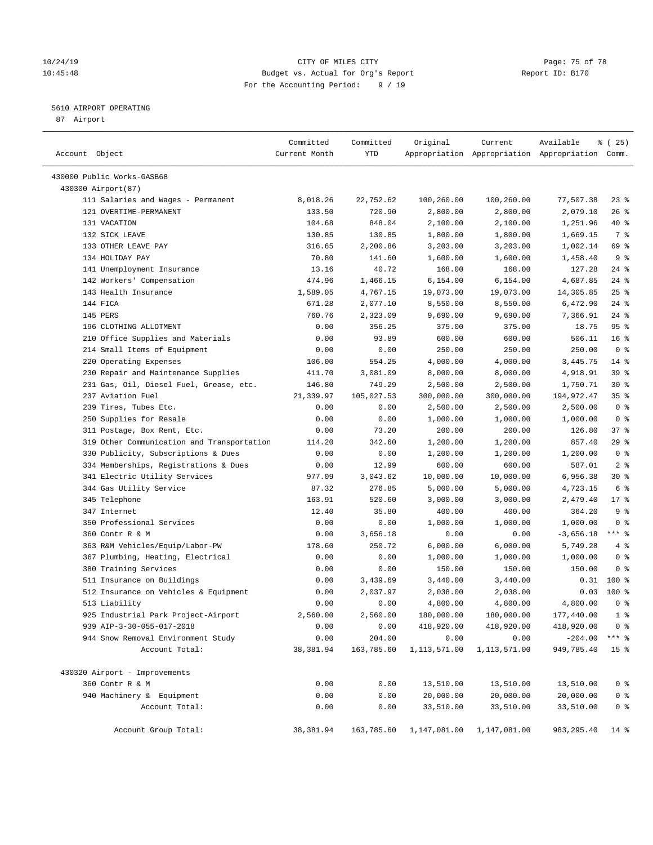## 10/24/19 **Page: 75 of 78** CITY OF MILES CITY **Page: 75 of 78** 10:45:48 Budget vs. Actual for Org's Report Report ID: B170 For the Accounting Period: 9 / 19

————————————————————————————————————————————————————————————————————————————————————————————————————————————————————————————————————

## 5610 AIRPORT OPERATING

87 Airport

|                                            | Committed     | Committed  | Original     | Current      | Available                                       | 8 (25)          |
|--------------------------------------------|---------------|------------|--------------|--------------|-------------------------------------------------|-----------------|
| Account Object                             | Current Month | YTD        |              |              | Appropriation Appropriation Appropriation Comm. |                 |
| 430000 Public Works-GASB68                 |               |            |              |              |                                                 |                 |
| 430300 Airport (87)                        |               |            |              |              |                                                 |                 |
| 111 Salaries and Wages - Permanent         | 8,018.26      | 22,752.62  | 100,260.00   | 100,260.00   | 77,507.38                                       | $23$ $%$        |
| 121 OVERTIME-PERMANENT                     | 133.50        | 720.90     | 2,800.00     | 2,800.00     | 2,079.10                                        | $26$ %          |
| 131 VACATION                               | 104.68        | 848.04     | 2,100.00     | 2,100.00     | 1,251.96                                        | 40 %            |
| 132 SICK LEAVE                             | 130.85        | 130.85     | 1,800.00     | 1,800.00     | 1,669.15                                        | 7 %             |
| 133 OTHER LEAVE PAY                        | 316.65        | 2,200.86   | 3,203.00     | 3,203.00     | 1,002.14                                        | 69 %            |
| 134 HOLIDAY PAY                            | 70.80         | 141.60     | 1,600.00     | 1,600.00     | 1,458.40                                        | 9 <sub>8</sub>  |
| 141 Unemployment Insurance                 | 13.16         | 40.72      | 168.00       | 168.00       | 127.28                                          | $24$ %          |
| 142 Workers' Compensation                  | 474.96        | 1,466.15   | 6,154.00     | 6,154.00     | 4,687.85                                        | $24$ %          |
| 143 Health Insurance                       | 1,589.05      | 4,767.15   | 19,073.00    | 19,073.00    | 14,305.85                                       | $25$ %          |
| 144 FICA                                   | 671.28        | 2,077.10   | 8,550.00     | 8,550.00     | 6,472.90                                        | $24$ %          |
| 145 PERS                                   | 760.76        | 2,323.09   | 9,690.00     | 9,690.00     | 7,366.91                                        | $24$ %          |
| 196 CLOTHING ALLOTMENT                     | 0.00          | 356.25     | 375.00       | 375.00       | 18.75                                           | 95%             |
| 210 Office Supplies and Materials          | 0.00          | 93.89      | 600.00       | 600.00       | 506.11                                          | 16 <sup>°</sup> |
| 214 Small Items of Equipment               | 0.00          | 0.00       | 250.00       | 250.00       | 250.00                                          | 0 <sup>8</sup>  |
| 220 Operating Expenses                     | 106.00        | 554.25     | 4,000.00     | 4,000.00     | 3,445.75                                        | $14*$           |
| 230 Repair and Maintenance Supplies        | 411.70        | 3,081.09   | 8,000.00     | 8,000.00     | 4,918.91                                        | 39 %            |
| 231 Gas, Oil, Diesel Fuel, Grease, etc.    | 146.80        | 749.29     | 2,500.00     | 2,500.00     | 1,750.71                                        | $30*$           |
| 237 Aviation Fuel                          | 21,339.97     | 105,027.53 | 300,000.00   | 300,000.00   | 194,972.47                                      | 35%             |
| 239 Tires, Tubes Etc.                      | 0.00          | 0.00       | 2,500.00     | 2,500.00     | 2,500.00                                        | 0 <sup>8</sup>  |
| 250 Supplies for Resale                    | 0.00          | 0.00       | 1,000.00     | 1,000.00     | 1,000.00                                        | 0 <sup>8</sup>  |
| 311 Postage, Box Rent, Etc.                | 0.00          | 73.20      | 200.00       | 200.00       | 126.80                                          | 37%             |
| 319 Other Communication and Transportation | 114.20        | 342.60     | 1,200.00     | 1,200.00     | 857.40                                          | $29$ %          |
| 330 Publicity, Subscriptions & Dues        | 0.00          | 0.00       | 1,200.00     | 1,200.00     | 1,200.00                                        | 0 <sup>8</sup>  |
| 334 Memberships, Registrations & Dues      | 0.00          | 12.99      | 600.00       | 600.00       | 587.01                                          | 2 <sup>8</sup>  |
| 341 Electric Utility Services              | 977.09        | 3,043.62   | 10,000.00    | 10,000.00    | 6,956.38                                        | $30*$           |
| 344 Gas Utility Service                    | 87.32         | 276.85     | 5,000.00     | 5,000.00     | 4,723.15                                        | 6 <sup>°</sup>  |
| 345 Telephone                              | 163.91        | 520.60     | 3,000.00     | 3,000.00     | 2,479.40                                        | $17*$           |
| 347 Internet                               | 12.40         | 35.80      | 400.00       | 400.00       | 364.20                                          | 9 <sup>°</sup>  |
| 350 Professional Services                  | 0.00          | 0.00       | 1,000.00     | 1,000.00     | 1,000.00                                        | 0 <sup>8</sup>  |
| 360 Contr R & M                            | 0.00          | 3,656.18   | 0.00         | 0.00         | $-3,656.18$                                     | $***$ $-$       |
| 363 R&M Vehicles/Equip/Labor-PW            | 178.60        | 250.72     | 6,000.00     | 6,000.00     | 5,749.28                                        | 4%              |
| 367 Plumbing, Heating, Electrical          | 0.00          | 0.00       | 1,000.00     | 1,000.00     | 1,000.00                                        | 0 <sup>8</sup>  |
| 380 Training Services                      | 0.00          | 0.00       | 150.00       | 150.00       | 150.00                                          | 0 <sup>8</sup>  |
| 511 Insurance on Buildings                 | 0.00          | 3,439.69   | 3,440.00     | 3,440.00     | 0.31                                            | 100 %           |
| 512 Insurance on Vehicles & Equipment      | 0.00          | 2,037.97   | 2,038.00     | 2,038.00     | 0.03                                            | 100 %           |
| 513 Liability                              | 0.00          | 0.00       | 4,800.00     | 4,800.00     | 4,800.00                                        | 0 <sup>8</sup>  |
| 925 Industrial Park Project-Airport        | 2,560.00      | 2,560.00   | 180,000.00   | 180,000.00   | 177,440.00                                      | $1$ %           |
| 939 AIP-3-30-055-017-2018                  | 0.00          | 0.00       | 418,920.00   | 418,920.00   | 418,920.00                                      | 0 <sup>8</sup>  |
| 944 Snow Removal Environment Study         | 0.00          | 204.00     | 0.00         | 0.00         | $-204.00$                                       | *** 응           |
| Account Total:                             | 38,381.94     | 163,785.60 | 1,113,571.00 | 1,113,571.00 | 949,785.40                                      | 15 <sup>8</sup> |
|                                            |               |            |              |              |                                                 |                 |
| 430320 Airport - Improvements              |               |            |              |              |                                                 |                 |
| 360 Contr R & M                            | 0.00          | 0.00       | 13,510.00    | 13,510.00    | 13,510.00                                       | 0 <sup>8</sup>  |
| 940 Machinery & Equipment                  | 0.00          | 0.00       | 20,000.00    | 20,000.00    | 20,000.00                                       | 0 <sup>8</sup>  |
| Account Total:                             | 0.00          | 0.00       | 33,510.00    | 33,510.00    | 33,510.00                                       | 0 <sup>8</sup>  |
| Account Group Total:                       | 38,381.94     | 163,785.60 | 1,147,081.00 | 1,147,081.00 | 983, 295.40                                     | 14 %            |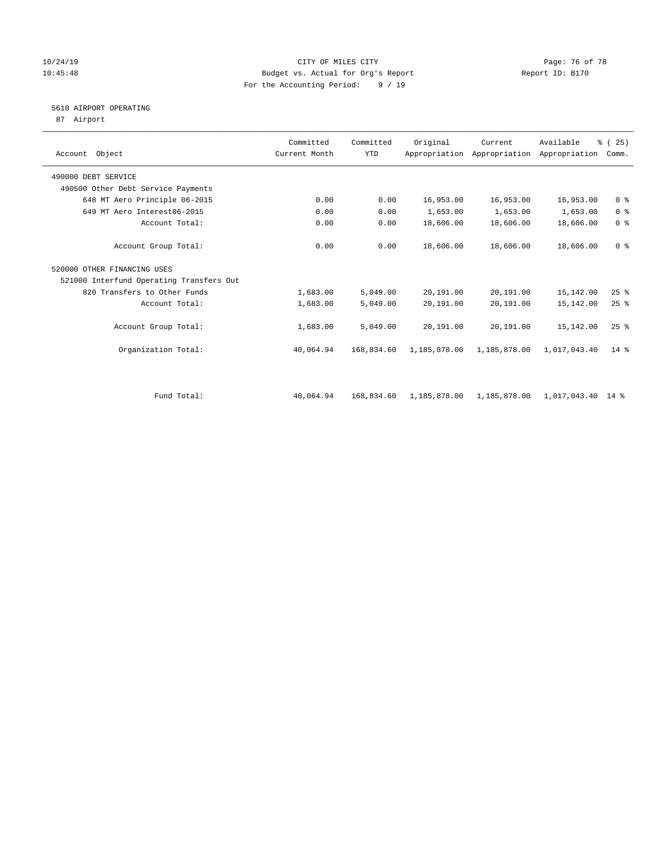#### 10/24/19 Page: 76 of 78 10:45:48 Budget vs. Actual for Org's Report Report ID: B170 For the Accounting Period: 9 / 19

# 5610 AIRPORT OPERATING

87 Airport

| Account Object                           | Committed<br>Current Month | Committed<br><b>YTD</b> | Original     | Current<br>Appropriation Appropriation Appropriation | Available         | % (25)<br>Comm. |
|------------------------------------------|----------------------------|-------------------------|--------------|------------------------------------------------------|-------------------|-----------------|
| 490000 DEBT SERVICE                      |                            |                         |              |                                                      |                   |                 |
| 490500 Other Debt Service Payments       |                            |                         |              |                                                      |                   |                 |
| 648 MT Aero Principle 06-2015            | 0.00                       | 0.00                    | 16,953.00    | 16,953.00                                            | 16,953.00         | 0 <sup>8</sup>  |
| 649 MT Aero Interest06-2015              | 0.00                       | 0.00                    | 1,653.00     | 1,653.00                                             | 1,653.00          | 0 <sup>8</sup>  |
| Account Total:                           | 0.00                       | 0.00                    | 18,606.00    | 18,606.00                                            | 18,606.00         | 0 <sup>8</sup>  |
| Account Group Total:                     | 0.00                       | 0.00                    | 18,606.00    | 18,606.00                                            | 18,606.00         | 0 <sup>8</sup>  |
| 520000 OTHER FINANCING USES              |                            |                         |              |                                                      |                   |                 |
| 521000 Interfund Operating Transfers Out |                            |                         |              |                                                      |                   |                 |
| 820 Transfers to Other Funds             | 1,683.00                   | 5,049.00                | 20,191.00    | 20,191.00                                            | 15,142.00         | 25%             |
| Account Total:                           | 1,683.00                   | 5,049.00                | 20,191.00    | 20,191.00                                            | 15,142.00         | $25$ $%$        |
| Account Group Total:                     | 1,683.00                   | 5,049.00                | 20,191.00    | 20,191.00                                            | 15,142.00         | $25$ $%$        |
| Organization Total:                      | 40,064.94                  | 168,834.60              | 1,185,878.00 | 1,185,878.00                                         | 1,017,043.40      | $14*$           |
|                                          |                            |                         |              |                                                      |                   |                 |
| Fund Total:                              | 40,064.94                  | 168,834.60              | 1,185,878.00 | 1,185,878.00                                         | 1,017,043.40 14 % |                 |